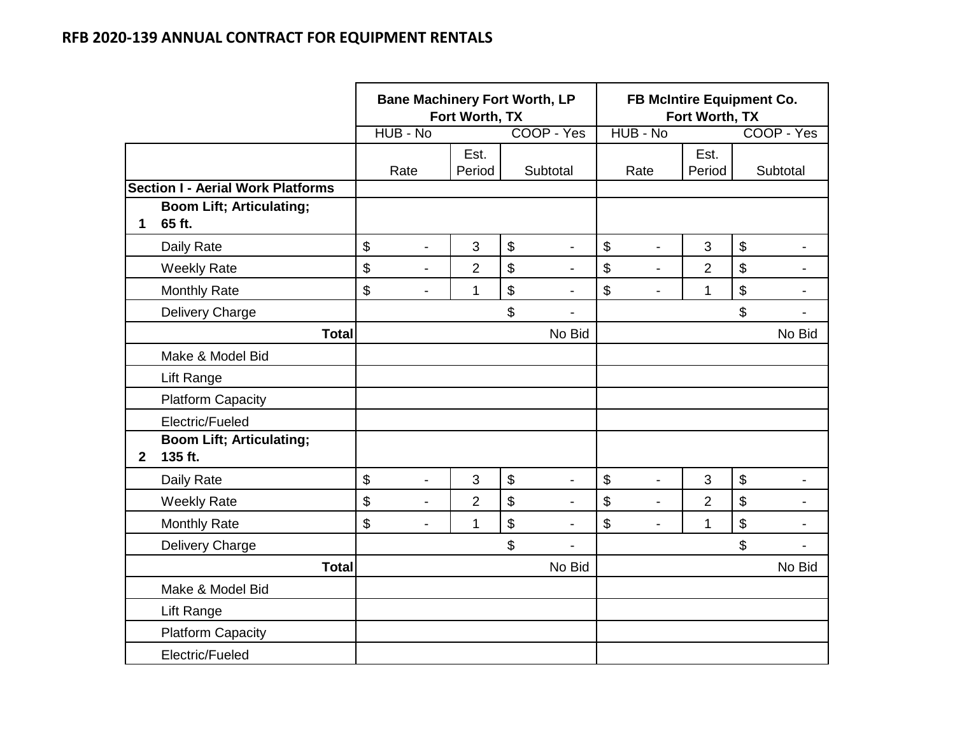|              |                                            |                            | <b>Bane Machinery Fort Worth, LP</b> | Fort Worth, TX |                                |                | FB McIntire Equipment Co.<br>Fort Worth, TX |                |                            |                          |
|--------------|--------------------------------------------|----------------------------|--------------------------------------|----------------|--------------------------------|----------------|---------------------------------------------|----------------|----------------------------|--------------------------|
|              |                                            |                            | HUB - No                             |                | COOP - Yes                     |                | HUB - No                                    |                |                            | COOP - Yes               |
|              |                                            |                            | Rate                                 | Est.<br>Period | Subtotal                       |                | Rate                                        | Est.<br>Period |                            | Subtotal                 |
|              | <b>Section I - Aerial Work Platforms</b>   |                            |                                      |                |                                |                |                                             |                |                            |                          |
| $\mathbf{1}$ | <b>Boom Lift; Articulating;</b><br>65 ft.  |                            |                                      |                |                                |                |                                             |                |                            |                          |
|              | Daily Rate                                 | $\boldsymbol{\mathsf{\$}}$ | $\overline{a}$                       | 3              | \$<br>$\overline{a}$           | $\mathfrak{S}$ | $\overline{a}$                              | 3              | $\boldsymbol{\mathsf{\$}}$ | $\overline{\phantom{a}}$ |
|              | <b>Weekly Rate</b>                         | \$                         | $\overline{a}$                       | $\overline{2}$ | \$<br>$\overline{\phantom{a}}$ | \$             | ۰                                           | $\overline{2}$ | \$                         | $\overline{a}$           |
|              | <b>Monthly Rate</b>                        | \$                         | $\overline{\phantom{a}}$             | 1              | \$<br>$\overline{a}$           | \$             | $\overline{\phantom{0}}$                    | 1              | \$                         | $\blacksquare$           |
|              | Delivery Charge                            |                            |                                      |                | \$<br>$\blacksquare$           |                |                                             |                | \$                         | $\blacksquare$           |
|              | <b>Total</b>                               |                            |                                      |                | No Bid                         |                |                                             |                |                            | No Bid                   |
|              | Make & Model Bid                           |                            |                                      |                |                                |                |                                             |                |                            |                          |
|              | Lift Range                                 |                            |                                      |                |                                |                |                                             |                |                            |                          |
|              | <b>Platform Capacity</b>                   |                            |                                      |                |                                |                |                                             |                |                            |                          |
|              | Electric/Fueled                            |                            |                                      |                |                                |                |                                             |                |                            |                          |
| $\mathbf{2}$ | <b>Boom Lift; Articulating;</b><br>135 ft. |                            |                                      |                |                                |                |                                             |                |                            |                          |
|              | Daily Rate                                 | $\boldsymbol{\mathsf{\$}}$ | Ĭ.                                   | 3              | \$<br>$\overline{\phantom{a}}$ | $\mathfrak{S}$ | $\overline{\phantom{a}}$                    | 3              | $\boldsymbol{\mathsf{S}}$  |                          |
|              | <b>Weekly Rate</b>                         | \$                         | Ĭ.                                   | $\overline{2}$ | \$                             | \$             | $\overline{a}$                              | $\overline{2}$ | \$                         |                          |
|              | <b>Monthly Rate</b>                        | \$                         | $\overline{\phantom{a}}$             | 1              | \$<br>$\overline{a}$           | \$             | ÷,                                          | $\mathbf{1}$   | \$                         | $\overline{\phantom{a}}$ |
|              | Delivery Charge                            |                            |                                      |                | \$                             |                |                                             |                | \$                         | $\overline{a}$           |
|              | <b>Total</b>                               |                            |                                      |                | No Bid                         |                |                                             |                |                            | No Bid                   |
|              | Make & Model Bid                           |                            |                                      |                |                                |                |                                             |                |                            |                          |
|              | Lift Range                                 |                            |                                      |                |                                |                |                                             |                |                            |                          |
|              | <b>Platform Capacity</b>                   |                            |                                      |                |                                |                |                                             |                |                            |                          |
|              | Electric/Fueled                            |                            |                                      |                |                                |                |                                             |                |                            |                          |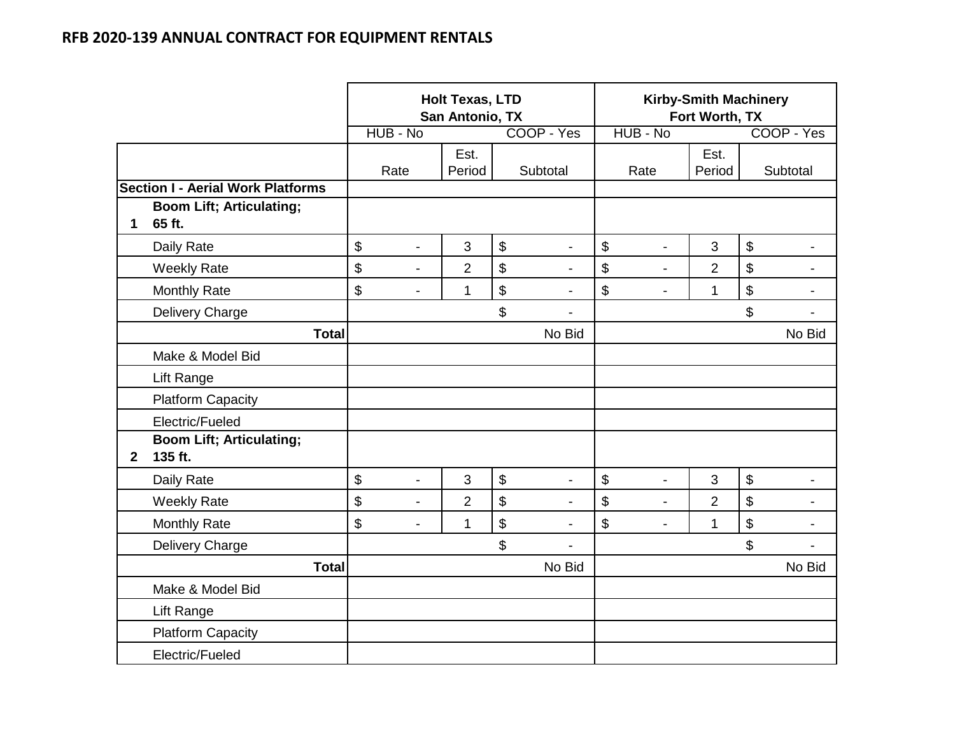|              |                                            |          |                | <b>Holt Texas, LTD</b><br>San Antonio, TX |                            |                |                           | <b>Kirby-Smith Machinery</b><br>Fort Worth, TX |                |                           |                          |
|--------------|--------------------------------------------|----------|----------------|-------------------------------------------|----------------------------|----------------|---------------------------|------------------------------------------------|----------------|---------------------------|--------------------------|
|              |                                            | HUB - No |                |                                           |                            | COOP - Yes     |                           | HUB - No                                       |                |                           | COOP - Yes               |
|              |                                            |          | Rate           | Est.<br>Period                            |                            | Subtotal       |                           | Rate                                           | Est.<br>Period |                           | Subtotal                 |
|              | <b>Section I - Aerial Work Platforms</b>   |          |                |                                           |                            |                |                           |                                                |                |                           |                          |
| 1            | <b>Boom Lift; Articulating;</b><br>65 ft.  |          |                |                                           |                            |                |                           |                                                |                |                           |                          |
|              | Daily Rate                                 | \$       | $\overline{a}$ | 3                                         | $\boldsymbol{\mathsf{\$}}$ |                | $\mathfrak{S}$            | $\overline{a}$                                 | 3              | \$                        | $\blacksquare$           |
|              | <b>Weekly Rate</b>                         | \$       | $\blacksquare$ | $\overline{2}$                            | \$                         | $\overline{a}$ | \$                        | $\overline{a}$                                 | $\overline{2}$ | \$                        | -                        |
|              | <b>Monthly Rate</b>                        | \$       | $\overline{a}$ | 1                                         | \$                         | $\blacksquare$ | \$                        | $\blacksquare$                                 | $\mathbf{1}$   | \$                        | $\overline{\phantom{0}}$ |
|              | Delivery Charge                            |          |                |                                           | \$                         | $\overline{a}$ |                           |                                                |                | \$                        | $\blacksquare$           |
|              | <b>Total</b>                               |          |                |                                           |                            | No Bid         |                           |                                                |                |                           | No Bid                   |
|              | Make & Model Bid                           |          |                |                                           |                            |                |                           |                                                |                |                           |                          |
|              | Lift Range                                 |          |                |                                           |                            |                |                           |                                                |                |                           |                          |
|              | <b>Platform Capacity</b>                   |          |                |                                           |                            |                |                           |                                                |                |                           |                          |
|              | Electric/Fueled                            |          |                |                                           |                            |                |                           |                                                |                |                           |                          |
| $\mathbf{2}$ | <b>Boom Lift; Articulating;</b><br>135 ft. |          |                |                                           |                            |                |                           |                                                |                |                           |                          |
|              | Daily Rate                                 | \$       | $\overline{a}$ | 3                                         | $\boldsymbol{\mathsf{S}}$  |                | $\boldsymbol{\mathsf{S}}$ | L,                                             | 3              | $\boldsymbol{\mathsf{S}}$ |                          |
|              | <b>Weekly Rate</b>                         | \$       | $\overline{a}$ | $\overline{2}$                            | \$                         | $\overline{a}$ | \$                        | L,                                             | $\overline{2}$ | \$                        | $\blacksquare$           |
|              | <b>Monthly Rate</b>                        | \$       | $\blacksquare$ | 1                                         | \$                         |                | \$                        | $\blacksquare$                                 | $\mathbf{1}$   | $\mathfrak{S}$            | -                        |
|              | Delivery Charge                            |          |                |                                           | \$                         |                |                           |                                                |                | \$                        | ٠                        |
|              | <b>Total</b>                               |          |                |                                           |                            | No Bid         |                           |                                                |                |                           | No Bid                   |
|              | Make & Model Bid                           |          |                |                                           |                            |                |                           |                                                |                |                           |                          |
|              | Lift Range                                 |          |                |                                           |                            |                |                           |                                                |                |                           |                          |
|              | <b>Platform Capacity</b>                   |          |                |                                           |                            |                |                           |                                                |                |                           |                          |
|              | Electric/Fueled                            |          |                |                                           |                            |                |                           |                                                |                |                           |                          |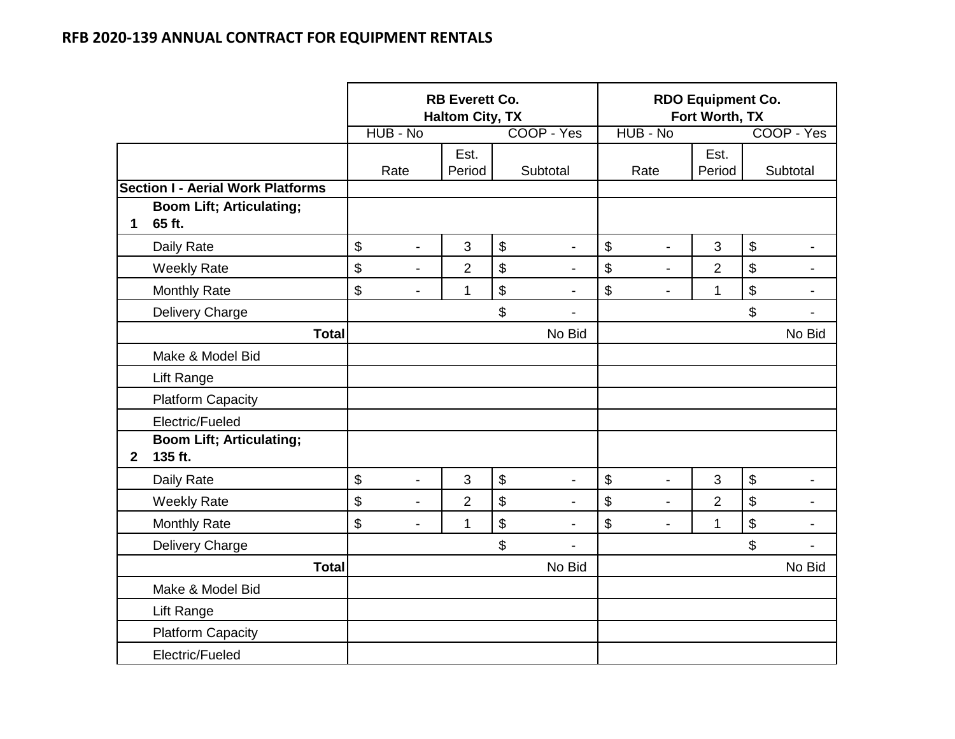|              |                                            |                                | <b>RB Everett Co.</b><br><b>Haltom City, TX</b> |                   |                          | <b>RDO Equipment Co.</b><br>Fort Worth, TX |                |                            |                          |
|--------------|--------------------------------------------|--------------------------------|-------------------------------------------------|-------------------|--------------------------|--------------------------------------------|----------------|----------------------------|--------------------------|
|              |                                            | HUB - No                       |                                                 |                   | COOP - Yes               | HUB - No                                   |                |                            | COOP - Yes               |
|              |                                            | Rate                           | Est.<br>Period                                  |                   | Subtotal                 | Rate                                       | Est.<br>Period |                            | Subtotal                 |
|              | <b>Section I - Aerial Work Platforms</b>   |                                |                                                 |                   |                          |                                            |                |                            |                          |
| 1            | <b>Boom Lift; Articulating;</b><br>65 ft.  |                                |                                                 |                   |                          |                                            |                |                            |                          |
|              | Daily Rate                                 | \$<br>$\blacksquare$           | 3                                               | $\mathfrak{S}$    | $\blacksquare$           | \$<br>$\blacksquare$                       | 3              | $\boldsymbol{\mathsf{\$}}$ | $\blacksquare$           |
|              | <b>Weekly Rate</b>                         | \$<br>$\blacksquare$           | $\overline{2}$                                  | \$                |                          | \$                                         | $\overline{2}$ | $\boldsymbol{\mathsf{\$}}$ |                          |
|              | <b>Monthly Rate</b>                        | \$<br>$\blacksquare$           | $\mathbf 1$                                     | $\boldsymbol{\$}$ | $\overline{a}$           | \$<br>$\blacksquare$                       | 1              | $\boldsymbol{\mathsf{\$}}$ | -                        |
|              | <b>Delivery Charge</b>                     |                                |                                                 | \$                | $\overline{a}$           |                                            |                | \$                         | $\overline{\phantom{0}}$ |
|              | <b>Total</b>                               |                                |                                                 |                   | No Bid                   |                                            |                |                            | No Bid                   |
|              | Make & Model Bid                           |                                |                                                 |                   |                          |                                            |                |                            |                          |
|              | Lift Range                                 |                                |                                                 |                   |                          |                                            |                |                            |                          |
|              | <b>Platform Capacity</b>                   |                                |                                                 |                   |                          |                                            |                |                            |                          |
|              | Electric/Fueled                            |                                |                                                 |                   |                          |                                            |                |                            |                          |
| $\mathbf{2}$ | <b>Boom Lift; Articulating;</b><br>135 ft. |                                |                                                 |                   |                          |                                            |                |                            |                          |
|              | Daily Rate                                 | \$<br>$\overline{\phantom{a}}$ | 3                                               | $\mathfrak{S}$    | $\overline{\phantom{a}}$ | \$<br>$\overline{a}$                       | 3              | $\boldsymbol{\$}$          |                          |
|              | <b>Weekly Rate</b>                         | \$<br>$\overline{a}$           | $\overline{2}$                                  | \$                | $\overline{\phantom{a}}$ | \$<br>$\overline{a}$                       | $\overline{2}$ | $\boldsymbol{\mathsf{S}}$  | $\overline{\phantom{0}}$ |
|              | <b>Monthly Rate</b>                        | \$<br>$\overline{\phantom{a}}$ | 1                                               | \$                | $\blacksquare$           | \$<br>$\blacksquare$                       | 1              | $\boldsymbol{\$}$          | $\blacksquare$           |
|              | Delivery Charge                            |                                |                                                 | \$                |                          |                                            |                | \$                         | $\overline{a}$           |
|              | <b>Total</b>                               |                                |                                                 |                   | No Bid                   |                                            |                |                            | No Bid                   |
|              | Make & Model Bid                           |                                |                                                 |                   |                          |                                            |                |                            |                          |
|              | Lift Range                                 |                                |                                                 |                   |                          |                                            |                |                            |                          |
|              | <b>Platform Capacity</b>                   |                                |                                                 |                   |                          |                                            |                |                            |                          |
|              | Electric/Fueled                            |                                |                                                 |                   |                          |                                            |                |                            |                          |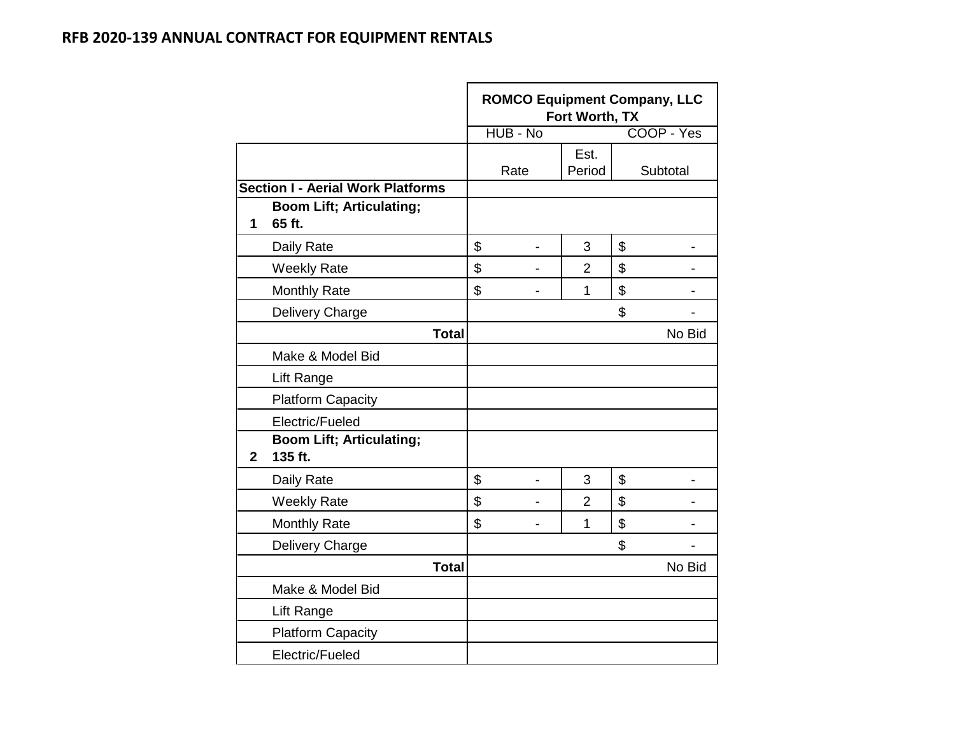|                |                                            | <b>ROMCO Equipment Company, LLC</b> | Fort Worth, TX |            |        |
|----------------|--------------------------------------------|-------------------------------------|----------------|------------|--------|
|                |                                            | HUB - No                            |                | COOP - Yes |        |
|                |                                            | Rate                                | Est.<br>Period | Subtotal   |        |
|                | <b>Section I - Aerial Work Platforms</b>   |                                     |                |            |        |
| 1              | <b>Boom Lift; Articulating;</b><br>65 ft.  |                                     |                |            |        |
|                | Daily Rate                                 | \$<br>$\blacksquare$                | 3              | \$         |        |
|                | <b>Weekly Rate</b>                         | \$                                  | $\overline{2}$ | \$         |        |
|                | <b>Monthly Rate</b>                        | \$<br>$\blacksquare$                | $\mathbf 1$    | \$         |        |
|                | Delivery Charge                            |                                     |                | \$         |        |
|                | <b>Total</b>                               |                                     |                |            | No Bid |
|                | Make & Model Bid                           |                                     |                |            |        |
|                | Lift Range                                 |                                     |                |            |        |
|                | <b>Platform Capacity</b>                   |                                     |                |            |        |
|                | Electric/Fueled                            |                                     |                |            |        |
| $\overline{2}$ | <b>Boom Lift; Articulating;</b><br>135 ft. |                                     |                |            |        |
|                | Daily Rate                                 | \$                                  | 3              | \$         |        |
|                | <b>Weekly Rate</b>                         | \$                                  | $\overline{2}$ | \$         |        |
|                | <b>Monthly Rate</b>                        | \$                                  | 1              | \$         |        |
|                | Delivery Charge                            |                                     |                | \$         |        |
|                | <b>Total</b>                               |                                     |                |            | No Bid |
|                | Make & Model Bid                           |                                     |                |            |        |
|                | Lift Range                                 |                                     |                |            |        |
|                | <b>Platform Capacity</b>                   |                                     |                |            |        |
|                | Electric/Fueled                            |                                     |                |            |        |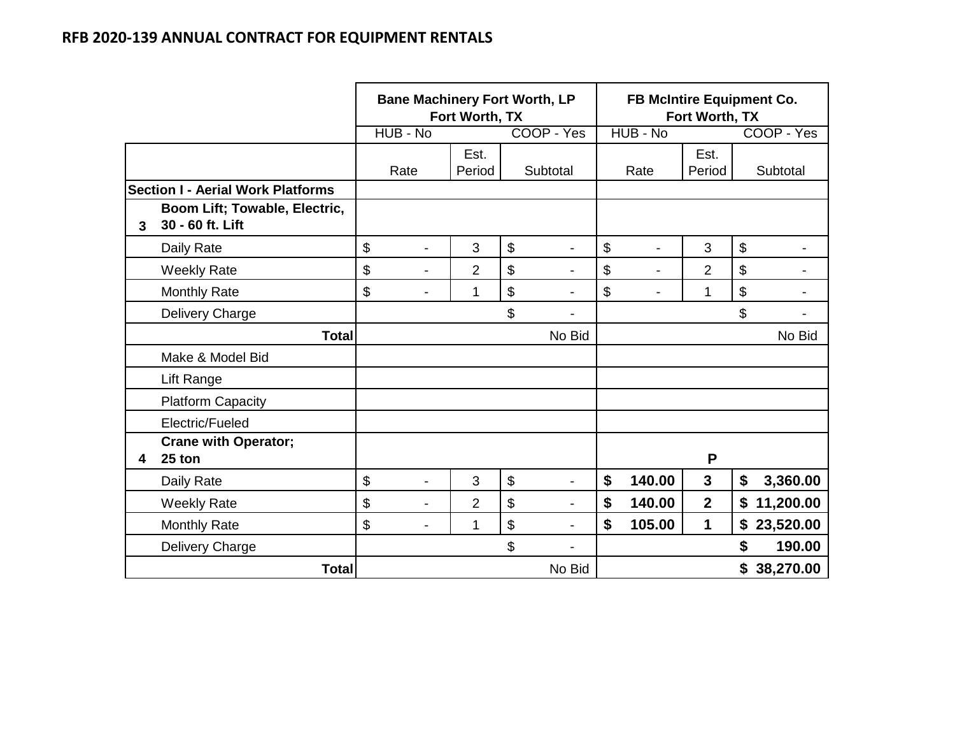|              |                                                   | <b>Bane Machinery Fort Worth, LP</b><br>Fort Worth, TX |                |                      |    | FB McIntire Equipment Co.<br>Fort Worth, TX |                |                 |  |
|--------------|---------------------------------------------------|--------------------------------------------------------|----------------|----------------------|----|---------------------------------------------|----------------|-----------------|--|
|              |                                                   | HUB - No                                               |                | COOP - Yes           |    | HUB - No                                    |                | COOP - Yes      |  |
|              |                                                   | Rate                                                   | Est.<br>Period | Subtotal             |    | Rate                                        | Est.<br>Period | Subtotal        |  |
|              | <b>Section I - Aerial Work Platforms</b>          |                                                        |                |                      |    |                                             |                |                 |  |
| $\mathbf{3}$ | Boom Lift; Towable, Electric,<br>30 - 60 ft. Lift |                                                        |                |                      |    |                                             |                |                 |  |
|              | Daily Rate                                        | \$<br>$\blacksquare$                                   | 3              | \$                   | \$ |                                             | 3              | \$              |  |
|              | <b>Weekly Rate</b>                                | \$<br>-                                                | $\overline{2}$ | \$                   | \$ |                                             | $\overline{2}$ | \$              |  |
|              | <b>Monthly Rate</b>                               | \$<br>$\overline{\phantom{0}}$                         | 1              | \$                   | \$ |                                             | 1              | \$              |  |
|              | Delivery Charge                                   |                                                        |                | \$                   |    |                                             |                | \$              |  |
|              | <b>Total</b>                                      |                                                        |                | No Bid               |    |                                             |                | No Bid          |  |
|              | Make & Model Bid                                  |                                                        |                |                      |    |                                             |                |                 |  |
|              | Lift Range                                        |                                                        |                |                      |    |                                             |                |                 |  |
|              | <b>Platform Capacity</b>                          |                                                        |                |                      |    |                                             |                |                 |  |
|              | Electric/Fueled                                   |                                                        |                |                      |    |                                             |                |                 |  |
| 4            | <b>Crane with Operator;</b><br>25 ton             |                                                        |                |                      |    |                                             | P              |                 |  |
|              | Daily Rate                                        | \$<br>$\overline{a}$                                   | 3              | \$<br>$\blacksquare$ | \$ | 140.00                                      | $\mathbf{3}$   | 3,360.00<br>\$  |  |
|              | <b>Weekly Rate</b>                                | \$<br>$\overline{\phantom{a}}$                         | $\overline{2}$ | \$                   | \$ | 140.00                                      | $\mathbf{2}$   | 11,200.00<br>\$ |  |
|              | <b>Monthly Rate</b>                               | \$<br>$\overline{\phantom{a}}$                         | 1              | \$<br>$\blacksquare$ | \$ | 105.00                                      | 1              | \$23,520.00     |  |
|              | Delivery Charge                                   |                                                        |                | \$                   |    |                                             |                | \$<br>190.00    |  |
|              | <b>Total</b>                                      |                                                        |                | No Bid               |    |                                             |                | \$38,270.00     |  |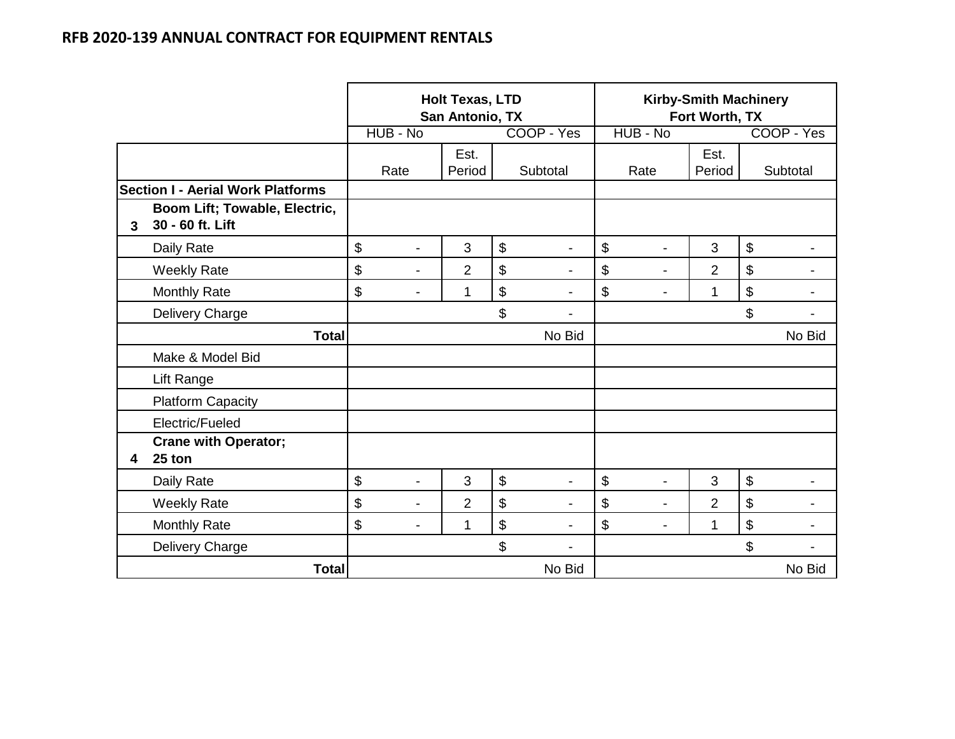|              |                                                   |          |                          | <b>Holt Texas, LTD</b><br>San Antonio, TX |                           |                | <b>Kirby-Smith Machinery</b><br>Fort Worth, TX<br>HUB - No |                |                |                |            |
|--------------|---------------------------------------------------|----------|--------------------------|-------------------------------------------|---------------------------|----------------|------------------------------------------------------------|----------------|----------------|----------------|------------|
|              |                                                   | HUB - No |                          |                                           |                           | COOP - Yes     |                                                            |                |                |                | COOP - Yes |
|              |                                                   | Rate     |                          | Est.<br>Period                            |                           | Subtotal       |                                                            | Rate           | Est.<br>Period |                | Subtotal   |
|              | <b>Section I - Aerial Work Platforms</b>          |          |                          |                                           |                           |                |                                                            |                |                |                |            |
| $\mathbf{3}$ | Boom Lift; Towable, Electric,<br>30 - 60 ft. Lift |          |                          |                                           |                           |                |                                                            |                |                |                |            |
|              | Daily Rate                                        | \$       | $\overline{\phantom{a}}$ | 3                                         | $\mathfrak{S}$            |                | \$                                                         |                | 3              | $\mathfrak{S}$ |            |
|              | <b>Weekly Rate</b>                                | \$       | $\blacksquare$           | $\overline{2}$                            | \$                        | $\blacksquare$ | \$                                                         | $\blacksquare$ | $\overline{2}$ | \$             |            |
|              | <b>Monthly Rate</b>                               | \$       | $\blacksquare$           | 1                                         | $\boldsymbol{\mathsf{S}}$ |                | \$                                                         | $\blacksquare$ | 1              | \$             |            |
|              | Delivery Charge                                   |          |                          |                                           | \$                        |                |                                                            |                |                | \$             |            |
|              | <b>Total</b>                                      |          |                          |                                           |                           | No Bid         |                                                            |                |                |                | No Bid     |
|              | Make & Model Bid                                  |          |                          |                                           |                           |                |                                                            |                |                |                |            |
|              | Lift Range                                        |          |                          |                                           |                           |                |                                                            |                |                |                |            |
|              | <b>Platform Capacity</b>                          |          |                          |                                           |                           |                |                                                            |                |                |                |            |
|              | Electric/Fueled                                   |          |                          |                                           |                           |                |                                                            |                |                |                |            |
| 4            | <b>Crane with Operator;</b><br>25 ton             |          |                          |                                           |                           |                |                                                            |                |                |                |            |
|              | Daily Rate                                        | \$       | $\blacksquare$           | 3                                         | \$                        |                | \$                                                         | $\blacksquare$ | 3              | \$             |            |
|              | <b>Weekly Rate</b>                                | \$       | $\overline{\phantom{a}}$ | $\overline{2}$                            | \$                        |                | \$                                                         | $\blacksquare$ | $\overline{2}$ | \$             |            |
|              | <b>Monthly Rate</b>                               | \$       | $\blacksquare$           | 1                                         | $\boldsymbol{\$}$         | $\blacksquare$ | \$                                                         | $\blacksquare$ | 1              | \$             |            |
|              | Delivery Charge                                   |          |                          |                                           | \$                        |                |                                                            |                |                | \$             |            |
|              | <b>Total</b>                                      |          |                          |                                           |                           | No Bid         |                                                            |                |                |                | No Bid     |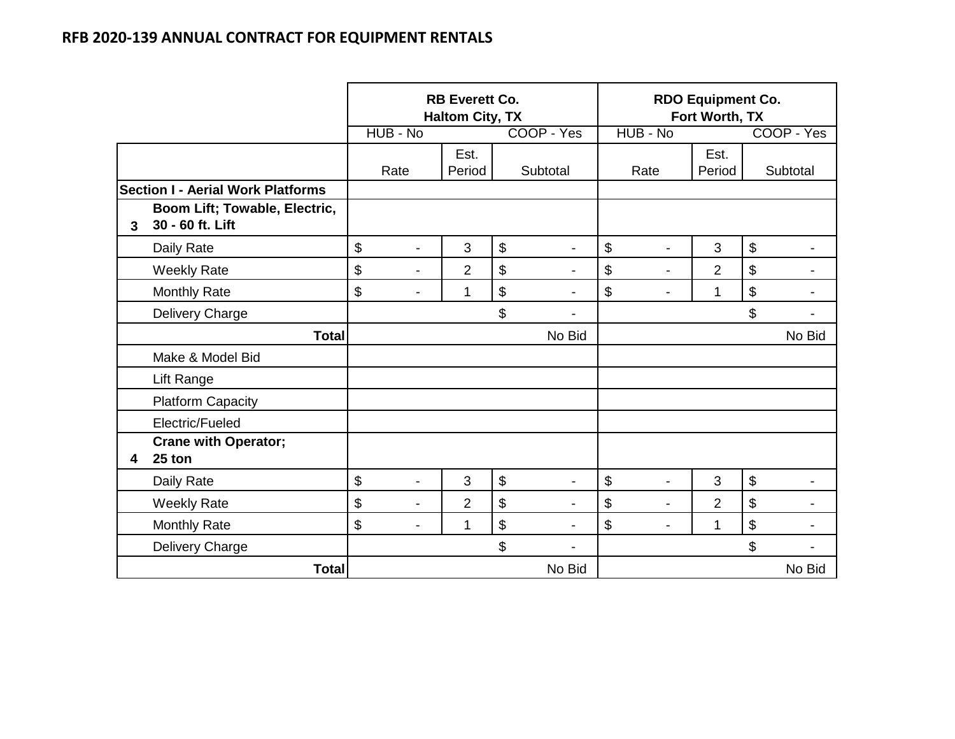|              |                                                   | HUB - No             | <b>RB Everett Co.</b><br><b>Haltom City, TX</b> | COOP - Yes                     |                       | <b>RDO Equipment Co.</b><br>Fort Worth, TX<br>HUB - No |                |                                           | COOP - Yes |
|--------------|---------------------------------------------------|----------------------|-------------------------------------------------|--------------------------------|-----------------------|--------------------------------------------------------|----------------|-------------------------------------------|------------|
|              |                                                   |                      |                                                 |                                |                       |                                                        |                |                                           |            |
|              |                                                   | Rate                 | Est.<br>Period                                  | Subtotal                       | Rate                  |                                                        | Est.<br>Period |                                           | Subtotal   |
|              | <b>Section I - Aerial Work Platforms</b>          |                      |                                                 |                                |                       |                                                        |                |                                           |            |
| $\mathbf{3}$ | Boom Lift; Towable, Electric,<br>30 - 60 ft. Lift |                      |                                                 |                                |                       |                                                        |                |                                           |            |
|              | Daily Rate                                        | \$<br>$\blacksquare$ | 3                                               | \$                             | \$                    |                                                        | 3              | $\boldsymbol{\$}$                         |            |
|              | <b>Weekly Rate</b>                                | \$<br>-              | $\overline{2}$                                  | \$<br>$\blacksquare$           | \$                    | $\blacksquare$                                         | $\overline{2}$ | $\boldsymbol{\mathsf{S}}$                 |            |
|              | <b>Monthly Rate</b>                               | \$<br>-              | 1                                               | \$<br>$\overline{\phantom{0}}$ | \$                    | $\blacksquare$                                         | 1              | $\boldsymbol{\mathsf{S}}$                 |            |
|              | Delivery Charge                                   |                      |                                                 | \$                             |                       |                                                        |                | \$                                        |            |
|              | <b>Total</b>                                      |                      |                                                 | No Bid                         |                       |                                                        |                |                                           | No Bid     |
|              | Make & Model Bid                                  |                      |                                                 |                                |                       |                                                        |                |                                           |            |
|              | Lift Range                                        |                      |                                                 |                                |                       |                                                        |                |                                           |            |
|              | <b>Platform Capacity</b>                          |                      |                                                 |                                |                       |                                                        |                |                                           |            |
|              | Electric/Fueled                                   |                      |                                                 |                                |                       |                                                        |                |                                           |            |
| 4            | <b>Crane with Operator;</b><br>25 ton             |                      |                                                 |                                |                       |                                                        |                |                                           |            |
|              | Daily Rate                                        | \$<br>$\overline{a}$ | 3                                               | \$<br>$\blacksquare$           | $\boldsymbol{\theta}$ |                                                        | 3              | $\, \, \raisebox{12pt}{$\scriptstyle \$}$ |            |
|              | <b>Weekly Rate</b>                                | \$<br>$\overline{a}$ | $\overline{2}$                                  | \$                             | \$                    | $\blacksquare$                                         | $\overline{2}$ | $\boldsymbol{\mathsf{S}}$                 |            |
|              | <b>Monthly Rate</b>                               | \$<br>Ξ.             | 1                                               | \$                             | \$                    | $\blacksquare$                                         | 1              | \$                                        |            |
|              | Delivery Charge                                   |                      |                                                 | \$                             |                       |                                                        |                | \$                                        |            |
|              | <b>Total</b>                                      |                      |                                                 | No Bid                         |                       |                                                        |                |                                           | No Bid     |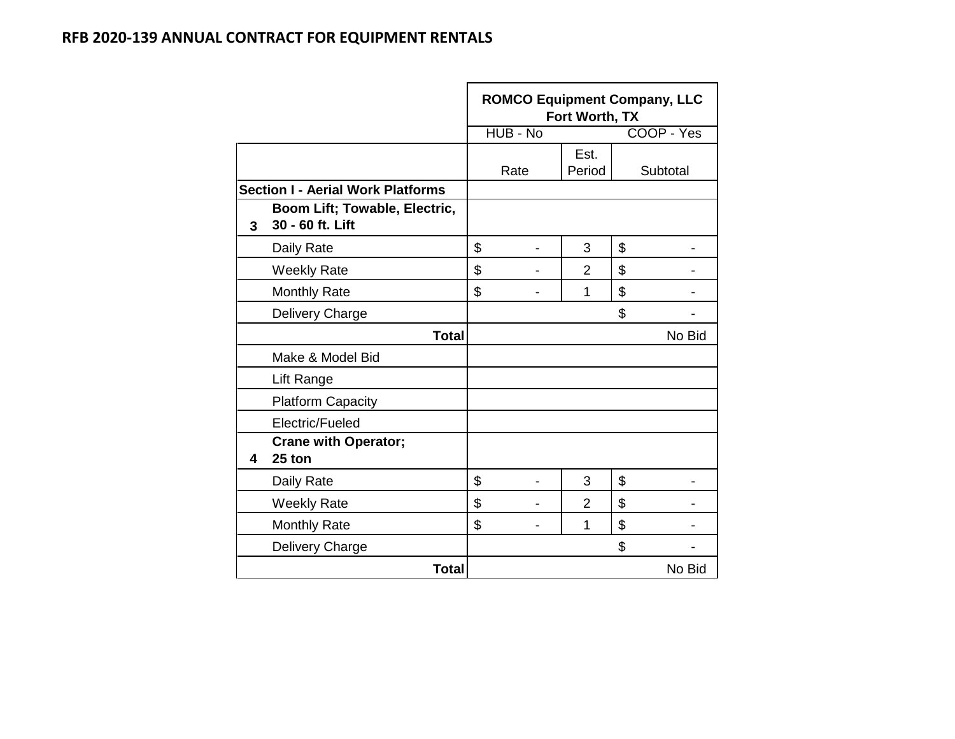|   |                                                   |          | Fort Worth, TX | <b>ROMCO Equipment Company, LLC</b> |
|---|---------------------------------------------------|----------|----------------|-------------------------------------|
|   |                                                   | HUB - No |                | COOP - Yes                          |
|   |                                                   | Rate     | Est.<br>Period | Subtotal                            |
|   | <b>Section I - Aerial Work Platforms</b>          |          |                |                                     |
| 3 | Boom Lift; Towable, Electric,<br>30 - 60 ft. Lift |          |                |                                     |
|   | Daily Rate                                        | \$       | 3              | \$                                  |
|   | <b>Weekly Rate</b>                                | \$       | $\overline{2}$ | \$                                  |
|   | <b>Monthly Rate</b>                               | \$       | 1              | \$                                  |
|   | Delivery Charge                                   |          |                | \$                                  |
|   | <b>Total</b>                                      |          |                | No Bid                              |
|   | Make & Model Bid                                  |          |                |                                     |
|   | Lift Range                                        |          |                |                                     |
|   | <b>Platform Capacity</b>                          |          |                |                                     |
|   | Electric/Fueled                                   |          |                |                                     |
| 4 | <b>Crane with Operator;</b><br>25 ton             |          |                |                                     |
|   | Daily Rate                                        | \$       | 3              | \$                                  |
|   | <b>Weekly Rate</b>                                | \$       | $\overline{2}$ | \$                                  |
|   | <b>Monthly Rate</b>                               | \$       | 1              | \$                                  |
|   | Delivery Charge                                   |          |                | \$                                  |
|   | <b>Total</b>                                      |          |                | No Bid                              |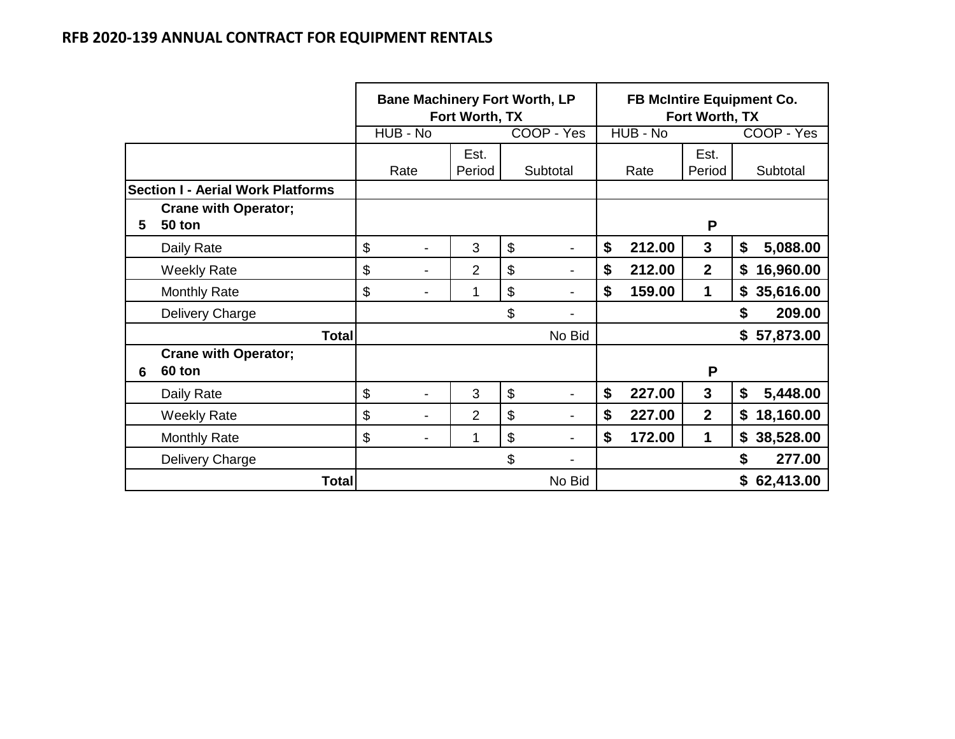|   |                                          | <b>Bane Machinery Fort Worth, LP</b><br>Fort Worth, TX |                |                |    |                          | <b>FB McIntire Equipment Co.</b><br>Fort Worth, TX |          |                |    |             |
|---|------------------------------------------|--------------------------------------------------------|----------------|----------------|----|--------------------------|----------------------------------------------------|----------|----------------|----|-------------|
|   |                                          | HUB - No                                               |                |                |    | COOP - Yes               |                                                    | HUB - No |                |    | COOP - Yes  |
|   |                                          | Rate                                                   |                | Est.<br>Period |    | Subtotal                 |                                                    | Rate     | Est.<br>Period |    | Subtotal    |
|   | <b>Section I - Aerial Work Platforms</b> |                                                        |                |                |    |                          |                                                    |          |                |    |             |
| 5 | <b>Crane with Operator;</b><br>50 ton    |                                                        |                |                |    |                          |                                                    |          | P              |    |             |
|   | Daily Rate                               | $\boldsymbol{\mathsf{S}}$                              | -              | 3              | \$ | $\overline{\phantom{a}}$ | \$                                                 | 212.00   | $\mathbf{3}$   | \$ | 5,088.00    |
|   | <b>Weekly Rate</b>                       | \$                                                     | $\blacksquare$ | 2              | \$ | $\overline{\phantom{a}}$ | \$                                                 | 212.00   | $\overline{2}$ | \$ | 16,960.00   |
|   | <b>Monthly Rate</b>                      | \$                                                     | $\blacksquare$ | 1              | \$ | $\overline{\phantom{a}}$ | \$                                                 | 159.00   | 1              |    | \$35,616.00 |
|   | Delivery Charge                          |                                                        |                |                | \$ | $\blacksquare$           |                                                    |          |                | \$ | 209.00      |
|   | <b>Total</b>                             |                                                        |                |                |    | No Bid                   |                                                    |          |                |    | \$57,873.00 |
| 6 | <b>Crane with Operator;</b><br>60 ton    |                                                        |                |                |    |                          |                                                    |          | P              |    |             |
|   | Daily Rate                               | \$                                                     | $\blacksquare$ | 3              | \$ |                          | \$                                                 | 227.00   | 3              | \$ | 5,448.00    |
|   | <b>Weekly Rate</b>                       | \$                                                     | $\blacksquare$ | 2              | \$ |                          | \$                                                 | 227.00   | $\overline{2}$ | \$ | 18,160.00   |
|   | <b>Monthly Rate</b>                      | \$                                                     | $\blacksquare$ | 1              | \$ |                          | \$                                                 | 172.00   | 1              | \$ | 38,528.00   |
|   | Delivery Charge                          |                                                        |                |                | \$ |                          |                                                    |          |                | \$ | 277.00      |
|   | Total                                    | No Bid                                                 |                |                |    |                          |                                                    |          |                |    | \$62,413.00 |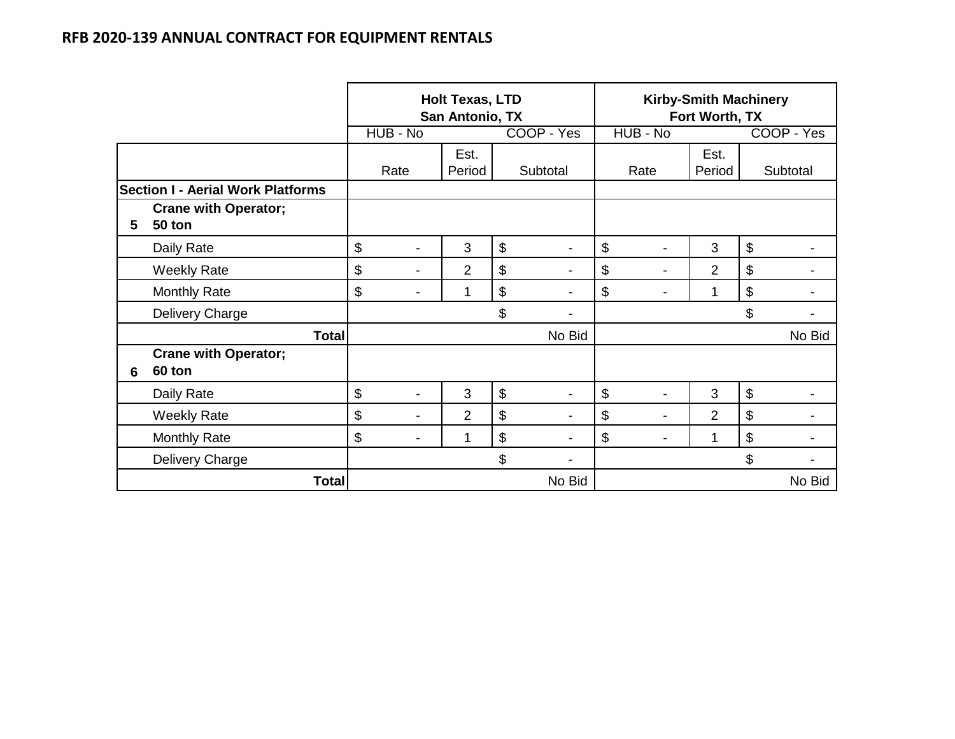|   |                                          |                                | <b>Holt Texas, LTD</b><br>San Antonio, TX |                           |                | <b>Kirby-Smith Machinery</b><br>Fort Worth, TX |                |                           |
|---|------------------------------------------|--------------------------------|-------------------------------------------|---------------------------|----------------|------------------------------------------------|----------------|---------------------------|
|   |                                          | HUB - No                       |                                           |                           | COOP - Yes     | HUB - No                                       |                | COOP - Yes                |
|   |                                          | Rate                           | Est.<br>Period                            |                           | Subtotal       | Rate                                           | Est.<br>Period | Subtotal                  |
|   | <b>Section I - Aerial Work Platforms</b> |                                |                                           |                           |                |                                                |                |                           |
| 5 | <b>Crane with Operator;</b><br>50 ton    |                                |                                           |                           |                |                                                |                |                           |
|   | Daily Rate                               | \$<br>$\blacksquare$           | 3                                         | $\boldsymbol{\mathsf{S}}$ | $\blacksquare$ | \$                                             | 3              | $\boldsymbol{\mathsf{S}}$ |
|   | <b>Weekly Rate</b>                       | \$<br>$\blacksquare$           | $\overline{2}$                            | \$                        | $\blacksquare$ | \$<br>$\overline{\phantom{a}}$                 | $\overline{2}$ | \$                        |
|   | <b>Monthly Rate</b>                      | \$<br>$\overline{\phantom{0}}$ | 1                                         | \$                        | -              | \$                                             | 1              | \$                        |
|   | Delivery Charge                          |                                |                                           | \$                        | -              |                                                |                | \$                        |
|   | <b>Total</b>                             |                                |                                           |                           | No Bid         |                                                |                | No Bid                    |
| 6 | <b>Crane with Operator;</b><br>60 ton    |                                |                                           |                           |                |                                                |                |                           |
|   | Daily Rate                               | \$                             | 3                                         | \$                        |                | \$                                             | 3              | $\$\$                     |
|   | <b>Weekly Rate</b>                       | \$<br>$\blacksquare$           | $\overline{2}$                            | \$                        |                | \$<br>$\blacksquare$                           | 2              | \$                        |
|   | <b>Monthly Rate</b>                      | \$                             | 1                                         | \$                        |                | \$                                             | 1              | \$                        |
|   | Delivery Charge                          |                                |                                           | $\boldsymbol{\mathsf{S}}$ |                |                                                |                | \$                        |
|   | <b>Total</b>                             |                                |                                           |                           | No Bid         |                                                |                | No Bid                    |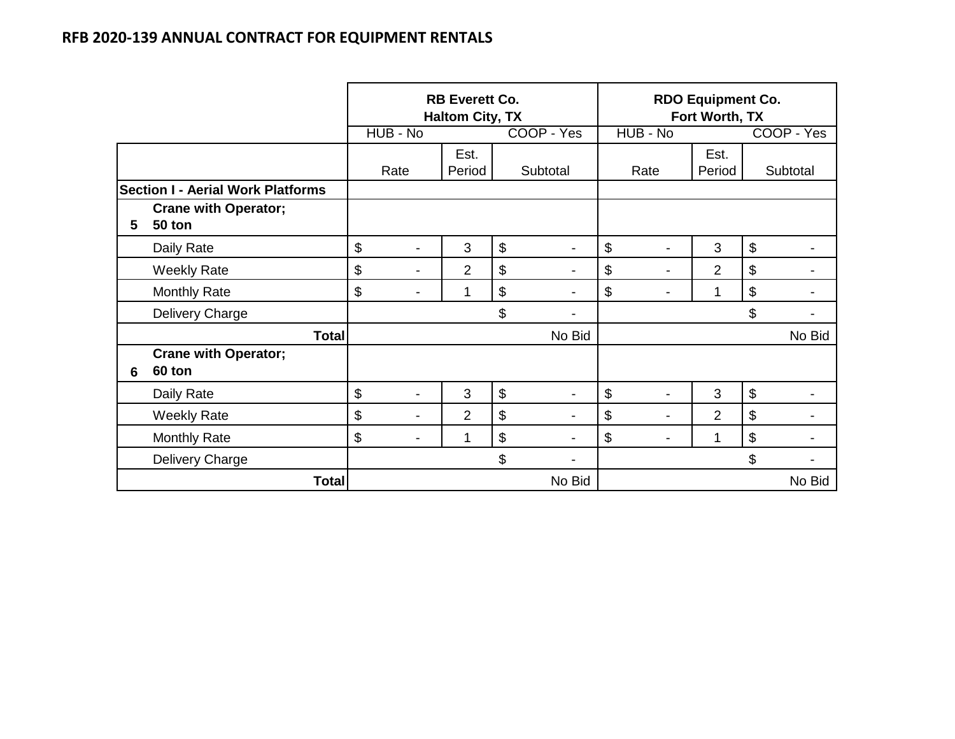|   |                                          |                      | <b>RB Everett Co.</b><br><b>Haltom City, TX</b> |                                | <b>RDO Equipment Co.</b><br>Fort Worth, TX |                |            |
|---|------------------------------------------|----------------------|-------------------------------------------------|--------------------------------|--------------------------------------------|----------------|------------|
|   |                                          | HUB - No             |                                                 | COOP - Yes                     | HUB - No                                   |                | COOP - Yes |
|   |                                          | Rate                 | Est.<br>Period                                  | Subtotal                       | Rate                                       | Est.<br>Period | Subtotal   |
|   | <b>Section I - Aerial Work Platforms</b> |                      |                                                 |                                |                                            |                |            |
| 5 | <b>Crane with Operator;</b><br>50 ton    |                      |                                                 |                                |                                            |                |            |
|   | Daily Rate                               | \$<br>$\blacksquare$ | 3                                               | \$<br>$\blacksquare$           | \$<br>$\blacksquare$                       | 3              | $\$\$      |
|   | <b>Weekly Rate</b>                       | \$<br>$\blacksquare$ | $\overline{2}$                                  | \$<br>$\blacksquare$           | \$<br>$\blacksquare$                       | $\overline{2}$ | \$         |
|   | <b>Monthly Rate</b>                      | \$<br>$\blacksquare$ | 1                                               | \$<br>$\blacksquare$           | \$<br>$\blacksquare$                       | 1              | \$         |
|   | Delivery Charge                          |                      |                                                 | \$<br>$\overline{\phantom{a}}$ |                                            |                | \$         |
|   | <b>Total</b>                             |                      |                                                 | No Bid                         |                                            |                | No Bid     |
| 6 | <b>Crane with Operator;</b><br>60 ton    |                      |                                                 |                                |                                            |                |            |
|   | Daily Rate                               | \$                   | 3                                               | \$                             | \$                                         | 3              | \$         |
|   | <b>Weekly Rate</b>                       | \$<br>$\blacksquare$ | $\overline{2}$                                  | \$                             | \$<br>$\blacksquare$                       | $\overline{2}$ | \$         |
|   | <b>Monthly Rate</b>                      | \$<br>$\blacksquare$ | 1                                               | \$                             | \$<br>$\overline{a}$                       | 1              | \$         |
|   | Delivery Charge                          |                      |                                                 | \$                             |                                            |                | \$         |
|   | <b>Total</b>                             |                      |                                                 | No Bid                         |                                            |                | No Bid     |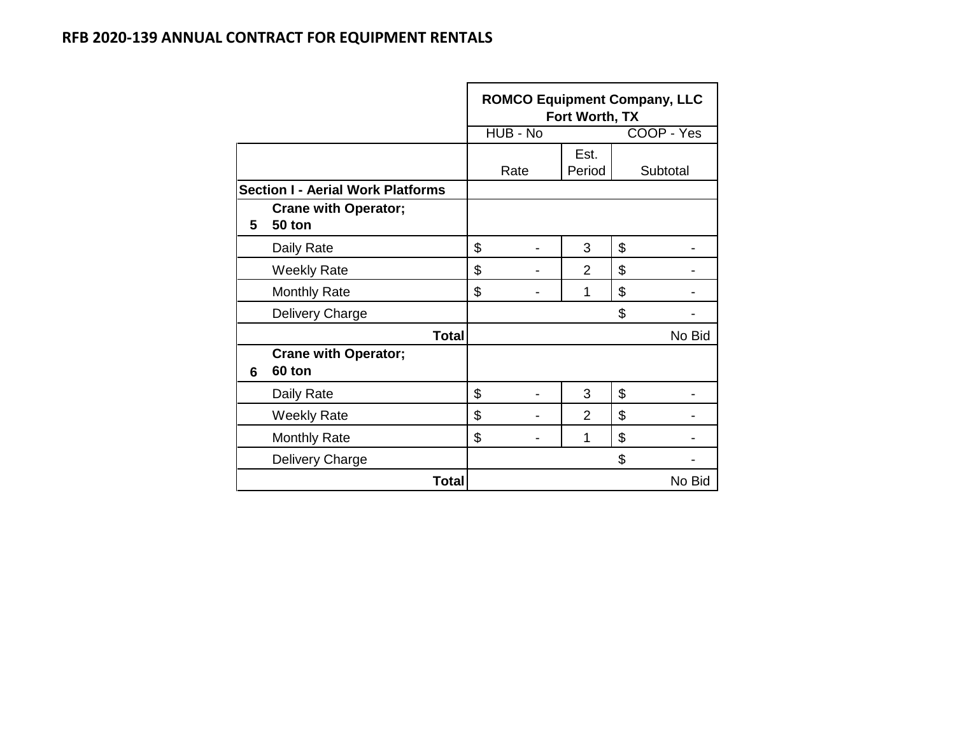|   |                                          | <b>ROMCO Equipment Company, LLC</b><br>Fort Worth, TX |                |    |            |  |  |  |  |  |  |
|---|------------------------------------------|-------------------------------------------------------|----------------|----|------------|--|--|--|--|--|--|
|   |                                          | HUB - No                                              |                |    | COOP - Yes |  |  |  |  |  |  |
|   |                                          | Rate                                                  | Est.<br>Period |    | Subtotal   |  |  |  |  |  |  |
|   | <b>Section I - Aerial Work Platforms</b> |                                                       |                |    |            |  |  |  |  |  |  |
| 5 | <b>Crane with Operator;</b><br>50 ton    |                                                       |                |    |            |  |  |  |  |  |  |
|   | Daily Rate                               | \$                                                    | 3              | \$ |            |  |  |  |  |  |  |
|   | <b>Weekly Rate</b>                       | \$                                                    | $\overline{2}$ | \$ |            |  |  |  |  |  |  |
|   | <b>Monthly Rate</b>                      | \$                                                    | 1              | \$ |            |  |  |  |  |  |  |
|   | Delivery Charge                          |                                                       |                | \$ |            |  |  |  |  |  |  |
|   | <b>Total</b>                             |                                                       |                |    | No Bid     |  |  |  |  |  |  |
| 6 | <b>Crane with Operator;</b><br>60 ton    |                                                       |                |    |            |  |  |  |  |  |  |
|   | Daily Rate                               | \$                                                    | 3              | \$ |            |  |  |  |  |  |  |
|   | <b>Weekly Rate</b>                       | \$                                                    | 2              | \$ |            |  |  |  |  |  |  |
|   | <b>Monthly Rate</b>                      | \$                                                    | 1              | \$ |            |  |  |  |  |  |  |
|   | Delivery Charge                          |                                                       |                | \$ |            |  |  |  |  |  |  |
|   | Total                                    |                                                       |                |    | No Bid     |  |  |  |  |  |  |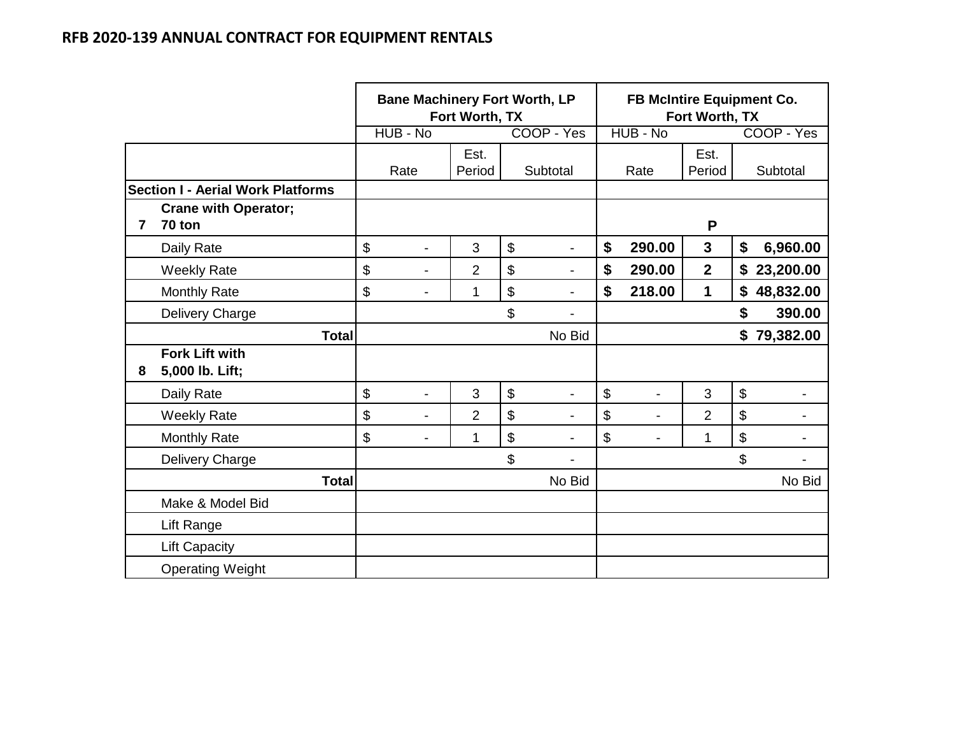|                |                                          | <b>Bane Machinery Fort Worth, LP</b> | Fort Worth, TX |                      |                | FB McIntire Equipment Co. | Fort Worth, TX |                 |
|----------------|------------------------------------------|--------------------------------------|----------------|----------------------|----------------|---------------------------|----------------|-----------------|
|                |                                          | HUB - No                             |                | COOP - Yes           |                | HUB - No                  |                | COOP - Yes      |
|                |                                          | Rate                                 | Est.<br>Period | Subtotal             |                | Rate                      | Est.<br>Period | Subtotal        |
|                | <b>Section I - Aerial Work Platforms</b> |                                      |                |                      |                |                           |                |                 |
| $\overline{7}$ | <b>Crane with Operator;</b><br>70 ton    |                                      |                |                      |                |                           | P              |                 |
|                | Daily Rate                               | \$<br>$\blacksquare$                 | 3              | \$<br>$\overline{a}$ | \$             | 290.00                    | $\mathbf{3}$   | \$<br>6,960.00  |
|                | <b>Weekly Rate</b>                       | \$<br>$\overline{\phantom{0}}$       | $\overline{2}$ | \$                   | \$             | 290.00                    | $\mathbf{2}$   | \$23,200.00     |
|                | <b>Monthly Rate</b>                      | \$<br>$\blacksquare$                 | 1              | \$<br>$\overline{a}$ | \$             | 218.00                    | 1              | \$<br>48,832.00 |
|                | Delivery Charge                          |                                      |                | \$                   |                |                           |                | \$<br>390.00    |
|                | <b>Total</b>                             |                                      |                | No Bid               |                |                           |                | \$79,382.00     |
| 8              | <b>Fork Lift with</b><br>5,000 lb. Lift; |                                      |                |                      |                |                           |                |                 |
|                | Daily Rate                               | \$<br>$\overline{\phantom{a}}$       | 3              | \$                   | \$             |                           | 3              | \$              |
|                | <b>Weekly Rate</b>                       | \$<br>-                              | $\overline{2}$ | \$                   | $\mathfrak{S}$ |                           | $\overline{2}$ | \$              |
|                | <b>Monthly Rate</b>                      | \$<br>$\blacksquare$                 | 1              | \$                   | \$             |                           | 1              | \$              |
|                | Delivery Charge                          |                                      |                | \$                   |                |                           |                | \$              |
|                | <b>Total</b>                             |                                      |                | No Bid               |                |                           |                | No Bid          |
|                | Make & Model Bid                         |                                      |                |                      |                |                           |                |                 |
|                | Lift Range                               |                                      |                |                      |                |                           |                |                 |
|                | <b>Lift Capacity</b>                     |                                      |                |                      |                |                           |                |                 |
|                | <b>Operating Weight</b>                  |                                      |                |                      |                |                           |                |                 |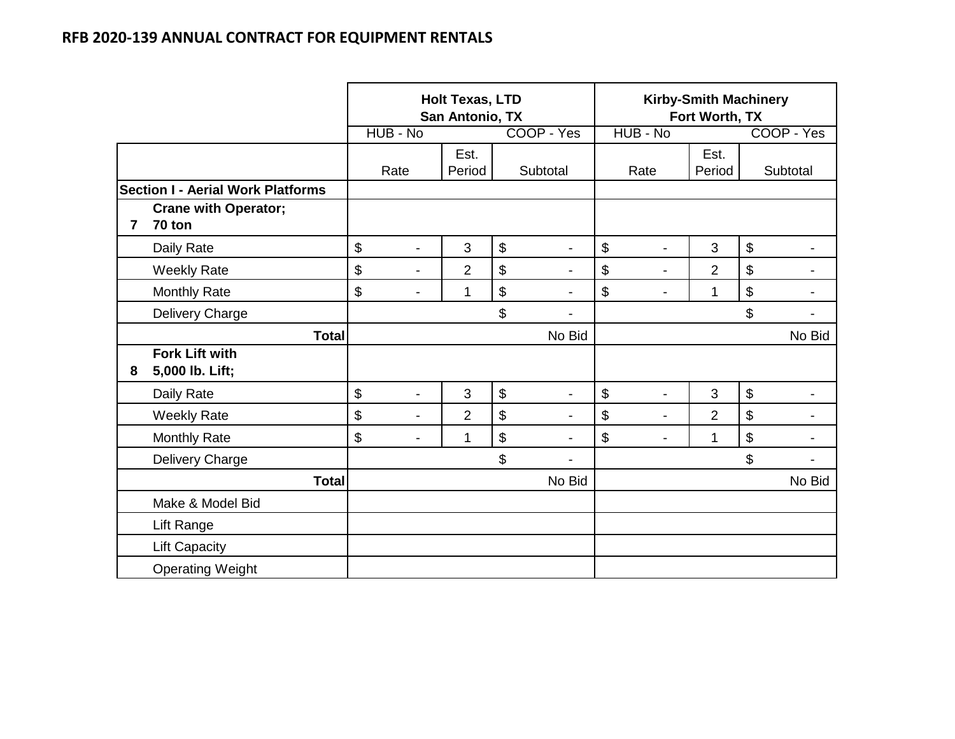|                |                                          | HUB - No             | <b>Holt Texas, LTD</b><br>San Antonio, TX |                           | COOP - Yes               | HUB - No                       | <b>Kirby-Smith Machinery</b><br>Fort Worth, TX | COOP - Yes     |
|----------------|------------------------------------------|----------------------|-------------------------------------------|---------------------------|--------------------------|--------------------------------|------------------------------------------------|----------------|
|                |                                          |                      |                                           |                           |                          |                                |                                                |                |
|                |                                          | Rate                 | Est.<br>Period                            |                           | Subtotal                 | Rate                           | Est.<br>Period                                 | Subtotal       |
|                | <b>Section I - Aerial Work Platforms</b> |                      |                                           |                           |                          |                                |                                                |                |
| $\overline{7}$ | <b>Crane with Operator;</b><br>70 ton    |                      |                                           |                           |                          |                                |                                                |                |
|                | Daily Rate                               | \$<br>$\overline{a}$ | 3                                         | \$                        |                          | \$                             | 3                                              | \$             |
|                | <b>Weekly Rate</b>                       | \$<br>$\blacksquare$ | $\overline{2}$                            | $\boldsymbol{\mathsf{S}}$ |                          | \$<br>$\blacksquare$           | $\overline{2}$                                 | \$             |
|                | <b>Monthly Rate</b>                      | \$                   | 1                                         | \$                        |                          | \$                             | 1                                              | \$             |
|                | Delivery Charge                          |                      |                                           | \$                        |                          |                                |                                                | \$             |
|                | <b>Total</b>                             |                      |                                           |                           | No Bid                   |                                |                                                | No Bid         |
| 8              | <b>Fork Lift with</b><br>5,000 lb. Lift; |                      |                                           |                           |                          |                                |                                                |                |
|                | Daily Rate                               | \$<br>$\overline{a}$ | 3                                         | $\boldsymbol{\mathsf{S}}$ | $\overline{\phantom{a}}$ | \$<br>$\overline{\phantom{a}}$ | 3                                              | $\mathfrak{S}$ |
|                | <b>Weekly Rate</b>                       | \$<br>$\blacksquare$ | $\overline{2}$                            | $\boldsymbol{\mathsf{S}}$ |                          | \$<br>$\blacksquare$           | $\overline{2}$                                 | $\mathfrak{S}$ |
|                | <b>Monthly Rate</b>                      | \$<br>$\blacksquare$ | 1                                         | $\boldsymbol{\$}$         |                          | \$                             | 1                                              | \$             |
|                | Delivery Charge                          |                      |                                           | \$                        |                          |                                |                                                | \$             |
|                | <b>Total</b>                             |                      |                                           |                           | No Bid                   |                                |                                                | No Bid         |
|                | Make & Model Bid                         |                      |                                           |                           |                          |                                |                                                |                |
|                | Lift Range                               |                      |                                           |                           |                          |                                |                                                |                |
|                | <b>Lift Capacity</b>                     |                      |                                           |                           |                          |                                |                                                |                |
|                | <b>Operating Weight</b>                  |                      |                                           |                           |                          |                                |                                                |                |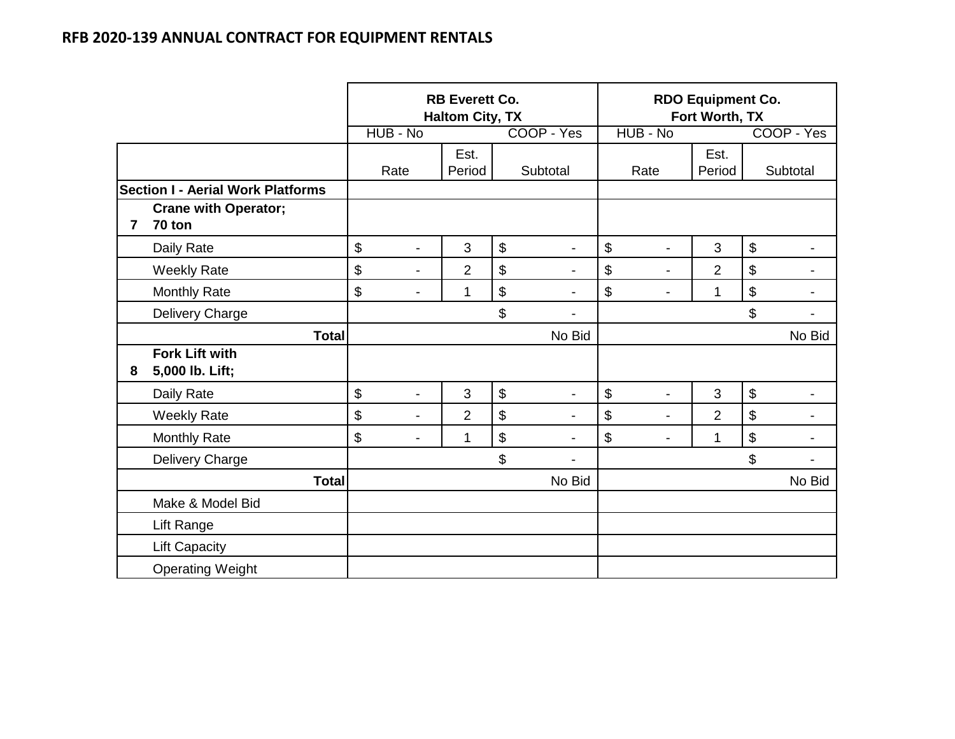|                |                                          |                                | <b>RB Everett Co.</b><br><b>Haltom City, TX</b> |                      |                      | <b>RDO Equipment Co.</b><br>Fort Worth, TX |                           |
|----------------|------------------------------------------|--------------------------------|-------------------------------------------------|----------------------|----------------------|--------------------------------------------|---------------------------|
|                |                                          | HUB - No                       |                                                 | COOP - Yes           | HUB - No             |                                            | COOP - Yes                |
|                |                                          |                                | Est.                                            |                      |                      | Est.                                       |                           |
|                |                                          | Rate                           | Period                                          | Subtotal             | Rate                 | Period                                     | Subtotal                  |
|                | <b>Section I - Aerial Work Platforms</b> |                                |                                                 |                      |                      |                                            |                           |
| $\overline{7}$ | <b>Crane with Operator;</b><br>70 ton    |                                |                                                 |                      |                      |                                            |                           |
|                | Daily Rate                               | \$                             | 3                                               | \$                   | \$                   | 3                                          | $\boldsymbol{\theta}$     |
|                | <b>Weekly Rate</b>                       | \$<br>$\blacksquare$           | $\overline{2}$                                  | \$                   | \$<br>$\blacksquare$ | $\overline{2}$                             | $\boldsymbol{\$}$         |
|                | <b>Monthly Rate</b>                      | \$<br>۰                        | 1                                               | \$                   | \$<br>L.             | 1                                          | \$                        |
|                | Delivery Charge                          |                                |                                                 | \$                   |                      |                                            | \$                        |
|                | <b>Total</b>                             |                                |                                                 | No Bid               |                      |                                            | No Bid                    |
| 8              | <b>Fork Lift with</b><br>5,000 lb. Lift; |                                |                                                 |                      |                      |                                            |                           |
|                | Daily Rate                               | \$<br>$\overline{a}$           | 3                                               | \$<br>$\overline{a}$ | \$<br>$\overline{a}$ | 3                                          | $\boldsymbol{\$}$         |
|                | <b>Weekly Rate</b>                       | \$<br>$\overline{\phantom{0}}$ | $\overline{2}$                                  | \$                   | \$<br>$\overline{a}$ | $\overline{2}$                             | $\boldsymbol{\mathsf{S}}$ |
|                | <b>Monthly Rate</b>                      | \$<br>$\blacksquare$           | 1                                               | \$<br>$\blacksquare$ | \$                   | 1                                          | \$                        |
|                | Delivery Charge                          |                                |                                                 | \$                   |                      |                                            | \$                        |
|                | <b>Total</b>                             |                                |                                                 | No Bid               |                      |                                            | No Bid                    |
|                | Make & Model Bid                         |                                |                                                 |                      |                      |                                            |                           |
|                | Lift Range                               |                                |                                                 |                      |                      |                                            |                           |
|                | <b>Lift Capacity</b>                     |                                |                                                 |                      |                      |                                            |                           |
|                | <b>Operating Weight</b>                  |                                |                                                 |                      |                      |                                            |                           |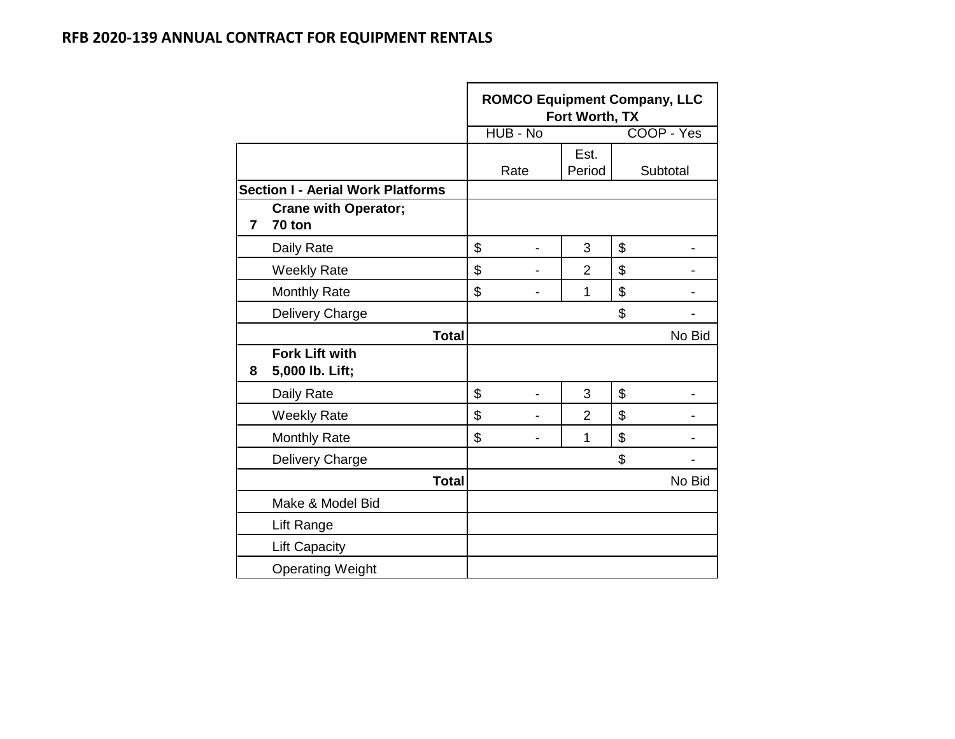|                |                                          | HUB - No | Fort Worth, TX | <b>ROMCO Equipment Company, LLC</b><br>COOP - Yes |
|----------------|------------------------------------------|----------|----------------|---------------------------------------------------|
|                |                                          |          |                |                                                   |
|                |                                          | Rate     | Est.<br>Period | Subtotal                                          |
|                | <b>Section I - Aerial Work Platforms</b> |          |                |                                                   |
| $\overline{7}$ | <b>Crane with Operator;</b><br>70 ton    |          |                |                                                   |
|                | Daily Rate                               | \$       | 3              | \$                                                |
|                | <b>Weekly Rate</b>                       | \$       | $\overline{2}$ | \$                                                |
|                | <b>Monthly Rate</b>                      | \$       | 1              | \$                                                |
|                | Delivery Charge                          |          |                | \$                                                |
|                | <b>Total</b>                             |          |                | No Bid                                            |
| 8              | <b>Fork Lift with</b><br>5,000 lb. Lift; |          |                |                                                   |
|                | Daily Rate                               | \$       | 3              | \$                                                |
|                | <b>Weekly Rate</b>                       | \$       | $\overline{2}$ | \$                                                |
|                | <b>Monthly Rate</b>                      | \$       | 1              | \$                                                |
|                | Delivery Charge                          |          |                | \$                                                |
|                | <b>Total</b>                             |          |                | No Bid                                            |
|                | Make & Model Bid                         |          |                |                                                   |
|                | Lift Range                               |          |                |                                                   |
|                | <b>Lift Capacity</b>                     |          |                |                                                   |
|                | <b>Operating Weight</b>                  |          |                |                                                   |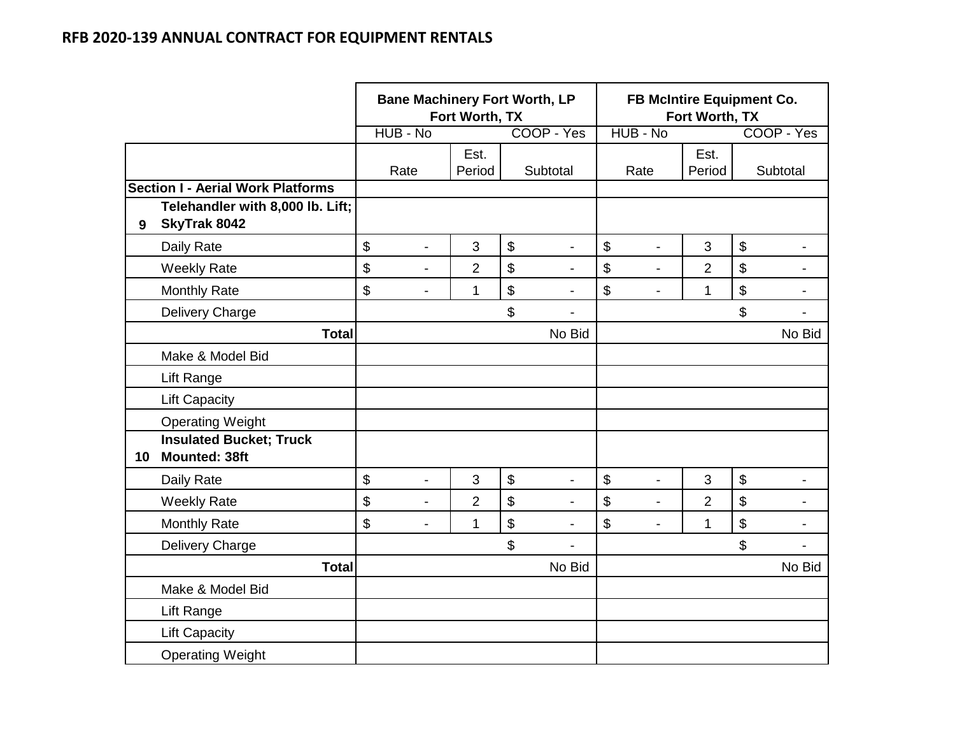|    |                                                        | <b>Bane Machinery Fort Worth, LP</b> | Fort Worth, TX |                                |                           | FB McIntire Equipment Co. | Fort Worth, TX |    |                |
|----|--------------------------------------------------------|--------------------------------------|----------------|--------------------------------|---------------------------|---------------------------|----------------|----|----------------|
|    |                                                        | HUB - No                             |                | COOP - Yes                     |                           | HUB - No                  |                |    | COOP - Yes     |
|    |                                                        | Rate                                 | Est.<br>Period | Subtotal                       |                           | Rate                      | Est.<br>Period |    | Subtotal       |
|    | <b>Section I - Aerial Work Platforms</b>               |                                      |                |                                |                           |                           |                |    |                |
| 9  | Telehandler with 8,000 lb. Lift;<br>SkyTrak 8042       |                                      |                |                                |                           |                           |                |    |                |
|    | Daily Rate                                             | \$<br>$\overline{\phantom{0}}$       | 3              | \$<br>$\overline{\phantom{0}}$ | \$                        | $\overline{a}$            | 3              | \$ | $\blacksquare$ |
|    | <b>Weekly Rate</b>                                     | \$<br>$\blacksquare$                 | $\overline{2}$ | \$                             | \$                        | $\blacksquare$            | $\overline{2}$ | \$ |                |
|    | Monthly Rate                                           | \$<br>L,                             | $\mathbf{1}$   | \$<br>$\blacksquare$           | \$                        | $\overline{\phantom{0}}$  | 1              | \$ | $\blacksquare$ |
|    | Delivery Charge                                        |                                      |                | \$<br>Ĭ.                       |                           |                           |                | \$ | $\blacksquare$ |
|    | <b>Total</b>                                           |                                      |                | No Bid                         |                           |                           |                |    | No Bid         |
|    | Make & Model Bid                                       |                                      |                |                                |                           |                           |                |    |                |
|    | Lift Range                                             |                                      |                |                                |                           |                           |                |    |                |
|    | <b>Lift Capacity</b>                                   |                                      |                |                                |                           |                           |                |    |                |
|    | <b>Operating Weight</b>                                |                                      |                |                                |                           |                           |                |    |                |
| 10 | <b>Insulated Bucket; Truck</b><br><b>Mounted: 38ft</b> |                                      |                |                                |                           |                           |                |    |                |
|    | Daily Rate                                             | \$<br>$\blacksquare$                 | 3              | \$<br>$\blacksquare$           | $\boldsymbol{\mathsf{S}}$ | $\blacksquare$            | 3              | \$ |                |
|    | <b>Weekly Rate</b>                                     | \$<br>L,                             | $\overline{2}$ | \$                             | \$                        | $\blacksquare$            | $\overline{2}$ | \$ |                |
|    | <b>Monthly Rate</b>                                    | \$<br>$\blacksquare$                 | 1              | \$<br>$\blacksquare$           | \$                        | $\blacksquare$            | 1              | \$ | $\blacksquare$ |
|    | Delivery Charge                                        |                                      |                | \$                             |                           |                           |                | \$ |                |
|    | <b>Total</b>                                           |                                      |                | No Bid                         |                           |                           |                |    | No Bid         |
|    | Make & Model Bid                                       |                                      |                |                                |                           |                           |                |    |                |
|    | <b>Lift Range</b>                                      |                                      |                |                                |                           |                           |                |    |                |
|    | <b>Lift Capacity</b>                                   |                                      |                |                                |                           |                           |                |    |                |
|    | <b>Operating Weight</b>                                |                                      |                |                                |                           |                           |                |    |                |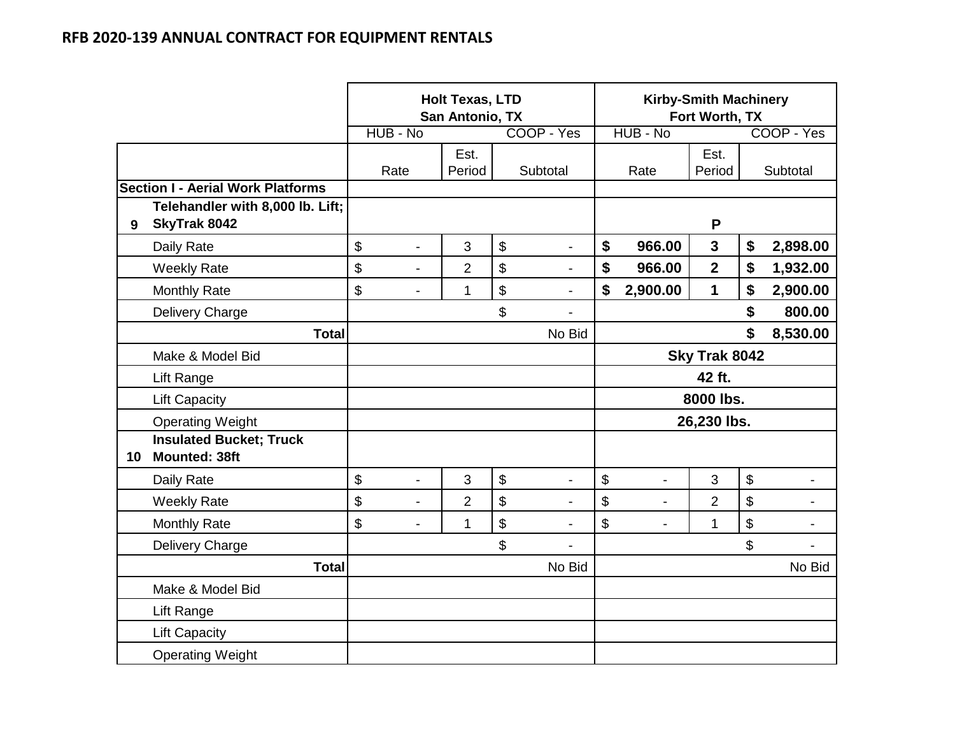|    |                                                        |          |                          | <b>Holt Texas, LTD</b><br>San Antonio, TX |                      |                |                | <b>Kirby-Smith Machinery</b><br>Fort Worth, TX |               |                |
|----|--------------------------------------------------------|----------|--------------------------|-------------------------------------------|----------------------|----------------|----------------|------------------------------------------------|---------------|----------------|
|    |                                                        | HUB - No |                          |                                           | COOP - Yes           |                | HUB - No       |                                                |               | COOP - Yes     |
|    |                                                        | Rate     |                          | Est.<br>Period                            | Subtotal             |                | Rate           | Est.<br>Period                                 |               | Subtotal       |
|    | <b>Section I - Aerial Work Platforms</b>               |          |                          |                                           |                      |                |                |                                                |               |                |
| 9  | Telehandler with 8,000 lb. Lift;<br>SkyTrak 8042       |          |                          |                                           |                      |                |                | P                                              |               |                |
|    | Daily Rate                                             | \$       |                          | 3                                         | \$<br>L,             | \$             | 966.00         | 3                                              | \$            | 2,898.00       |
|    | <b>Weekly Rate</b>                                     | \$       | $\overline{a}$           | $\overline{2}$                            | \$<br>٠              | \$             | 966.00         | $\overline{2}$                                 | \$            | 1,932.00       |
|    | <b>Monthly Rate</b>                                    | \$       | $\overline{\phantom{0}}$ | 1                                         | \$<br>L,             | \$             | 2,900.00       | 1                                              | \$            | 2,900.00       |
|    | <b>Delivery Charge</b>                                 |          |                          |                                           | \$<br>$\overline{a}$ |                |                |                                                | \$            | 800.00         |
|    | <b>Total</b>                                           |          |                          |                                           | No Bid               |                |                |                                                | \$            | 8,530.00       |
|    | Make & Model Bid                                       |          |                          |                                           |                      | Sky Trak 8042  |                |                                                |               |                |
|    | <b>Lift Range</b>                                      |          |                          |                                           |                      | 42 ft.         |                |                                                |               |                |
|    | <b>Lift Capacity</b>                                   |          |                          |                                           |                      |                |                | 8000 lbs.                                      |               |                |
|    | <b>Operating Weight</b>                                |          |                          |                                           |                      |                |                | 26,230 lbs.                                    |               |                |
| 10 | <b>Insulated Bucket; Truck</b><br><b>Mounted: 38ft</b> |          |                          |                                           |                      |                |                |                                                |               |                |
|    | Daily Rate                                             | \$       |                          | 3                                         | \$                   | $\mathfrak{S}$ |                | 3                                              | $\mathsf{\$}$ |                |
|    | <b>Weekly Rate</b>                                     | \$       | $\overline{a}$           | $\overline{2}$                            | \$<br>$\blacksquare$ | \$             | $\blacksquare$ | $\overline{2}$                                 | \$            | $\blacksquare$ |
|    | <b>Monthly Rate</b>                                    | \$       | $\overline{\phantom{0}}$ | 1                                         | \$<br>$\blacksquare$ | \$             | $\blacksquare$ | 1                                              | \$            | $\blacksquare$ |
|    | Delivery Charge                                        |          |                          |                                           | \$                   |                |                |                                                | \$            | $\blacksquare$ |
|    | <b>Total</b>                                           |          |                          |                                           | No Bid               |                |                |                                                |               | No Bid         |
|    | Make & Model Bid                                       |          |                          |                                           |                      |                |                |                                                |               |                |
|    | Lift Range                                             |          |                          |                                           |                      |                |                |                                                |               |                |
|    | <b>Lift Capacity</b>                                   |          |                          |                                           |                      |                |                |                                                |               |                |
|    | <b>Operating Weight</b>                                |          |                          |                                           |                      |                |                |                                                |               |                |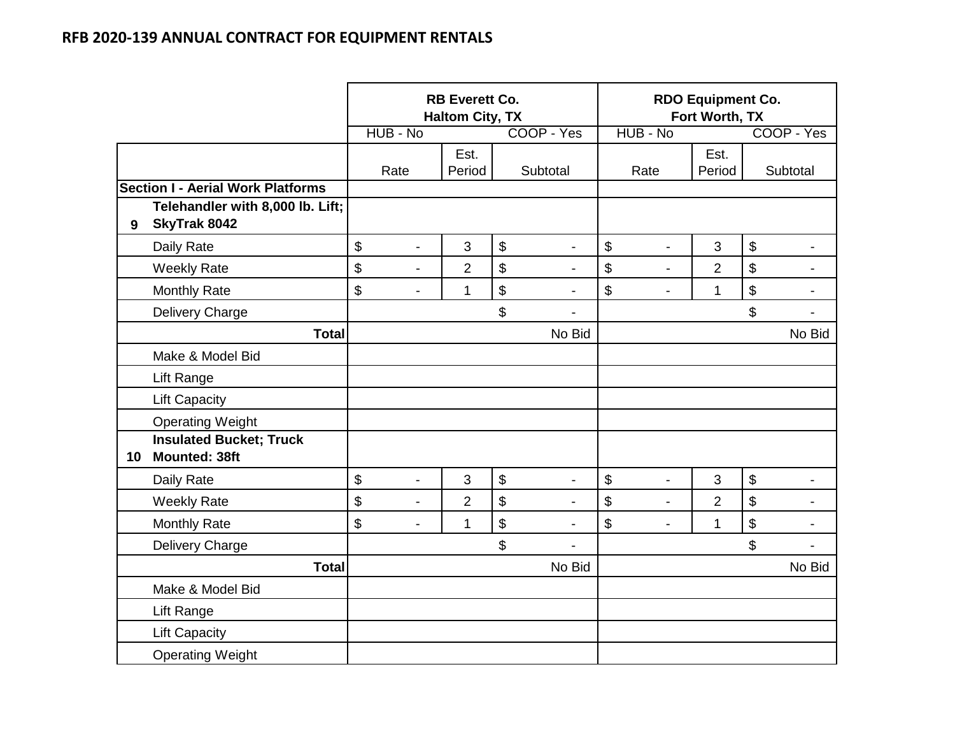|    |                                                        |                                | <b>RB Everett Co.</b><br><b>Haltom City, TX</b> |                           |                          |                      | <b>RDO Equipment Co.</b><br>Fort Worth, TX |                            |                          |
|----|--------------------------------------------------------|--------------------------------|-------------------------------------------------|---------------------------|--------------------------|----------------------|--------------------------------------------|----------------------------|--------------------------|
|    |                                                        | HUB - No                       |                                                 |                           | COOP - Yes               | HUB - No             |                                            |                            | COOP - Yes               |
|    |                                                        | Rate                           | Est.<br>Period                                  |                           | Subtotal                 | Rate                 | Est.<br>Period                             |                            | Subtotal                 |
|    | <b>Section I - Aerial Work Platforms</b>               |                                |                                                 |                           |                          |                      |                                            |                            |                          |
| 9  | Telehandler with 8,000 lb. Lift;<br>SkyTrak 8042       |                                |                                                 |                           |                          |                      |                                            |                            |                          |
|    | Daily Rate                                             | \$<br>$\blacksquare$           | 3                                               | $\boldsymbol{\mathsf{S}}$ | $\overline{\phantom{a}}$ | \$<br>$\blacksquare$ | 3                                          | $\boldsymbol{\mathsf{\$}}$ | -                        |
|    | <b>Weekly Rate</b>                                     | \$<br>$\blacksquare$           | $\overline{2}$                                  | \$                        |                          | \$                   | $\overline{2}$                             | $\boldsymbol{\mathsf{\$}}$ |                          |
|    | <b>Monthly Rate</b>                                    | \$<br>$\blacksquare$           | $\mathbf{1}$                                    | $\boldsymbol{\$}$         | $\overline{a}$           | \$<br>$\blacksquare$ | 1                                          | $\boldsymbol{\$}$          | -                        |
|    | Delivery Charge                                        |                                |                                                 | \$                        | $\overline{a}$           |                      |                                            | \$                         | $\overline{\phantom{0}}$ |
|    | <b>Total</b>                                           |                                |                                                 |                           | No Bid                   |                      |                                            |                            | No Bid                   |
|    | Make & Model Bid                                       |                                |                                                 |                           |                          |                      |                                            |                            |                          |
|    | Lift Range                                             |                                |                                                 |                           |                          |                      |                                            |                            |                          |
|    | <b>Lift Capacity</b>                                   |                                |                                                 |                           |                          |                      |                                            |                            |                          |
|    | <b>Operating Weight</b>                                |                                |                                                 |                           |                          |                      |                                            |                            |                          |
| 10 | <b>Insulated Bucket; Truck</b><br><b>Mounted: 38ft</b> |                                |                                                 |                           |                          |                      |                                            |                            |                          |
|    | Daily Rate                                             | \$<br>$\overline{\phantom{a}}$ | 3                                               | $\mathfrak{S}$            | $\overline{\phantom{a}}$ | \$<br>$\overline{a}$ | 3                                          | $\boldsymbol{\$}$          |                          |
|    | <b>Weekly Rate</b>                                     | \$<br>$\overline{a}$           | $\overline{2}$                                  | \$                        | $\overline{\phantom{0}}$ | \$<br>$\overline{a}$ | $\overline{2}$                             | $\boldsymbol{\mathsf{S}}$  | $\overline{\phantom{0}}$ |
|    | <b>Monthly Rate</b>                                    | \$<br>$\overline{\phantom{a}}$ | 1                                               | \$                        | $\blacksquare$           | \$<br>$\blacksquare$ | 1                                          | $\boldsymbol{\$}$          | $\overline{\phantom{0}}$ |
|    | Delivery Charge                                        |                                |                                                 | \$                        |                          |                      |                                            | \$                         |                          |
|    | <b>Total</b>                                           |                                |                                                 |                           | No Bid                   |                      |                                            |                            | No Bid                   |
|    | Make & Model Bid                                       |                                |                                                 |                           |                          |                      |                                            |                            |                          |
|    | Lift Range                                             |                                |                                                 |                           |                          |                      |                                            |                            |                          |
|    | <b>Lift Capacity</b>                                   |                                |                                                 |                           |                          |                      |                                            |                            |                          |
|    | <b>Operating Weight</b>                                |                                |                                                 |                           |                          |                      |                                            |                            |                          |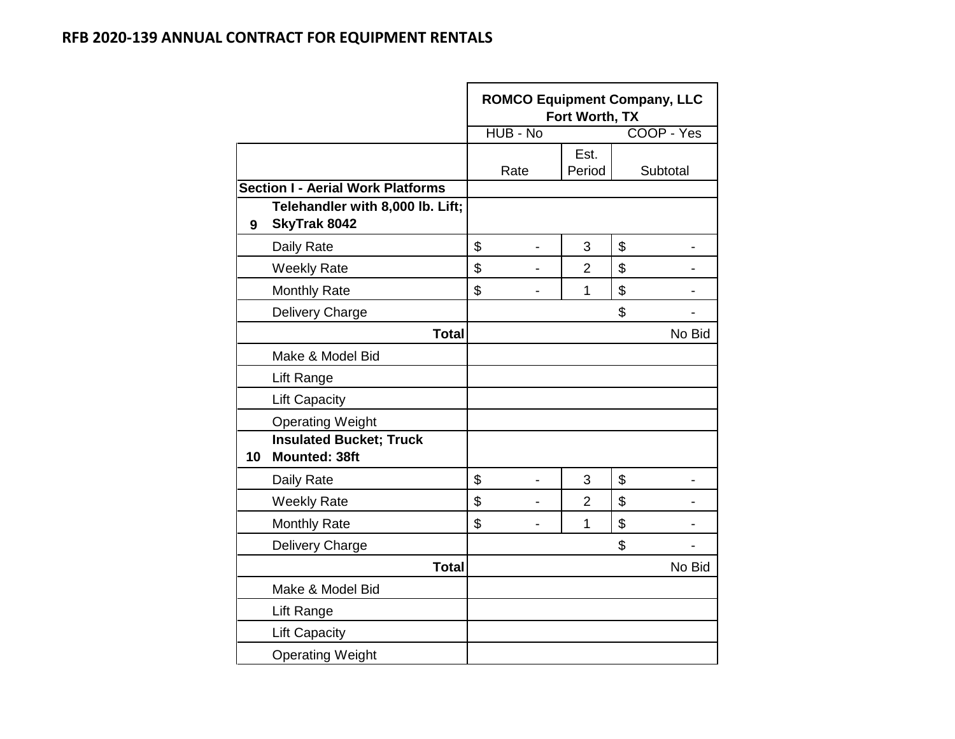|    |                                                        | <b>ROMCO Equipment Company, LLC</b> | Fort Worth, TX |            |        |
|----|--------------------------------------------------------|-------------------------------------|----------------|------------|--------|
|    |                                                        | HUB - No                            |                | COOP - Yes |        |
|    |                                                        | Rate                                | Est.<br>Period | Subtotal   |        |
|    | <b>Section I - Aerial Work Platforms</b>               |                                     |                |            |        |
| 9  | Telehandler with 8,000 lb. Lift;<br>SkyTrak 8042       |                                     |                |            |        |
|    | Daily Rate                                             | \$<br>-                             | 3              | \$         |        |
|    | <b>Weekly Rate</b>                                     | \$                                  | 2              | \$         |        |
|    | <b>Monthly Rate</b>                                    | \$                                  | $\overline{1}$ | \$         |        |
|    | Delivery Charge                                        |                                     |                | \$         |        |
|    | <b>Total</b>                                           |                                     |                |            | No Bid |
|    | Make & Model Bid                                       |                                     |                |            |        |
|    | Lift Range                                             |                                     |                |            |        |
|    | <b>Lift Capacity</b>                                   |                                     |                |            |        |
|    | <b>Operating Weight</b>                                |                                     |                |            |        |
| 10 | <b>Insulated Bucket; Truck</b><br><b>Mounted: 38ft</b> |                                     |                |            |        |
|    | Daily Rate                                             | \$                                  | 3              | \$         |        |
|    | <b>Weekly Rate</b>                                     | \$                                  | 2              | \$         |        |
|    | <b>Monthly Rate</b>                                    | \$                                  | 1              | \$         |        |
|    | Delivery Charge                                        |                                     |                | \$         |        |
|    | <b>Total</b>                                           |                                     |                |            | No Bid |
|    | Make & Model Bid                                       |                                     |                |            |        |
|    | Lift Range                                             |                                     |                |            |        |
|    | <b>Lift Capacity</b>                                   |                                     |                |            |        |
|    | <b>Operating Weight</b>                                |                                     |                |            |        |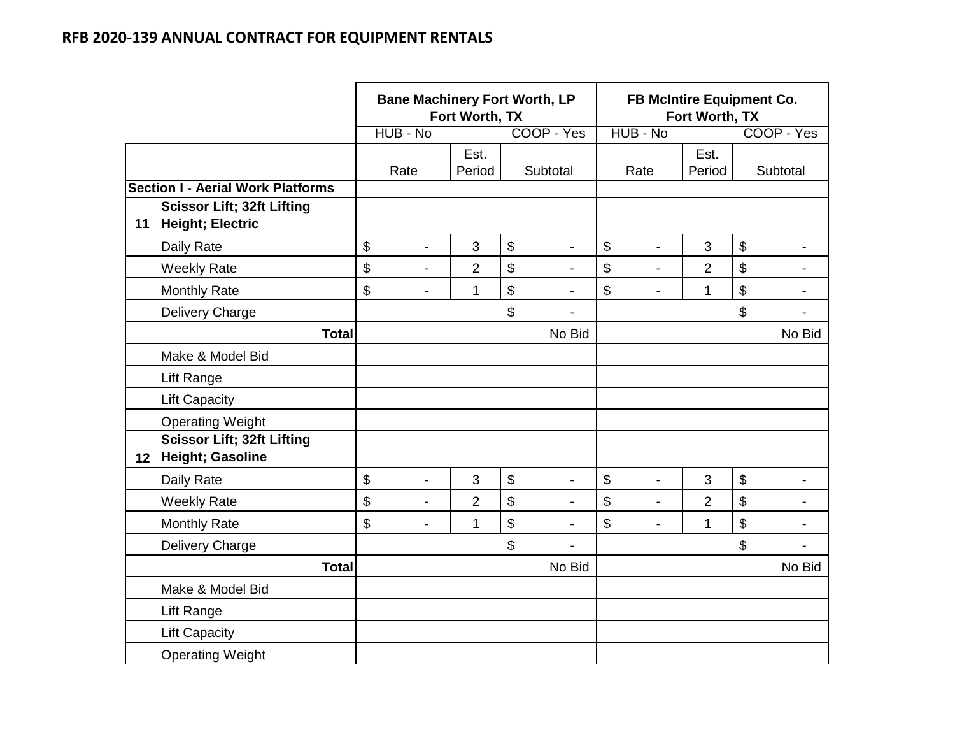|                 |                                                              | <b>Bane Machinery Fort Worth, LP</b> | Fort Worth, TX |                                |                           | FB McIntire Equipment Co. | Fort Worth, TX |                           |                |
|-----------------|--------------------------------------------------------------|--------------------------------------|----------------|--------------------------------|---------------------------|---------------------------|----------------|---------------------------|----------------|
|                 |                                                              | HUB - No                             |                | COOP - Yes                     |                           | HUB - No                  |                |                           | COOP - Yes     |
|                 |                                                              | Rate                                 | Est.<br>Period | Subtotal                       |                           | Rate                      | Est.<br>Period |                           | Subtotal       |
|                 | <b>Section I - Aerial Work Platforms</b>                     |                                      |                |                                |                           |                           |                |                           |                |
| 11              | <b>Scissor Lift; 32ft Lifting</b><br><b>Height; Electric</b> |                                      |                |                                |                           |                           |                |                           |                |
|                 | Daily Rate                                                   | \$<br>$\overline{\phantom{a}}$       | 3              | \$<br>$\overline{\phantom{a}}$ | \$                        | $\overline{\phantom{0}}$  | 3              | \$                        | $\blacksquare$ |
|                 | <b>Weekly Rate</b>                                           | \$<br>$\overline{\phantom{a}}$       | $\overline{2}$ | \$                             | $\mathfrak{S}$            | $\blacksquare$            | $\overline{2}$ | \$                        |                |
|                 | <b>Monthly Rate</b>                                          | \$<br>$\overline{\phantom{a}}$       | 1              | \$<br>$\blacksquare$           | \$                        | $\overline{\phantom{0}}$  | 1              | \$                        | $\blacksquare$ |
|                 | Delivery Charge                                              |                                      |                | \$<br>$\overline{a}$           |                           |                           |                | \$                        | $\blacksquare$ |
|                 | <b>Total</b>                                                 |                                      |                | No Bid                         |                           |                           |                |                           | No Bid         |
|                 | Make & Model Bid                                             |                                      |                |                                |                           |                           |                |                           |                |
|                 | Lift Range                                                   |                                      |                |                                |                           |                           |                |                           |                |
|                 | <b>Lift Capacity</b>                                         |                                      |                |                                |                           |                           |                |                           |                |
|                 | <b>Operating Weight</b>                                      |                                      |                |                                |                           |                           |                |                           |                |
| 12 <sup>1</sup> | <b>Scissor Lift; 32ft Lifting</b><br>Height; Gasoline        |                                      |                |                                |                           |                           |                |                           |                |
|                 | Daily Rate                                                   | \$<br>$\blacksquare$                 | 3              | \$<br>$\overline{\phantom{a}}$ | $\boldsymbol{\mathsf{S}}$ | ÷,                        | 3              | $\boldsymbol{\mathsf{S}}$ |                |
|                 | <b>Weekly Rate</b>                                           | \$<br>$\blacksquare$                 | $\overline{2}$ | \$                             | $\mathfrak{S}$            |                           | $\overline{2}$ | \$                        |                |
|                 | <b>Monthly Rate</b>                                          | \$<br>$\overline{\phantom{a}}$       | 1              | \$<br>$\overline{a}$           | \$                        | $\blacksquare$            | $\mathbf{1}$   | \$                        | $\blacksquare$ |
|                 | Delivery Charge                                              |                                      |                | \$                             |                           |                           |                | \$                        |                |
|                 | <b>Total</b>                                                 |                                      |                | No Bid                         |                           |                           |                |                           | No Bid         |
|                 | Make & Model Bid                                             |                                      |                |                                |                           |                           |                |                           |                |
|                 | Lift Range                                                   |                                      |                |                                |                           |                           |                |                           |                |
|                 | <b>Lift Capacity</b>                                         |                                      |                |                                |                           |                           |                |                           |                |
|                 | <b>Operating Weight</b>                                      |                                      |                |                                |                           |                           |                |                           |                |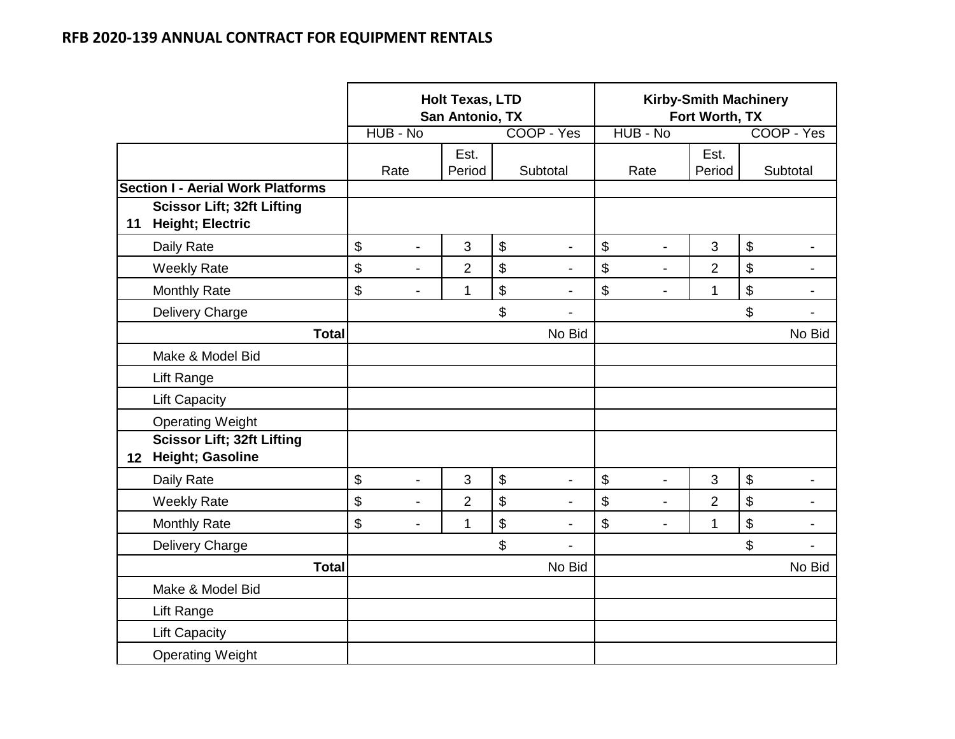|                 |                                                              |          |                | <b>Holt Texas, LTD</b><br>San Antonio, TX |                            |                          |                      | <b>Kirby-Smith Machinery</b><br>Fort Worth, TX |                   |                |
|-----------------|--------------------------------------------------------------|----------|----------------|-------------------------------------------|----------------------------|--------------------------|----------------------|------------------------------------------------|-------------------|----------------|
|                 |                                                              | HUB - No |                |                                           |                            | COOP - Yes               | HUB - No             |                                                |                   | COOP - Yes     |
|                 |                                                              | Rate     |                | Est.<br>Period                            |                            | Subtotal                 | Rate                 | Est.<br>Period                                 |                   | Subtotal       |
|                 | <b>Section I - Aerial Work Platforms</b>                     |          |                |                                           |                            |                          |                      |                                                |                   |                |
| 11              | <b>Scissor Lift; 32ft Lifting</b><br><b>Height; Electric</b> |          |                |                                           |                            |                          |                      |                                                |                   |                |
|                 | Daily Rate                                                   | \$       | $\overline{a}$ | 3                                         | $\boldsymbol{\mathsf{\$}}$ |                          | \$<br>$\blacksquare$ | 3                                              | $\boldsymbol{\$}$ |                |
|                 | <b>Weekly Rate</b>                                           | \$       | $\blacksquare$ | $\overline{2}$                            | \$                         |                          | \$<br>$\overline{a}$ | $\overline{2}$                                 | \$                |                |
|                 | <b>Monthly Rate</b>                                          | \$       | $\overline{a}$ | 1                                         | $\mathfrak{S}$             | $\overline{\phantom{a}}$ | \$<br>$\blacksquare$ | $\mathbf{1}$                                   | \$                | $\blacksquare$ |
|                 | Delivery Charge                                              |          |                |                                           | \$                         |                          |                      |                                                | \$                | $\blacksquare$ |
|                 | <b>Total</b>                                                 |          |                |                                           |                            | No Bid                   |                      |                                                |                   | No Bid         |
|                 | Make & Model Bid                                             |          |                |                                           |                            |                          |                      |                                                |                   |                |
|                 | Lift Range                                                   |          |                |                                           |                            |                          |                      |                                                |                   |                |
|                 | <b>Lift Capacity</b>                                         |          |                |                                           |                            |                          |                      |                                                |                   |                |
|                 | <b>Operating Weight</b>                                      |          |                |                                           |                            |                          |                      |                                                |                   |                |
| 12 <sub>2</sub> | <b>Scissor Lift; 32ft Lifting</b><br><b>Height; Gasoline</b> |          |                |                                           |                            |                          |                      |                                                |                   |                |
|                 | Daily Rate                                                   | \$       | $\overline{a}$ | 3                                         | $\boldsymbol{\mathsf{S}}$  |                          | \$<br>$\overline{a}$ | 3                                              | $\$\$             |                |
|                 | <b>Weekly Rate</b>                                           | \$       | $\overline{a}$ | $\overline{2}$                            | \$                         | $\overline{a}$           | \$<br>$\overline{a}$ | $\overline{2}$                                 | \$                |                |
|                 | <b>Monthly Rate</b>                                          | \$       | $\blacksquare$ | 1                                         | $\mathfrak{S}$             |                          | \$<br>$\overline{a}$ | $\mathbf{1}$                                   | \$                | $\blacksquare$ |
|                 | Delivery Charge                                              |          |                |                                           | \$                         |                          |                      |                                                | \$                |                |
|                 | <b>Total</b>                                                 |          |                |                                           |                            | No Bid                   |                      |                                                |                   | No Bid         |
|                 | Make & Model Bid                                             |          |                |                                           |                            |                          |                      |                                                |                   |                |
|                 | Lift Range                                                   |          |                |                                           |                            |                          |                      |                                                |                   |                |
|                 | <b>Lift Capacity</b>                                         |          |                |                                           |                            |                          |                      |                                                |                   |                |
|                 | <b>Operating Weight</b>                                      |          |                |                                           |                            |                          |                      |                                                |                   |                |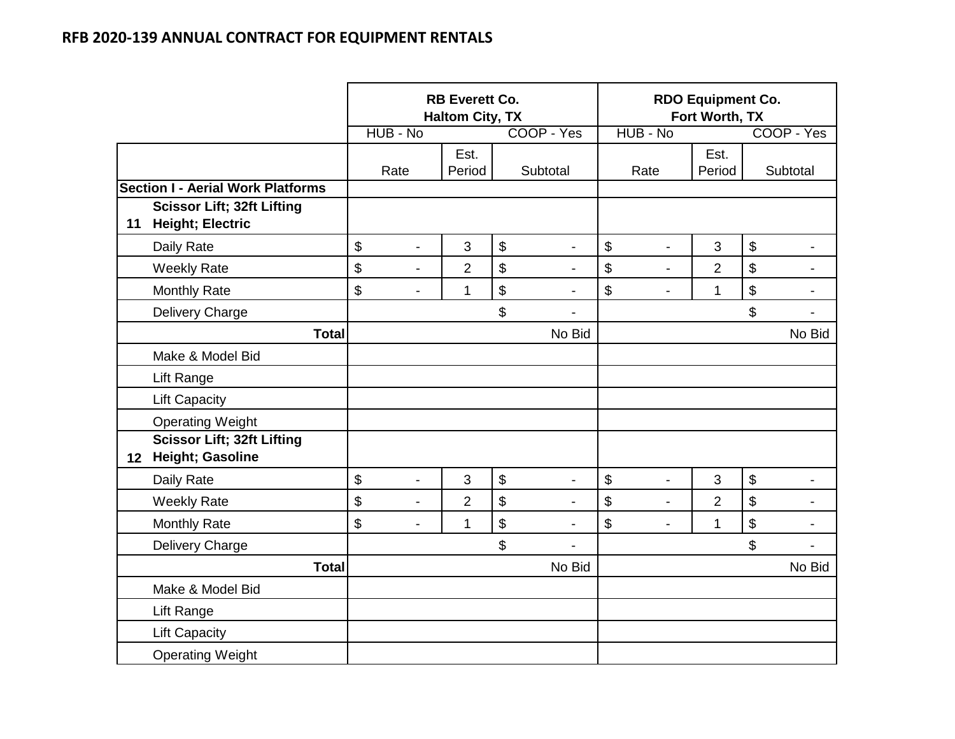|                 |                                                              |          |                          | <b>RB Everett Co.</b><br><b>Haltom City, TX</b> |                                |                                | <b>RDO Equipment Co.</b><br>Fort Worth, TX |                            |                          |
|-----------------|--------------------------------------------------------------|----------|--------------------------|-------------------------------------------------|--------------------------------|--------------------------------|--------------------------------------------|----------------------------|--------------------------|
|                 |                                                              | HUB - No |                          |                                                 | COOP - Yes                     | HUB - No                       |                                            |                            | COOP - Yes               |
|                 |                                                              | Rate     |                          | Est.<br>Period                                  | Subtotal                       | Rate                           | Est.<br>Period                             |                            | Subtotal                 |
|                 | <b>Section I - Aerial Work Platforms</b>                     |          |                          |                                                 |                                |                                |                                            |                            |                          |
| 11              | <b>Scissor Lift; 32ft Lifting</b><br><b>Height; Electric</b> |          |                          |                                                 |                                |                                |                                            |                            |                          |
|                 | Daily Rate                                                   | \$       | $\overline{a}$           | 3                                               | \$<br>$\blacksquare$           | \$<br>$\overline{a}$           | 3                                          | $\boldsymbol{\$}$          | $\blacksquare$           |
|                 | <b>Weekly Rate</b>                                           | \$       | $\blacksquare$           | $\overline{2}$                                  | \$                             | \$<br>$\overline{a}$           | $\overline{2}$                             | $\boldsymbol{\mathsf{\$}}$ | $\blacksquare$           |
|                 | <b>Monthly Rate</b>                                          | \$       | $\blacksquare$           | 1                                               | \$<br>$\blacksquare$           | \$<br>$\blacksquare$           | 1                                          | $\, \, \$$                 | $\blacksquare$           |
|                 | Delivery Charge                                              |          |                          |                                                 | \$<br>$\overline{\phantom{a}}$ |                                |                                            | \$                         | $\overline{\phantom{0}}$ |
|                 | <b>Total</b>                                                 |          |                          |                                                 | No Bid                         |                                |                                            |                            | No Bid                   |
|                 | Make & Model Bid                                             |          |                          |                                                 |                                |                                |                                            |                            |                          |
|                 | Lift Range                                                   |          |                          |                                                 |                                |                                |                                            |                            |                          |
|                 | <b>Lift Capacity</b>                                         |          |                          |                                                 |                                |                                |                                            |                            |                          |
|                 | <b>Operating Weight</b>                                      |          |                          |                                                 |                                |                                |                                            |                            |                          |
| 12 <sup>1</sup> | <b>Scissor Lift; 32ft Lifting</b><br><b>Height; Gasoline</b> |          |                          |                                                 |                                |                                |                                            |                            |                          |
|                 | Daily Rate                                                   | \$       | $\blacksquare$           | 3                                               | \$<br>$\overline{\phantom{a}}$ | \$<br>$\overline{a}$           | 3                                          | $\boldsymbol{\mathsf{\$}}$ |                          |
|                 | <b>Weekly Rate</b>                                           | \$       | L,                       | $\overline{2}$                                  | \$                             | \$<br>$\overline{a}$           | $\overline{2}$                             | \$                         | $\blacksquare$           |
|                 | <b>Monthly Rate</b>                                          | \$       | $\overline{\phantom{0}}$ | 1                                               | \$<br>$\overline{\phantom{0}}$ | \$<br>$\overline{\phantom{a}}$ | 1                                          | $\boldsymbol{\$}$          | $\blacksquare$           |
|                 | Delivery Charge                                              |          |                          |                                                 | \$                             |                                |                                            | \$                         | $\blacksquare$           |
|                 | <b>Total</b>                                                 |          |                          |                                                 | No Bid                         |                                |                                            |                            | No Bid                   |
|                 | Make & Model Bid                                             |          |                          |                                                 |                                |                                |                                            |                            |                          |
|                 | Lift Range                                                   |          |                          |                                                 |                                |                                |                                            |                            |                          |
|                 | <b>Lift Capacity</b>                                         |          |                          |                                                 |                                |                                |                                            |                            |                          |
|                 | <b>Operating Weight</b>                                      |          |                          |                                                 |                                |                                |                                            |                            |                          |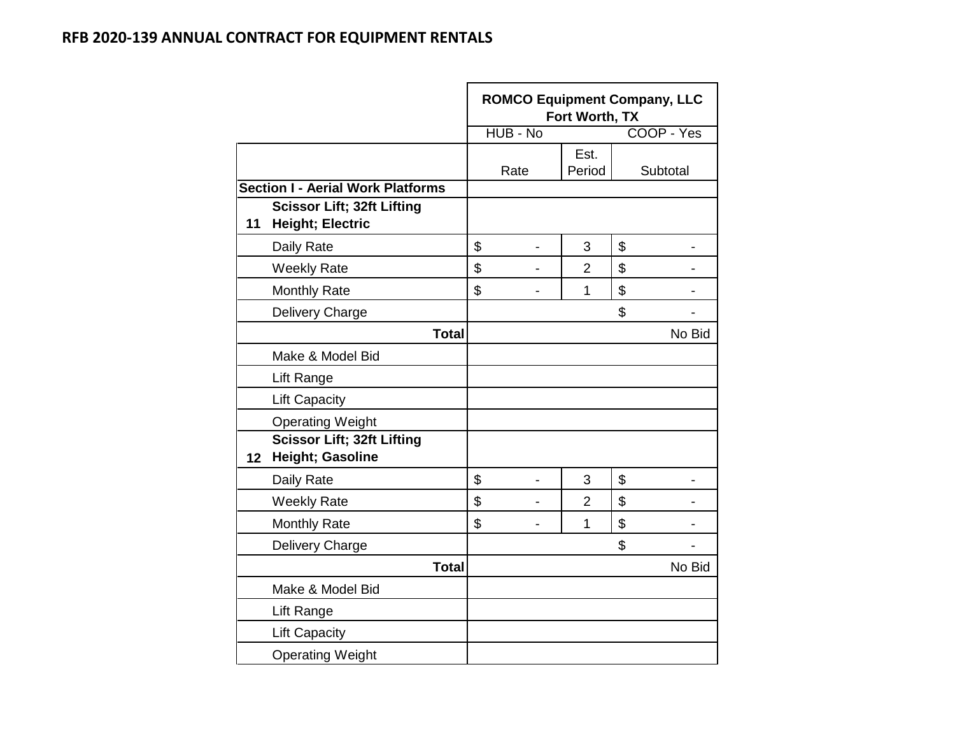|                 |                                                              | <b>ROMCO Equipment Company, LLC</b> | Fort Worth, TX |            |        |
|-----------------|--------------------------------------------------------------|-------------------------------------|----------------|------------|--------|
|                 |                                                              | HUB - No                            |                | COOP - Yes |        |
|                 |                                                              | Rate                                | Est.<br>Period | Subtotal   |        |
|                 | <b>Section I - Aerial Work Platforms</b>                     |                                     |                |            |        |
| 11              | <b>Scissor Lift; 32ft Lifting</b><br><b>Height; Electric</b> |                                     |                |            |        |
|                 | Daily Rate                                                   | \$<br>$\blacksquare$                | 3              | \$         |        |
|                 | <b>Weekly Rate</b>                                           | \$                                  | $\overline{2}$ | \$         |        |
|                 | <b>Monthly Rate</b>                                          | \$                                  | $\overline{1}$ | \$         |        |
|                 | Delivery Charge                                              |                                     |                | \$         |        |
|                 | <b>Total</b>                                                 |                                     |                |            | No Bid |
|                 | Make & Model Bid                                             |                                     |                |            |        |
|                 | Lift Range                                                   |                                     |                |            |        |
|                 | <b>Lift Capacity</b>                                         |                                     |                |            |        |
|                 | <b>Operating Weight</b>                                      |                                     |                |            |        |
| 12 <sup>1</sup> | <b>Scissor Lift; 32ft Lifting</b><br>Height; Gasoline        |                                     |                |            |        |
|                 | Daily Rate                                                   | \$                                  | 3              | \$         |        |
|                 | <b>Weekly Rate</b>                                           | \$                                  | 2              | \$         |        |
|                 | <b>Monthly Rate</b>                                          | \$                                  | 1              | \$         |        |
|                 | Delivery Charge                                              |                                     |                | \$         |        |
|                 | <b>Total</b>                                                 |                                     |                |            | No Bid |
|                 | Make & Model Bid                                             |                                     |                |            |        |
|                 | Lift Range                                                   |                                     |                |            |        |
|                 | <b>Lift Capacity</b>                                         |                                     |                |            |        |
|                 | <b>Operating Weight</b>                                      |                                     |                |            |        |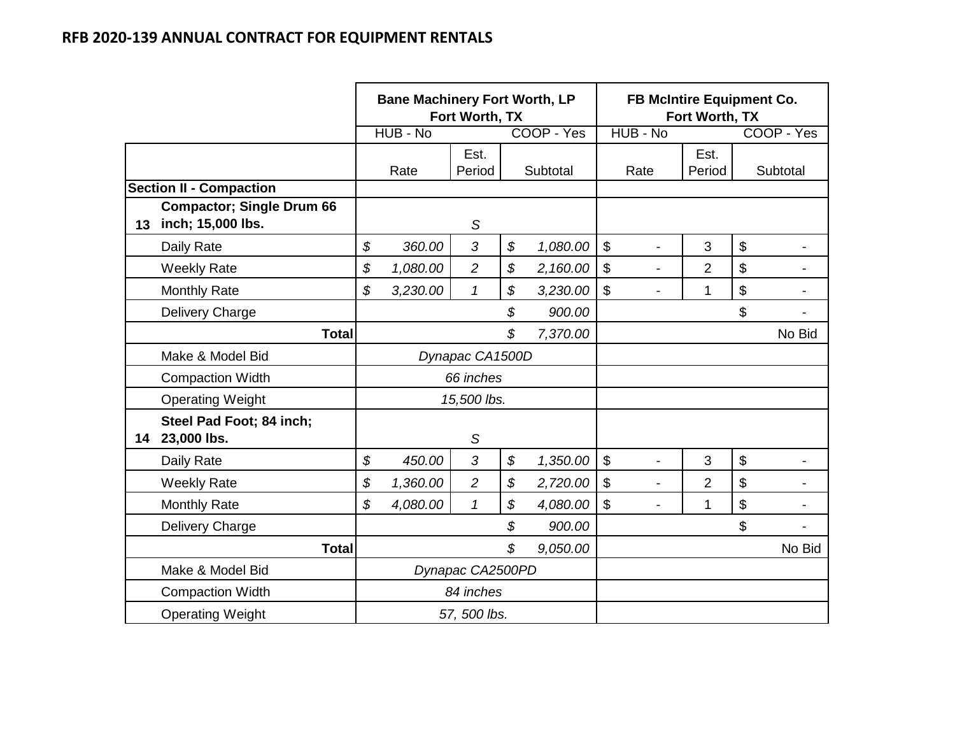|    |                                                       | <b>Bane Machinery Fort Worth, LP</b> | Fort Worth, TX   |                |                           |                          | FB McIntire Equipment Co.<br>Fort Worth, TX |                           |                |
|----|-------------------------------------------------------|--------------------------------------|------------------|----------------|---------------------------|--------------------------|---------------------------------------------|---------------------------|----------------|
|    |                                                       | HUB - No                             |                  | COOP - Yes     |                           | HUB - No                 |                                             |                           | COOP - Yes     |
|    |                                                       | Rate                                 | Est.<br>Period   | Subtotal       |                           | Rate                     | Est.<br>Period                              |                           | Subtotal       |
|    | <b>Section II - Compaction</b>                        |                                      |                  |                |                           |                          |                                             |                           |                |
| 13 | <b>Compactor; Single Drum 66</b><br>inch; 15,000 lbs. |                                      | S                |                |                           |                          |                                             |                           |                |
|    | Daily Rate                                            | \$<br>360.00                         | 3                | \$<br>1,080.00 | $\boldsymbol{\mathsf{S}}$ | $\overline{\phantom{a}}$ | 3                                           | $\boldsymbol{\mathsf{S}}$ |                |
|    | <b>Weekly Rate</b>                                    | \$<br>1,080.00                       | $\overline{2}$   | \$<br>2,160.00 | $\boldsymbol{\mathsf{S}}$ |                          | $\overline{2}$                              | \$                        |                |
|    | <b>Monthly Rate</b>                                   | \$<br>3,230.00                       | $\mathcal I$     | \$<br>3,230.00 | $\mathbb S$               | $\overline{\phantom{a}}$ | $\mathbf{1}$                                | \$                        |                |
|    | Delivery Charge                                       |                                      |                  | \$<br>900.00   |                           |                          |                                             | \$                        |                |
|    | <b>Total</b>                                          |                                      |                  | \$<br>7,370.00 |                           |                          |                                             |                           | No Bid         |
|    | Make & Model Bid                                      |                                      | Dynapac CA1500D  |                |                           |                          |                                             |                           |                |
|    | <b>Compaction Width</b>                               |                                      | 66 inches        |                |                           |                          |                                             |                           |                |
|    | <b>Operating Weight</b>                               |                                      | 15,500 lbs.      |                |                           |                          |                                             |                           |                |
| 14 | Steel Pad Foot; 84 inch;<br>23,000 lbs.               |                                      | S                |                |                           |                          |                                             |                           |                |
|    | Daily Rate                                            | \$<br>450.00                         | 3                | \$<br>1,350.00 | $\mathfrak{S}$            | $\overline{\phantom{a}}$ | 3                                           | $\boldsymbol{\mathsf{S}}$ |                |
|    | <b>Weekly Rate</b>                                    | \$<br>1,360.00                       | $\overline{c}$   | \$<br>2,720.00 | $\mathfrak{S}$            | $\blacksquare$           | $\overline{2}$                              | \$                        |                |
|    | Monthly Rate                                          | \$<br>4,080.00                       | $\mathcal I$     | \$<br>4,080.00 | $\mathfrak{S}$            | $\blacksquare$           | 1                                           | \$                        | $\blacksquare$ |
|    | Delivery Charge                                       |                                      |                  | \$<br>900.00   |                           |                          |                                             | \$                        |                |
|    | <b>Total</b>                                          |                                      |                  | \$<br>9,050.00 |                           |                          |                                             |                           | No Bid         |
|    | Make & Model Bid                                      |                                      | Dynapac CA2500PD |                |                           |                          |                                             |                           |                |
|    | <b>Compaction Width</b>                               |                                      | 84 inches        |                |                           |                          |                                             |                           |                |
|    | <b>Operating Weight</b>                               |                                      | 57, 500 lbs.     |                |                           |                          |                                             |                           |                |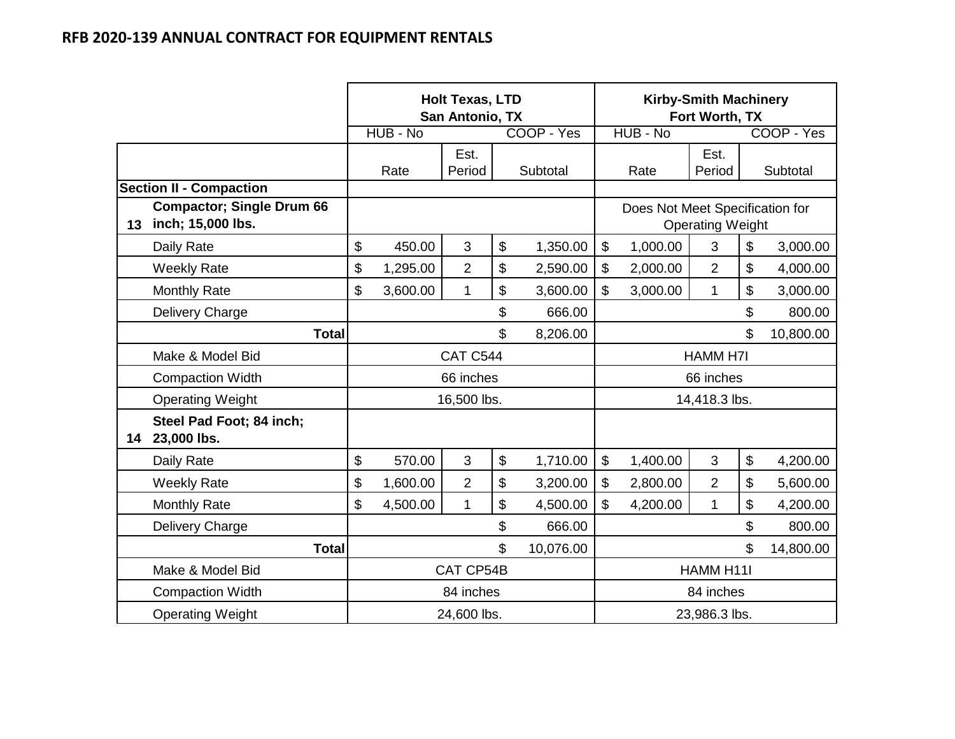|    |                                                       |                | <b>Holt Texas, LTD</b><br>San Antonio, TX |                 | <b>Kirby-Smith Machinery</b><br>Fort Worth, TX |                                 |                         |        |            |
|----|-------------------------------------------------------|----------------|-------------------------------------------|-----------------|------------------------------------------------|---------------------------------|-------------------------|--------|------------|
|    |                                                       | HUB - No       |                                           | COOP - Yes      |                                                | HUB - No                        |                         |        | COOP - Yes |
|    |                                                       | Rate           | Est.<br>Period                            | Subtotal        |                                                | Rate                            | Est.<br>Period          |        | Subtotal   |
|    | <b>Section II - Compaction</b>                        |                |                                           |                 |                                                |                                 |                         |        |            |
| 13 | <b>Compactor; Single Drum 66</b><br>inch; 15,000 lbs. |                |                                           |                 |                                                | Does Not Meet Specification for | <b>Operating Weight</b> |        |            |
|    | Daily Rate                                            | \$<br>450.00   | 3                                         | \$<br>1,350.00  | $\mathfrak{S}$                                 | 1,000.00                        | 3                       | \$     | 3,000.00   |
|    | <b>Weekly Rate</b>                                    | \$<br>1,295.00 | $\overline{2}$                            | \$<br>2,590.00  | $\mathfrak{S}$                                 | 2,000.00                        | $\overline{2}$          | \$     | 4,000.00   |
|    | <b>Monthly Rate</b>                                   | \$<br>3,600.00 | $\mathbf{1}$                              | \$<br>3,600.00  | $\mathbb S$<br>\$<br>3,000.00<br>1             |                                 |                         |        | 3,000.00   |
|    | Delivery Charge                                       |                |                                           | \$<br>666.00    | \$                                             |                                 |                         |        | 800.00     |
|    | <b>Total</b>                                          |                |                                           | \$<br>8,206.00  | \$                                             |                                 |                         |        | 10,800.00  |
|    | Make & Model Bid                                      |                | CAT C544                                  |                 |                                                |                                 | <b>HAMM H7I</b>         |        |            |
|    | <b>Compaction Width</b>                               |                | 66 inches                                 |                 |                                                |                                 | 66 inches               |        |            |
|    | <b>Operating Weight</b>                               |                | 16,500 lbs.                               |                 |                                                |                                 | 14,418.3 lbs.           |        |            |
| 14 | Steel Pad Foot; 84 inch;<br>23,000 lbs.               |                |                                           |                 |                                                |                                 |                         |        |            |
|    | Daily Rate                                            | \$<br>570.00   | 3                                         | \$<br>1,710.00  | $\mathfrak{S}$                                 | 1,400.00                        | 3                       | \$     | 4,200.00   |
|    | <b>Weekly Rate</b>                                    | \$<br>1,600.00 | $\overline{2}$                            | \$<br>3,200.00  | \$                                             | 2,800.00                        | $\overline{2}$          | \$     | 5,600.00   |
|    | <b>Monthly Rate</b>                                   | \$<br>4,500.00 | $\mathbf{1}$                              | \$<br>4,500.00  | \$                                             | 4,200.00                        | 1                       | \$     | 4,200.00   |
|    | Delivery Charge                                       |                |                                           | \$<br>666.00    | \$                                             |                                 |                         | 800.00 |            |
|    | <b>Total</b>                                          |                |                                           | \$<br>10,076.00 | \$<br>14,800.00                                |                                 |                         |        |            |
|    | Make & Model Bid                                      |                | CAT CP54B                                 |                 | HAMM H11I                                      |                                 |                         |        |            |
|    | <b>Compaction Width</b>                               |                | 84 inches                                 |                 | 84 inches                                      |                                 |                         |        |            |
|    | <b>Operating Weight</b>                               |                | 24,600 lbs.                               |                 | 23,986.3 lbs.                                  |                                 |                         |        |            |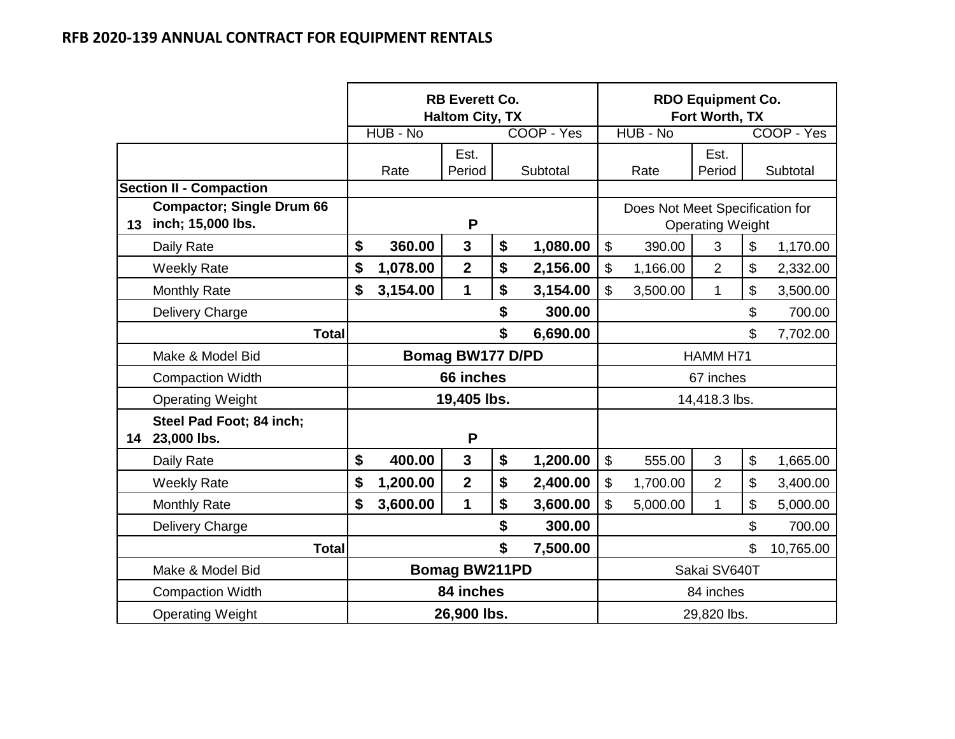|    |                                                       |                                      |          | <b>RB Everett Co.</b><br><b>Haltom City, TX</b> |    |            | <b>RDO Equipment Co.</b><br>Fort Worth, TX |                                 |                         |    |            |
|----|-------------------------------------------------------|--------------------------------------|----------|-------------------------------------------------|----|------------|--------------------------------------------|---------------------------------|-------------------------|----|------------|
|    |                                                       |                                      | HUB - No |                                                 |    | COOP - Yes |                                            | HUB - No                        |                         |    | COOP - Yes |
|    |                                                       |                                      | Rate     | Est.<br>Period                                  |    | Subtotal   |                                            | Rate                            | Est.<br>Period          |    | Subtotal   |
|    | <b>Section II - Compaction</b>                        |                                      |          |                                                 |    |            |                                            |                                 |                         |    |            |
| 13 | <b>Compactor; Single Drum 66</b><br>inch; 15,000 lbs. |                                      |          | P                                               |    |            |                                            | Does Not Meet Specification for | <b>Operating Weight</b> |    |            |
|    | Daily Rate                                            | \$                                   | 360.00   | $\overline{\mathbf{3}}$                         | \$ | 1,080.00   | $\boldsymbol{\mathsf{S}}$                  | 390.00                          | 3                       | \$ | 1,170.00   |
|    | <b>Weekly Rate</b>                                    | \$                                   | 1,078.00 | $\overline{2}$                                  | \$ | 2,156.00   | $\boldsymbol{\mathsf{S}}$                  | 1,166.00                        | $\overline{2}$          | \$ | 2,332.00   |
|    | <b>Monthly Rate</b>                                   | \$                                   | 3,154.00 | $\mathbf 1$                                     | \$ | 3,154.00   | \$                                         | 3,500.00                        | $\mathbf 1$             | \$ | 3,500.00   |
|    | Delivery Charge                                       |                                      |          |                                                 | \$ | 300.00     | \$                                         |                                 |                         |    | 700.00     |
|    | <b>Total</b>                                          |                                      |          |                                                 | \$ | 6,690.00   | \$                                         |                                 |                         |    | 7,702.00   |
|    | Make & Model Bid                                      |                                      |          | <b>Bomag BW177 D/PD</b>                         |    |            |                                            |                                 | HAMM H71                |    |            |
|    | <b>Compaction Width</b>                               |                                      |          | 66 inches                                       |    |            |                                            |                                 | 67 inches               |    |            |
|    | <b>Operating Weight</b>                               |                                      |          | 19,405 lbs.                                     |    |            |                                            |                                 | 14,418.3 lbs.           |    |            |
| 14 | Steel Pad Foot; 84 inch;<br>23,000 lbs.               |                                      |          | P                                               |    |            |                                            |                                 |                         |    |            |
|    | Daily Rate                                            | \$                                   | 400.00   | $\mathbf{3}$                                    | \$ | 1,200.00   | $\boldsymbol{\mathsf{S}}$                  | 555.00                          | 3                       | \$ | 1,665.00   |
|    | <b>Weekly Rate</b>                                    | \$                                   | 1,200.00 | $\overline{2}$                                  | \$ | 2,400.00   | $\mathbf{\$}$                              | 1,700.00                        | $\overline{2}$          | \$ | 3,400.00   |
|    | <b>Monthly Rate</b>                                   | \$                                   | 3,600.00 | $\mathbf 1$                                     | \$ | 3,600.00   | \$                                         | 5,000.00                        | 1                       | \$ | 5,000.00   |
|    | <b>Delivery Charge</b>                                |                                      |          |                                                 | \$ | 300.00     | \$                                         |                                 |                         |    | 700.00     |
|    | <b>Total</b>                                          |                                      |          |                                                 | \$ | 7,500.00   | \$                                         |                                 |                         |    | 10,765.00  |
|    | Make & Model Bid                                      | <b>Bomag BW211PD</b><br>Sakai SV640T |          |                                                 |    |            |                                            |                                 |                         |    |            |
|    | <b>Compaction Width</b>                               | 84 inches<br>84 inches               |          |                                                 |    |            |                                            |                                 |                         |    |            |
|    | <b>Operating Weight</b>                               |                                      |          | 26,900 lbs.                                     |    |            | 29,820 lbs.                                |                                 |                         |    |            |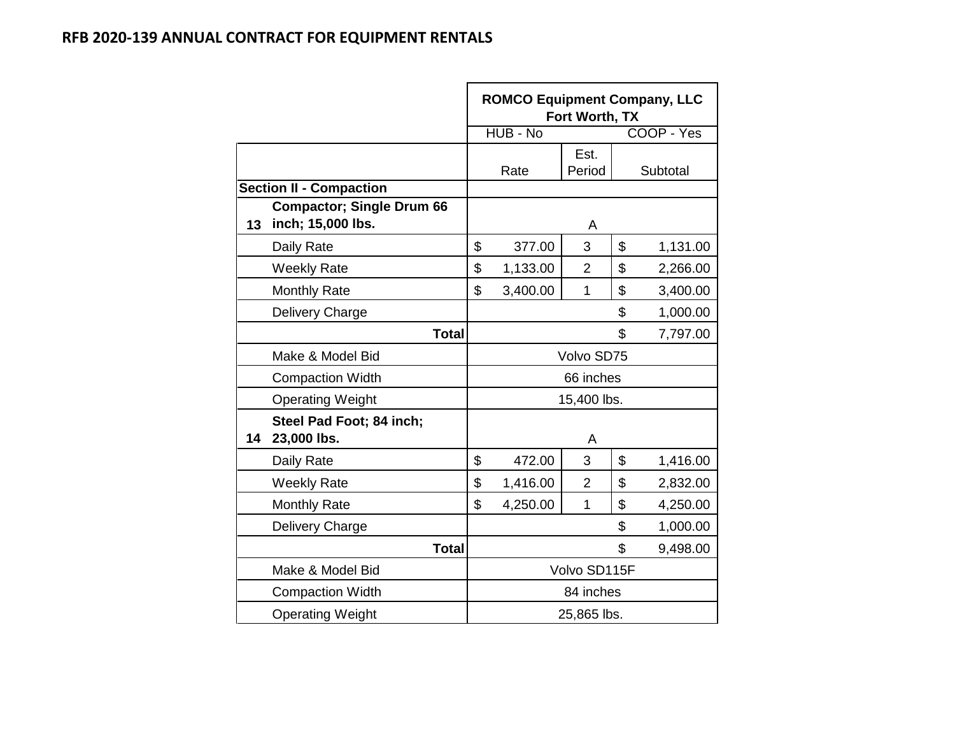|    |                                                       | <b>ROMCO Equipment Company, LLC</b><br>Fort Worth, TX |          |                |                |            |  |  |
|----|-------------------------------------------------------|-------------------------------------------------------|----------|----------------|----------------|------------|--|--|
|    |                                                       |                                                       | HUB - No |                |                | COOP - Yes |  |  |
|    |                                                       |                                                       | Rate     | Est.<br>Period |                | Subtotal   |  |  |
|    | <b>Section II - Compaction</b>                        |                                                       |          |                |                |            |  |  |
| 13 | <b>Compactor; Single Drum 66</b><br>inch; 15,000 lbs. |                                                       |          | A              |                |            |  |  |
|    | Daily Rate                                            | \$                                                    | 377.00   | 3              | \$<br>1,131.00 |            |  |  |
|    | <b>Weekly Rate</b>                                    | \$                                                    | 1,133.00 | $\overline{2}$ | \$             | 2,266.00   |  |  |
|    | <b>Monthly Rate</b>                                   | \$                                                    | 3,400.00 | $\mathbf{1}$   | \$             | 3,400.00   |  |  |
|    | Delivery Charge                                       |                                                       |          |                | \$             | 1,000.00   |  |  |
|    | Total                                                 |                                                       |          |                | \$<br>7,797.00 |            |  |  |
|    | Make & Model Bid                                      |                                                       |          | Volvo SD75     |                |            |  |  |
|    | <b>Compaction Width</b>                               |                                                       |          | 66 inches      |                |            |  |  |
|    | <b>Operating Weight</b>                               |                                                       |          | 15,400 lbs.    |                |            |  |  |
| 14 | Steel Pad Foot; 84 inch;<br>23,000 lbs.               |                                                       |          | A              |                |            |  |  |
|    | Daily Rate                                            | \$                                                    | 472.00   | 3              | $\mathfrak{S}$ | 1,416.00   |  |  |
|    | <b>Weekly Rate</b>                                    | \$                                                    | 1,416.00 | $\overline{2}$ | \$             | 2,832.00   |  |  |
|    | <b>Monthly Rate</b>                                   | \$                                                    | 4,250.00 | 1              | \$             | 4,250.00   |  |  |
|    | Delivery Charge                                       |                                                       |          |                | \$             | 1,000.00   |  |  |
|    | <b>Total</b>                                          |                                                       |          | \$<br>9,498.00 |                |            |  |  |
|    | Make & Model Bid                                      |                                                       |          | Volvo SD115F   |                |            |  |  |
|    | <b>Compaction Width</b>                               |                                                       |          | 84 inches      |                |            |  |  |
|    | <b>Operating Weight</b>                               |                                                       |          | 25,865 lbs.    |                |            |  |  |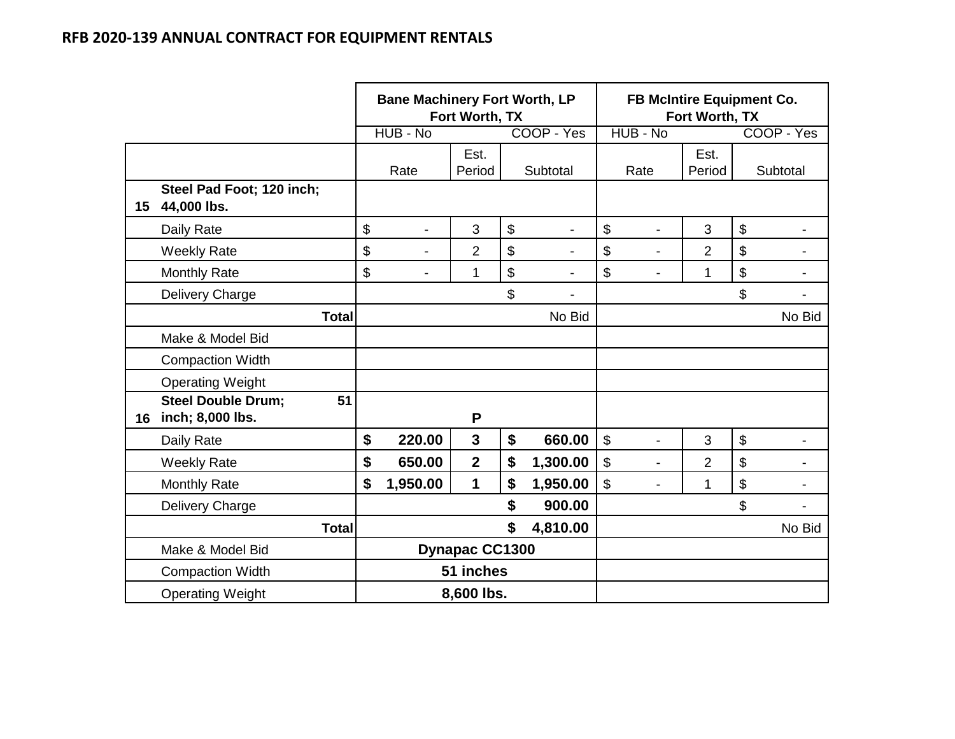|    |                                                     | <b>Bane Machinery Fort Worth, LP</b> | Fort Worth, TX        |                                |                           |                | FB McIntire Equipment Co.<br>Fort Worth, TX |                |                          |  |  |  |
|----|-----------------------------------------------------|--------------------------------------|-----------------------|--------------------------------|---------------------------|----------------|---------------------------------------------|----------------|--------------------------|--|--|--|
|    |                                                     | HUB - No                             |                       | COOP - Yes                     |                           | HUB - No       |                                             |                | COOP - Yes               |  |  |  |
|    |                                                     | Rate                                 | Est.<br>Period        | Subtotal                       |                           | Rate           | Est.<br>Period                              |                | Subtotal                 |  |  |  |
| 15 | Steel Pad Foot; 120 inch;<br>44,000 lbs.            |                                      |                       |                                |                           |                |                                             |                |                          |  |  |  |
|    | Daily Rate                                          | \$<br>$\overline{\phantom{a}}$       | 3                     | \$                             | \$                        |                | 3                                           | $\mathfrak{S}$ |                          |  |  |  |
|    | <b>Weekly Rate</b>                                  | \$<br>$\overline{a}$                 | $\overline{2}$        | \$                             | $\boldsymbol{\mathsf{S}}$ |                | $\overline{2}$                              | \$             |                          |  |  |  |
|    | <b>Monthly Rate</b>                                 | \$<br>$\blacksquare$                 | 1                     | \$                             | \$                        |                | 1                                           | \$             |                          |  |  |  |
|    | Delivery Charge                                     |                                      |                       | \$<br>$\overline{\phantom{a}}$ |                           |                |                                             | \$             |                          |  |  |  |
|    | <b>Total</b>                                        |                                      |                       | No Bid                         |                           |                |                                             |                | No Bid                   |  |  |  |
|    | Make & Model Bid                                    |                                      |                       |                                |                           |                |                                             |                |                          |  |  |  |
|    | <b>Compaction Width</b>                             |                                      |                       |                                |                           |                |                                             |                |                          |  |  |  |
|    | <b>Operating Weight</b>                             |                                      |                       |                                |                           |                |                                             |                |                          |  |  |  |
| 16 | <b>Steel Double Drum;</b><br>51<br>inch; 8,000 lbs. |                                      | P                     |                                |                           |                |                                             |                |                          |  |  |  |
|    | Daily Rate                                          | \$<br>220.00                         | 3                     | \$<br>660.00                   | $\boldsymbol{\mathsf{S}}$ |                | 3                                           | $\mathfrak{S}$ |                          |  |  |  |
|    | <b>Weekly Rate</b>                                  | \$<br>650.00                         | $\overline{2}$        | \$<br>1,300.00                 | \$                        | $\blacksquare$ | $\overline{2}$                              | \$             | $\overline{\phantom{0}}$ |  |  |  |
|    | <b>Monthly Rate</b>                                 | \$<br>1,950.00                       | 1                     | \$<br>1,950.00                 | \$                        |                | 1                                           | \$             |                          |  |  |  |
|    | Delivery Charge                                     |                                      |                       | \$<br>900.00                   |                           |                |                                             | \$             |                          |  |  |  |
|    | <b>Total</b>                                        |                                      |                       | \$<br>4,810.00                 |                           |                |                                             |                | No Bid                   |  |  |  |
|    | Make & Model Bid                                    |                                      | <b>Dynapac CC1300</b> |                                |                           |                |                                             |                |                          |  |  |  |
|    | <b>Compaction Width</b>                             |                                      | 51 inches             |                                |                           |                |                                             |                |                          |  |  |  |
|    | <b>Operating Weight</b>                             |                                      | 8,600 lbs.            |                                |                           |                |                                             |                |                          |  |  |  |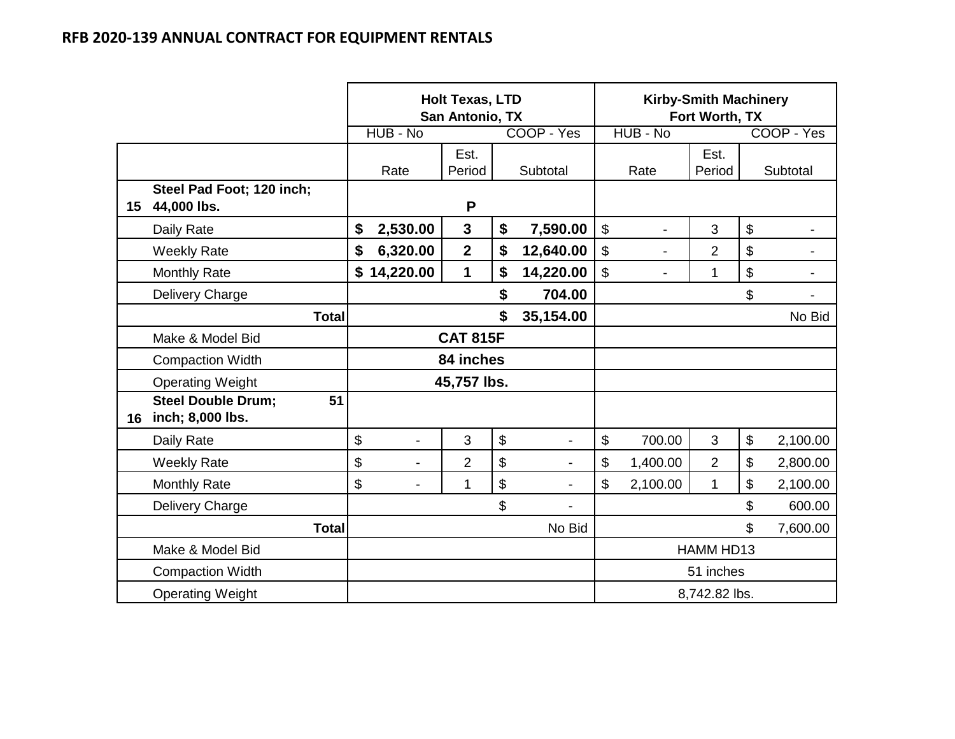|    |                                                     | <b>Holt Texas, LTD</b><br>San Antonio, TX |                |                 |    |                          |                | <b>Kirby-Smith Machinery</b><br>Fort Worth, TX |                |                |            |  |
|----|-----------------------------------------------------|-------------------------------------------|----------------|-----------------|----|--------------------------|----------------|------------------------------------------------|----------------|----------------|------------|--|
|    |                                                     |                                           | HUB - No       |                 |    | COOP - Yes               |                | HUB - No                                       |                |                | COOP - Yes |  |
|    |                                                     |                                           | Rate           | Est.<br>Period  |    | Subtotal                 |                | Rate                                           | Est.<br>Period |                | Subtotal   |  |
| 15 | Steel Pad Foot; 120 inch;<br>44,000 lbs.            |                                           |                | P               |    |                          |                |                                                |                |                |            |  |
|    | Daily Rate                                          | \$                                        | 2,530.00       | $\mathbf{3}$    | \$ | 7,590.00                 | $\mathfrak{S}$ |                                                | 3              | $\mathfrak{S}$ |            |  |
|    | <b>Weekly Rate</b>                                  | \$                                        | 6,320.00       | $\overline{2}$  | \$ | 12,640.00                | $\mathfrak{S}$ | $\overline{\phantom{0}}$                       | $\overline{2}$ | \$             |            |  |
|    | <b>Monthly Rate</b>                                 | \$                                        | 14,220.00      | 1               | \$ | 14,220.00                | \$             | $\overline{\phantom{0}}$                       | 1              | \$             |            |  |
|    | Delivery Charge                                     |                                           |                |                 | \$ | 704.00                   |                |                                                |                | \$             |            |  |
|    | <b>Total</b>                                        |                                           |                |                 | \$ | 35,154.00                |                |                                                |                |                | No Bid     |  |
|    | Make & Model Bid                                    |                                           |                | <b>CAT 815F</b> |    |                          |                |                                                |                |                |            |  |
|    | <b>Compaction Width</b>                             |                                           |                | 84 inches       |    |                          |                |                                                |                |                |            |  |
|    | <b>Operating Weight</b>                             |                                           |                | 45,757 lbs.     |    |                          |                |                                                |                |                |            |  |
| 16 | <b>Steel Double Drum;</b><br>51<br>inch; 8,000 lbs. |                                           |                |                 |    |                          |                |                                                |                |                |            |  |
|    | Daily Rate                                          | \$                                        |                | $\mathfrak{B}$  | \$ | -                        | \$             | 700.00                                         | 3              | \$             | 2,100.00   |  |
|    | <b>Weekly Rate</b>                                  | \$                                        | $\overline{a}$ | $\overline{2}$  | \$ | $\overline{\phantom{0}}$ | \$             | 1,400.00                                       | $\overline{2}$ | \$             | 2,800.00   |  |
|    | <b>Monthly Rate</b>                                 | \$                                        |                | 1               | \$ |                          | $\mathbb{S}$   | 2,100.00                                       | $\mathbf{1}$   | \$             | 2,100.00   |  |
|    | Delivery Charge                                     |                                           |                |                 | \$ |                          |                |                                                |                | \$             | 600.00     |  |
|    | <b>Total</b>                                        |                                           |                |                 |    | No Bid                   |                |                                                |                | \$             | 7,600.00   |  |
|    | Make & Model Bid                                    |                                           |                |                 |    |                          |                |                                                | HAMM HD13      |                |            |  |
|    | <b>Compaction Width</b>                             |                                           |                |                 |    |                          |                |                                                | 51 inches      |                |            |  |
|    | <b>Operating Weight</b>                             |                                           |                |                 |    |                          |                |                                                | 8,742.82 lbs.  |                |            |  |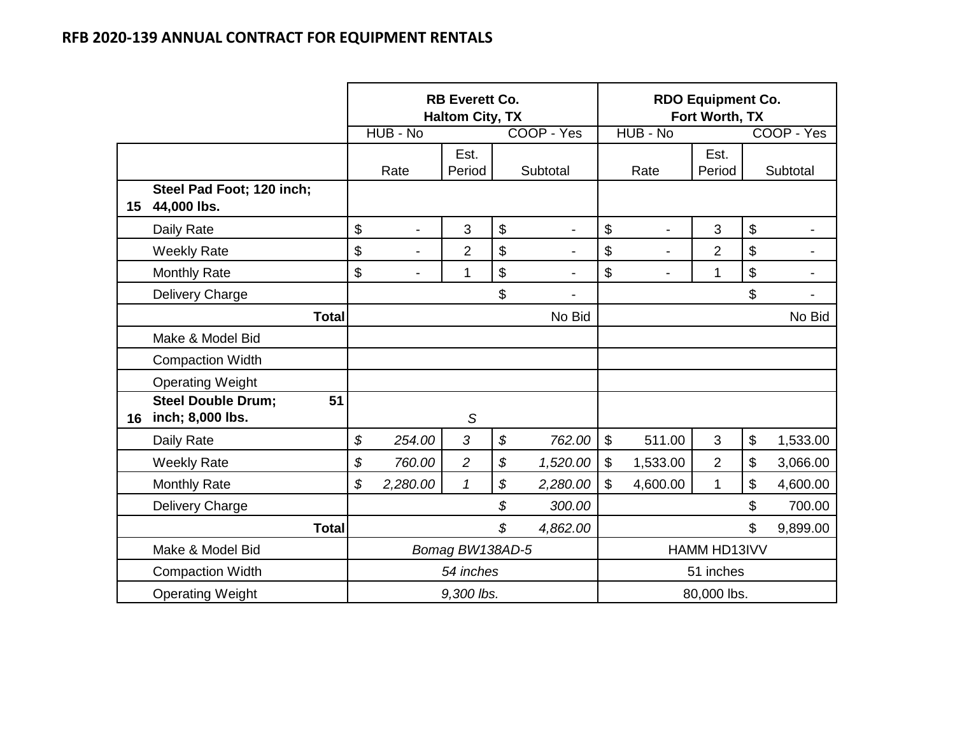|    |                                                     | <b>RB Everett Co.</b><br><b>Haltom City, TX</b> |                          |                 |    |                |                           | <b>RDO Equipment Co.</b><br>Fort Worth, TX |                |                           |            |  |
|----|-----------------------------------------------------|-------------------------------------------------|--------------------------|-----------------|----|----------------|---------------------------|--------------------------------------------|----------------|---------------------------|------------|--|
|    |                                                     |                                                 | HUB - No                 |                 |    | COOP - Yes     |                           | HUB - No                                   |                |                           | COOP - Yes |  |
|    |                                                     |                                                 | Rate                     | Est.<br>Period  |    | Subtotal       |                           | Rate                                       | Est.<br>Period |                           | Subtotal   |  |
| 15 | Steel Pad Foot; 120 inch;<br>44,000 lbs.            |                                                 |                          |                 |    |                |                           |                                            |                |                           |            |  |
|    | Daily Rate                                          | \$                                              |                          | 3               | \$ |                | \$                        |                                            | 3              | $\boldsymbol{\mathsf{S}}$ |            |  |
|    | <b>Weekly Rate</b>                                  | \$                                              | $\overline{\phantom{0}}$ | $\overline{2}$  | \$ |                | \$                        | $\overline{\phantom{0}}$                   | $\overline{2}$ | $\boldsymbol{\mathsf{S}}$ |            |  |
|    | <b>Monthly Rate</b>                                 | \$                                              |                          | 1               | \$ |                | \$                        | $\blacksquare$                             | 1              | $\boldsymbol{\$}$         |            |  |
|    | Delivery Charge                                     |                                                 |                          |                 | \$ | $\blacksquare$ |                           |                                            |                | \$                        |            |  |
|    | <b>Total</b>                                        |                                                 |                          |                 |    | No Bid         |                           |                                            |                |                           | No Bid     |  |
|    | Make & Model Bid                                    |                                                 |                          |                 |    |                |                           |                                            |                |                           |            |  |
|    | <b>Compaction Width</b>                             |                                                 |                          |                 |    |                |                           |                                            |                |                           |            |  |
|    | <b>Operating Weight</b>                             |                                                 |                          |                 |    |                |                           |                                            |                |                           |            |  |
| 16 | <b>Steel Double Drum:</b><br>51<br>inch; 8,000 lbs. |                                                 |                          | S               |    |                |                           |                                            |                |                           |            |  |
|    | Daily Rate                                          | \$                                              | 254.00                   | 3               | \$ | 762.00         | $\boldsymbol{\mathsf{S}}$ | 511.00                                     | 3              | $\boldsymbol{\mathsf{S}}$ | 1,533.00   |  |
|    | <b>Weekly Rate</b>                                  | \$                                              | 760.00                   | $\overline{c}$  | \$ | 1,520.00       | \$                        | 1,533.00                                   | $\overline{2}$ | $\boldsymbol{\mathsf{S}}$ | 3,066.00   |  |
|    | <b>Monthly Rate</b>                                 | \$                                              | 2,280.00                 | $\mathcal I$    | \$ | 2,280.00       | \$                        | 4,600.00                                   | $\mathbf{1}$   | $\mathfrak{S}$            | 4,600.00   |  |
|    | Delivery Charge                                     |                                                 |                          |                 | \$ | 300.00         |                           |                                            |                | \$                        | 700.00     |  |
|    | <b>Total</b>                                        |                                                 |                          |                 | \$ | 4,862.00       |                           |                                            |                | \$                        | 9,899.00   |  |
|    | Make & Model Bid                                    |                                                 |                          | Bomag BW138AD-5 |    |                |                           |                                            | HAMM HD13IVV   |                           |            |  |
|    | <b>Compaction Width</b>                             |                                                 |                          | 54 inches       |    |                |                           |                                            | 51 inches      |                           |            |  |
|    | <b>Operating Weight</b>                             |                                                 |                          | 9,300 lbs.      |    |                |                           |                                            | 80,000 lbs.    |                           |            |  |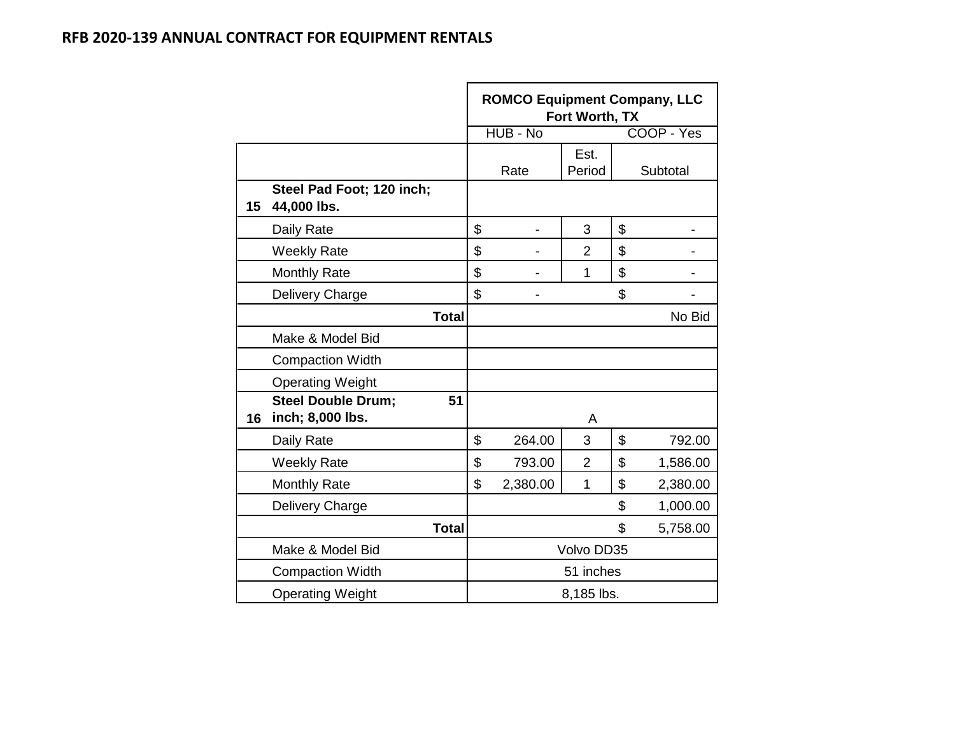|    |                                                     | <b>ROMCO Equipment Company, LLC</b><br>Fort Worth, TX |          |                |    |            |  |  |  |
|----|-----------------------------------------------------|-------------------------------------------------------|----------|----------------|----|------------|--|--|--|
|    |                                                     |                                                       | HUB - No |                |    | COOP - Yes |  |  |  |
|    |                                                     |                                                       | Rate     | Est.<br>Period |    | Subtotal   |  |  |  |
| 15 | Steel Pad Foot; 120 inch;<br>44,000 lbs.            |                                                       |          |                |    |            |  |  |  |
|    | Daily Rate                                          | \$                                                    |          | 3              | \$ |            |  |  |  |
|    | <b>Weekly Rate</b>                                  | \$                                                    |          | $\overline{2}$ | \$ |            |  |  |  |
|    | <b>Monthly Rate</b>                                 | \$                                                    |          | 1              | \$ |            |  |  |  |
|    | Delivery Charge                                     | \$                                                    |          |                | \$ |            |  |  |  |
|    | <b>Total</b>                                        |                                                       |          |                |    | No Bid     |  |  |  |
|    | Make & Model Bid                                    |                                                       |          |                |    |            |  |  |  |
|    | <b>Compaction Width</b>                             |                                                       |          |                |    |            |  |  |  |
|    | <b>Operating Weight</b>                             |                                                       |          |                |    |            |  |  |  |
| 16 | <b>Steel Double Drum;</b><br>51<br>inch; 8,000 lbs. |                                                       |          | A              |    |            |  |  |  |
|    | Daily Rate                                          | \$                                                    | 264.00   | 3              | \$ | 792.00     |  |  |  |
|    | <b>Weekly Rate</b>                                  | \$                                                    | 793.00   | $\overline{2}$ | \$ | 1,586.00   |  |  |  |
|    | <b>Monthly Rate</b>                                 | \$                                                    | 2,380.00 | 1              | \$ | 2,380.00   |  |  |  |
|    | Delivery Charge                                     |                                                       |          |                | \$ | 1,000.00   |  |  |  |
|    | <b>Total</b>                                        |                                                       |          |                | \$ | 5,758.00   |  |  |  |
|    | Make & Model Bid                                    |                                                       |          | Volvo DD35     |    |            |  |  |  |
|    | <b>Compaction Width</b>                             |                                                       |          | 51 inches      |    |            |  |  |  |
|    | <b>Operating Weight</b>                             |                                                       |          | 8,185 lbs.     |    |            |  |  |  |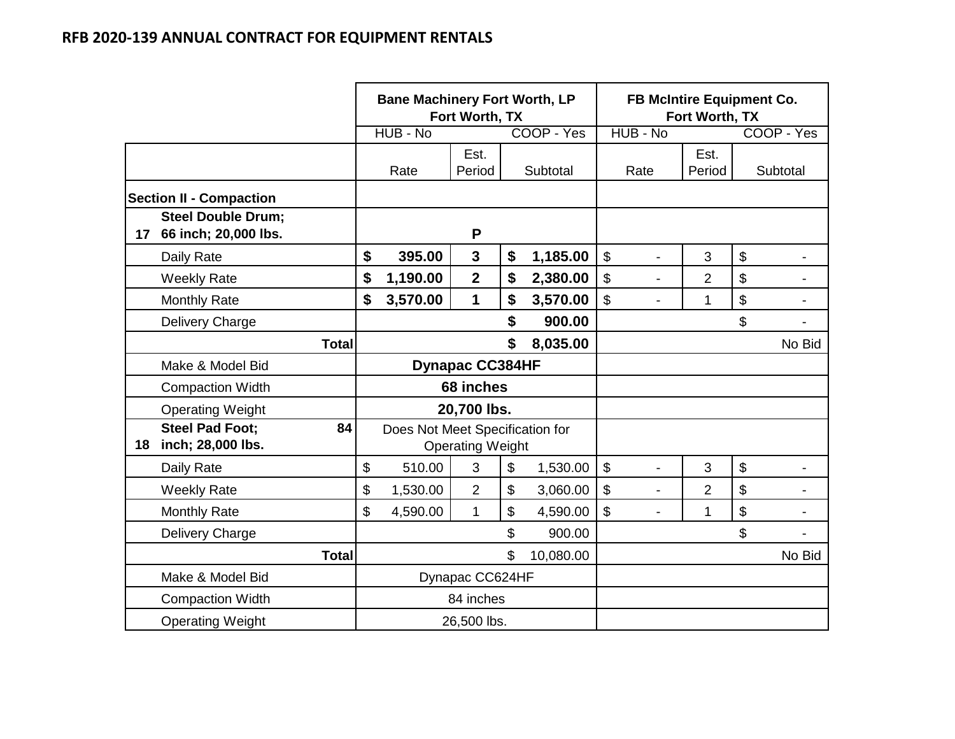|    |                                                   | <b>Bane Machinery Fort Worth, LP</b> | Fort Worth, TX          |                 | FB McIntire Equipment Co.<br>Fort Worth, TX           |                |    |            |  |  |
|----|---------------------------------------------------|--------------------------------------|-------------------------|-----------------|-------------------------------------------------------|----------------|----|------------|--|--|
|    |                                                   | HUB - No                             |                         | COOP - Yes      | HUB - No                                              |                |    | COOP - Yes |  |  |
|    |                                                   | Rate                                 | Est.<br>Period          | Subtotal        | Rate                                                  | Est.<br>Period |    | Subtotal   |  |  |
|    | <b>Section II - Compaction</b>                    |                                      |                         |                 |                                                       |                |    |            |  |  |
| 17 | <b>Steel Double Drum;</b><br>66 inch; 20,000 lbs. |                                      | P                       |                 |                                                       |                |    |            |  |  |
|    | Daily Rate                                        | \$<br>395.00                         | 3                       | \$<br>1,185.00  | $\boldsymbol{\mathsf{S}}$<br>$\overline{a}$           | 3              | \$ |            |  |  |
|    | <b>Weekly Rate</b>                                | \$<br>1,190.00                       | $\overline{2}$          | \$<br>2,380.00  | $\boldsymbol{\mathsf{S}}$<br>$\overline{\phantom{0}}$ | $\overline{2}$ | \$ |            |  |  |
|    | <b>Monthly Rate</b>                               | \$<br>3,570.00                       | 1                       | \$<br>3,570.00  | \$                                                    | 1              | \$ |            |  |  |
|    | Delivery Charge                                   |                                      |                         | \$<br>900.00    |                                                       |                | \$ |            |  |  |
|    | <b>Total</b>                                      |                                      |                         | \$<br>8,035.00  |                                                       |                |    | No Bid     |  |  |
|    | Make & Model Bid                                  |                                      | <b>Dynapac CC384HF</b>  |                 |                                                       |                |    |            |  |  |
|    | <b>Compaction Width</b>                           |                                      | 68 inches               |                 |                                                       |                |    |            |  |  |
|    | <b>Operating Weight</b>                           |                                      | 20,700 lbs.             |                 |                                                       |                |    |            |  |  |
| 18 | <b>Steel Pad Foot:</b><br>84<br>inch; 28,000 lbs. | Does Not Meet Specification for      | <b>Operating Weight</b> |                 |                                                       |                |    |            |  |  |
|    | Daily Rate                                        | \$<br>510.00                         | 3                       | \$<br>1,530.00  | $\boldsymbol{\mathsf{S}}$<br>L,                       | 3              | \$ |            |  |  |
|    | <b>Weekly Rate</b>                                | \$<br>1,530.00                       | $\overline{2}$          | \$<br>3,060.00  | $\boldsymbol{\mathsf{S}}$<br>$\blacksquare$           | $\overline{2}$ | \$ |            |  |  |
|    | <b>Monthly Rate</b>                               | \$<br>4,590.00                       | $\mathbf{1}$            | \$<br>4,590.00  | \$<br>$\overline{\phantom{0}}$                        | 1              | \$ |            |  |  |
|    | Delivery Charge                                   |                                      |                         | \$<br>900.00    |                                                       |                | \$ |            |  |  |
|    | <b>Total</b>                                      |                                      |                         | \$<br>10,080.00 |                                                       |                |    | No Bid     |  |  |
|    | Make & Model Bid                                  |                                      | Dynapac CC624HF         |                 |                                                       |                |    |            |  |  |
|    | <b>Compaction Width</b>                           |                                      | 84 inches               |                 |                                                       |                |    |            |  |  |
|    | <b>Operating Weight</b>                           |                                      | 26,500 lbs.             |                 |                                                       |                |    |            |  |  |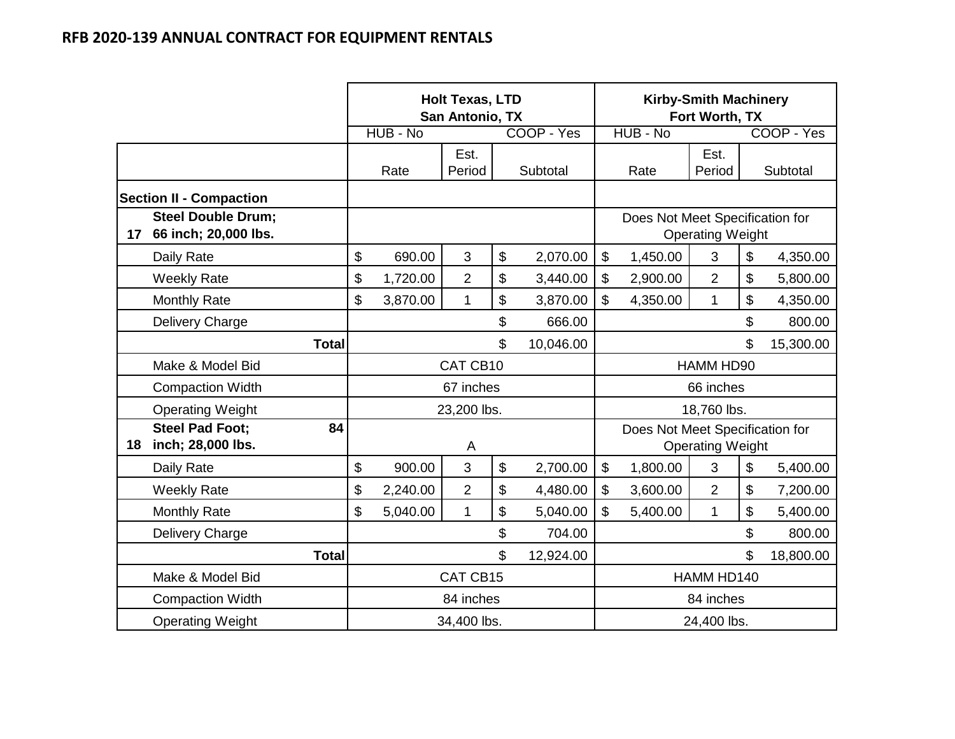|    |                                                   | <b>Holt Texas, LTD</b><br><b>Kirby-Smith Machinery</b><br>Fort Worth, TX<br>San Antonio, TX |          |                |    |            |              |                                 |                         |           |            |
|----|---------------------------------------------------|---------------------------------------------------------------------------------------------|----------|----------------|----|------------|--------------|---------------------------------|-------------------------|-----------|------------|
|    |                                                   |                                                                                             | HUB - No |                |    | COOP - Yes |              | HUB - No                        |                         |           | COOP - Yes |
|    |                                                   |                                                                                             | Rate     | Est.<br>Period |    | Subtotal   |              | Rate                            | Est.<br>Period          |           | Subtotal   |
|    | <b>Section II - Compaction</b>                    |                                                                                             |          |                |    |            |              |                                 |                         |           |            |
| 17 | <b>Steel Double Drum;</b><br>66 inch; 20,000 lbs. |                                                                                             |          |                |    |            |              | Does Not Meet Specification for | <b>Operating Weight</b> |           |            |
|    | Daily Rate                                        | \$                                                                                          | 690.00   | 3              | \$ | 2,070.00   | \$           | 1,450.00                        | 3                       | \$        | 4,350.00   |
|    | <b>Weekly Rate</b>                                | \$                                                                                          | 1,720.00 | $\overline{2}$ | \$ | 3,440.00   | \$           | 2,900.00                        | $\overline{2}$          | \$        | 5,800.00   |
|    | <b>Monthly Rate</b>                               | \$                                                                                          | 3,870.00 | 1              | \$ | 3,870.00   | \$           | 4,350.00                        | $\mathbf{1}$            | \$        | 4,350.00   |
|    | Delivery Charge                                   |                                                                                             |          |                | \$ | 666.00     |              |                                 |                         | \$        | 800.00     |
|    | <b>Total</b>                                      |                                                                                             |          |                | \$ | 10,046.00  | \$           |                                 |                         |           | 15,300.00  |
|    | Make & Model Bid                                  |                                                                                             |          | CAT CB10       |    |            |              |                                 | HAMM HD90               |           |            |
|    | <b>Compaction Width</b>                           |                                                                                             |          | 67 inches      |    |            |              |                                 | 66 inches               |           |            |
|    | <b>Operating Weight</b>                           |                                                                                             |          | 23,200 lbs.    |    |            |              |                                 | 18,760 lbs.             |           |            |
| 18 | <b>Steel Pad Foot:</b><br>84<br>inch; 28,000 lbs. |                                                                                             |          | A              |    |            |              | Does Not Meet Specification for | <b>Operating Weight</b> |           |            |
|    | Daily Rate                                        | \$                                                                                          | 900.00   | 3              | \$ | 2,700.00   | $\mathbb{S}$ | 1,800.00                        | 3                       | \$        | 5,400.00   |
|    | <b>Weekly Rate</b>                                | \$                                                                                          | 2,240.00 | $\overline{2}$ | \$ | 4,480.00   | \$           | 3,600.00                        | $\overline{2}$          | \$        | 7,200.00   |
|    | <b>Monthly Rate</b>                               | \$                                                                                          | 5,040.00 | $\mathbf{1}$   | \$ | 5,040.00   | $\mathbb{S}$ | 5,400.00                        | $\mathbf{1}$            | \$        | 5,400.00   |
|    | <b>Delivery Charge</b>                            |                                                                                             |          |                | \$ | 704.00     |              |                                 |                         | \$        | 800.00     |
|    | <b>Total</b>                                      |                                                                                             |          |                | \$ | 12,924.00  | \$           |                                 |                         | 18,800.00 |            |
|    | Make & Model Bid                                  |                                                                                             |          | CAT CB15       |    |            | HAMM HD140   |                                 |                         |           |            |
|    | <b>Compaction Width</b>                           |                                                                                             |          | 84 inches      |    |            | 84 inches    |                                 |                         |           |            |
|    | <b>Operating Weight</b>                           |                                                                                             |          | 34,400 lbs.    |    |            | 24,400 lbs.  |                                 |                         |           |            |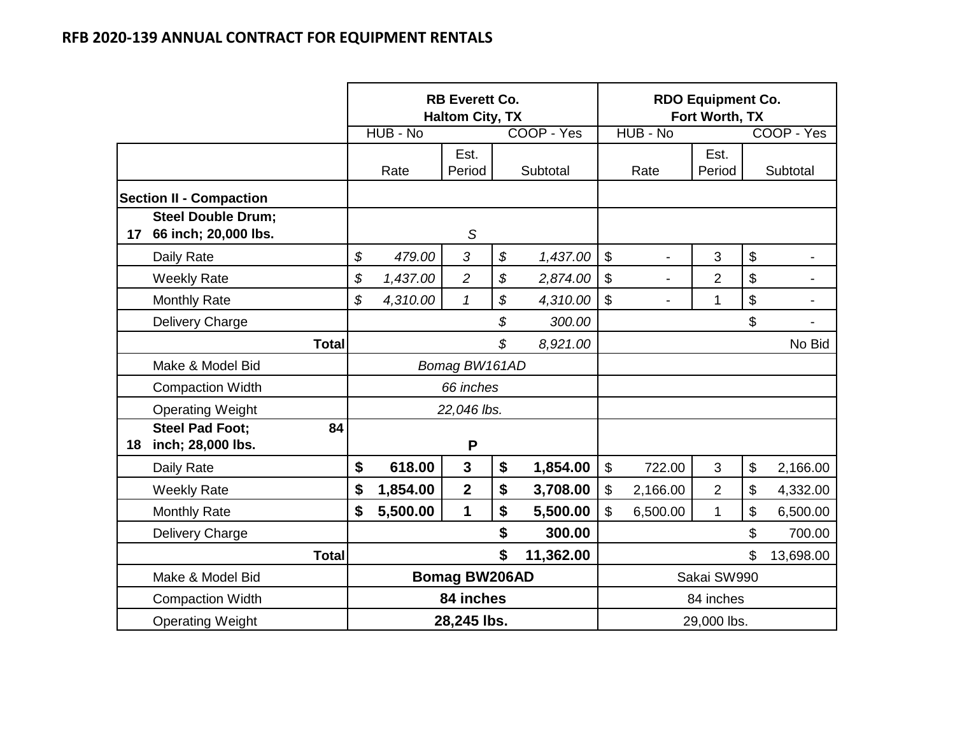|    |                                                      |              |                      | <b>RB Everett Co.</b><br><b>Haltom City, TX</b> |    |            | <b>RDO Equipment Co.</b><br>Fort Worth, TX |                |                |    |                |
|----|------------------------------------------------------|--------------|----------------------|-------------------------------------------------|----|------------|--------------------------------------------|----------------|----------------|----|----------------|
|    |                                                      |              | HUB - No             |                                                 |    | COOP - Yes |                                            | HUB - No       |                |    | COOP - Yes     |
|    |                                                      |              | Rate                 | Est.<br>Period                                  |    | Subtotal   |                                            | Rate           | Est.<br>Period |    | Subtotal       |
|    | <b>Section II - Compaction</b>                       |              |                      |                                                 |    |            |                                            |                |                |    |                |
|    | <b>Steel Double Drum;</b><br>17 66 inch; 20,000 lbs. |              |                      | $\mathcal{S}$                                   |    |            |                                            |                |                |    |                |
|    | Daily Rate                                           | \$           | 479.00               | 3                                               | \$ | 1,437.00   | $\boldsymbol{\mathsf{S}}$                  | $\overline{a}$ | 3              | \$ |                |
|    | <b>Weekly Rate</b>                                   | \$           | 1,437.00             | $\overline{c}$                                  | \$ | 2,874.00   | $\boldsymbol{\mathsf{S}}$                  | $\blacksquare$ | $\overline{2}$ | \$ | $\blacksquare$ |
|    | <b>Monthly Rate</b>                                  | \$           | 4,310.00             | $\mathcal I$                                    | \$ | 4,310.00   | $\mathsf{\$}$                              | $\overline{a}$ | $\mathbf{1}$   | \$ |                |
|    | Delivery Charge                                      |              |                      |                                                 | \$ | 300.00     |                                            |                |                | \$ |                |
|    |                                                      | <b>Total</b> |                      |                                                 | \$ | 8,921.00   |                                            |                |                |    | No Bid         |
|    | Make & Model Bid                                     |              |                      | Bomag BW161AD                                   |    |            |                                            |                |                |    |                |
|    | <b>Compaction Width</b>                              |              |                      | 66 inches                                       |    |            |                                            |                |                |    |                |
|    | <b>Operating Weight</b>                              |              |                      | 22,046 lbs.                                     |    |            |                                            |                |                |    |                |
| 18 | <b>Steel Pad Foot:</b><br>inch; 28,000 lbs.          | 84           |                      | P                                               |    |            |                                            |                |                |    |                |
|    | Daily Rate                                           | \$           | 618.00               | $\mathbf{3}$                                    | \$ | 1,854.00   | $\boldsymbol{\mathsf{S}}$                  | 722.00         | 3              | \$ | 2,166.00       |
|    | <b>Weekly Rate</b>                                   | \$           | 1,854.00             | $\overline{2}$                                  | \$ | 3,708.00   | $\boldsymbol{\mathsf{S}}$                  | 2,166.00       | $\overline{2}$ | \$ | 4,332.00       |
|    | <b>Monthly Rate</b>                                  | \$           | 5,500.00             | $\mathbf 1$                                     | \$ | 5,500.00   | \$                                         | 6,500.00       | $\mathbf{1}$   | \$ | 6,500.00       |
|    | Delivery Charge                                      |              |                      |                                                 | \$ | 300.00     |                                            |                |                | \$ | 700.00         |
|    |                                                      | <b>Total</b> |                      |                                                 | \$ | 11,362.00  |                                            |                |                | \$ | 13,698.00      |
|    | Make & Model Bid                                     |              | <b>Bomag BW206AD</b> |                                                 |    |            | Sakai SW990                                |                |                |    |                |
|    | <b>Compaction Width</b>                              |              | 84 inches            |                                                 |    |            | 84 inches                                  |                |                |    |                |
|    | <b>Operating Weight</b>                              |              |                      | 28,245 lbs.                                     |    |            | 29,000 lbs.                                |                |                |    |                |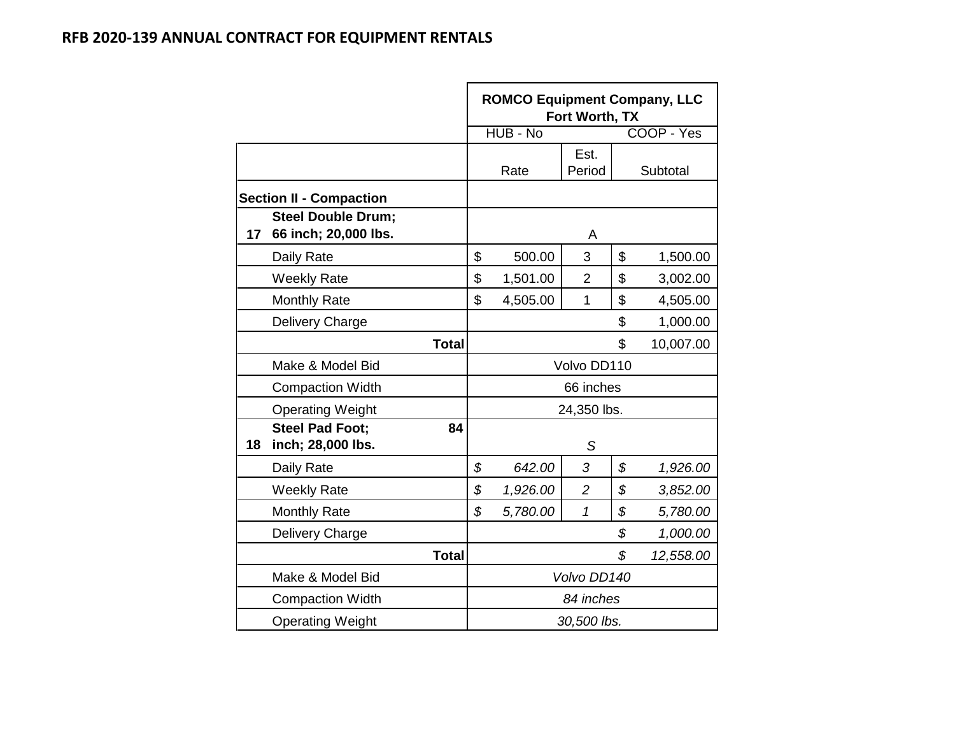|    |                                                   |              | <b>ROMCO Equipment Company, LLC</b><br>Fort Worth, TX |          |                |                 |            |  |  |  |
|----|---------------------------------------------------|--------------|-------------------------------------------------------|----------|----------------|-----------------|------------|--|--|--|
|    |                                                   |              |                                                       | HUB - No |                |                 | COOP - Yes |  |  |  |
|    |                                                   |              |                                                       | Rate     | Est.<br>Period |                 | Subtotal   |  |  |  |
|    | <b>Section II - Compaction</b>                    |              |                                                       |          |                |                 |            |  |  |  |
| 17 | <b>Steel Double Drum;</b><br>66 inch; 20,000 lbs. |              |                                                       |          | A              |                 |            |  |  |  |
|    | Daily Rate                                        |              | \$                                                    | 500.00   | 3              | \$              | 1,500.00   |  |  |  |
|    | <b>Weekly Rate</b>                                |              | \$                                                    | 1,501.00 | $\overline{2}$ | \$              | 3,002.00   |  |  |  |
|    | <b>Monthly Rate</b>                               |              | \$                                                    | 4,505.00 | $\mathbf{1}$   | \$              | 4,505.00   |  |  |  |
|    | Delivery Charge                                   |              |                                                       |          |                | \$              | 1,000.00   |  |  |  |
|    |                                                   | <b>Total</b> |                                                       |          |                | \$              | 10,007.00  |  |  |  |
|    | Make & Model Bid                                  |              |                                                       |          | Volvo DD110    |                 |            |  |  |  |
|    | <b>Compaction Width</b>                           |              |                                                       |          | 66 inches      |                 |            |  |  |  |
|    | <b>Operating Weight</b>                           |              |                                                       |          | 24,350 lbs.    |                 |            |  |  |  |
| 18 | <b>Steel Pad Foot;</b><br>inch; 28,000 lbs.       | 84           |                                                       |          | S              |                 |            |  |  |  |
|    | Daily Rate                                        |              | \$                                                    | 642.00   | 3              | \$              | 1,926.00   |  |  |  |
|    | <b>Weekly Rate</b>                                |              | \$                                                    | 1,926.00 | $\overline{2}$ | \$              | 3,852.00   |  |  |  |
|    | <b>Monthly Rate</b>                               |              | \$                                                    | 5,780.00 | $\overline{1}$ | \$              | 5,780.00   |  |  |  |
|    | Delivery Charge                                   |              |                                                       |          |                | \$              | 1,000.00   |  |  |  |
|    |                                                   | <b>Total</b> |                                                       |          |                | \$<br>12,558.00 |            |  |  |  |
|    | Make & Model Bid                                  |              |                                                       |          | Volvo DD140    |                 |            |  |  |  |
|    | <b>Compaction Width</b>                           |              |                                                       |          | 84 inches      |                 |            |  |  |  |
|    | <b>Operating Weight</b>                           |              |                                                       |          | 30,500 lbs.    |                 |            |  |  |  |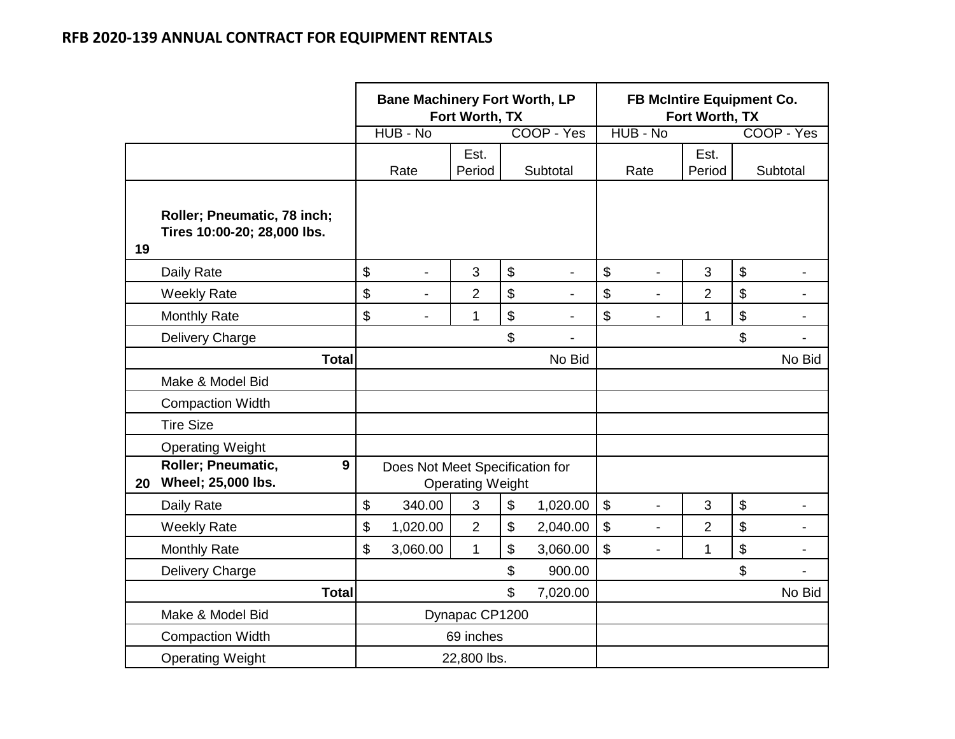|    |                                                            | <b>Bane Machinery Fort Worth, LP</b><br>Fort Worth, TX |                                 |                         |    |                          |                           | FB McIntire Equipment Co.<br>Fort Worth, TX |                |                           |                          |  |
|----|------------------------------------------------------------|--------------------------------------------------------|---------------------------------|-------------------------|----|--------------------------|---------------------------|---------------------------------------------|----------------|---------------------------|--------------------------|--|
|    |                                                            |                                                        | HUB - No                        |                         |    | COOP - Yes               |                           | HUB - No                                    |                |                           | COOP - Yes               |  |
|    |                                                            |                                                        | Rate                            | Est.<br>Period          |    | Subtotal                 |                           | Rate                                        | Est.<br>Period |                           | Subtotal                 |  |
| 19 | Roller; Pneumatic, 78 inch;<br>Tires 10:00-20; 28,000 lbs. |                                                        |                                 |                         |    |                          |                           |                                             |                |                           |                          |  |
|    | Daily Rate                                                 | \$                                                     |                                 | 3                       | \$ |                          | $\boldsymbol{\mathsf{S}}$ | L,                                          | 3              | \$                        |                          |  |
|    | <b>Weekly Rate</b>                                         | \$                                                     | $\blacksquare$                  | $\overline{2}$          | \$ |                          | \$                        | $\blacksquare$                              | $\overline{2}$ | \$                        |                          |  |
|    | <b>Monthly Rate</b>                                        | \$                                                     | $\blacksquare$                  | 1                       | \$ |                          | \$                        |                                             | $\mathbf{1}$   | \$                        |                          |  |
|    | Delivery Charge                                            |                                                        |                                 |                         | \$ | $\overline{\phantom{a}}$ |                           |                                             |                | \$                        |                          |  |
|    | <b>Total</b>                                               |                                                        |                                 |                         |    | No Bid                   |                           |                                             |                |                           | No Bid                   |  |
|    | Make & Model Bid                                           |                                                        |                                 |                         |    |                          |                           |                                             |                |                           |                          |  |
|    | <b>Compaction Width</b>                                    |                                                        |                                 |                         |    |                          |                           |                                             |                |                           |                          |  |
|    | <b>Tire Size</b>                                           |                                                        |                                 |                         |    |                          |                           |                                             |                |                           |                          |  |
|    | <b>Operating Weight</b>                                    |                                                        |                                 |                         |    |                          |                           |                                             |                |                           |                          |  |
| 20 | Roller; Pneumatic,<br>9<br>Wheel; 25,000 lbs.              |                                                        | Does Not Meet Specification for | <b>Operating Weight</b> |    |                          |                           |                                             |                |                           |                          |  |
|    | Daily Rate                                                 | \$                                                     | 340.00                          | 3                       | \$ | 1,020.00                 | $\boldsymbol{\mathsf{S}}$ | $\overline{a}$                              | 3              | $\boldsymbol{\mathsf{S}}$ | $\blacksquare$           |  |
|    | <b>Weekly Rate</b>                                         | \$                                                     | 1,020.00                        | $\overline{2}$          | \$ | 2,040.00                 | $\boldsymbol{\$}$         | $\overline{\phantom{0}}$                    | $\overline{2}$ | \$                        | $\overline{\phantom{a}}$ |  |
|    | <b>Monthly Rate</b>                                        | \$                                                     | 3,060.00                        | $\mathbf{1}$            | \$ | 3,060.00                 | $\boldsymbol{\mathsf{S}}$ | $\blacksquare$                              | $\mathbf{1}$   | \$                        | $\blacksquare$           |  |
|    | Delivery Charge                                            |                                                        |                                 |                         | \$ | 900.00                   |                           |                                             |                | \$                        | $\blacksquare$           |  |
|    | <b>Total</b>                                               | \$<br>7,020.00                                         |                                 |                         |    |                          |                           |                                             |                |                           | No Bid                   |  |
|    | Make & Model Bid                                           | Dynapac CP1200                                         |                                 |                         |    |                          |                           |                                             |                |                           |                          |  |
|    | <b>Compaction Width</b>                                    | 69 inches                                              |                                 |                         |    |                          |                           |                                             |                |                           |                          |  |
|    | <b>Operating Weight</b>                                    | 22,800 lbs.                                            |                                 |                         |    |                          |                           |                                             |                |                           |                          |  |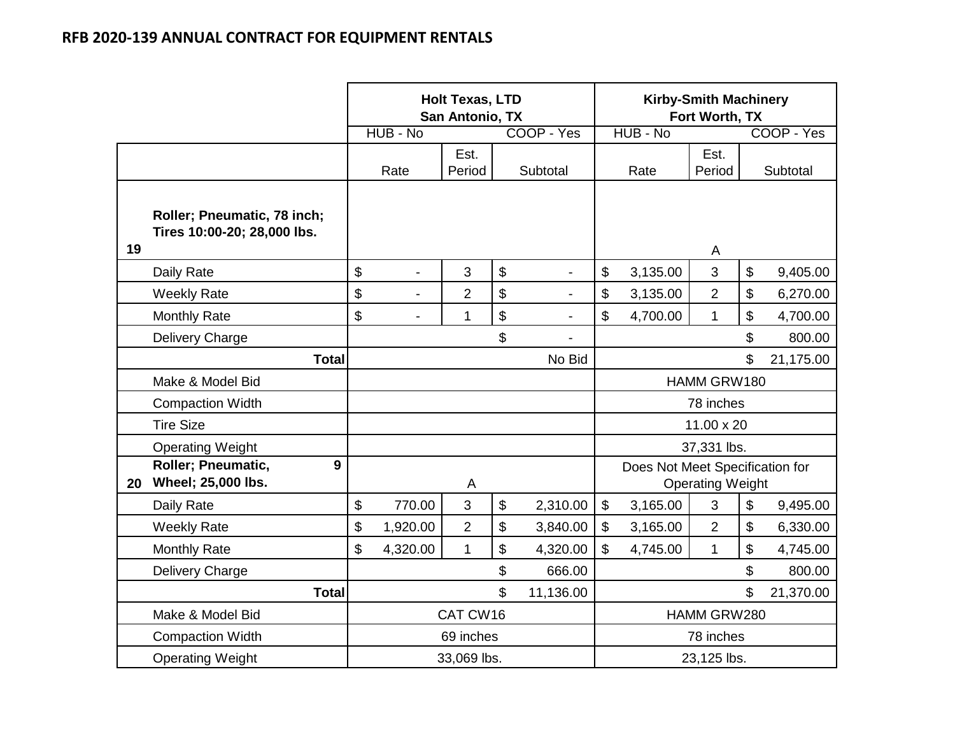|    |                                                            |                            |                | <b>Holt Texas, LTD</b><br>San Antonio, TX |                       |                          |              |                                 | <b>Kirby-Smith Machinery</b><br>Fort Worth, TX |           |            |
|----|------------------------------------------------------------|----------------------------|----------------|-------------------------------------------|-----------------------|--------------------------|--------------|---------------------------------|------------------------------------------------|-----------|------------|
|    |                                                            |                            | HUB - No       |                                           |                       | COOP - Yes               |              | HUB - No                        |                                                |           | COOP - Yes |
|    |                                                            |                            | Rate           | Est.<br>Period                            |                       | Subtotal                 |              | Rate                            | Est.<br>Period                                 |           | Subtotal   |
| 19 | Roller; Pneumatic, 78 inch;<br>Tires 10:00-20; 28,000 lbs. |                            |                |                                           |                       |                          |              |                                 | A                                              |           |            |
|    | Daily Rate                                                 | \$                         | $\overline{a}$ | 3                                         | \$                    | $\blacksquare$           | \$           | 3,135.00                        | 3                                              | \$        | 9,405.00   |
|    | <b>Weekly Rate</b>                                         | \$                         |                | $\overline{2}$                            | \$                    |                          | \$           | 3,135.00                        | $\overline{2}$                                 | \$        | 6,270.00   |
|    | <b>Monthly Rate</b>                                        | \$                         | $\overline{a}$ | 1                                         | \$                    | $\blacksquare$           | \$           | 4,700.00                        | $\mathbf{1}$                                   | \$        | 4,700.00   |
|    | Delivery Charge                                            |                            |                |                                           | \$                    | $\overline{\phantom{a}}$ |              |                                 |                                                | \$        | 800.00     |
|    | <b>Total</b>                                               |                            |                |                                           |                       | No Bid                   |              |                                 |                                                | \$        | 21,175.00  |
|    | Make & Model Bid                                           |                            |                |                                           |                       |                          | HAMM GRW180  |                                 |                                                |           |            |
|    | <b>Compaction Width</b>                                    |                            |                |                                           |                       |                          |              |                                 | 78 inches                                      |           |            |
|    | <b>Tire Size</b>                                           |                            |                |                                           |                       |                          |              |                                 | 11.00 x 20                                     |           |            |
|    | <b>Operating Weight</b>                                    |                            |                |                                           |                       |                          |              |                                 | 37,331 lbs.                                    |           |            |
| 20 | <b>Roller: Pneumatic,</b><br>9<br>Wheel; 25,000 lbs.       |                            |                | A                                         |                       |                          |              | Does Not Meet Specification for | <b>Operating Weight</b>                        |           |            |
|    | Daily Rate                                                 | \$                         | 770.00         | 3                                         | \$                    | 2,310.00                 | \$           | 3,165.00                        | 3                                              | \$        | 9,495.00   |
|    | <b>Weekly Rate</b>                                         | \$                         | 1,920.00       | $\overline{2}$                            | \$                    | 3,840.00                 | $\mathbb{S}$ | 3,165.00                        | $\overline{2}$                                 | \$        | 6,330.00   |
|    | <b>Monthly Rate</b>                                        | \$                         | 4,320.00       | $\mathbf{1}$                              | \$                    | 4,320.00                 | \$           | 4,745.00                        | $\mathbf{1}$                                   | \$        | 4,745.00   |
|    | Delivery Charge                                            |                            |                |                                           | \$                    | 666.00                   | \$<br>800.00 |                                 |                                                |           |            |
|    | <b>Total</b>                                               |                            |                |                                           | \$<br>11,136.00<br>\$ |                          |              |                                 |                                                | 21,370.00 |            |
|    | Make & Model Bid                                           |                            |                | CAT CW16                                  |                       |                          |              |                                 | HAMM GRW280                                    |           |            |
|    | <b>Compaction Width</b>                                    |                            |                | 69 inches                                 |                       |                          |              |                                 | 78 inches                                      |           |            |
|    | <b>Operating Weight</b>                                    | 33,069 lbs.<br>23,125 lbs. |                |                                           |                       |                          |              |                                 |                                                |           |            |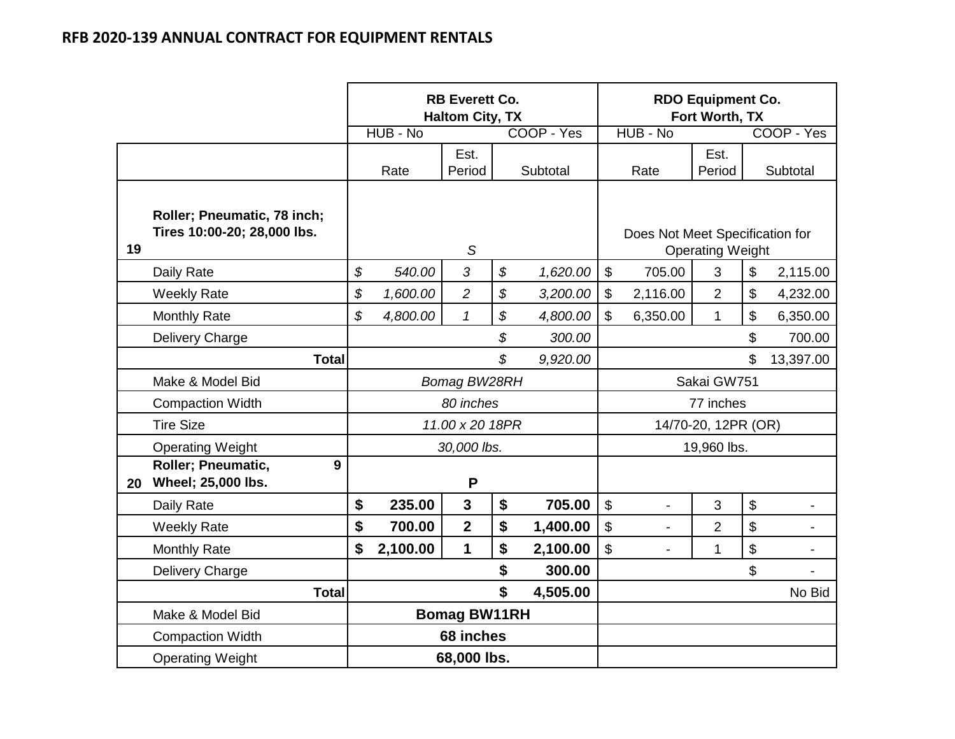|    |                                                            |              |          | <b>RB Everett Co.</b><br><b>Haltom City, TX</b> |                            |            | <b>RDO Equipment Co.</b><br>Fort Worth, TX |                         |                            |            |
|----|------------------------------------------------------------|--------------|----------|-------------------------------------------------|----------------------------|------------|--------------------------------------------|-------------------------|----------------------------|------------|
|    |                                                            |              | HUB - No |                                                 |                            | COOP - Yes | HUB - No                                   |                         |                            | COOP - Yes |
|    |                                                            |              | Rate     | Est.<br>Period                                  |                            | Subtotal   | Rate                                       | Est.<br>Period          |                            | Subtotal   |
| 19 | Roller; Pneumatic, 78 inch;<br>Tires 10:00-20; 28,000 lbs. |              |          | S                                               |                            |            | Does Not Meet Specification for            | <b>Operating Weight</b> |                            |            |
|    | Daily Rate                                                 | \$           | 540.00   | 3                                               | $\boldsymbol{\mathcal{S}}$ | 1,620.00   | $\sqrt[6]{\frac{1}{2}}$<br>705.00          | 3                       | \$                         | 2,115.00   |
|    | <b>Weekly Rate</b>                                         | \$           | 1,600.00 | $\overline{2}$                                  | \$                         | 3,200.00   | \$<br>2,116.00                             | $\overline{2}$          | $\boldsymbol{\theta}$      | 4,232.00   |
|    | <b>Monthly Rate</b>                                        | \$           | 4,800.00 | $\mathbf{1}$                                    | \$                         | 4,800.00   | \$<br>6,350.00                             | $\mathbf{1}$            | \$                         | 6,350.00   |
|    | Delivery Charge                                            |              |          |                                                 | \$                         | 300.00     |                                            |                         | \$                         | 700.00     |
|    | <b>Total</b>                                               |              |          |                                                 | \$                         | 9,920.00   |                                            |                         | \$                         | 13,397.00  |
|    | Make & Model Bid                                           |              |          | Bomag BW28RH                                    |                            |            |                                            | Sakai GW751             |                            |            |
|    | <b>Compaction Width</b>                                    |              |          | 80 inches                                       |                            |            | 77 inches                                  |                         |                            |            |
|    | <b>Tire Size</b>                                           |              |          | 11.00 x 20 18PR                                 |                            |            |                                            | 14/70-20, 12PR (OR)     |                            |            |
|    | <b>Operating Weight</b>                                    |              |          | 30,000 lbs.                                     |                            |            |                                            | 19,960 lbs.             |                            |            |
| 20 | $\overline{9}$<br>Roller; Pneumatic,<br>Wheel; 25,000 lbs. |              |          | P                                               |                            |            |                                            |                         |                            |            |
|    | Daily Rate                                                 | \$           | 235.00   | $\overline{3}$                                  | \$                         | 705.00     | $\boldsymbol{\mathsf{\$}}$                 | 3                       | $\boldsymbol{\$}$          |            |
|    | <b>Weekly Rate</b>                                         | \$           | 700.00   | $\overline{2}$                                  | \$                         | 1,400.00   | \$<br>$\blacksquare$                       | $\overline{2}$          | $\boldsymbol{\mathsf{S}}$  | -          |
|    | <b>Monthly Rate</b>                                        | \$           | 2,100.00 | 1                                               | \$                         | 2,100.00   | \$                                         | 1                       | $\boldsymbol{\mathsf{\$}}$ |            |
|    | Delivery Charge                                            | \$<br>300.00 |          |                                                 |                            |            |                                            |                         | \$                         |            |
|    | <b>Total</b>                                               |              |          |                                                 | \$                         | 4,505.00   |                                            |                         |                            | No Bid     |
|    | Make & Model Bid                                           |              |          | <b>Bomag BW11RH</b>                             |                            |            |                                            |                         |                            |            |
|    | <b>Compaction Width</b>                                    |              |          | 68 inches                                       |                            |            |                                            |                         |                            |            |
|    | <b>Operating Weight</b>                                    |              |          | 68,000 lbs.                                     |                            |            |                                            |                         |                            |            |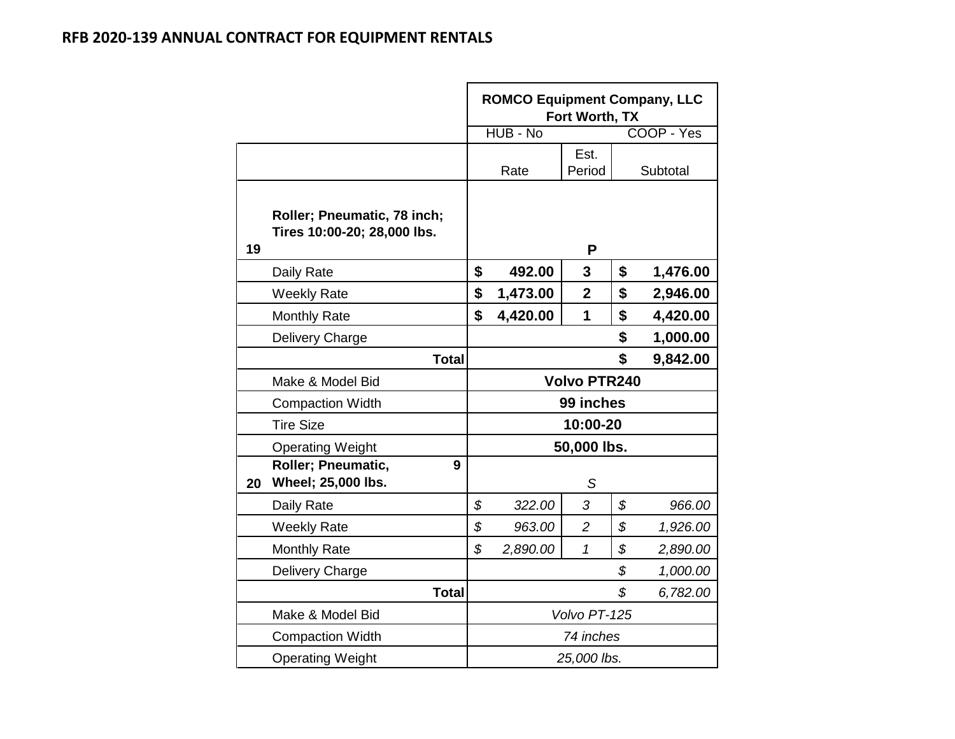|    |                                                            | <b>ROMCO Equipment Company, LLC</b><br>Fort Worth, TX |          |                     |    |            |  |  |  |
|----|------------------------------------------------------------|-------------------------------------------------------|----------|---------------------|----|------------|--|--|--|
|    |                                                            |                                                       | HUB - No |                     |    | COOP - Yes |  |  |  |
|    |                                                            |                                                       | Rate     | Est.<br>Period      |    | Subtotal   |  |  |  |
| 19 | Roller; Pneumatic, 78 inch;<br>Tires 10:00-20; 28,000 lbs. |                                                       |          | P                   |    |            |  |  |  |
|    | Daily Rate                                                 | \$                                                    | 492.00   | 3                   | \$ | 1,476.00   |  |  |  |
|    | <b>Weekly Rate</b>                                         | \$                                                    | 1,473.00 | $\mathbf 2$         | \$ | 2,946.00   |  |  |  |
|    | <b>Monthly Rate</b>                                        | \$                                                    | 4,420.00 | 1                   | \$ | 4,420.00   |  |  |  |
|    | Delivery Charge                                            |                                                       |          |                     | \$ | 1,000.00   |  |  |  |
|    | <b>Total</b>                                               | \$<br>9,842.00                                        |          |                     |    |            |  |  |  |
|    | Make & Model Bid                                           |                                                       |          | <b>Volvo PTR240</b> |    |            |  |  |  |
|    | <b>Compaction Width</b>                                    |                                                       |          | 99 inches           |    |            |  |  |  |
|    | <b>Tire Size</b>                                           |                                                       |          | 10:00-20            |    |            |  |  |  |
|    | <b>Operating Weight</b>                                    |                                                       |          | 50,000 lbs.         |    |            |  |  |  |
| 20 | <b>Roller</b> ; Pneumatic,<br>9<br>Wheel; 25,000 lbs.      |                                                       |          | S                   |    |            |  |  |  |
|    | Daily Rate                                                 | \$                                                    | 322.00   | 3                   | \$ | 966.00     |  |  |  |
|    | <b>Weekly Rate</b>                                         | \$                                                    | 963.00   | $\overline{c}$      | \$ | 1,926.00   |  |  |  |
|    | <b>Monthly Rate</b>                                        | \$                                                    | 2,890.00 | 1                   | \$ | 2,890.00   |  |  |  |
|    | Delivery Charge                                            | \$<br>1,000.00                                        |          |                     |    |            |  |  |  |
|    | <b>Total</b>                                               |                                                       |          |                     | \$ | 6,782.00   |  |  |  |
|    | Make & Model Bid                                           |                                                       |          | Volvo PT-125        |    |            |  |  |  |
|    | <b>Compaction Width</b>                                    |                                                       |          | 74 inches           |    |            |  |  |  |
|    | <b>Operating Weight</b>                                    |                                                       |          | 25,000 lbs.         |    |            |  |  |  |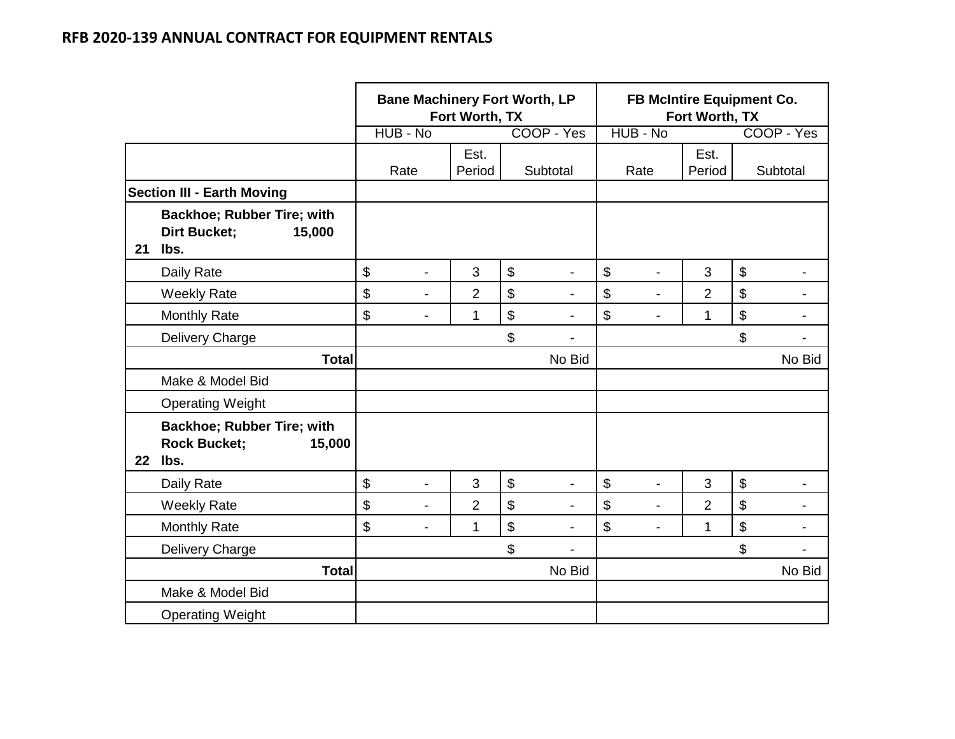|         |                                                                            |                                | Fort Worth, TX | <b>Bane Machinery Fort Worth, LP</b>              | FB McIntire Equipment Co.<br>Fort Worth, TX           |                |                                                       |  |  |  |
|---------|----------------------------------------------------------------------------|--------------------------------|----------------|---------------------------------------------------|-------------------------------------------------------|----------------|-------------------------------------------------------|--|--|--|
|         |                                                                            | HUB - No                       |                | COOP - Yes                                        | HUB - No                                              |                | COOP - Yes                                            |  |  |  |
|         |                                                                            | Rate                           | Est.<br>Period | Subtotal                                          | Rate                                                  | Est.<br>Period | Subtotal                                              |  |  |  |
|         | <b>Section III - Earth Moving</b>                                          |                                |                |                                                   |                                                       |                |                                                       |  |  |  |
| 21      | <b>Backhoe; Rubber Tire; with</b><br><b>Dirt Bucket;</b><br>15,000<br>lbs. |                                |                |                                                   |                                                       |                |                                                       |  |  |  |
|         | Daily Rate                                                                 | \$<br>$\overline{\phantom{a}}$ | 3              | $\boldsymbol{\theta}$<br>$\overline{\phantom{a}}$ | \$<br>$\overline{\phantom{a}}$                        | 3              | $\boldsymbol{\mathsf{S}}$<br>$\overline{\phantom{a}}$ |  |  |  |
|         | <b>Weekly Rate</b>                                                         | \$<br>$\overline{\phantom{a}}$ | $\overline{2}$ | \$                                                | \$<br>$\overline{\phantom{a}}$                        | 2              | \$<br>$\blacksquare$                                  |  |  |  |
|         | <b>Monthly Rate</b>                                                        | \$<br>$\overline{\phantom{a}}$ | $\mathbf 1$    | $\boldsymbol{\theta}$<br>$\overline{\phantom{0}}$ | $\boldsymbol{\mathsf{S}}$<br>$\overline{\phantom{a}}$ | 1              | $\boldsymbol{\mathsf{S}}$<br>$\overline{a}$           |  |  |  |
|         | Delivery Charge                                                            |                                |                | \$<br>$\blacksquare$                              |                                                       |                | \$<br>$\overline{a}$                                  |  |  |  |
|         | <b>Total</b>                                                               |                                |                | No Bid                                            |                                                       |                | No Bid                                                |  |  |  |
|         | Make & Model Bid                                                           |                                |                |                                                   |                                                       |                |                                                       |  |  |  |
|         | <b>Operating Weight</b>                                                    |                                |                |                                                   |                                                       |                |                                                       |  |  |  |
| $22 \,$ | <b>Backhoe; Rubber Tire; with</b><br><b>Rock Bucket;</b><br>15,000<br>lbs. |                                |                |                                                   |                                                       |                |                                                       |  |  |  |
|         | Daily Rate                                                                 | \$<br>$\overline{\phantom{a}}$ | 3              | \$<br>$\blacksquare$                              | $\boldsymbol{\mathsf{S}}$<br>$\blacksquare$           | 3              | $\boldsymbol{\mathsf{S}}$<br>$\blacksquare$           |  |  |  |
|         | <b>Weekly Rate</b>                                                         | \$<br>$\overline{\phantom{a}}$ | $\overline{2}$ | \$<br>$\blacksquare$                              | $\boldsymbol{\mathsf{S}}$<br>$\overline{\phantom{a}}$ | $\overline{2}$ | \$<br>$\blacksquare$                                  |  |  |  |
|         | <b>Monthly Rate</b>                                                        | \$<br>$\overline{\phantom{a}}$ | 1              | \$<br>$\blacksquare$                              | \$<br>$\blacksquare$                                  | $\mathbf{1}$   | $\boldsymbol{\mathsf{S}}$<br>$\overline{a}$           |  |  |  |
|         | Delivery Charge                                                            |                                |                | \$<br>$\blacksquare$                              |                                                       |                | \$<br>$\blacksquare$                                  |  |  |  |
|         | <b>Total</b>                                                               |                                |                | No Bid                                            |                                                       |                | No Bid                                                |  |  |  |
|         | Make & Model Bid                                                           |                                |                |                                                   |                                                       |                |                                                       |  |  |  |
|         | <b>Operating Weight</b>                                                    |                                |                |                                                   |                                                       |                |                                                       |  |  |  |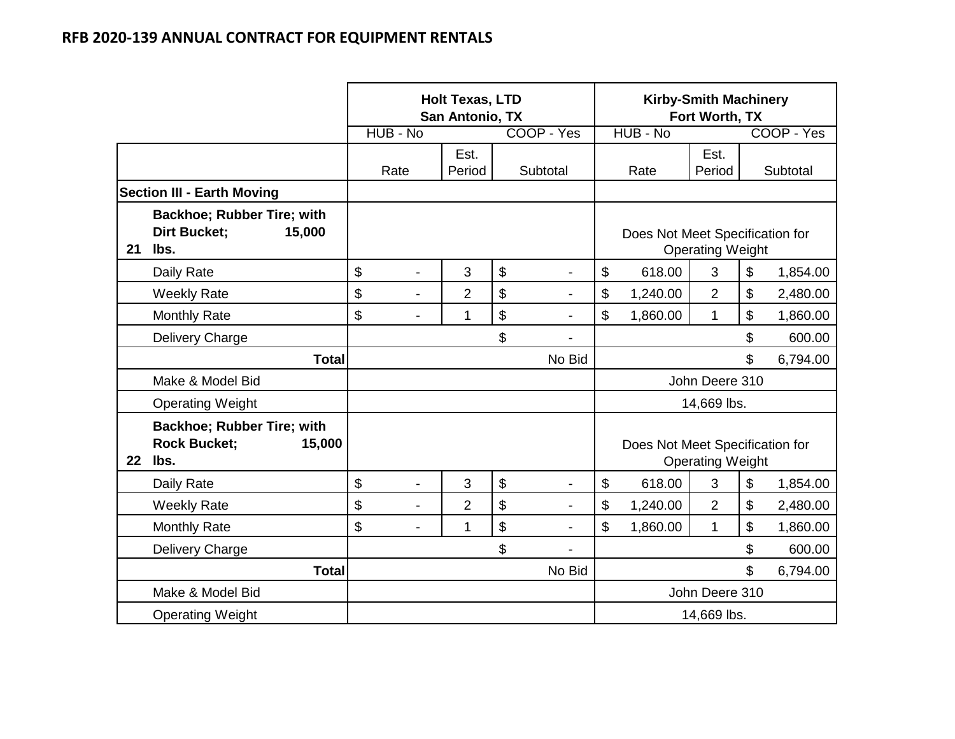|         |                                                                            |                                | <b>Holt Texas, LTD</b><br>San Antonio, TX |                      | <b>Kirby-Smith Machinery</b><br>Fort Worth, TX             |                                 |                         |          |            |
|---------|----------------------------------------------------------------------------|--------------------------------|-------------------------------------------|----------------------|------------------------------------------------------------|---------------------------------|-------------------------|----------|------------|
|         |                                                                            | HUB - No                       |                                           | COOP - Yes           |                                                            | HUB - No                        |                         |          | COOP - Yes |
|         |                                                                            | Rate                           | Est.<br>Period                            | Subtotal             |                                                            | Rate                            | Est.<br>Period          |          | Subtotal   |
|         | <b>Section III - Earth Moving</b>                                          |                                |                                           |                      |                                                            |                                 |                         |          |            |
| 21      | <b>Backhoe; Rubber Tire; with</b><br><b>Dirt Bucket;</b><br>15,000<br>lbs. |                                |                                           |                      | Does Not Meet Specification for<br><b>Operating Weight</b> |                                 |                         |          |            |
|         | Daily Rate                                                                 | \$<br>$\overline{\phantom{0}}$ | 3                                         | \$<br>$\blacksquare$ | \$                                                         | 618.00                          | 3                       | \$       | 1,854.00   |
|         | <b>Weekly Rate</b>                                                         | \$<br>-                        | $\overline{2}$                            | \$                   | \$                                                         | 1,240.00                        | $\overline{2}$          | \$       | 2,480.00   |
|         | <b>Monthly Rate</b>                                                        | \$<br>$\overline{\phantom{0}}$ | 1                                         | \$<br>$\blacksquare$ | \$                                                         | 1,860.00                        | \$                      | 1,860.00 |            |
|         | Delivery Charge                                                            |                                |                                           | \$                   |                                                            |                                 | \$                      | 600.00   |            |
|         | <b>Total</b>                                                               |                                |                                           | No Bid               | \$                                                         |                                 |                         |          | 6,794.00   |
|         | Make & Model Bid                                                           |                                |                                           |                      |                                                            |                                 | John Deere 310          |          |            |
|         | <b>Operating Weight</b>                                                    |                                |                                           |                      |                                                            |                                 | 14,669 lbs.             |          |            |
| $22 \,$ | <b>Backhoe; Rubber Tire; with</b><br><b>Rock Bucket;</b><br>15,000<br>lbs. |                                |                                           |                      |                                                            | Does Not Meet Specification for | <b>Operating Weight</b> |          |            |
|         | Daily Rate                                                                 | \$<br>$\blacksquare$           | 3                                         | \$<br>$\blacksquare$ | \$                                                         | 618.00                          | 3                       | \$       | 1,854.00   |
|         | <b>Weekly Rate</b>                                                         | \$<br>$\overline{a}$           | $\overline{2}$                            | \$<br>$\blacksquare$ | \$                                                         | 1,240.00                        | $\overline{2}$          | \$       | 2,480.00   |
|         | <b>Monthly Rate</b>                                                        | \$                             | 1                                         | \$<br>$\blacksquare$ | \$                                                         | 1,860.00                        | $\mathbf{1}$            | \$       | 1,860.00   |
|         | Delivery Charge                                                            |                                |                                           | \$<br>$\blacksquare$ | \$                                                         |                                 |                         |          | 600.00     |
|         | <b>Total</b>                                                               |                                |                                           | No Bid               | \$                                                         |                                 |                         |          | 6,794.00   |
|         | Make & Model Bid                                                           |                                |                                           |                      |                                                            |                                 | John Deere 310          |          |            |
|         | <b>Operating Weight</b>                                                    |                                |                                           |                      | 14,669 lbs.                                                |                                 |                         |          |            |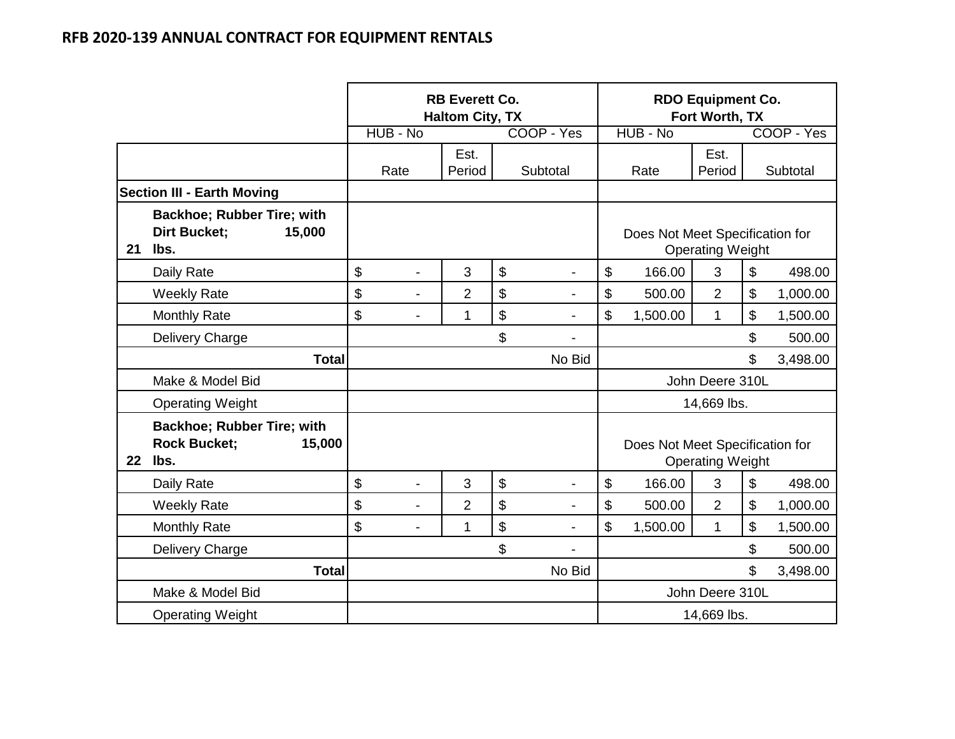|         |                                                                     | <b>RB Everett Co.</b><br><b>Haltom City, TX</b> |                |    |                          |                 | <b>RDO Equipment Co.</b><br>Fort Worth, TX |                         |                  |            |
|---------|---------------------------------------------------------------------|-------------------------------------------------|----------------|----|--------------------------|-----------------|--------------------------------------------|-------------------------|------------------|------------|
|         |                                                                     | HUB - No                                        |                |    | COOP - Yes               |                 | HUB - No                                   |                         |                  | COOP - Yes |
|         |                                                                     | Rate                                            | Est.<br>Period |    | Subtotal                 |                 | Rate                                       | Est.<br>Period          |                  | Subtotal   |
|         | <b>Section III - Earth Moving</b>                                   |                                                 |                |    |                          |                 |                                            |                         |                  |            |
| 21      | Backhoe; Rubber Tire; with<br><b>Dirt Bucket;</b><br>15,000<br>lbs. |                                                 |                |    |                          |                 | Does Not Meet Specification for            | <b>Operating Weight</b> |                  |            |
|         | Daily Rate                                                          | \$<br>$\overline{\phantom{0}}$                  | 3              | \$ | $\overline{\phantom{a}}$ | \$              | 166.00                                     | 3                       | \$               | 498.00     |
|         | <b>Weekly Rate</b>                                                  | \$<br>$\overline{\phantom{0}}$                  | $\overline{2}$ | \$ | $\blacksquare$           | \$              | 500.00                                     | $\overline{2}$          | \$               | 1,000.00   |
|         | <b>Monthly Rate</b>                                                 | \$<br>$\overline{a}$                            | 1              | \$ | $\blacksquare$           | \$              | 1,500.00                                   | \$                      | 1,500.00         |            |
|         | Delivery Charge                                                     |                                                 |                | \$ |                          | \$              |                                            |                         |                  | 500.00     |
|         | <b>Total</b>                                                        |                                                 |                |    | No Bid                   |                 |                                            |                         | \$               | 3,498.00   |
|         | Make & Model Bid                                                    |                                                 |                |    |                          |                 |                                            | John Deere 310L         |                  |            |
|         | <b>Operating Weight</b>                                             |                                                 |                |    |                          |                 |                                            | 14,669 lbs.             |                  |            |
| $22 \,$ | Backhoe; Rubber Tire; with<br><b>Rock Bucket:</b><br>15,000<br>lbs. |                                                 |                |    |                          |                 | Does Not Meet Specification for            | <b>Operating Weight</b> |                  |            |
|         | Daily Rate                                                          | \$<br>$\blacksquare$                            | 3              | \$ | $\blacksquare$           | \$              | 166.00                                     | 3                       | $$\mathfrak{s}$$ | 498.00     |
|         | <b>Weekly Rate</b>                                                  | \$<br>$\overline{\phantom{0}}$                  | 2              | \$ | $\overline{\phantom{a}}$ | \$              | 500.00                                     | $\overline{2}$          | \$               | 1,000.00   |
|         | <b>Monthly Rate</b>                                                 | \$<br>$\blacksquare$                            | 1              | \$ | $\overline{\phantom{0}}$ | \$              | 1,500.00                                   | 1                       | \$               | 1,500.00   |
|         | Delivery Charge                                                     |                                                 |                | \$ | $\blacksquare$           | \$              |                                            |                         |                  | 500.00     |
|         | <b>Total</b>                                                        |                                                 |                |    | No Bid                   | \$              |                                            |                         |                  | 3,498.00   |
|         | Make & Model Bid                                                    |                                                 |                |    |                          | John Deere 310L |                                            |                         |                  |            |
|         | <b>Operating Weight</b>                                             |                                                 |                |    |                          | 14,669 lbs.     |                                            |                         |                  |            |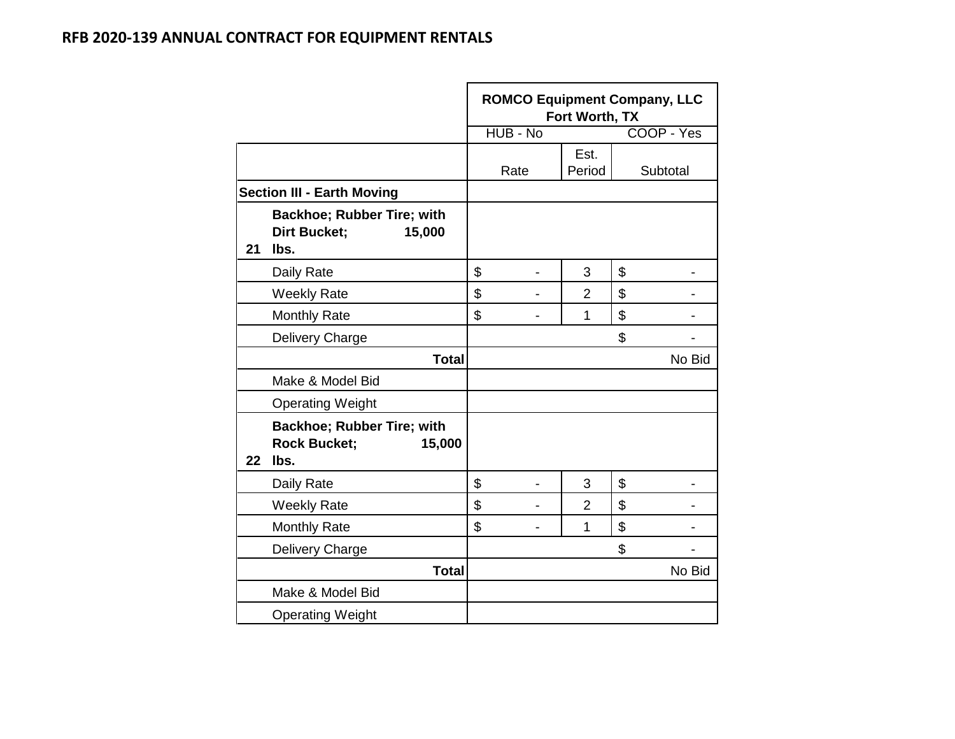|    |                                                                     | <b>ROMCO Equipment Company, LLC</b><br>Fort Worth, TX |                |    |            |  |  |  |  |  |
|----|---------------------------------------------------------------------|-------------------------------------------------------|----------------|----|------------|--|--|--|--|--|
|    |                                                                     | HUB - No                                              |                |    | COOP - Yes |  |  |  |  |  |
|    |                                                                     | Rate                                                  | Est.<br>Period |    | Subtotal   |  |  |  |  |  |
|    | <b>Section III - Earth Moving</b>                                   |                                                       |                |    |            |  |  |  |  |  |
| 21 | Backhoe; Rubber Tire; with<br><b>Dirt Bucket;</b><br>15,000<br>lbs. |                                                       |                |    |            |  |  |  |  |  |
|    | Daily Rate                                                          | \$                                                    | 3              | \$ |            |  |  |  |  |  |
|    | <b>Weekly Rate</b>                                                  | \$                                                    | $\overline{2}$ | \$ |            |  |  |  |  |  |
|    | <b>Monthly Rate</b>                                                 | \$                                                    | 1              | \$ |            |  |  |  |  |  |
|    | Delivery Charge                                                     |                                                       |                | \$ |            |  |  |  |  |  |
|    | <b>Total</b>                                                        |                                                       |                |    | No Bid     |  |  |  |  |  |
|    | Make & Model Bid                                                    |                                                       |                |    |            |  |  |  |  |  |
|    | <b>Operating Weight</b>                                             |                                                       |                |    |            |  |  |  |  |  |
| 22 | Backhoe; Rubber Tire; with<br><b>Rock Bucket;</b><br>15,000<br>lbs. |                                                       |                |    |            |  |  |  |  |  |
|    | Daily Rate                                                          | \$                                                    | 3              | \$ |            |  |  |  |  |  |
|    | <b>Weekly Rate</b>                                                  | \$                                                    | 2              | \$ |            |  |  |  |  |  |
|    | <b>Monthly Rate</b>                                                 | \$                                                    | $\mathbf 1$    | \$ |            |  |  |  |  |  |
|    | Delivery Charge                                                     |                                                       |                | \$ |            |  |  |  |  |  |
|    | <b>Total</b>                                                        |                                                       |                |    | No Bid     |  |  |  |  |  |
|    | Make & Model Bid                                                    |                                                       |                |    |            |  |  |  |  |  |
|    | <b>Operating Weight</b>                                             |                                                       |                |    |            |  |  |  |  |  |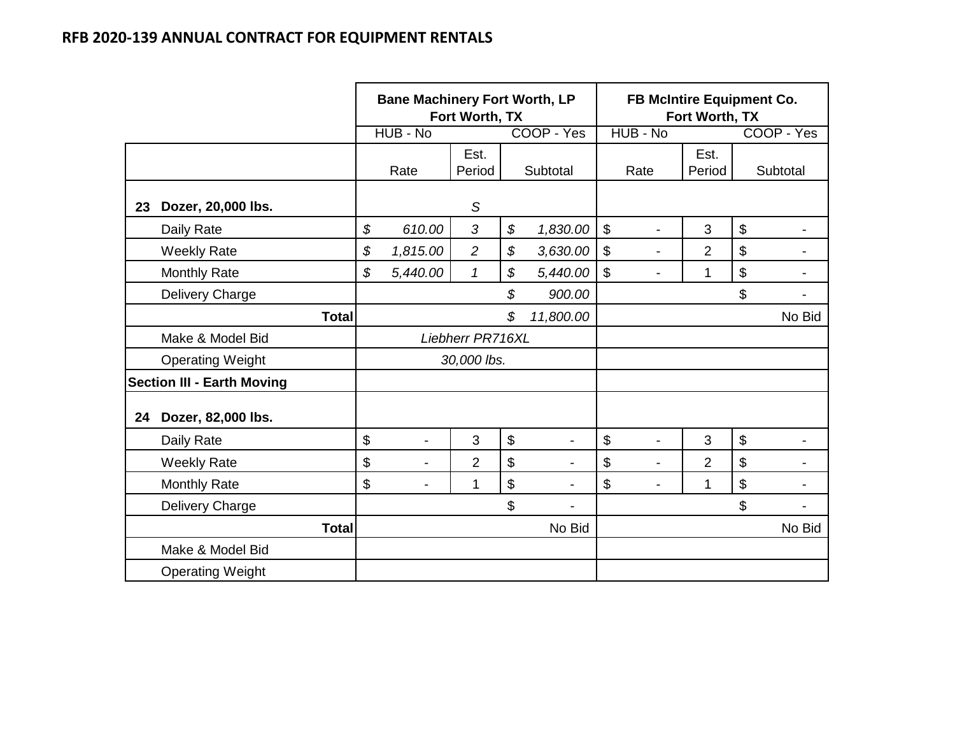|    |                                   | <b>Bane Machinery Fort Worth, LP</b><br>Fort Worth, TX |                          |                  |       | FB McIntire Equipment Co.<br>Fort Worth, TX |                         |                |                |                           |            |
|----|-----------------------------------|--------------------------------------------------------|--------------------------|------------------|-------|---------------------------------------------|-------------------------|----------------|----------------|---------------------------|------------|
|    |                                   |                                                        | HUB - No                 |                  |       | COOP - Yes                                  | HUB - No                |                |                |                           | COOP - Yes |
|    |                                   |                                                        | Rate                     | Est.<br>Period   |       | Subtotal                                    | Rate                    |                | Est.<br>Period |                           | Subtotal   |
| 23 | Dozer, 20,000 lbs.                |                                                        |                          | $\mathcal{S}$    |       |                                             |                         |                |                |                           |            |
|    | Daily Rate                        | \$                                                     | 610.00                   | 3                | \$    | 1,830.00                                    | $\boldsymbol{\$}$       |                | 3              | $\boldsymbol{\theta}$     |            |
|    | <b>Weekly Rate</b>                | \$                                                     | 1,815.00                 | $\overline{2}$   | \$    | 3,630.00                                    | $\sqrt[6]{\frac{1}{2}}$ |                | 2              | \$                        |            |
|    | <b>Monthly Rate</b>               | \$                                                     | 5,440.00                 | $\mathcal I$     | \$    | 5,440.00                                    | $\mathfrak{S}$          |                | 1              | $\boldsymbol{\mathsf{S}}$ |            |
|    | Delivery Charge                   |                                                        |                          |                  | \$    | 900.00                                      |                         |                |                | \$                        |            |
|    | <b>Total</b>                      |                                                        |                          |                  | \$    | 11,800.00                                   |                         |                |                |                           | No Bid     |
|    | Make & Model Bid                  |                                                        |                          | Liebherr PR716XL |       |                                             |                         |                |                |                           |            |
|    | <b>Operating Weight</b>           |                                                        |                          | 30,000 lbs.      |       |                                             |                         |                |                |                           |            |
|    | <b>Section III - Earth Moving</b> |                                                        |                          |                  |       |                                             |                         |                |                |                           |            |
| 24 | Dozer, 82,000 lbs.                |                                                        |                          |                  |       |                                             |                         |                |                |                           |            |
|    | Daily Rate                        | \$                                                     | $\blacksquare$           | 3                | $\$\$ |                                             | \$                      |                | 3              | $\boldsymbol{\mathsf{S}}$ |            |
|    | <b>Weekly Rate</b>                | \$                                                     | $\overline{\phantom{a}}$ | $\overline{2}$   | \$    |                                             | \$                      | $\blacksquare$ | $\overline{2}$ | \$                        |            |
|    | <b>Monthly Rate</b>               | \$                                                     | $\overline{a}$           | 1                | \$    |                                             | \$                      |                | 1              | \$                        |            |
|    | Delivery Charge                   |                                                        |                          |                  | \$    |                                             |                         |                |                | \$                        |            |
|    | <b>Total</b>                      |                                                        |                          |                  |       | No Bid                                      |                         |                |                |                           | No Bid     |
|    | Make & Model Bid                  |                                                        |                          |                  |       |                                             |                         |                |                |                           |            |
|    | <b>Operating Weight</b>           |                                                        |                          |                  |       |                                             |                         |                |                |                           |            |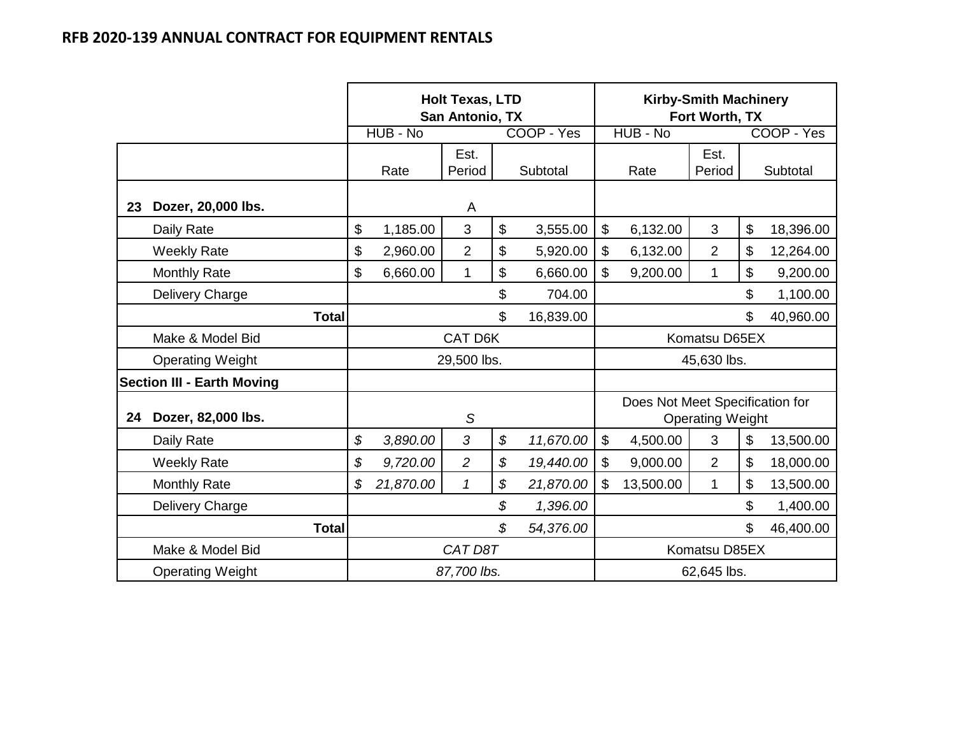|    |                                   | <b>Holt Texas, LTD</b><br>San Antonio, TX |           |                                                                    |           |             | <b>Kirby-Smith Machinery</b><br>Fort Worth, TX |                                 |                         |           |            |
|----|-----------------------------------|-------------------------------------------|-----------|--------------------------------------------------------------------|-----------|-------------|------------------------------------------------|---------------------------------|-------------------------|-----------|------------|
|    |                                   |                                           | HUB - No  |                                                                    |           | COOP - Yes  |                                                | HUB - No                        |                         |           | COOP - Yes |
|    |                                   |                                           | Rate      | Est.<br>Period                                                     |           | Subtotal    |                                                | Rate                            | Est.<br>Period          |           | Subtotal   |
| 23 | Dozer, 20,000 lbs.                |                                           |           | A                                                                  |           |             |                                                |                                 |                         |           |            |
|    | Daily Rate                        | \$                                        | 1,185.00  | $\mathfrak{B}$                                                     | \$        | 3,555.00    | $\mathfrak{S}$                                 | 6,132.00                        | 3                       | \$        | 18,396.00  |
|    | <b>Weekly Rate</b>                | \$                                        | 2,960.00  | $\overline{2}$                                                     | \$        | 5,920.00    | \$                                             | 6,132.00                        | $\overline{2}$          | \$        | 12,264.00  |
|    | <b>Monthly Rate</b>               | \$                                        | 6,660.00  | 1                                                                  | \$        | 6,660.00    | \$                                             | 9,200.00                        | $\mathbf{1}$            | \$        | 9,200.00   |
|    | Delivery Charge                   | \$<br>704.00                              |           |                                                                    |           |             |                                                | \$<br>1,100.00                  |                         |           |            |
|    | <b>Total</b>                      |                                           |           |                                                                    | 16,839.00 |             |                                                |                                 | \$                      | 40,960.00 |            |
|    | Make & Model Bid                  |                                           |           | <b>CAT D6K</b>                                                     |           |             |                                                |                                 | Komatsu D65EX           |           |            |
|    | <b>Operating Weight</b>           |                                           |           | 29,500 lbs.                                                        |           |             | 45,630 lbs.                                    |                                 |                         |           |            |
|    | <b>Section III - Earth Moving</b> |                                           |           |                                                                    |           |             |                                                |                                 |                         |           |            |
| 24 | Dozer, 82,000 lbs.                |                                           |           | S                                                                  |           |             |                                                | Does Not Meet Specification for | <b>Operating Weight</b> |           |            |
|    | Daily Rate                        | \$                                        | 3,890.00  | 3                                                                  | \$        | 11,670.00   | $\mathfrak{S}$                                 | 4,500.00                        | 3                       | \$        | 13,500.00  |
|    | <b>Weekly Rate</b>                | \$                                        | 9,720.00  | $\overline{c}$                                                     | \$        | 19,440.00   | \$                                             | 9,000.00                        | $\overline{2}$          | \$        | 18,000.00  |
|    | <b>Monthly Rate</b>               | \$                                        | 21,870.00 | \$<br>13,500.00<br>$\mathbf{1}$<br>$\mathbf{1}$<br>21,870.00<br>\$ |           |             |                                                |                                 | \$                      | 13,500.00 |            |
|    | Delivery Charge                   | \$<br>1,396.00                            |           |                                                                    |           |             |                                                |                                 | \$                      | 1,400.00  |            |
|    | <b>Total</b>                      | \$<br>54,376.00                           |           |                                                                    |           |             |                                                |                                 |                         | \$        | 46,400.00  |
|    | Make & Model Bid                  | CAT D8T                                   |           |                                                                    |           |             |                                                | Komatsu D85EX                   |                         |           |            |
|    | <b>Operating Weight</b>           |                                           |           | 87,700 lbs.                                                        |           | 62,645 lbs. |                                                |                                 |                         |           |            |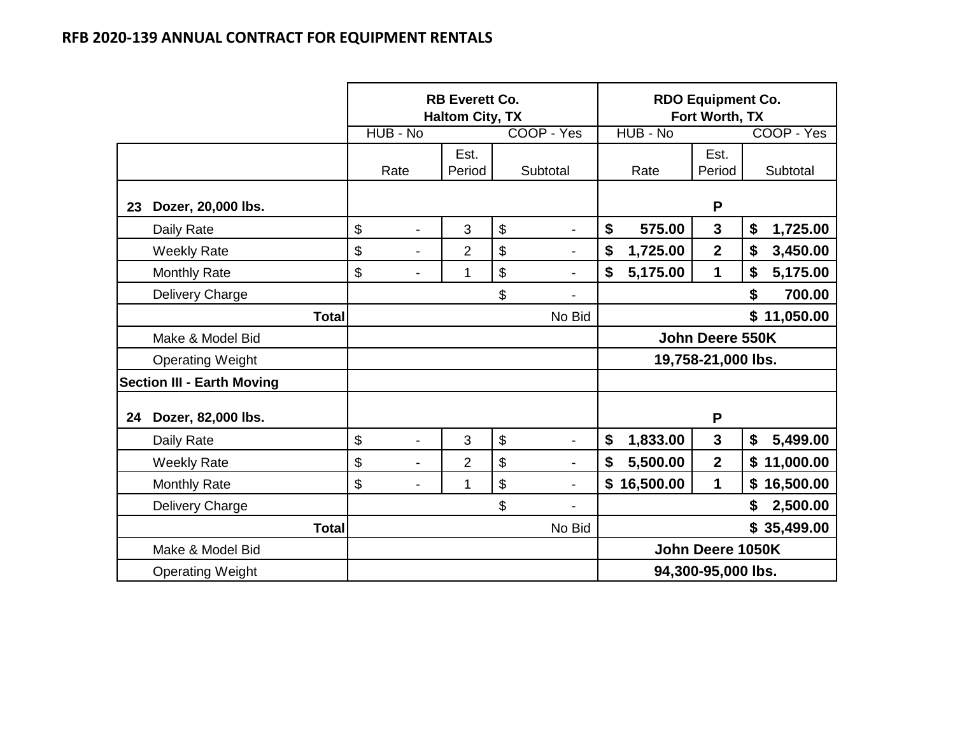|    |                                   |        |                          | <b>RB Everett Co.</b><br><b>Haltom City, TX</b> |    |                          | <b>RDO Equipment Co.</b><br>Fort Worth, TX |                  |                    |    |             |
|----|-----------------------------------|--------|--------------------------|-------------------------------------------------|----|--------------------------|--------------------------------------------|------------------|--------------------|----|-------------|
|    |                                   |        | HUB - No                 |                                                 |    | COOP - Yes               |                                            | HUB - No         |                    |    | COOP - Yes  |
|    |                                   |        | Rate                     | Est.<br>Period                                  |    | Subtotal                 |                                            | Rate             | Est.<br>Period     |    | Subtotal    |
| 23 | Dozer, 20,000 lbs.                |        |                          |                                                 |    |                          |                                            |                  | P                  |    |             |
|    | Daily Rate                        | \$     | $\blacksquare$           | 3                                               | \$ | -                        | \$                                         | 575.00           | 3                  | \$ | 1,725.00    |
|    | <b>Weekly Rate</b>                | \$     | $\overline{a}$           | $\overline{2}$                                  | \$ | -                        | \$                                         | 1,725.00         | $\mathbf{2}$       | \$ | 3,450.00    |
|    | <b>Monthly Rate</b>               | \$     | $\overline{\phantom{0}}$ | 1                                               | \$ | -                        | \$                                         | 5,175.00         | 1                  | \$ | 5,175.00    |
|    | Delivery Charge                   |        |                          |                                                 | \$ |                          |                                            |                  |                    | \$ | 700.00      |
|    | <b>Total</b>                      |        |                          |                                                 |    | No Bid                   |                                            |                  |                    |    | \$11,050.00 |
|    | Make & Model Bid                  |        |                          |                                                 |    |                          | John Deere 550K                            |                  |                    |    |             |
|    | <b>Operating Weight</b>           |        |                          |                                                 |    |                          |                                            |                  | 19,758-21,000 lbs. |    |             |
|    | <b>Section III - Earth Moving</b> |        |                          |                                                 |    |                          |                                            |                  |                    |    |             |
| 24 | Dozer, 82,000 lbs.                |        |                          |                                                 |    |                          |                                            |                  | P                  |    |             |
|    | Daily Rate                        | \$     | $\overline{a}$           | 3                                               | \$ | -                        | \$                                         | 1,833.00         | $\mathbf{3}$       | \$ | 5,499.00    |
|    | <b>Weekly Rate</b>                | \$     | $\overline{a}$           | $\overline{2}$                                  | \$ | $\overline{\phantom{0}}$ | \$                                         | 5,500.00         | $\mathbf{2}$       |    | \$11,000.00 |
|    | <b>Monthly Rate</b>               | \$     | $\overline{a}$           | 1                                               | \$ | -                        | \$                                         | 16,500.00        | 1                  |    | \$16,500.00 |
|    | Delivery Charge                   |        |                          |                                                 | \$ |                          |                                            |                  |                    | \$ | 2,500.00    |
|    | <b>Total</b>                      | No Bid |                          |                                                 |    |                          |                                            |                  |                    |    | \$35,499.00 |
|    | Make & Model Bid                  |        |                          |                                                 |    |                          |                                            | John Deere 1050K |                    |    |             |
|    | <b>Operating Weight</b>           |        |                          |                                                 |    |                          | 94,300-95,000 lbs.                         |                  |                    |    |             |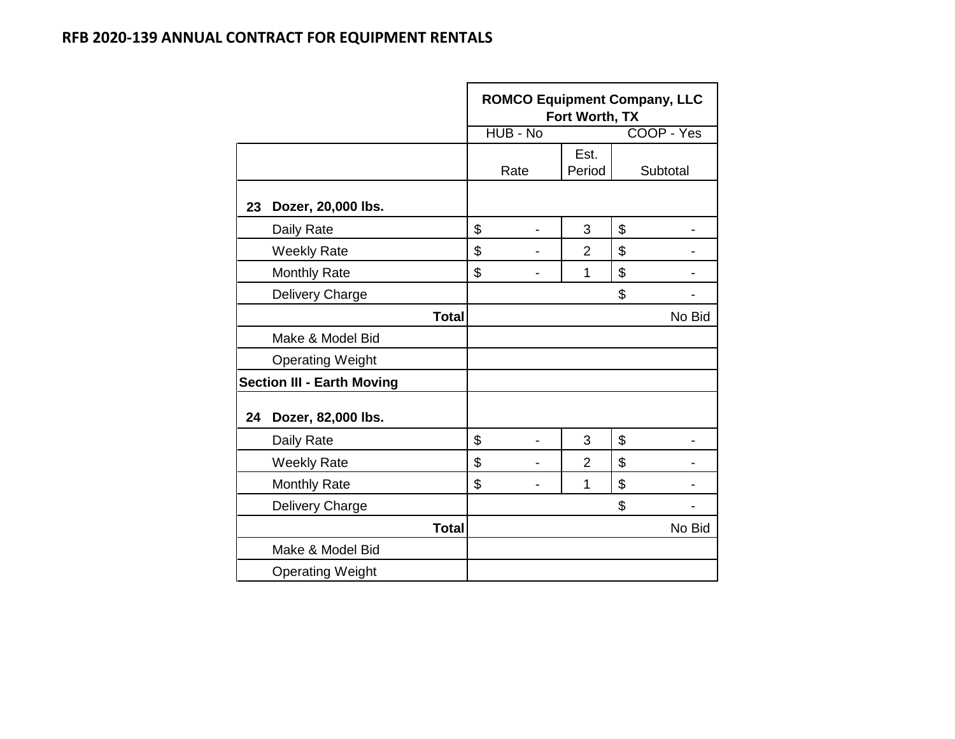|    |                                   | <b>ROMCO Equipment Company, LLC</b><br>Fort Worth, TX<br>HUB - No<br>COOP - Yes |      |                |    |          |  |  |  |  |
|----|-----------------------------------|---------------------------------------------------------------------------------|------|----------------|----|----------|--|--|--|--|
|    |                                   |                                                                                 |      | Est.           |    |          |  |  |  |  |
|    |                                   |                                                                                 | Rate | Period         |    | Subtotal |  |  |  |  |
| 23 | Dozer, 20,000 lbs.                |                                                                                 |      |                |    |          |  |  |  |  |
|    | Daily Rate                        | \$                                                                              |      | 3              | \$ |          |  |  |  |  |
|    | <b>Weekly Rate</b>                | \$                                                                              |      | $\overline{2}$ | \$ |          |  |  |  |  |
|    | <b>Monthly Rate</b>               | \$                                                                              |      | 1              | \$ |          |  |  |  |  |
|    | Delivery Charge                   |                                                                                 |      |                | \$ |          |  |  |  |  |
|    | <b>Total</b>                      |                                                                                 |      |                |    | No Bid   |  |  |  |  |
|    | Make & Model Bid                  |                                                                                 |      |                |    |          |  |  |  |  |
|    | <b>Operating Weight</b>           |                                                                                 |      |                |    |          |  |  |  |  |
|    | <b>Section III - Earth Moving</b> |                                                                                 |      |                |    |          |  |  |  |  |
| 24 | Dozer, 82,000 lbs.                |                                                                                 |      |                |    |          |  |  |  |  |
|    | Daily Rate                        | \$                                                                              |      | 3              | \$ |          |  |  |  |  |
|    | <b>Weekly Rate</b>                | \$                                                                              |      | $\overline{2}$ | \$ |          |  |  |  |  |
|    | <b>Monthly Rate</b>               | \$                                                                              |      | 1              | \$ |          |  |  |  |  |
|    | Delivery Charge                   |                                                                                 |      |                | \$ |          |  |  |  |  |
|    | <b>Total</b>                      |                                                                                 |      |                |    | No Bid   |  |  |  |  |
|    | Make & Model Bid                  |                                                                                 |      |                |    |          |  |  |  |  |
|    | <b>Operating Weight</b>           |                                                                                 |      |                |    |          |  |  |  |  |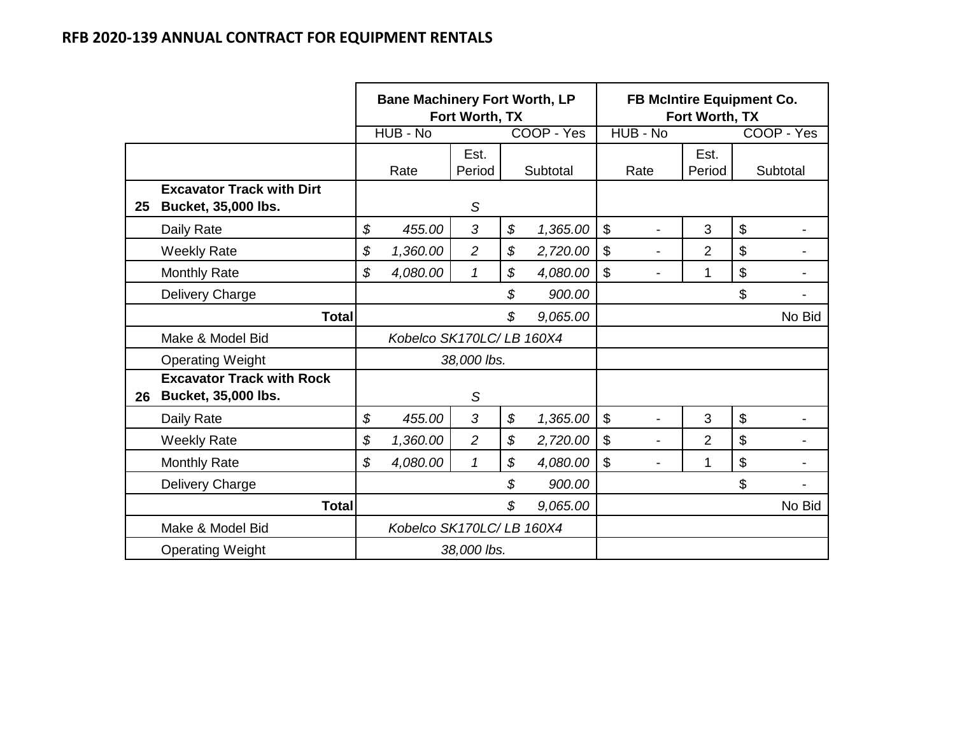|    |                                                                | <b>Bane Machinery Fort Worth, LP</b><br>Fort Worth, TX |                          |                |    | FB McIntire Equipment Co.<br>Fort Worth, TX |                           |                          |                |                           |            |
|----|----------------------------------------------------------------|--------------------------------------------------------|--------------------------|----------------|----|---------------------------------------------|---------------------------|--------------------------|----------------|---------------------------|------------|
|    |                                                                |                                                        | HUB - No                 |                |    | COOP - Yes                                  |                           | HUB - No                 |                |                           | COOP - Yes |
|    |                                                                |                                                        | Rate                     | Est.<br>Period |    | Subtotal                                    |                           | Rate                     | Est.<br>Period |                           | Subtotal   |
| 25 | <b>Excavator Track with Dirt</b><br><b>Bucket, 35,000 lbs.</b> |                                                        |                          | S              |    |                                             |                           |                          |                |                           |            |
|    | Daily Rate                                                     | \$                                                     | 455.00                   | 3              | \$ | 1,365.00                                    | $\boldsymbol{\mathsf{S}}$ |                          | 3              | $\boldsymbol{\mathsf{S}}$ |            |
|    | <b>Weekly Rate</b>                                             | \$                                                     | 1,360.00                 | $\overline{2}$ | \$ | 2,720.00                                    | $\boldsymbol{\mathsf{S}}$ | -                        | $\overline{2}$ | \$                        |            |
|    | <b>Monthly Rate</b>                                            | \$                                                     | 4,080.00                 | $\mathcal I$   | \$ | 4,080.00                                    | $\boldsymbol{\mathsf{S}}$ |                          | 1              | \$                        |            |
|    | Delivery Charge                                                |                                                        |                          |                | \$ | 900.00                                      |                           |                          |                | \$                        |            |
|    | <b>Total</b>                                                   |                                                        |                          |                | \$ | 9,065.00                                    |                           |                          |                |                           | No Bid     |
|    | Make & Model Bid                                               |                                                        | Kobelco SK170LC/LB 160X4 |                |    |                                             |                           |                          |                |                           |            |
|    | <b>Operating Weight</b>                                        |                                                        |                          | 38,000 lbs.    |    |                                             |                           |                          |                |                           |            |
| 26 | <b>Excavator Track with Rock</b><br><b>Bucket, 35,000 lbs.</b> |                                                        |                          | S              |    |                                             |                           |                          |                |                           |            |
|    | Daily Rate                                                     | \$                                                     | 455.00                   | 3              | \$ | 1,365.00                                    | $\mathfrak{S}$            | $\blacksquare$           | 3              | $\mathfrak{S}$            |            |
|    | <b>Weekly Rate</b>                                             | \$                                                     | 1,360.00                 | $\overline{2}$ | \$ | 2,720.00                                    | $\boldsymbol{\mathsf{S}}$ | $\overline{\phantom{a}}$ | $\overline{2}$ | \$                        |            |
|    | <b>Monthly Rate</b>                                            | \$                                                     | 4,080.00                 | 1              | \$ | 4,080.00                                    | $\mathfrak{S}$            |                          | 1              | \$                        |            |
|    | Delivery Charge                                                |                                                        |                          |                | \$ | 900.00                                      |                           |                          |                | \$                        |            |
|    | <b>Total</b>                                                   |                                                        |                          |                | \$ | 9,065.00                                    |                           |                          |                |                           | No Bid     |
|    | Make & Model Bid                                               |                                                        | Kobelco SK170LC/LB 160X4 |                |    |                                             |                           |                          |                |                           |            |
|    | <b>Operating Weight</b>                                        |                                                        |                          | 38,000 lbs.    |    |                                             |                           |                          |                |                           |            |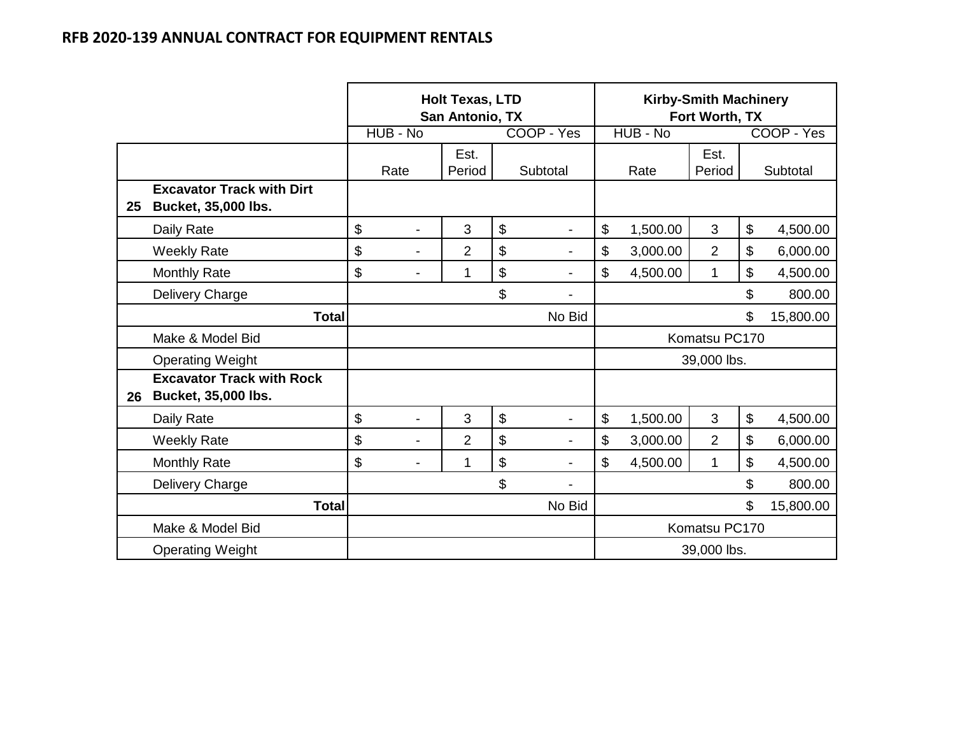|    |                                                                |                                | <b>Holt Texas, LTD</b><br>San Antonio, TX |                |                          | <b>Kirby-Smith Machinery</b><br>Fort Worth, TX |          |                |                |            |
|----|----------------------------------------------------------------|--------------------------------|-------------------------------------------|----------------|--------------------------|------------------------------------------------|----------|----------------|----------------|------------|
|    |                                                                | HUB - No                       |                                           |                | COOP - Yes               |                                                | HUB - No |                |                | COOP - Yes |
|    |                                                                | Rate                           | Est.<br>Period                            |                | Subtotal                 |                                                | Rate     | Est.<br>Period |                | Subtotal   |
| 25 | <b>Excavator Track with Dirt</b><br><b>Bucket, 35,000 lbs.</b> |                                |                                           |                |                          |                                                |          |                |                |            |
|    | Daily Rate                                                     | \$                             | 3                                         | \$             |                          | \$                                             | 1,500.00 | 3              | \$             | 4,500.00   |
|    | <b>Weekly Rate</b>                                             | \$<br>$\overline{\phantom{a}}$ | $\overline{2}$                            | \$             | $\overline{\phantom{a}}$ | \$                                             | 3,000.00 | $\overline{2}$ | \$             | 6,000.00   |
|    | <b>Monthly Rate</b>                                            | \$<br>$\blacksquare$           | 1                                         | \$             |                          | \$                                             | 4,500.00 | $\mathbf 1$    | \$             | 4,500.00   |
|    | Delivery Charge                                                |                                |                                           | \$             |                          |                                                |          |                | \$             | 800.00     |
|    | <b>Total</b>                                                   |                                |                                           |                | No Bid                   |                                                |          |                | \$             | 15,800.00  |
|    | Make & Model Bid                                               |                                |                                           |                |                          |                                                |          | Komatsu PC170  |                |            |
|    | <b>Operating Weight</b>                                        |                                |                                           |                |                          |                                                |          | 39,000 lbs.    |                |            |
| 26 | <b>Excavator Track with Rock</b><br><b>Bucket, 35,000 lbs.</b> |                                |                                           |                |                          |                                                |          |                |                |            |
|    | Daily Rate                                                     | \$<br>$\overline{\phantom{a}}$ | 3                                         | $\mathfrak{S}$ | $\overline{\phantom{a}}$ | \$                                             | 1,500.00 | 3              | $\mathfrak{S}$ | 4,500.00   |
|    | <b>Weekly Rate</b>                                             | \$                             | $\overline{2}$                            | \$             |                          | \$                                             | 3,000.00 | $\overline{2}$ | \$             | 6,000.00   |
|    | <b>Monthly Rate</b>                                            | \$                             | 1                                         | \$             |                          | \$                                             | 4,500.00 | 1              | \$             | 4,500.00   |
|    | Delivery Charge                                                |                                |                                           | \$             |                          |                                                |          |                | \$             | 800.00     |
|    | <b>Total</b>                                                   |                                |                                           |                | No Bid                   |                                                |          |                | \$             | 15,800.00  |
|    | Make & Model Bid                                               |                                |                                           |                |                          | Komatsu PC170                                  |          |                |                |            |
|    | <b>Operating Weight</b>                                        |                                |                                           |                |                          |                                                |          | 39,000 lbs.    |                |            |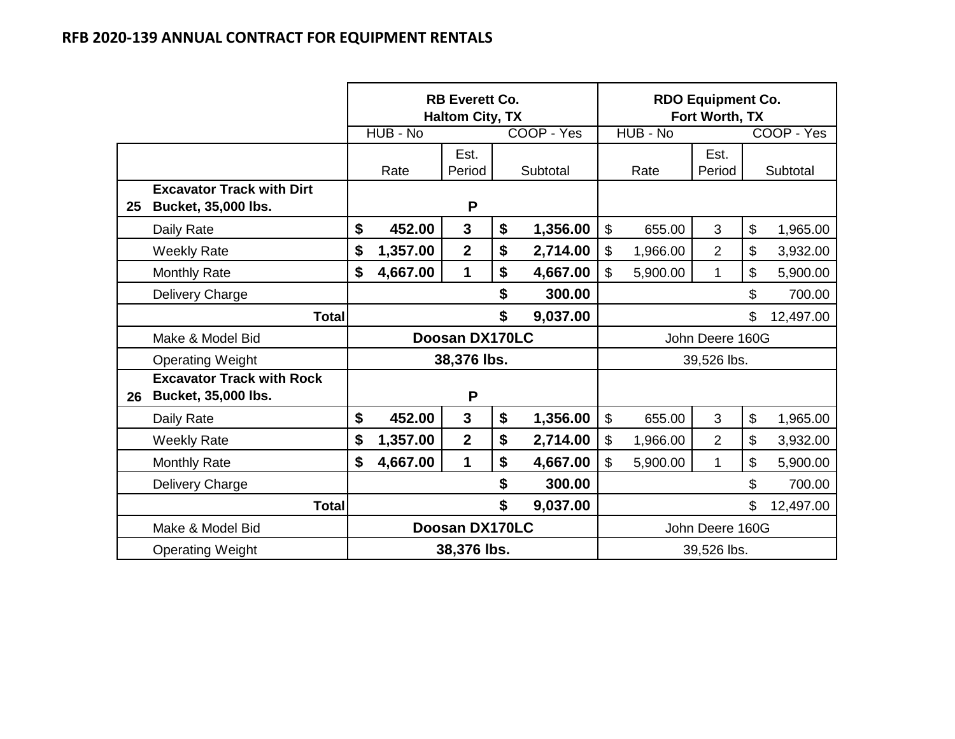|    |                                                                |                |             | <b>RB Everett Co.</b><br><b>Haltom City, TX</b> |    |                 | <b>RDO Equipment Co.</b><br>Fort Worth, TX |          |                 |                           |            |
|----|----------------------------------------------------------------|----------------|-------------|-------------------------------------------------|----|-----------------|--------------------------------------------|----------|-----------------|---------------------------|------------|
|    |                                                                |                | HUB - No    |                                                 |    | COOP - Yes      |                                            | HUB - No |                 |                           | COOP - Yes |
|    |                                                                |                | Rate        | Est.<br>Period                                  |    | Subtotal        |                                            | Rate     | Est.<br>Period  |                           | Subtotal   |
| 25 | <b>Excavator Track with Dirt</b><br><b>Bucket, 35,000 lbs.</b> |                |             | P                                               |    |                 |                                            |          |                 |                           |            |
|    | Daily Rate                                                     | \$             | 452.00      | $\mathbf{3}$                                    | \$ | 1,356.00        | $\mathfrak{S}$                             | 655.00   | 3               | $\mathfrak{S}$            | 1,965.00   |
|    | <b>Weekly Rate</b>                                             | \$             | 1,357.00    | $\overline{2}$                                  | \$ | 2,714.00        | \$                                         | 1,966.00 | $\overline{2}$  | $\boldsymbol{\mathsf{S}}$ | 3,932.00   |
|    | <b>Monthly Rate</b>                                            | \$             | 4,667.00    | 1                                               | \$ | 4,667.00        | \$                                         | 5,900.00 | $\mathbf{1}$    | \$                        | 5,900.00   |
|    | Delivery Charge                                                |                |             |                                                 | \$ | 300.00          | \$                                         |          |                 |                           | 700.00     |
|    | <b>Total</b>                                                   |                |             |                                                 | \$ | 9,037.00        |                                            |          |                 | \$                        | 12,497.00  |
|    | Make & Model Bid                                               |                |             | Doosan DX170LC                                  |    |                 |                                            |          | John Deere 160G |                           |            |
|    | <b>Operating Weight</b>                                        |                |             | 38,376 lbs.                                     |    |                 | 39,526 lbs.                                |          |                 |                           |            |
| 26 | <b>Excavator Track with Rock</b><br><b>Bucket, 35,000 lbs.</b> |                |             | P                                               |    |                 |                                            |          |                 |                           |            |
|    | Daily Rate                                                     | \$             | 452.00      | $\mathbf{3}$                                    | \$ | 1,356.00        | $\boldsymbol{\mathsf{S}}$                  | 655.00   | 3               | $\boldsymbol{\mathsf{S}}$ | 1,965.00   |
|    | <b>Weekly Rate</b>                                             | \$             | 1,357.00    | $\overline{2}$                                  | \$ | 2,714.00        | \$                                         | 1,966.00 | $\overline{2}$  | $\boldsymbol{\mathsf{S}}$ | 3,932.00   |
|    | <b>Monthly Rate</b>                                            | \$             | 4,667.00    | 1                                               | \$ | 4,667.00        | \$                                         | 5,900.00 | $\mathbf 1$     | \$                        | 5,900.00   |
|    | Delivery Charge                                                |                |             |                                                 | \$ | 300.00          |                                            |          |                 | \$                        | 700.00     |
|    | <b>Total</b>                                                   | \$             |             |                                                 |    | 9,037.00        |                                            |          |                 | \$                        | 12,497.00  |
|    | Make & Model Bid                                               | Doosan DX170LC |             |                                                 |    | John Deere 160G |                                            |          |                 |                           |            |
|    | <b>Operating Weight</b>                                        |                | 38,376 lbs. |                                                 |    |                 | 39,526 lbs.                                |          |                 |                           |            |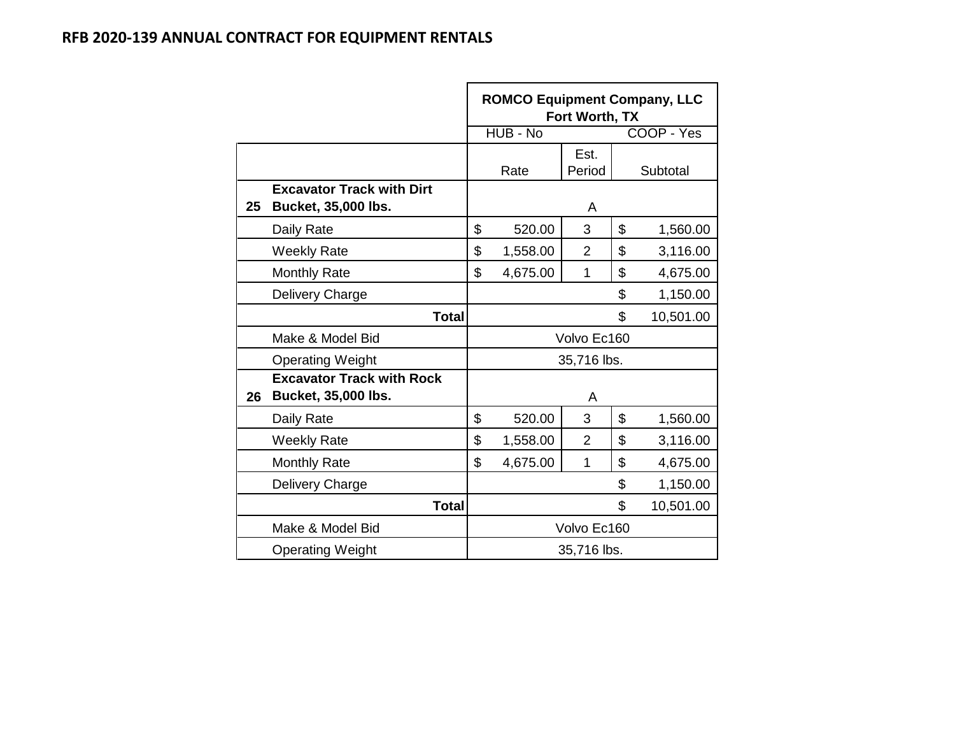|    |                                                         | <b>ROMCO Equipment Company, LLC</b><br>Fort Worth, TX |          |                |                |            |  |  |  |  |
|----|---------------------------------------------------------|-------------------------------------------------------|----------|----------------|----------------|------------|--|--|--|--|
|    |                                                         |                                                       | HUB - No |                |                | COOP - Yes |  |  |  |  |
|    |                                                         |                                                       | Rate     | Est.<br>Period |                | Subtotal   |  |  |  |  |
| 25 | <b>Excavator Track with Dirt</b><br>Bucket, 35,000 lbs. |                                                       |          | A              |                |            |  |  |  |  |
|    | Daily Rate                                              | \$                                                    | 520.00   | 3              | \$             | 1,560.00   |  |  |  |  |
|    | <b>Weekly Rate</b>                                      | \$                                                    | 1,558.00 | $\overline{2}$ | \$             | 3,116.00   |  |  |  |  |
|    | <b>Monthly Rate</b>                                     | \$                                                    | 4,675.00 | 1              | \$             | 4,675.00   |  |  |  |  |
|    | Delivery Charge                                         |                                                       |          |                | \$<br>1,150.00 |            |  |  |  |  |
|    | <b>Total</b>                                            |                                                       |          |                | \$             | 10,501.00  |  |  |  |  |
|    | Make & Model Bid                                        |                                                       |          | Volvo Ec160    |                |            |  |  |  |  |
|    | <b>Operating Weight</b>                                 |                                                       |          | 35,716 lbs.    |                |            |  |  |  |  |
| 26 | <b>Excavator Track with Rock</b><br>Bucket, 35,000 lbs. |                                                       |          | A              |                |            |  |  |  |  |
|    | Daily Rate                                              | \$                                                    | 520.00   | 3              | \$             | 1,560.00   |  |  |  |  |
|    | <b>Weekly Rate</b>                                      | \$                                                    | 1,558.00 | $\overline{2}$ | \$             | 3,116.00   |  |  |  |  |
|    | <b>Monthly Rate</b>                                     | \$                                                    | 4,675.00 | 1              | \$             | 4,675.00   |  |  |  |  |
|    | Delivery Charge                                         |                                                       |          |                | \$<br>1,150.00 |            |  |  |  |  |
|    | <b>Total</b>                                            |                                                       |          |                | \$             | 10,501.00  |  |  |  |  |
|    | Make & Model Bid                                        |                                                       |          | Volvo Ec160    |                |            |  |  |  |  |
|    | <b>Operating Weight</b>                                 |                                                       |          | 35,716 lbs.    |                |            |  |  |  |  |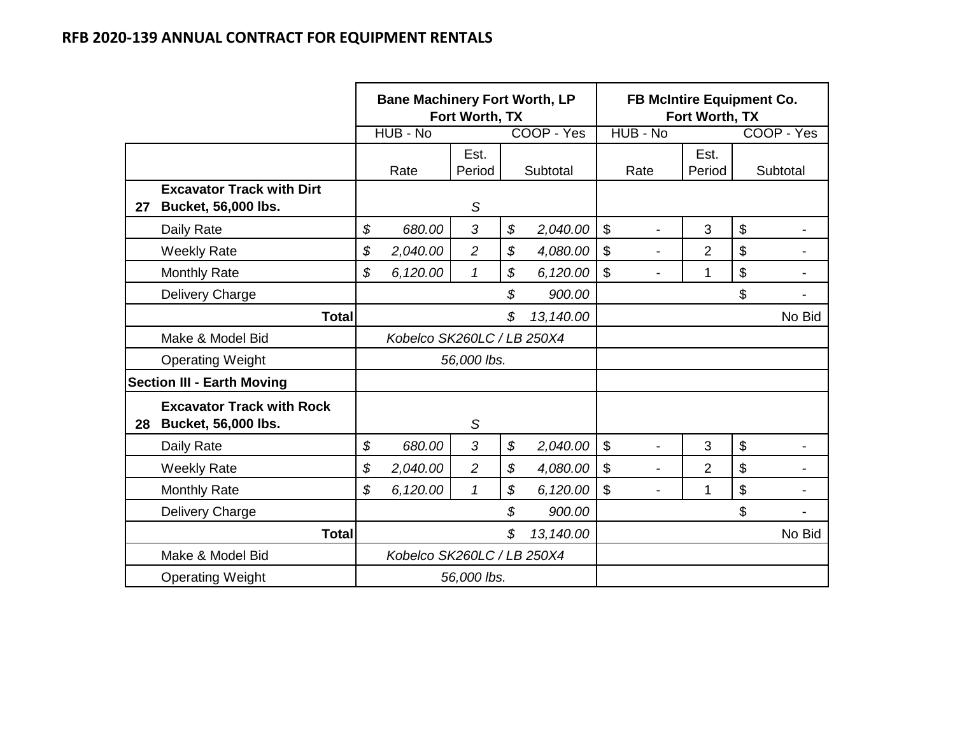|    |                                                                | <b>Bane Machinery Fort Worth, LP</b><br>Fort Worth, TX |                            |                |    |            | <b>FB McIntire Equipment Co.</b><br>Fort Worth, TX |                |    |            |  |
|----|----------------------------------------------------------------|--------------------------------------------------------|----------------------------|----------------|----|------------|----------------------------------------------------|----------------|----|------------|--|
|    |                                                                |                                                        | HUB - No                   |                |    | COOP - Yes | HUB - No                                           |                |    | COOP - Yes |  |
|    |                                                                |                                                        | Rate                       | Est.<br>Period |    | Subtotal   | Rate                                               | Est.<br>Period |    | Subtotal   |  |
| 27 | <b>Excavator Track with Dirt</b><br><b>Bucket, 56,000 lbs.</b> |                                                        |                            | S              |    |            |                                                    |                |    |            |  |
|    | Daily Rate                                                     | \$                                                     | 680.00                     | 3              | \$ | 2,040.00   | $\boldsymbol{\mathsf{S}}$                          | 3              | \$ |            |  |
|    | <b>Weekly Rate</b>                                             | \$                                                     | 2,040.00                   | $\overline{c}$ | \$ | 4,080.00   | \$                                                 | 2              | \$ |            |  |
|    | <b>Monthly Rate</b>                                            | \$                                                     | 6,120.00                   | $\mathcal I$   | \$ | 6,120.00   | $\boldsymbol{\mathsf{S}}$                          | 1              | \$ |            |  |
|    | Delivery Charge                                                |                                                        |                            |                | \$ | 900.00     |                                                    |                | \$ |            |  |
|    | <b>Total</b>                                                   |                                                        |                            |                | \$ | 13,140.00  |                                                    |                |    | No Bid     |  |
|    | Make & Model Bid                                               |                                                        | Kobelco SK260LC / LB 250X4 |                |    |            |                                                    |                |    |            |  |
|    | <b>Operating Weight</b>                                        |                                                        |                            | 56,000 lbs.    |    |            |                                                    |                |    |            |  |
|    | <b>Section III - Earth Moving</b>                              |                                                        |                            |                |    |            |                                                    |                |    |            |  |
| 28 | <b>Excavator Track with Rock</b><br><b>Bucket, 56,000 lbs.</b> |                                                        |                            | $\mathcal S$   |    |            |                                                    |                |    |            |  |
|    | Daily Rate                                                     | \$                                                     | 680.00                     | 3              | \$ | 2,040.00   | \$                                                 | 3              | \$ |            |  |
|    | <b>Weekly Rate</b>                                             | \$                                                     | 2,040.00                   | $\overline{2}$ | \$ | 4,080.00   | $\mathfrak{S}$                                     | $\overline{2}$ | \$ |            |  |
|    | <b>Monthly Rate</b>                                            | \$                                                     | 6,120.00                   | 1              | \$ | 6,120.00   | $\boldsymbol{\mathsf{S}}$                          | 1              | \$ |            |  |
|    | Delivery Charge                                                |                                                        |                            |                | \$ | 900.00     |                                                    |                | \$ |            |  |
|    | <b>Total</b>                                                   |                                                        |                            |                | \$ | 13,140.00  |                                                    |                |    | No Bid     |  |
|    | Make & Model Bid                                               |                                                        | Kobelco SK260LC / LB 250X4 |                |    |            |                                                    |                |    |            |  |
|    | <b>Operating Weight</b>                                        |                                                        |                            | 56,000 lbs.    |    |            |                                                    |                |    |            |  |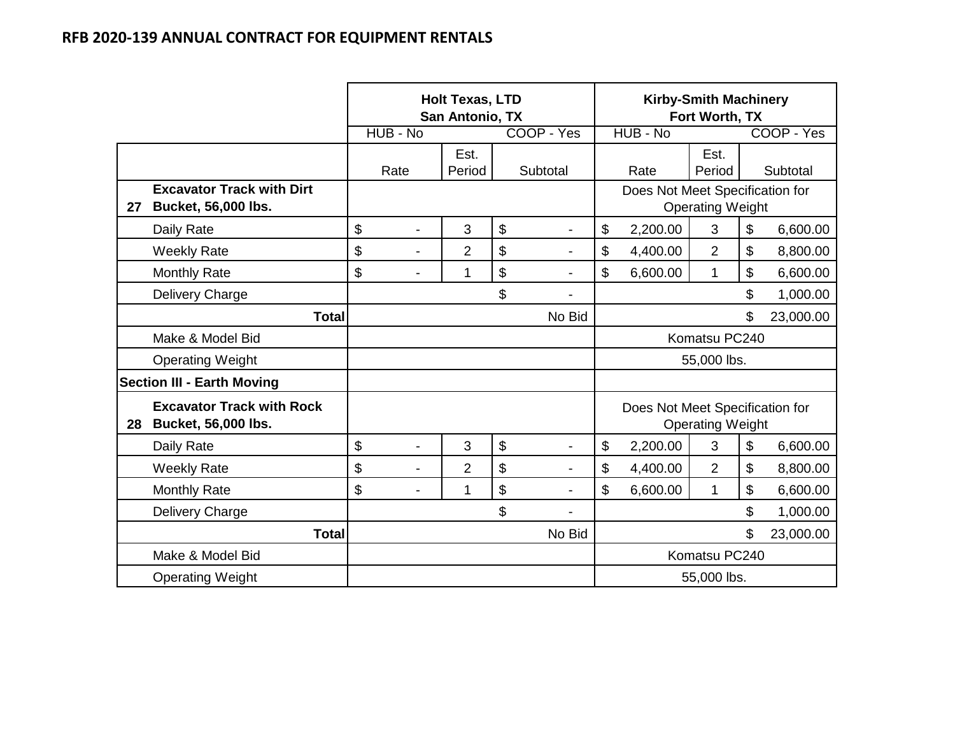|    |                                                                |                                | <b>Holt Texas, LTD</b><br>San Antonio, TX |                      |               |                                 | <b>Kirby-Smith Machinery</b><br>Fort Worth, TX |          |            |
|----|----------------------------------------------------------------|--------------------------------|-------------------------------------------|----------------------|---------------|---------------------------------|------------------------------------------------|----------|------------|
|    |                                                                | HUB - No                       |                                           | COOP - Yes           |               | HUB - No                        |                                                |          | COOP - Yes |
|    |                                                                | Rate                           | Est.<br>Period                            | Subtotal             |               | Rate                            | Est.<br>Period                                 |          | Subtotal   |
| 27 | <b>Excavator Track with Dirt</b><br><b>Bucket, 56,000 lbs.</b> |                                |                                           |                      |               | Does Not Meet Specification for | <b>Operating Weight</b>                        |          |            |
|    | Daily Rate                                                     | \$<br>$\overline{\phantom{0}}$ | 3                                         | \$<br>$\blacksquare$ | \$            | 2,200.00                        | 3                                              | \$       | 6,600.00   |
|    | <b>Weekly Rate</b>                                             | \$<br>$\overline{\phantom{0}}$ | $\overline{2}$                            | \$                   | \$            | 4,400.00                        | $\overline{2}$                                 | \$       | 8,800.00   |
|    | <b>Monthly Rate</b>                                            | \$<br>$\overline{\phantom{0}}$ | 1                                         | \$                   | \$            | 6,600.00                        | 1                                              | \$       | 6,600.00   |
|    | Delivery Charge                                                |                                |                                           | \$                   |               |                                 | \$                                             | 1,000.00 |            |
|    | <b>Total</b>                                                   |                                |                                           | No Bid               | \$            |                                 |                                                |          | 23,000.00  |
|    | Make & Model Bid                                               |                                |                                           |                      |               |                                 | Komatsu PC240                                  |          |            |
|    | <b>Operating Weight</b>                                        |                                |                                           |                      |               |                                 | 55,000 lbs.                                    |          |            |
|    | <b>Section III - Earth Moving</b>                              |                                |                                           |                      |               |                                 |                                                |          |            |
| 28 | <b>Excavator Track with Rock</b><br><b>Bucket, 56,000 lbs.</b> |                                |                                           |                      |               | Does Not Meet Specification for | <b>Operating Weight</b>                        |          |            |
|    | Daily Rate                                                     | \$<br>$\overline{\phantom{0}}$ | 3                                         | \$<br>-              | \$            | 2,200.00                        | 3                                              | \$       | 6,600.00   |
|    | <b>Weekly Rate</b>                                             | \$<br>$\overline{a}$           | $\overline{2}$                            | \$                   | \$            | 4,400.00                        | $\overline{2}$                                 | \$       | 8,800.00   |
|    | <b>Monthly Rate</b>                                            | \$<br>$\blacksquare$           | 1                                         | \$                   | \$            | 6,600.00                        | 1                                              | \$       | 6,600.00   |
|    | Delivery Charge                                                |                                |                                           | \$                   | \$            |                                 |                                                |          | 1,000.00   |
|    | <b>Total</b>                                                   |                                |                                           | No Bid               | \$            |                                 |                                                |          | 23,000.00  |
|    | Make & Model Bid                                               |                                |                                           |                      | Komatsu PC240 |                                 |                                                |          |            |
|    | <b>Operating Weight</b>                                        |                                |                                           |                      |               | 55,000 lbs.                     |                                                |          |            |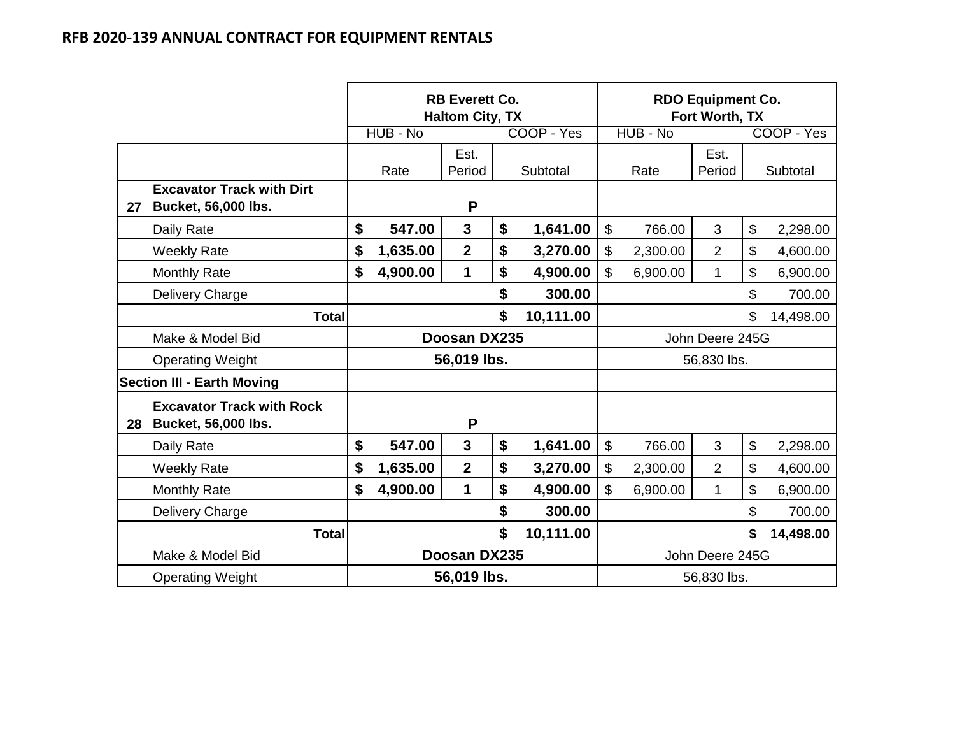|    |                                                                |                            |          | <b>RB Everett Co.</b><br><b>Haltom City, TX</b> |                 |            |                           |          | <b>RDO Equipment Co.</b><br>Fort Worth, TX |                            |            |
|----|----------------------------------------------------------------|----------------------------|----------|-------------------------------------------------|-----------------|------------|---------------------------|----------|--------------------------------------------|----------------------------|------------|
|    |                                                                |                            | HUB - No |                                                 |                 | COOP - Yes |                           | HUB - No |                                            |                            | COOP - Yes |
|    |                                                                |                            | Rate     | Est.<br>Period                                  |                 | Subtotal   |                           | Rate     | Est.<br>Period                             |                            | Subtotal   |
| 27 | <b>Excavator Track with Dirt</b><br><b>Bucket, 56,000 lbs.</b> |                            |          | P                                               |                 |            |                           |          |                                            |                            |            |
|    | Daily Rate                                                     | \$                         | 547.00   | $\mathbf{3}$                                    | \$              | 1,641.00   | \$                        | 766.00   | $\mathfrak{S}$                             | $\boldsymbol{\mathsf{S}}$  | 2,298.00   |
|    | <b>Weekly Rate</b>                                             | \$                         | 1,635.00 | $\overline{2}$                                  | \$              | 3,270.00   | \$                        | 2,300.00 | $\overline{2}$                             | $\mathfrak{S}$             | 4,600.00   |
|    | <b>Monthly Rate</b>                                            | \$                         | 4,900.00 | $\mathbf 1$                                     | \$              | 4,900.00   | \$                        | 6,900.00 | $\mathbf{1}$                               | $\boldsymbol{\mathsf{\$}}$ | 6,900.00   |
|    | <b>Delivery Charge</b>                                         |                            |          |                                                 | \$              | 300.00     | \$                        |          |                                            |                            | 700.00     |
|    | <b>Total</b>                                                   |                            |          |                                                 | \$              | 10,111.00  | \$                        |          |                                            |                            | 14,498.00  |
|    | Make & Model Bid                                               |                            |          | Doosan DX235                                    |                 |            | John Deere 245G           |          |                                            |                            |            |
|    | <b>Operating Weight</b>                                        |                            |          | 56,019 lbs.                                     |                 |            |                           |          | 56,830 lbs.                                |                            |            |
|    | <b>Section III - Earth Moving</b>                              |                            |          |                                                 |                 |            |                           |          |                                            |                            |            |
| 28 | <b>Excavator Track with Rock</b><br><b>Bucket, 56,000 lbs.</b> |                            |          | P                                               |                 |            |                           |          |                                            |                            |            |
|    | Daily Rate                                                     | \$                         | 547.00   | $\mathbf{3}$                                    | \$              | 1,641.00   | $\boldsymbol{\mathsf{S}}$ | 766.00   | 3                                          | $\boldsymbol{\mathsf{\$}}$ | 2,298.00   |
|    | <b>Weekly Rate</b>                                             | \$                         | 1,635.00 | $\overline{2}$                                  | \$              | 3,270.00   | \$                        | 2,300.00 | $\overline{2}$                             | $\boldsymbol{\mathsf{S}}$  | 4,600.00   |
|    | <b>Monthly Rate</b>                                            | \$                         | 4,900.00 | 1                                               | \$              | 4,900.00   | \$                        | 6,900.00 | $\mathbf{1}$                               | $\boldsymbol{\mathsf{S}}$  | 6,900.00   |
|    | Delivery Charge                                                |                            |          |                                                 | \$              | 300.00     | \$                        |          |                                            |                            | 700.00     |
|    | <b>Total</b>                                                   | \$<br>10,111.00            |          |                                                 |                 |            |                           |          | \$                                         | 14,498.00                  |            |
|    | Make & Model Bid                                               | Doosan DX235               |          |                                                 | John Deere 245G |            |                           |          |                                            |                            |            |
|    | <b>Operating Weight</b>                                        | 56,019 lbs.<br>56,830 lbs. |          |                                                 |                 |            |                           |          |                                            |                            |            |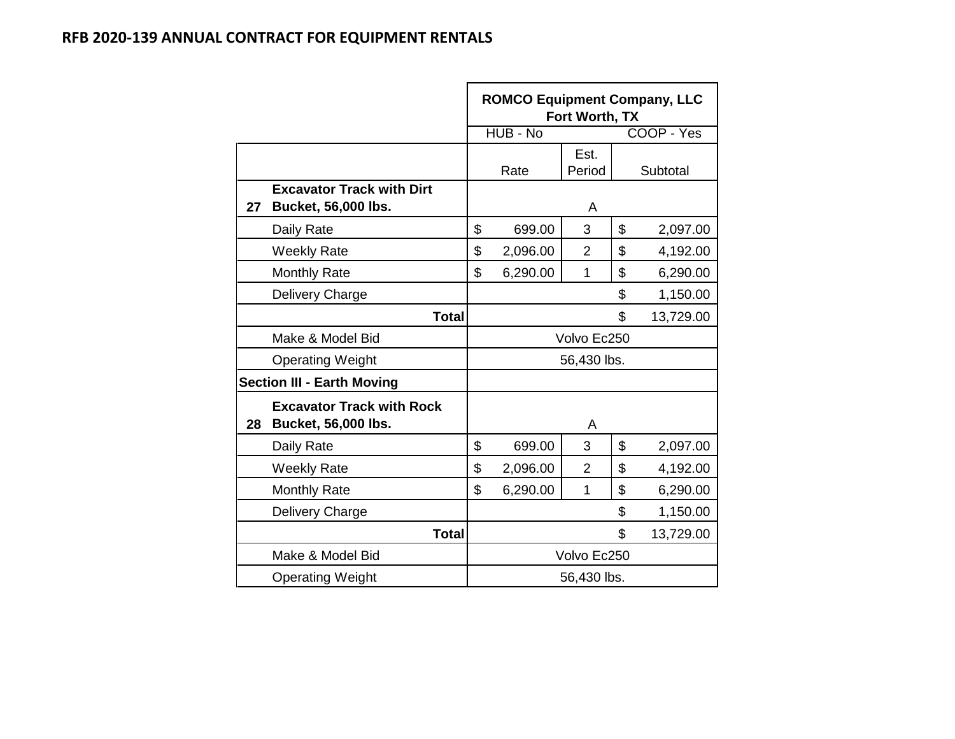|    |                                                                | <b>ROMCO Equipment Company, LLC</b> | Fort Worth, TX |    |            |
|----|----------------------------------------------------------------|-------------------------------------|----------------|----|------------|
|    |                                                                | HUB - No                            |                |    | COOP - Yes |
|    |                                                                | Rate                                | Est.<br>Period |    | Subtotal   |
| 27 | <b>Excavator Track with Dirt</b><br><b>Bucket, 56,000 lbs.</b> |                                     | A              |    |            |
|    | Daily Rate                                                     | \$<br>699.00                        | 3              | \$ | 2,097.00   |
|    | <b>Weekly Rate</b>                                             | \$<br>2,096.00                      | $\overline{2}$ | \$ | 4,192.00   |
|    | <b>Monthly Rate</b>                                            | \$<br>6,290.00                      | 1              | \$ | 6,290.00   |
|    | Delivery Charge                                                |                                     | 1,150.00       |    |            |
|    | <b>Total</b>                                                   |                                     |                | \$ | 13,729.00  |
|    | Make & Model Bid                                               |                                     | Volvo Ec250    |    |            |
|    | <b>Operating Weight</b>                                        |                                     | 56,430 lbs.    |    |            |
|    | <b>Section III - Earth Moving</b>                              |                                     |                |    |            |
| 28 | <b>Excavator Track with Rock</b><br>Bucket, 56,000 lbs.        |                                     | A              |    |            |
|    | Daily Rate                                                     | \$<br>699.00                        | 3              | \$ | 2,097.00   |
|    | <b>Weekly Rate</b>                                             | \$<br>2,096.00                      | $\overline{2}$ | \$ | 4,192.00   |
|    | <b>Monthly Rate</b>                                            | \$<br>6,290.00                      | 1              | \$ | 6,290.00   |
|    | Delivery Charge                                                |                                     |                | \$ | 1,150.00   |
|    | Total                                                          |                                     |                | \$ | 13,729.00  |
|    | Make & Model Bid                                               |                                     | Volvo Ec250    |    |            |
|    | <b>Operating Weight</b>                                        |                                     | 56,430 lbs.    |    |            |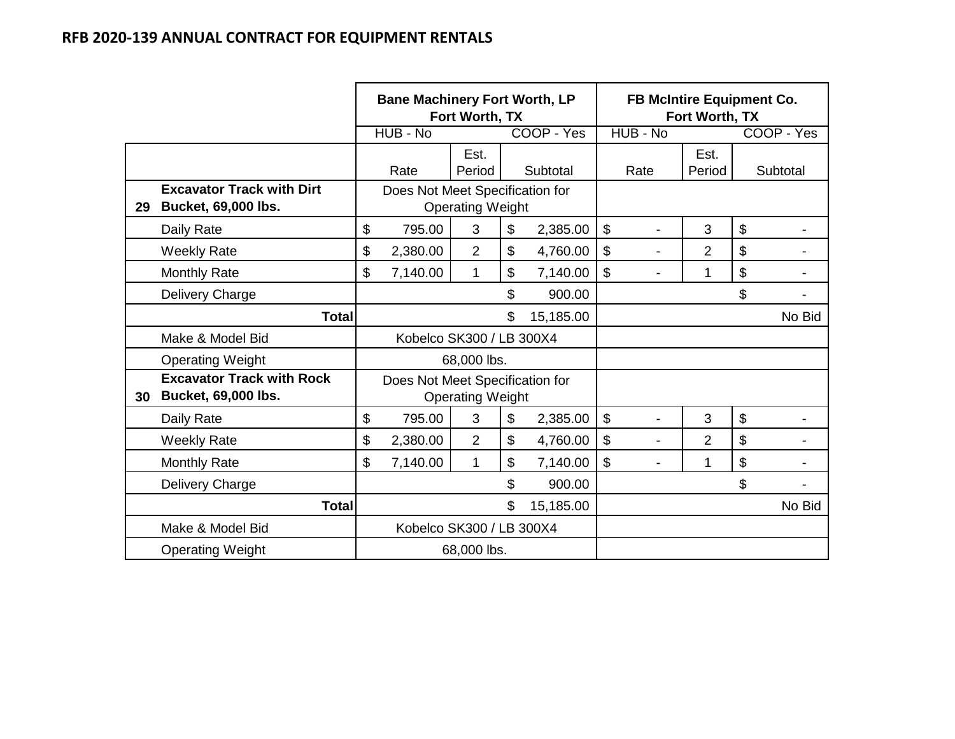|    |                                                                | <b>Bane Machinery Fort Worth, LP</b><br>Fort Worth, TX |                                 |                         |    | <b>FB McIntire Equipment Co.</b><br>Fort Worth, TX |                           |                |                |    |            |
|----|----------------------------------------------------------------|--------------------------------------------------------|---------------------------------|-------------------------|----|----------------------------------------------------|---------------------------|----------------|----------------|----|------------|
|    |                                                                |                                                        | HUB - No                        |                         |    | COOP - Yes                                         |                           | HUB - No       |                |    | COOP - Yes |
|    |                                                                |                                                        | Rate                            | Est.<br>Period          |    | Subtotal                                           |                           | Rate           | Est.<br>Period |    | Subtotal   |
| 29 | <b>Excavator Track with Dirt</b><br><b>Bucket, 69,000 lbs.</b> |                                                        | Does Not Meet Specification for | <b>Operating Weight</b> |    |                                                    |                           |                |                |    |            |
|    | Daily Rate                                                     | \$                                                     | 795.00                          | 3                       | \$ | 2,385.00                                           | \$                        |                | 3              | \$ |            |
|    | <b>Weekly Rate</b>                                             | \$                                                     | 2,380.00                        | $\overline{2}$          | \$ | 4,760.00                                           | \$                        | $\blacksquare$ | $\overline{2}$ | \$ |            |
|    | <b>Monthly Rate</b>                                            | \$                                                     | 7,140.00                        | 1                       | \$ | 7,140.00                                           | $\boldsymbol{\mathsf{S}}$ |                | 1              | \$ |            |
|    | Delivery Charge                                                |                                                        |                                 |                         | \$ | 900.00                                             |                           |                |                | \$ |            |
|    | <b>Total</b>                                                   |                                                        |                                 |                         | \$ | 15,185.00                                          |                           |                |                |    | No Bid     |
|    | Make & Model Bid                                               |                                                        | Kobelco SK300 / LB 300X4        |                         |    |                                                    |                           |                |                |    |            |
|    | <b>Operating Weight</b>                                        |                                                        |                                 | 68,000 lbs.             |    |                                                    |                           |                |                |    |            |
| 30 | <b>Excavator Track with Rock</b><br><b>Bucket, 69,000 lbs.</b> |                                                        | Does Not Meet Specification for | <b>Operating Weight</b> |    |                                                    |                           |                |                |    |            |
|    | Daily Rate                                                     | \$                                                     | 795.00                          | 3                       | \$ | 2,385.00                                           | $\boldsymbol{\mathsf{S}}$ |                | 3              | \$ |            |
|    | <b>Weekly Rate</b>                                             | \$                                                     | 2,380.00                        | $\overline{2}$          | \$ | 4,760.00                                           | $\boldsymbol{\mathsf{S}}$ |                | $\overline{2}$ | \$ |            |
|    | <b>Monthly Rate</b>                                            | \$                                                     | 7,140.00                        | 1                       | \$ | 7,140.00                                           | \$                        |                | 1              | \$ |            |
|    | Delivery Charge                                                |                                                        |                                 |                         | \$ | 900.00                                             |                           |                |                | \$ |            |
|    | <b>Total</b>                                                   |                                                        |                                 |                         | \$ | 15,185.00                                          |                           |                |                |    | No Bid     |
|    | Make & Model Bid                                               |                                                        | Kobelco SK300 / LB 300X4        |                         |    |                                                    |                           |                |                |    |            |
|    | <b>Operating Weight</b>                                        |                                                        |                                 | 68,000 lbs.             |    |                                                    |                           |                |                |    |            |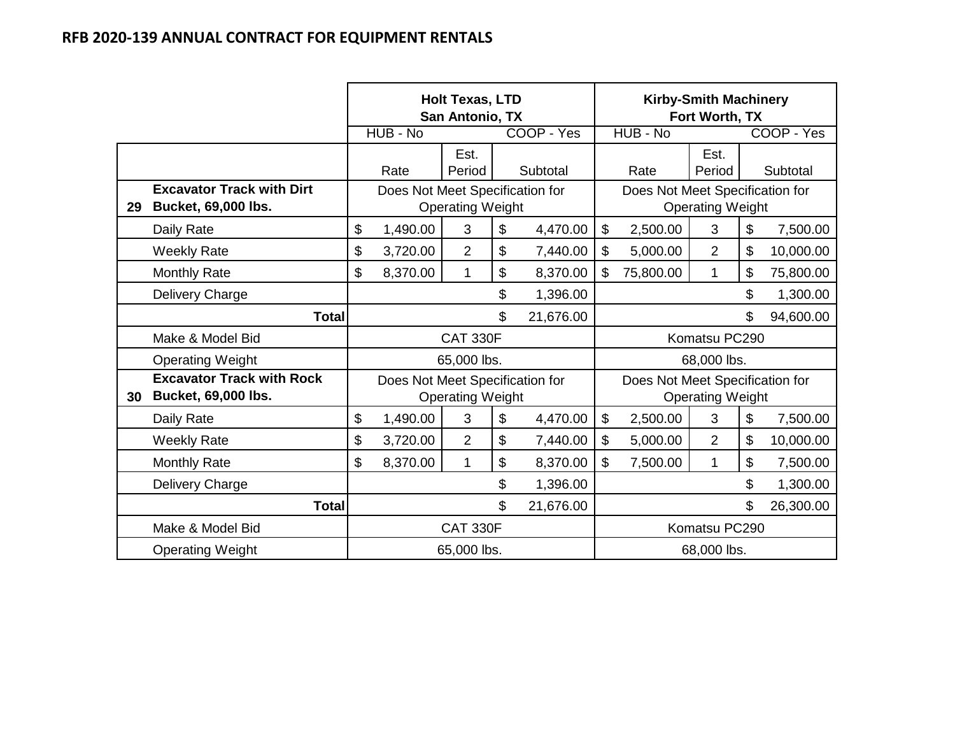|    |                                                                |                            |                                 | <b>Holt Texas, LTD</b><br>San Antonio, TX |          |            | <b>Kirby-Smith Machinery</b><br>Fort Worth, TX |                                 |                         |                |            |
|----|----------------------------------------------------------------|----------------------------|---------------------------------|-------------------------------------------|----------|------------|------------------------------------------------|---------------------------------|-------------------------|----------------|------------|
|    |                                                                |                            | HUB - No                        |                                           |          | COOP - Yes |                                                | HUB - No                        |                         |                | COOP - Yes |
|    |                                                                |                            | Rate                            | Est.<br>Period                            | Subtotal |            |                                                | Rate                            | Est.<br>Period          |                | Subtotal   |
| 29 | <b>Excavator Track with Dirt</b><br><b>Bucket, 69,000 lbs.</b> |                            | Does Not Meet Specification for | <b>Operating Weight</b>                   |          |            |                                                | Does Not Meet Specification for | <b>Operating Weight</b> |                |            |
|    | Daily Rate                                                     | \$                         | 1,490.00                        | 3                                         | \$       | 4,470.00   | \$                                             | 2,500.00                        | 3                       | \$             | 7,500.00   |
|    | <b>Weekly Rate</b>                                             | \$                         | 3,720.00                        | $\overline{2}$                            | \$       | 7,440.00   | \$                                             | 5,000.00                        | $\overline{2}$          | \$             | 10,000.00  |
|    | <b>Monthly Rate</b>                                            | \$                         | 8,370.00                        | 1                                         | \$       | 8,370.00   | \$                                             | 75,800.00                       | $\mathbf 1$             | \$             | 75,800.00  |
|    | Delivery Charge                                                |                            |                                 |                                           | \$       | 1,396.00   | \$                                             |                                 |                         |                | 1,300.00   |
|    | <b>Total</b>                                                   |                            |                                 |                                           | \$       | 21,676.00  | \$                                             |                                 |                         |                | 94,600.00  |
|    | Make & Model Bid                                               |                            |                                 | <b>CAT 330F</b>                           |          |            |                                                |                                 | Komatsu PC290           |                |            |
|    | <b>Operating Weight</b>                                        |                            |                                 | 65,000 lbs.                               |          |            |                                                |                                 | 68,000 lbs.             |                |            |
| 30 | <b>Excavator Track with Rock</b><br><b>Bucket, 69,000 lbs.</b> |                            | Does Not Meet Specification for | <b>Operating Weight</b>                   |          |            |                                                | Does Not Meet Specification for | <b>Operating Weight</b> |                |            |
|    | Daily Rate                                                     | \$                         | 1,490.00                        | 3                                         | \$       | 4,470.00   | \$                                             | 2,500.00                        | 3                       | \$             | 7,500.00   |
|    | <b>Weekly Rate</b>                                             | \$                         | 3,720.00                        | $\overline{2}$                            | \$       | 7,440.00   | \$                                             | 5,000.00                        | $\overline{2}$          | $\mathfrak{S}$ | 10,000.00  |
|    | <b>Monthly Rate</b>                                            | \$                         | 8,370.00                        | 1                                         | \$       | 8,370.00   | \$                                             | 7,500.00                        | 1                       | $\mathfrak{L}$ | 7,500.00   |
|    | Delivery Charge                                                |                            |                                 |                                           | \$       | 1,396.00   | \$                                             |                                 |                         |                | 1,300.00   |
|    | <b>Total</b>                                                   |                            |                                 |                                           | \$       | 21,676.00  | \$                                             |                                 |                         |                | 26,300.00  |
|    | Make & Model Bid                                               | <b>CAT 330F</b>            |                                 |                                           |          |            |                                                |                                 | Komatsu PC290           |                |            |
|    | <b>Operating Weight</b>                                        | 65,000 lbs.<br>68,000 lbs. |                                 |                                           |          |            |                                                |                                 |                         |                |            |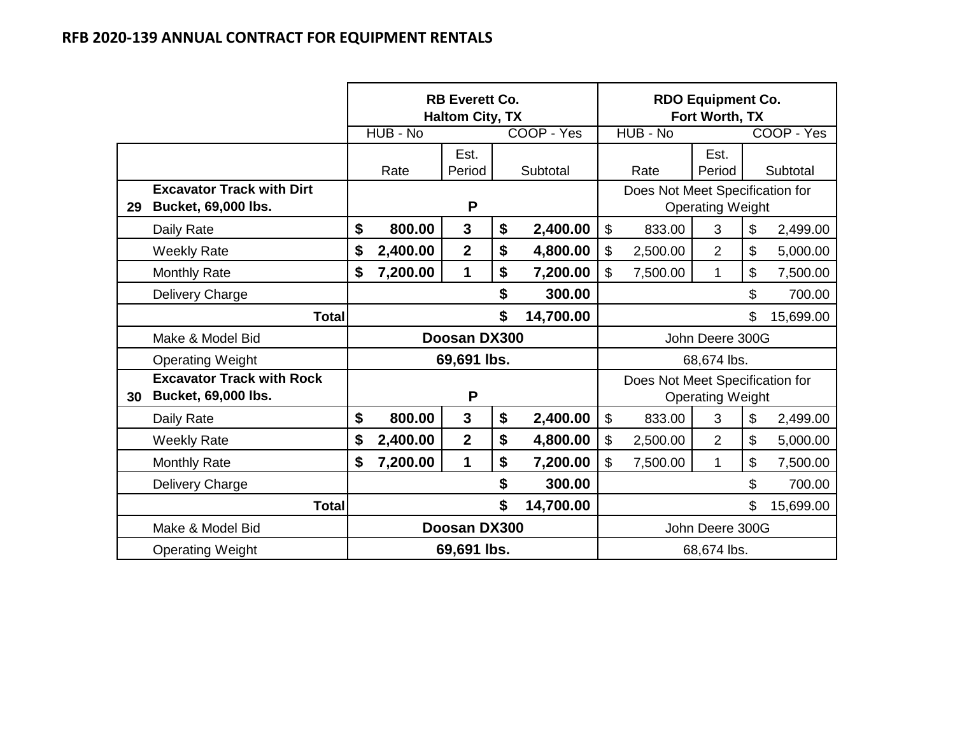|    |                                                                |              |          | <b>RB Everett Co.</b><br><b>Haltom City, TX</b> |    |            |                           |                                 | <b>RDO Equipment Co.</b><br>Fort Worth, TX |       |            |
|----|----------------------------------------------------------------|--------------|----------|-------------------------------------------------|----|------------|---------------------------|---------------------------------|--------------------------------------------|-------|------------|
|    |                                                                |              | HUB - No |                                                 |    | COOP - Yes |                           | HUB - No                        |                                            |       | COOP - Yes |
|    |                                                                |              |          | Est.                                            |    |            |                           |                                 | Est.                                       |       |            |
|    |                                                                |              | Rate     | Period                                          |    | Subtotal   |                           | Rate                            | Period                                     |       | Subtotal   |
| 29 | <b>Excavator Track with Dirt</b><br><b>Bucket, 69,000 lbs.</b> |              |          | P                                               |    |            |                           | Does Not Meet Specification for | <b>Operating Weight</b>                    |       |            |
|    | Daily Rate                                                     | \$           | 800.00   | $\mathbf{3}$                                    | \$ | 2,400.00   | $\boldsymbol{\mathsf{S}}$ | 833.00                          | 3                                          | \$    | 2,499.00   |
|    | <b>Weekly Rate</b>                                             | \$           | 2,400.00 | $\overline{2}$                                  | \$ | 4,800.00   | \$                        | 2,500.00                        | $\overline{2}$                             | \$    | 5,000.00   |
|    | <b>Monthly Rate</b>                                            | \$           | 7,200.00 | $\mathbf{1}$                                    | \$ | 7,200.00   | \$                        | 7,500.00                        | $\mathbf{1}$                               | \$    | 7,500.00   |
|    | Delivery Charge                                                |              |          |                                                 | \$ | 300.00     |                           |                                 |                                            | \$    | 700.00     |
|    | <b>Total</b>                                                   |              |          |                                                 | \$ | 14,700.00  | \$                        |                                 |                                            |       | 15,699.00  |
|    | Make & Model Bid                                               |              |          | Doosan DX300                                    |    |            |                           |                                 | John Deere 300G                            |       |            |
|    | <b>Operating Weight</b>                                        |              |          | 69,691 lbs.                                     |    |            |                           |                                 | 68,674 lbs.                                |       |            |
| 30 | <b>Excavator Track with Rock</b><br><b>Bucket, 69,000 lbs.</b> |              |          | P                                               |    |            |                           | Does Not Meet Specification for | <b>Operating Weight</b>                    |       |            |
|    | Daily Rate                                                     | \$           | 800.00   | $\mathbf{3}$                                    | \$ | 2,400.00   | $\boldsymbol{\mathsf{S}}$ | 833.00                          | 3                                          | \$    | 2,499.00   |
|    | <b>Weekly Rate</b>                                             | \$           | 2,400.00 | $\overline{2}$                                  | \$ | 4,800.00   | \$                        | 2,500.00                        | $\overline{2}$                             | $\$\$ | 5,000.00   |
|    | <b>Monthly Rate</b>                                            | \$           | 7,200.00 | 1                                               | \$ | 7,200.00   | \$                        | 7,500.00                        | $\mathbf 1$                                | \$    | 7,500.00   |
|    | Delivery Charge                                                |              |          |                                                 | \$ | 300.00     | \$                        |                                 |                                            |       | 700.00     |
|    | <b>Total</b>                                                   |              |          |                                                 | \$ | 14,700.00  |                           |                                 |                                            | \$    | 15,699.00  |
|    | Make & Model Bid                                               | Doosan DX300 |          |                                                 |    |            | John Deere 300G           |                                 |                                            |       |            |
|    | <b>Operating Weight</b>                                        |              |          | 69,691 lbs.                                     |    |            | 68,674 lbs.               |                                 |                                            |       |            |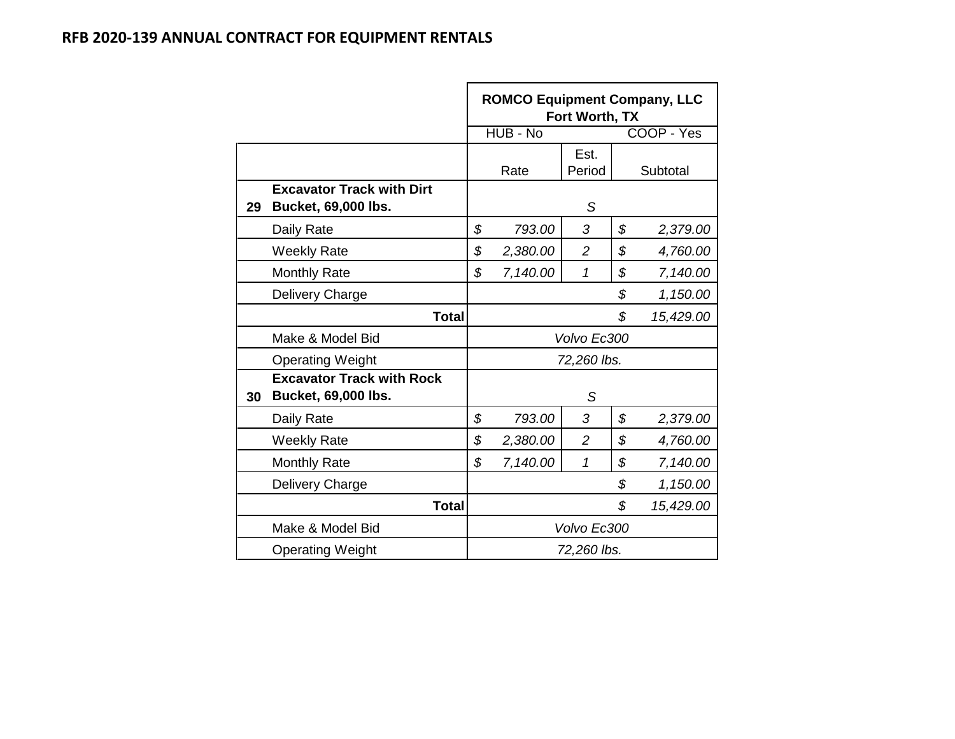|    |                                                                | <b>ROMCO Equipment Company, LLC</b><br>Fort Worth, TX |          |                |                |            |  |  |  |  |
|----|----------------------------------------------------------------|-------------------------------------------------------|----------|----------------|----------------|------------|--|--|--|--|
|    |                                                                |                                                       | HUB - No |                |                | COOP - Yes |  |  |  |  |
|    |                                                                |                                                       |          | Est.           |                |            |  |  |  |  |
|    |                                                                |                                                       | Rate     | Period         |                | Subtotal   |  |  |  |  |
| 29 | <b>Excavator Track with Dirt</b><br>Bucket, 69,000 lbs.        |                                                       |          | S              |                |            |  |  |  |  |
|    | Daily Rate                                                     | \$                                                    | 793.00   | 3              | \$             | 2,379.00   |  |  |  |  |
|    | <b>Weekly Rate</b>                                             | \$                                                    | 2,380.00 | $\overline{2}$ | \$             | 4,760.00   |  |  |  |  |
|    | <b>Monthly Rate</b>                                            | \$                                                    | 7,140.00 | 1              | \$             | 7,140.00   |  |  |  |  |
|    | Delivery Charge                                                |                                                       |          |                | \$<br>1,150.00 |            |  |  |  |  |
|    | <b>Total</b>                                                   |                                                       |          |                | \$             | 15,429.00  |  |  |  |  |
|    | Make & Model Bid                                               |                                                       |          | Volvo Ec300    |                |            |  |  |  |  |
|    | <b>Operating Weight</b>                                        |                                                       |          | 72,260 lbs.    |                |            |  |  |  |  |
| 30 | <b>Excavator Track with Rock</b><br><b>Bucket, 69,000 lbs.</b> |                                                       |          | S              |                |            |  |  |  |  |
|    | Daily Rate                                                     | \$                                                    | 793.00   | 3              | \$             | 2,379.00   |  |  |  |  |
|    | <b>Weekly Rate</b>                                             | \$                                                    | 2,380.00 | $\overline{2}$ | \$             | 4,760.00   |  |  |  |  |
|    | <b>Monthly Rate</b>                                            | \$                                                    | 7,140.00 | 1              | \$             | 7,140.00   |  |  |  |  |
|    | Delivery Charge                                                |                                                       |          | \$<br>1,150.00 |                |            |  |  |  |  |
|    | <b>Total</b>                                                   |                                                       |          |                | \$             | 15,429.00  |  |  |  |  |
|    | Make & Model Bid                                               |                                                       |          | Volvo Ec300    |                |            |  |  |  |  |
|    | <b>Operating Weight</b>                                        |                                                       |          | 72,260 lbs.    |                |            |  |  |  |  |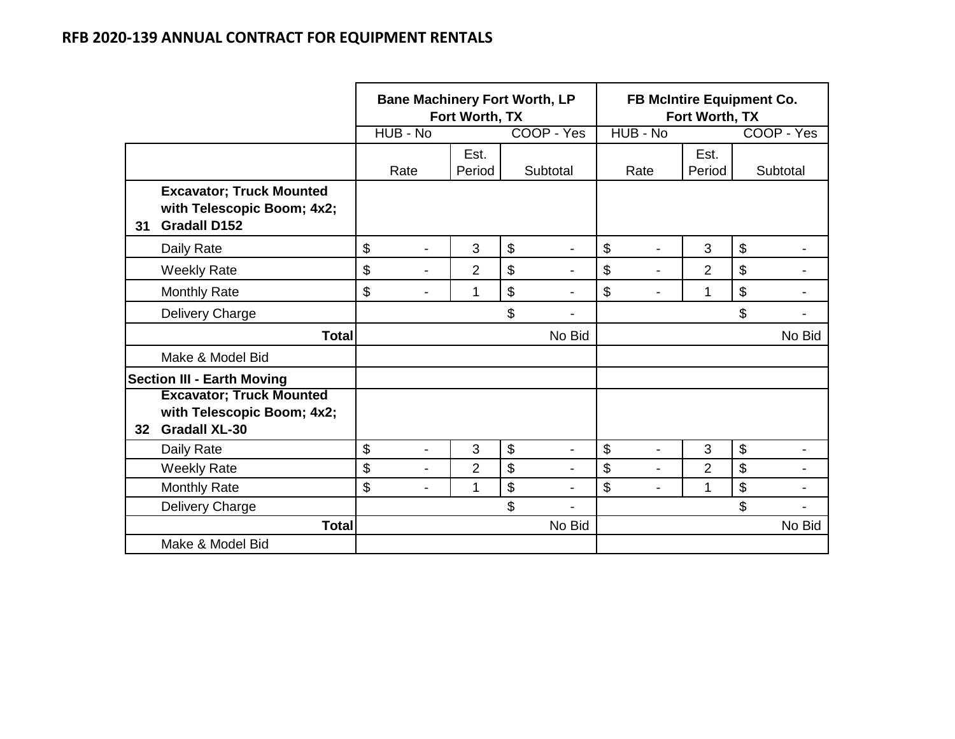|    |                                                                                       | <b>Bane Machinery Fort Worth, LP</b> | Fort Worth, TX |                      | FB McIntire Equipment Co.<br>Fort Worth, TX |                |                |                       |                          |
|----|---------------------------------------------------------------------------------------|--------------------------------------|----------------|----------------------|---------------------------------------------|----------------|----------------|-----------------------|--------------------------|
|    |                                                                                       | HUB - No                             |                | COOP - Yes           |                                             | HUB - No       |                |                       | COOP - Yes               |
|    |                                                                                       | Rate                                 | Est.<br>Period | Subtotal             |                                             | Rate           | Est.<br>Period |                       | Subtotal                 |
| 31 | <b>Excavator; Truck Mounted</b><br>with Telescopic Boom; 4x2;<br><b>Gradall D152</b>  |                                      |                |                      |                                             |                |                |                       |                          |
|    | Daily Rate                                                                            | \$<br>-                              | 3              | \$<br>$\blacksquare$ | $\boldsymbol{\mathsf{S}}$                   | -              | 3              | $\boldsymbol{\theta}$ |                          |
|    | <b>Weekly Rate</b>                                                                    | \$<br>$\blacksquare$                 | $\overline{2}$ | \$                   | \$                                          |                | $\overline{2}$ | \$                    |                          |
|    | <b>Monthly Rate</b>                                                                   | \$<br>$\blacksquare$                 | 1              | \$                   | \$                                          |                | 1              | \$                    |                          |
|    | Delivery Charge                                                                       |                                      |                | \$                   |                                             |                |                | \$                    |                          |
|    | <b>Total</b>                                                                          |                                      |                | No Bid               |                                             |                |                |                       | No Bid                   |
|    | Make & Model Bid                                                                      |                                      |                |                      |                                             |                |                |                       |                          |
|    | <b>Section III - Earth Moving</b>                                                     |                                      |                |                      |                                             |                |                |                       |                          |
| 32 | <b>Excavator; Truck Mounted</b><br>with Telescopic Boom; 4x2;<br><b>Gradall XL-30</b> |                                      |                |                      |                                             |                |                |                       |                          |
|    | Daily Rate                                                                            | \$<br>$\blacksquare$                 | 3              | \$<br>$\blacksquare$ | \$                                          | $\blacksquare$ | 3              | \$                    | $\overline{\phantom{0}}$ |
|    | <b>Weekly Rate</b>                                                                    | \$<br>Ξ.                             | $\overline{2}$ | \$                   | \$                                          | $\blacksquare$ | $\overline{2}$ | \$                    | ۰                        |
|    | Monthly Rate                                                                          | \$<br>Ξ.                             | 1              | \$                   | \$                                          | $\blacksquare$ | 1              | \$                    | $\blacksquare$           |
|    | Delivery Charge                                                                       |                                      |                | \$                   |                                             |                |                | \$                    |                          |
|    | <b>Total</b>                                                                          |                                      |                | No Bid               |                                             |                |                |                       | No Bid                   |
|    | Make & Model Bid                                                                      |                                      |                |                      |                                             |                |                |                       |                          |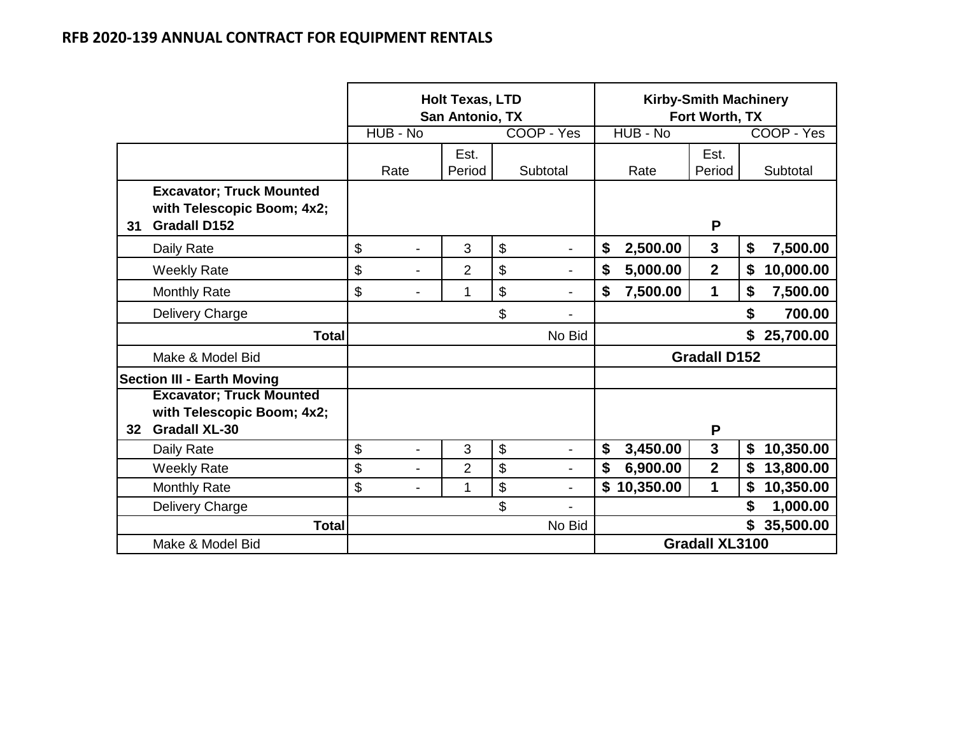|    |                                                                                       |          |                | <b>Holt Texas, LTD</b><br>San Antonio, TX |                                | <b>Kirby-Smith Machinery</b><br>Fort Worth, TX |                       |    |            |
|----|---------------------------------------------------------------------------------------|----------|----------------|-------------------------------------------|--------------------------------|------------------------------------------------|-----------------------|----|------------|
|    |                                                                                       | HUB - No |                |                                           | COOP - Yes                     | HUB - No                                       |                       |    | COOP - Yes |
|    |                                                                                       | Rate     |                | Est.<br>Period                            | Subtotal                       | Rate                                           | Est.<br>Period        |    | Subtotal   |
| 31 | <b>Excavator; Truck Mounted</b><br>with Telescopic Boom; 4x2;<br><b>Gradall D152</b>  |          |                |                                           |                                |                                                | P                     |    |            |
|    | Daily Rate                                                                            | \$       | $\blacksquare$ | 3                                         | \$<br>$\overline{\phantom{a}}$ | \$<br>2,500.00                                 | 3                     | \$ | 7,500.00   |
|    | <b>Weekly Rate</b>                                                                    | \$       | -              | $\overline{2}$                            | \$                             | \$<br>5,000.00                                 | $\overline{2}$        | \$ | 10,000.00  |
|    | <b>Monthly Rate</b>                                                                   | \$       |                | 1                                         | \$                             | \$<br>7,500.00                                 | 1                     | \$ | 7,500.00   |
|    | Delivery Charge                                                                       |          |                |                                           | \$                             |                                                |                       | \$ | 700.00     |
|    | <b>Total</b>                                                                          |          |                |                                           | No Bid                         |                                                |                       | \$ | 25,700.00  |
|    | Make & Model Bid                                                                      |          |                |                                           |                                |                                                | <b>Gradall D152</b>   |    |            |
|    | <b>Section III - Earth Moving</b>                                                     |          |                |                                           |                                |                                                |                       |    |            |
| 32 | <b>Excavator; Truck Mounted</b><br>with Telescopic Boom; 4x2;<br><b>Gradall XL-30</b> |          |                |                                           |                                |                                                | P                     |    |            |
|    | Daily Rate                                                                            | \$       | $\blacksquare$ | 3                                         | \$<br>$\overline{\phantom{a}}$ | \$<br>3,450.00                                 | 3                     | \$ | 10,350.00  |
|    | <b>Weekly Rate</b>                                                                    | \$       | $\overline{a}$ | $\overline{2}$                            | \$<br>$\overline{\phantom{0}}$ | \$<br>6,900.00                                 | $\overline{2}$        | \$ | 13,800.00  |
|    | <b>Monthly Rate</b>                                                                   | \$       | $\overline{a}$ | 1                                         | \$<br>$\overline{\phantom{0}}$ | \$<br>10,350.00                                | 1                     | \$ | 10,350.00  |
|    | Delivery Charge                                                                       |          |                |                                           | \$                             |                                                |                       | \$ | 1,000.00   |
|    | <b>Total</b>                                                                          |          |                |                                           | No Bid                         |                                                |                       | \$ | 35,500.00  |
|    | Make & Model Bid                                                                      |          |                |                                           |                                |                                                | <b>Gradall XL3100</b> |    |            |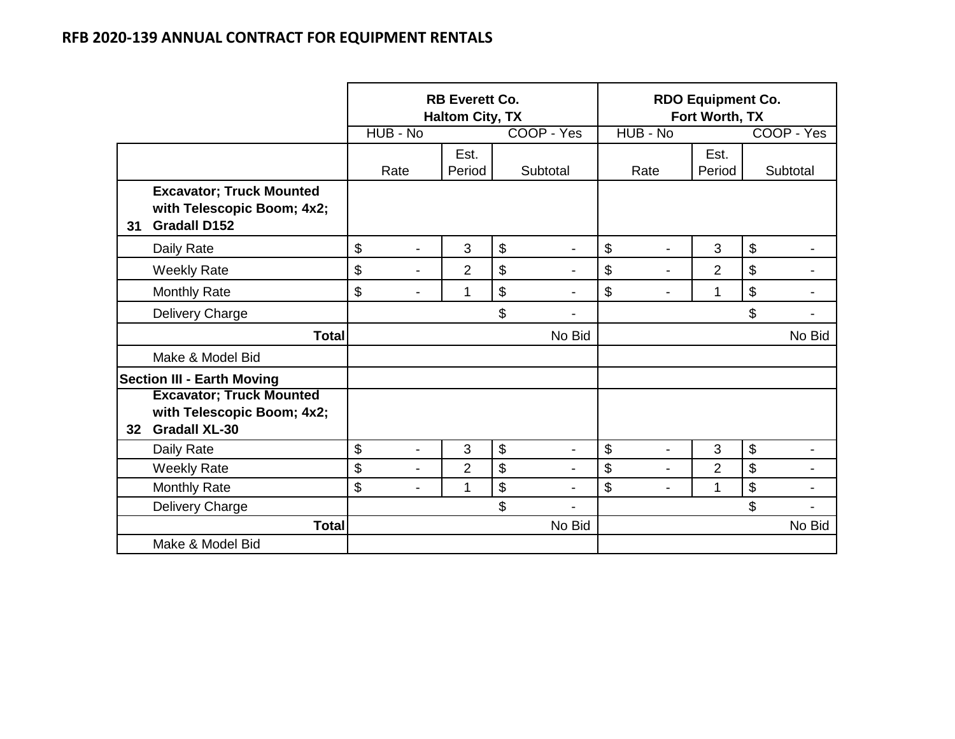|                 |                                                                                       |                      | <b>RB Everett Co.</b><br><b>Haltom City, TX</b> |                                | <b>RDO Equipment Co.</b><br>Fort Worth, TX |                |                           |                |
|-----------------|---------------------------------------------------------------------------------------|----------------------|-------------------------------------------------|--------------------------------|--------------------------------------------|----------------|---------------------------|----------------|
|                 |                                                                                       | HUB - No             |                                                 | COOP - Yes                     | HUB - No                                   |                |                           | COOP - Yes     |
|                 |                                                                                       | Rate                 | Est.<br>Period                                  | Subtotal                       | Rate                                       | Est.<br>Period |                           | Subtotal       |
| 31              | <b>Excavator; Truck Mounted</b><br>with Telescopic Boom; 4x2;<br><b>Gradall D152</b>  |                      |                                                 |                                |                                            |                |                           |                |
|                 | Daily Rate                                                                            | \$<br>$\blacksquare$ | 3                                               | \$<br>$\overline{\phantom{a}}$ | \$<br>$\blacksquare$                       | 3              | \$                        |                |
|                 | <b>Weekly Rate</b>                                                                    | \$<br>$\blacksquare$ | $\overline{2}$                                  | \$                             | \$<br>$\blacksquare$                       | $\overline{2}$ | $\boldsymbol{\$}$         |                |
|                 | <b>Monthly Rate</b>                                                                   | \$                   | 1                                               | \$                             | \$                                         | 1              | $\boldsymbol{\mathsf{S}}$ |                |
|                 | Delivery Charge                                                                       |                      |                                                 | \$                             |                                            |                | \$                        |                |
|                 | <b>Total</b>                                                                          |                      |                                                 | No Bid                         |                                            |                |                           | No Bid         |
|                 | Make & Model Bid                                                                      |                      |                                                 |                                |                                            |                |                           |                |
|                 | <b>Section III - Earth Moving</b>                                                     |                      |                                                 |                                |                                            |                |                           |                |
| 32 <sub>2</sub> | <b>Excavator; Truck Mounted</b><br>with Telescopic Boom; 4x2;<br><b>Gradall XL-30</b> |                      |                                                 |                                |                                            |                |                           |                |
|                 | Daily Rate                                                                            | \$<br>$\overline{a}$ | 3                                               | \$<br>$\overline{\phantom{a}}$ | \$<br>$\overline{a}$                       | 3              | $\boldsymbol{\$}$         | $\blacksquare$ |
|                 | <b>Weekly Rate</b>                                                                    | \$<br>۰              | $\overline{2}$                                  | \$<br>$\overline{\phantom{0}}$ | \$<br>۰                                    | $\overline{2}$ | $\boldsymbol{\mathsf{S}}$ |                |
|                 | <b>Monthly Rate</b>                                                                   | \$<br>$\blacksquare$ | 1                                               | \$<br>$\blacksquare$           | \$<br>$\blacksquare$                       | 1              | $\boldsymbol{\$}$         | $\blacksquare$ |
|                 | Delivery Charge                                                                       |                      |                                                 | \$                             |                                            |                | \$                        |                |
|                 | <b>Total</b>                                                                          |                      |                                                 | No Bid                         |                                            |                |                           | No Bid         |
|                 | Make & Model Bid                                                                      |                      |                                                 |                                |                                            |                |                           |                |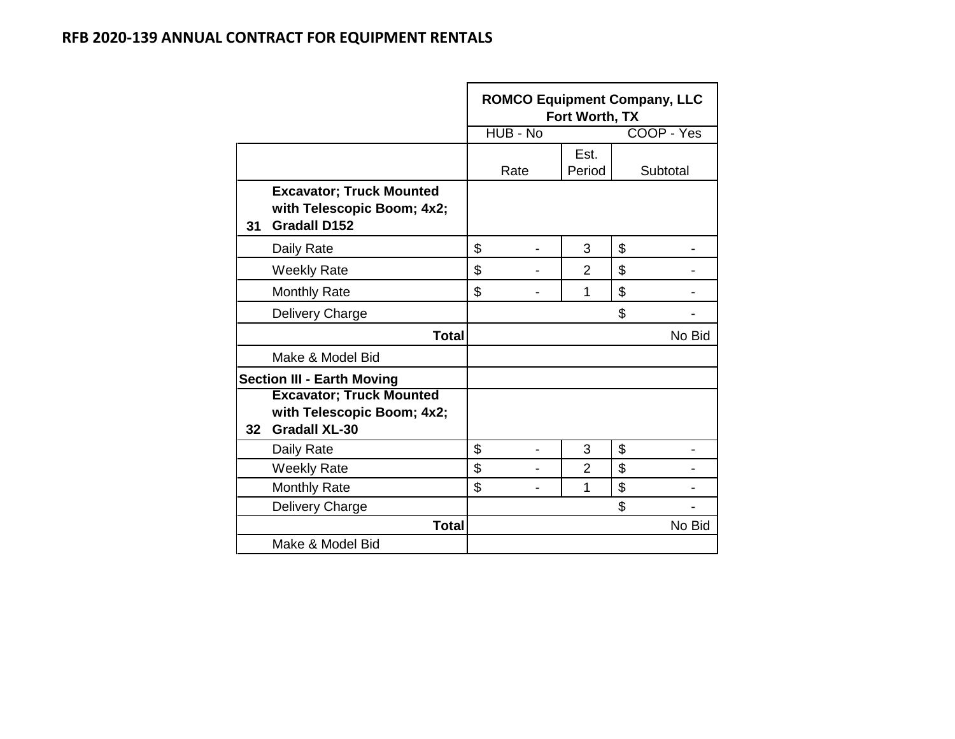|                 |                                                                                       |                      | Fort Worth, TX | <b>ROMCO Equipment Company, LLC</b> |
|-----------------|---------------------------------------------------------------------------------------|----------------------|----------------|-------------------------------------|
|                 |                                                                                       | HUB - No             |                | COOP - Yes                          |
|                 |                                                                                       | Rate                 | Est.<br>Period | Subtotal                            |
| 31              | <b>Excavator; Truck Mounted</b><br>with Telescopic Boom; 4x2;<br><b>Gradall D152</b>  |                      |                |                                     |
|                 | Daily Rate                                                                            | \$                   | 3              | \$                                  |
|                 | <b>Weekly Rate</b>                                                                    | \$                   | $\overline{2}$ | \$                                  |
|                 | <b>Monthly Rate</b>                                                                   | \$                   | 1              | \$                                  |
|                 | Delivery Charge                                                                       |                      |                | \$                                  |
|                 | <b>Total</b>                                                                          |                      |                | No Bid                              |
|                 | Make & Model Bid                                                                      |                      |                |                                     |
|                 | <b>Section III - Earth Moving</b>                                                     |                      |                |                                     |
| 32 <sub>2</sub> | <b>Excavator; Truck Mounted</b><br>with Telescopic Boom; 4x2;<br><b>Gradall XL-30</b> |                      |                |                                     |
|                 | Daily Rate                                                                            | \$<br>$\blacksquare$ | 3              | \$                                  |
|                 | <b>Weekly Rate</b>                                                                    | \$                   | $\overline{2}$ | \$                                  |
|                 | <b>Monthly Rate</b>                                                                   | \$                   | 1              | \$                                  |
|                 | Delivery Charge                                                                       |                      |                | \$                                  |
|                 | <b>Total</b>                                                                          |                      |                | No Bid                              |
|                 | Make & Model Bid                                                                      |                      |                |                                     |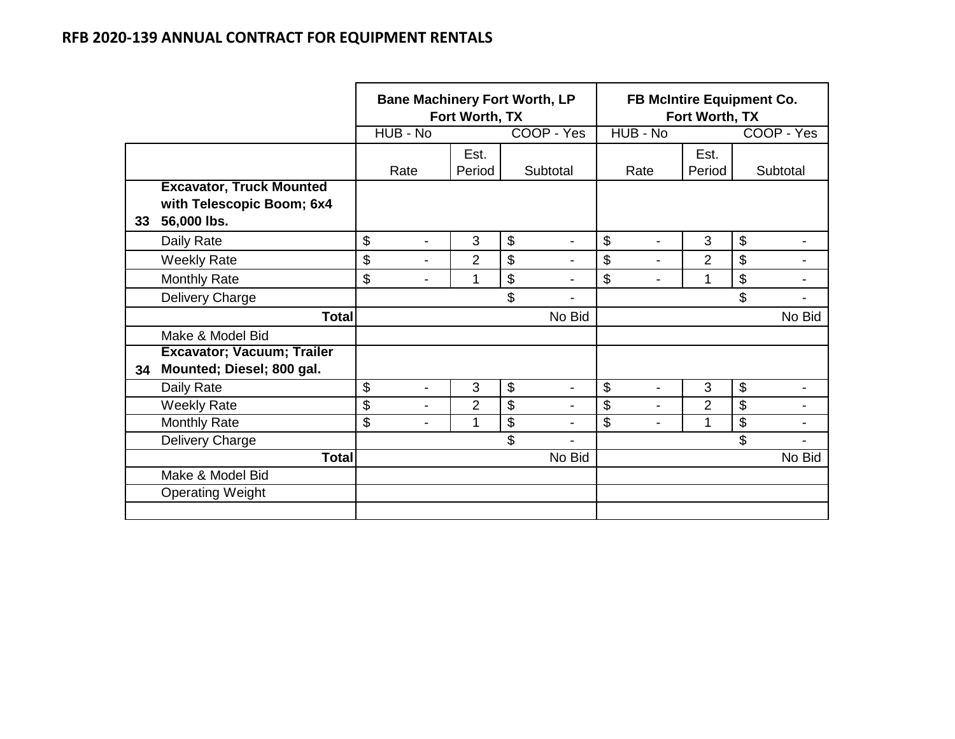|    |                                                                             |                | <b>Bane Machinery Fort Worth, LP</b> | Fort Worth, TX |                           |                          | FB McIntire Equipment Co.<br>Fort Worth, TX<br>HUB - No |                |                           |                          |
|----|-----------------------------------------------------------------------------|----------------|--------------------------------------|----------------|---------------------------|--------------------------|---------------------------------------------------------|----------------|---------------------------|--------------------------|
|    |                                                                             |                | $HUB - No$                           |                |                           | COOP - Yes               |                                                         |                |                           | COOP - Yes               |
|    |                                                                             |                | Rate                                 | Est.<br>Period |                           | Subtotal                 | Rate                                                    | Est.<br>Period |                           | Subtotal                 |
| 33 | <b>Excavator, Truck Mounted</b><br>with Telescopic Boom; 6x4<br>56,000 lbs. |                |                                      |                |                           |                          |                                                         |                |                           |                          |
|    | Daily Rate                                                                  | \$             | $\blacksquare$                       | 3              | $\boldsymbol{\mathsf{S}}$ | $\blacksquare$           | \$<br>$\blacksquare$                                    | 3              | $\boldsymbol{\theta}$     |                          |
|    | <b>Weekly Rate</b>                                                          | \$             | $\blacksquare$                       | $\overline{2}$ | $\boldsymbol{\mathsf{S}}$ | $\overline{\phantom{a}}$ | \$<br>$\overline{\phantom{a}}$                          | $\overline{2}$ | \$                        | $\overline{\phantom{a}}$ |
|    | <b>Monthly Rate</b>                                                         | \$             | $\blacksquare$                       | 1              | \$                        | ۰                        | \$<br>$\blacksquare$                                    |                | \$                        |                          |
|    | Delivery Charge                                                             |                |                                      |                | \$                        |                          |                                                         |                | \$                        |                          |
|    | <b>Total</b>                                                                |                |                                      |                |                           | No Bid                   |                                                         |                |                           | No Bid                   |
|    | Make & Model Bid                                                            |                |                                      |                |                           |                          |                                                         |                |                           |                          |
| 34 | Excavator; Vacuum; Trailer<br>Mounted; Diesel; 800 gal.                     |                |                                      |                |                           |                          |                                                         |                |                           |                          |
|    | Daily Rate                                                                  | $\mathfrak{S}$ | $\blacksquare$                       | 3              | $\boldsymbol{\mathsf{S}}$ | $\blacksquare$           | \$<br>$\blacksquare$                                    | 3              | $\boldsymbol{\mathsf{S}}$ | $\overline{\phantom{a}}$ |
|    | <b>Weekly Rate</b>                                                          | \$             | $\blacksquare$                       | $\overline{2}$ | $\mathfrak{S}$            |                          | \$<br>$\blacksquare$                                    | $\overline{2}$ | \$                        |                          |
|    | <b>Monthly Rate</b>                                                         | \$             | $\overline{\phantom{a}}$             | 1              | $\overline{\mathbf{s}}$   |                          | \$<br>$\blacksquare$                                    |                | \$                        |                          |
|    | Delivery Charge                                                             |                |                                      |                | \$                        |                          |                                                         |                | \$                        |                          |
|    | <b>Total</b>                                                                |                |                                      |                |                           | No Bid                   |                                                         |                |                           | No Bid                   |
|    | Make & Model Bid                                                            |                |                                      |                |                           |                          |                                                         |                |                           |                          |
|    | <b>Operating Weight</b>                                                     |                |                                      |                |                           |                          |                                                         |                |                           |                          |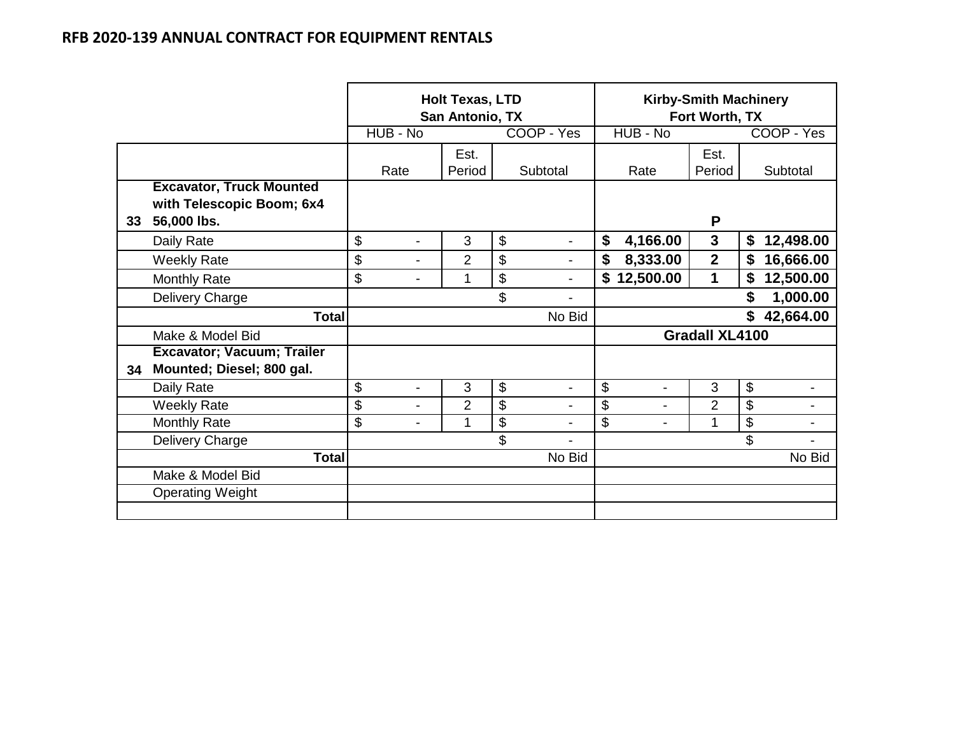|    |                                                                             |                                | <b>Holt Texas, LTD</b><br>San Antonio, TX |                      |                      | <b>Kirby-Smith Machinery</b><br>Fort Worth, TX |    |            |  |
|----|-----------------------------------------------------------------------------|--------------------------------|-------------------------------------------|----------------------|----------------------|------------------------------------------------|----|------------|--|
|    |                                                                             | HUB - No                       |                                           | COOP - Yes           | HUB - No             |                                                |    | COOP - Yes |  |
|    |                                                                             | Rate                           | Est.<br>Period                            | Subtotal             | Rate                 | Est.<br>Period                                 |    | Subtotal   |  |
| 33 | <b>Excavator, Truck Mounted</b><br>with Telescopic Boom; 6x4<br>56,000 lbs. |                                |                                           |                      |                      | P                                              |    |            |  |
|    | Daily Rate                                                                  | \$<br>$\blacksquare$           | 3                                         | \$<br>$\blacksquare$ | \$<br>4,166.00       | 3                                              | \$ | 12,498.00  |  |
|    | <b>Weekly Rate</b>                                                          | \$<br>$\overline{\phantom{a}}$ | $\overline{2}$                            | \$<br>$\blacksquare$ | \$<br>8,333.00       | $\overline{2}$                                 | \$ | 16,666.00  |  |
|    | <b>Monthly Rate</b>                                                         | \$<br>$\overline{\phantom{a}}$ | 1                                         | \$<br>$\overline{a}$ | 12,500.00<br>\$      | 1                                              | \$ | 12,500.00  |  |
|    | Delivery Charge                                                             |                                |                                           | \$                   |                      |                                                | \$ | 1,000.00   |  |
|    | <b>Total</b>                                                                |                                |                                           | No Bid               |                      |                                                | \$ | 42,664.00  |  |
|    | Make & Model Bid                                                            |                                |                                           |                      |                      | <b>Gradall XL4100</b>                          |    |            |  |
| 34 | <b>Excavator; Vacuum; Trailer</b><br>Mounted; Diesel; 800 gal.              |                                |                                           |                      |                      |                                                |    |            |  |
|    | Daily Rate                                                                  | \$<br>$\blacksquare$           | 3                                         | \$<br>$\blacksquare$ | \$<br>$\blacksquare$ | 3                                              | \$ |            |  |
|    | <b>Weekly Rate</b>                                                          | \$<br>$\blacksquare$           | $\overline{2}$                            | \$                   | \$<br>÷              | $\overline{2}$                                 | \$ |            |  |
|    | Monthly Rate                                                                | \$<br>$\blacksquare$           | 1                                         | \$                   | \$<br>$\blacksquare$ | 1                                              | \$ |            |  |
|    | Delivery Charge                                                             |                                |                                           | \$                   |                      |                                                | \$ |            |  |
|    | <b>Total</b>                                                                |                                |                                           | No Bid               |                      |                                                |    | No Bid     |  |
|    | Make & Model Bid                                                            |                                |                                           |                      |                      |                                                |    |            |  |
|    | <b>Operating Weight</b>                                                     |                                |                                           |                      |                      |                                                |    |            |  |
|    |                                                                             |                                |                                           |                      |                      |                                                |    |            |  |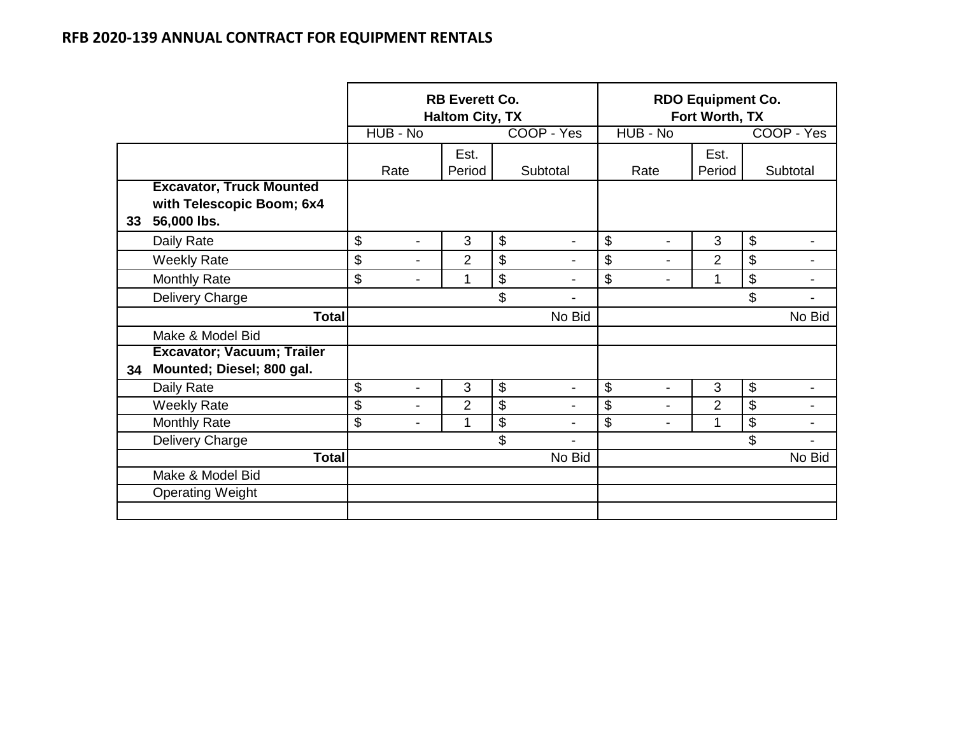|    |                                                                             |                                | <b>RB Everett Co.</b><br><b>Haltom City, TX</b> |                           |                          | <b>RDO Equipment Co.</b><br>Fort Worth, TX |                |                            |                |
|----|-----------------------------------------------------------------------------|--------------------------------|-------------------------------------------------|---------------------------|--------------------------|--------------------------------------------|----------------|----------------------------|----------------|
|    |                                                                             | HUB - No                       |                                                 |                           | COOP - Yes               | HUB - No                                   |                |                            | COOP - Yes     |
|    |                                                                             | Rate                           | Est.<br>Period                                  |                           | Subtotal                 | Rate                                       | Est.<br>Period |                            | Subtotal       |
| 33 | <b>Excavator, Truck Mounted</b><br>with Telescopic Boom; 6x4<br>56,000 lbs. |                                |                                                 |                           |                          |                                            |                |                            |                |
|    | Daily Rate                                                                  | \$<br>$\overline{\phantom{a}}$ | 3                                               | $\boldsymbol{\mathsf{S}}$ | $\blacksquare$           | \$<br>$\overline{a}$                       | 3              | \$                         |                |
|    | <b>Weekly Rate</b>                                                          | \$<br>$\blacksquare$           | $\overline{2}$                                  | \$                        | $\blacksquare$           | \$<br>$\overline{\phantom{0}}$             | $\overline{2}$ | \$                         | $\blacksquare$ |
|    | <b>Monthly Rate</b>                                                         | \$<br>$\blacksquare$           | 1                                               | \$                        |                          | \$<br>$\blacksquare$                       | 1              | \$                         |                |
|    | Delivery Charge                                                             |                                |                                                 | \$                        |                          |                                            |                | \$                         |                |
|    | <b>Total</b>                                                                |                                |                                                 |                           | No Bid                   |                                            |                |                            | No Bid         |
|    | Make & Model Bid                                                            |                                |                                                 |                           |                          |                                            |                |                            |                |
| 34 | Excavator; Vacuum; Trailer<br>Mounted; Diesel; 800 gal.                     |                                |                                                 |                           |                          |                                            |                |                            |                |
|    | Daily Rate                                                                  | \$<br>$\blacksquare$           | 3                                               | $\boldsymbol{\$}$         | $\overline{\phantom{a}}$ | \$<br>$\overline{a}$                       | 3              | $\boldsymbol{\mathsf{\$}}$ |                |
|    | <b>Weekly Rate</b>                                                          | \$                             | $\overline{2}$                                  | \$                        |                          | \$                                         | $\overline{2}$ | \$                         |                |
|    | Monthly Rate                                                                | \$<br>$\blacksquare$           | 1                                               | \$                        |                          | \$                                         | 1              | \$                         |                |
|    | Delivery Charge                                                             |                                |                                                 | \$                        |                          |                                            |                | \$                         |                |
|    | <b>Total</b>                                                                |                                |                                                 |                           | No Bid                   |                                            |                |                            | No Bid         |
|    | Make & Model Bid                                                            |                                |                                                 |                           |                          |                                            |                |                            |                |
|    | <b>Operating Weight</b>                                                     |                                |                                                 |                           |                          |                                            |                |                            |                |
|    |                                                                             |                                |                                                 |                           |                          |                                            |                |                            |                |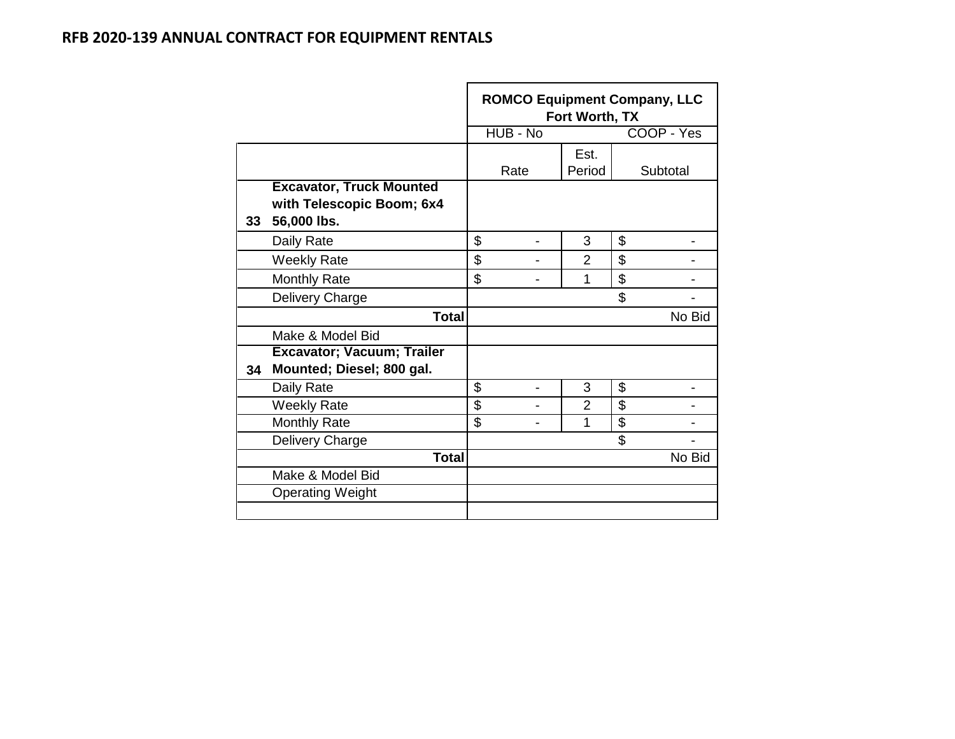|    |                                                                             |          | Fort Worth, TX | <b>ROMCO Equipment Company, LLC</b> |
|----|-----------------------------------------------------------------------------|----------|----------------|-------------------------------------|
|    |                                                                             | HUB - No |                | COOP - Yes                          |
|    |                                                                             | Rate     | Est.<br>Period | Subtotal                            |
| 33 | <b>Excavator, Truck Mounted</b><br>with Telescopic Boom; 6x4<br>56,000 lbs. |          |                |                                     |
|    | Daily Rate                                                                  | \$       | 3              | \$                                  |
|    | <b>Weekly Rate</b>                                                          | \$       | $\overline{2}$ | \$                                  |
|    | <b>Monthly Rate</b>                                                         | \$       | 1              | \$                                  |
|    | Delivery Charge                                                             |          |                | \$                                  |
|    | <b>Total</b>                                                                |          |                | No Bid                              |
|    | Make & Model Bid                                                            |          |                |                                     |
| 34 | <b>Excavator; Vacuum; Trailer</b><br>Mounted; Diesel; 800 gal.              |          |                |                                     |
|    | Daily Rate                                                                  | \$       | 3              | \$                                  |
|    | <b>Weekly Rate</b>                                                          | \$       | $\overline{2}$ | \$                                  |
|    | <b>Monthly Rate</b>                                                         | \$       | 1              | \$                                  |
|    | Delivery Charge                                                             |          |                | \$                                  |
|    | <b>Total</b>                                                                |          |                | No Bid                              |
|    | Make & Model Bid                                                            |          |                |                                     |
|    | <b>Operating Weight</b>                                                     |          |                |                                     |
|    |                                                                             |          |                |                                     |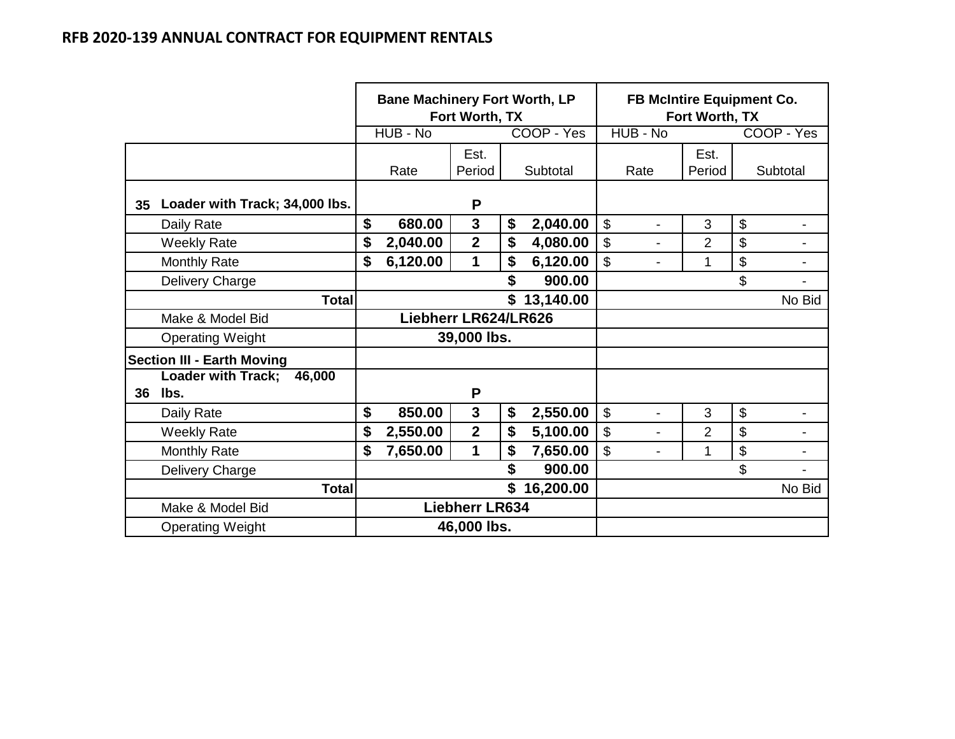|                 |                                             | <b>Bane Machinery Fort Worth, LP</b><br>Fort Worth, TX<br>COOP - Yes |                      |                |    |           | <b>FB McIntire Equipment Co.</b><br>Fort Worth, TX |                |                           |                          |  |  |
|-----------------|---------------------------------------------|----------------------------------------------------------------------|----------------------|----------------|----|-----------|----------------------------------------------------|----------------|---------------------------|--------------------------|--|--|
|                 |                                             |                                                                      | HUB - No             |                |    |           | HUB - No                                           |                |                           | COOP - Yes               |  |  |
|                 |                                             |                                                                      | Rate                 | Est.<br>Period |    | Subtotal  | Rate                                               | Est.<br>Period |                           | Subtotal                 |  |  |
| 35 <sub>5</sub> | Loader with Track; 34,000 lbs.              |                                                                      |                      | P              |    |           |                                                    |                |                           |                          |  |  |
|                 | Daily Rate                                  | \$                                                                   | 680.00               | 3              | \$ | 2,040.00  | \$<br>$\blacksquare$                               | 3              | $\boldsymbol{\mathsf{S}}$ | $\blacksquare$           |  |  |
|                 | <b>Weekly Rate</b>                          | \$                                                                   | 2,040.00             | $\mathbf{2}$   | \$ | 4,080.00  | \$<br>$\blacksquare$                               | 2              | $\boldsymbol{\mathsf{S}}$ | $\blacksquare$           |  |  |
|                 | <b>Monthly Rate</b>                         | \$                                                                   | 6,120.00             | 1              | \$ | 6,120.00  | \$                                                 | 1              | $\mathfrak{S}$            |                          |  |  |
|                 | Delivery Charge                             |                                                                      |                      |                | S  | 900.00    |                                                    |                | \$                        |                          |  |  |
|                 | <b>Total</b>                                |                                                                      |                      |                | \$ | 13,140.00 |                                                    |                |                           | No Bid                   |  |  |
|                 | Make & Model Bid                            |                                                                      | Liebherr LR624/LR626 |                |    |           |                                                    |                |                           |                          |  |  |
|                 | <b>Operating Weight</b>                     |                                                                      |                      | 39,000 lbs.    |    |           |                                                    |                |                           |                          |  |  |
|                 | <b>Section III - Earth Moving</b>           |                                                                      |                      |                |    |           |                                                    |                |                           |                          |  |  |
| 36              | <b>Loader with Track;</b><br>46,000<br>lbs. |                                                                      |                      | P              |    |           |                                                    |                |                           |                          |  |  |
|                 | Daily Rate                                  | \$                                                                   | 850.00               | $\mathbf{3}$   | \$ | 2,550.00  | \$<br>$\blacksquare$                               | 3              | $\mathfrak{S}$            | $\overline{\phantom{a}}$ |  |  |
|                 | <b>Weekly Rate</b>                          | \$                                                                   | 2,550.00             | $\mathbf{2}$   | \$ | 5,100.00  | \$                                                 | $\overline{2}$ | \$                        |                          |  |  |
|                 | <b>Monthly Rate</b>                         | \$                                                                   | 7,650.00             | 1              | \$ | 7,650.00  | \$                                                 | 1              | $\boldsymbol{\mathsf{S}}$ | $\blacksquare$           |  |  |
|                 | Delivery Charge                             |                                                                      |                      |                | \$ | 900.00    |                                                    |                | \$                        |                          |  |  |
|                 | <b>Total</b>                                |                                                                      |                      |                | \$ | 16,200.00 |                                                    |                |                           | No Bid                   |  |  |
|                 | Make & Model Bid                            | <b>Liebherr LR634</b>                                                |                      |                |    |           |                                                    |                |                           |                          |  |  |
|                 | <b>Operating Weight</b>                     |                                                                      | 46,000 lbs.          |                |    |           |                                                    |                |                           |                          |  |  |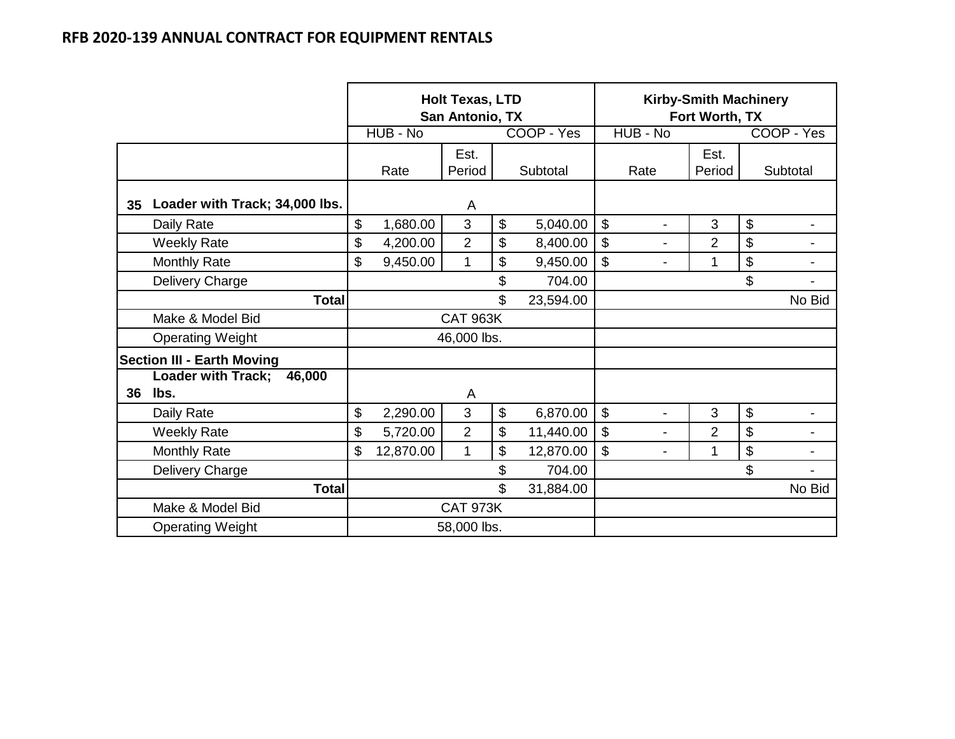|    |                                     |                 | <b>Holt Texas, LTD</b><br>San Antonio, TX |                |            |                                | <b>Kirby-Smith Machinery</b><br>Fort Worth, TX |              |            |  |
|----|-------------------------------------|-----------------|-------------------------------------------|----------------|------------|--------------------------------|------------------------------------------------|--------------|------------|--|
|    |                                     | HUB - No        |                                           |                | COOP - Yes | HUB - No                       |                                                |              | COOP - Yes |  |
|    |                                     |                 | Est.                                      |                |            |                                | Est.                                           |              |            |  |
|    |                                     | Rate            | Period                                    |                | Subtotal   | Rate                           | Period                                         |              | Subtotal   |  |
| 35 | Loader with Track; 34,000 lbs.      |                 | A                                         |                |            |                                |                                                |              |            |  |
|    | Daily Rate                          | \$<br>1,680.00  | 3                                         | \$             | 5,040.00   | \$<br>$\blacksquare$           | 3                                              | \$           | Ξ.         |  |
|    | <b>Weekly Rate</b>                  | \$<br>4,200.00  | $\overline{2}$                            | \$             | 8,400.00   | \$<br>$\blacksquare$           | 2                                              | \$           | -          |  |
|    | <b>Monthly Rate</b>                 | \$<br>9,450.00  | 1                                         | \$             | 9,450.00   | \$<br>$\blacksquare$           | 1                                              | \$           | ۰          |  |
|    | Delivery Charge                     |                 |                                           | \$             | 704.00     |                                |                                                | \$           |            |  |
|    | <b>Total</b>                        |                 |                                           | $\mathfrak{L}$ | 23,594.00  |                                |                                                |              | No Bid     |  |
|    | Make & Model Bid                    |                 | <b>CAT 963K</b>                           |                |            |                                |                                                |              |            |  |
|    | <b>Operating Weight</b>             |                 | 46,000 lbs.                               |                |            |                                |                                                |              |            |  |
|    | <b>Section III - Earth Moving</b>   |                 |                                           |                |            |                                |                                                |              |            |  |
|    | <b>Loader with Track;</b><br>46,000 |                 |                                           |                |            |                                |                                                |              |            |  |
| 36 | lbs.                                |                 | A                                         |                |            |                                |                                                |              |            |  |
|    | Daily Rate                          | \$<br>2,290.00  | 3                                         | \$             | 6,870.00   | \$<br>$\overline{\phantom{a}}$ | 3                                              | $\mathbb{S}$ | -          |  |
|    | <b>Weekly Rate</b>                  | \$<br>5,720.00  | $\overline{2}$                            | \$             | 11,440.00  | $\mathbb{S}$<br>$\blacksquare$ | $\overline{2}$                                 | \$           |            |  |
|    | <b>Monthly Rate</b>                 | \$<br>12,870.00 | $\mathbf{1}$                              | \$             | 12,870.00  | $\mathbb{S}$<br>$\blacksquare$ | 1                                              | \$           |            |  |
|    | Delivery Charge                     |                 |                                           | \$             | 704.00     |                                |                                                | \$           |            |  |
|    | <b>Total</b>                        |                 |                                           | \$             | 31,884.00  |                                |                                                |              | No Bid     |  |
|    | Make & Model Bid                    |                 | <b>CAT 973K</b>                           |                |            |                                |                                                |              |            |  |
|    | <b>Operating Weight</b>             |                 | 58,000 lbs.                               |                |            |                                |                                                |              |            |  |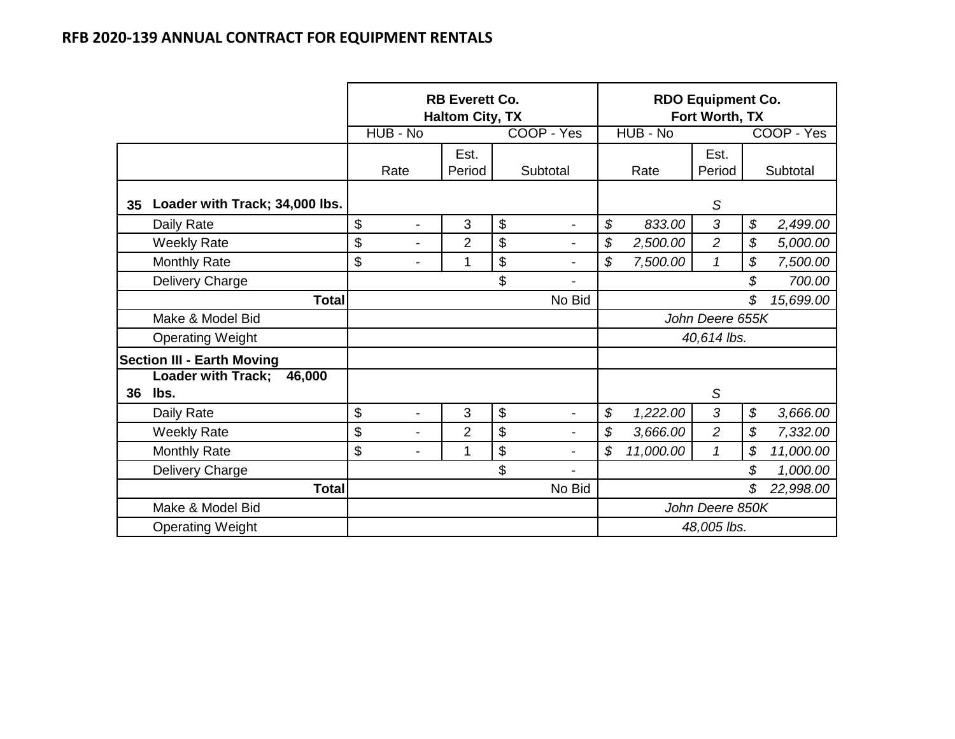|    |                                             |                      | <b>RB Everett Co.</b><br><b>Haltom City, TX</b> |                                | <b>RDO Equipment Co.</b><br>Fort Worth, TX |                 |                            |            |
|----|---------------------------------------------|----------------------|-------------------------------------------------|--------------------------------|--------------------------------------------|-----------------|----------------------------|------------|
|    |                                             | HUB - No             |                                                 | COOP - Yes                     | HUB - No                                   |                 |                            | COOP - Yes |
|    |                                             | Rate                 | Est.<br>Period                                  | Subtotal                       | Rate                                       | Est.<br>Period  |                            | Subtotal   |
| 35 | Loader with Track; 34,000 lbs.              |                      |                                                 |                                |                                            | S               |                            |            |
|    | Daily Rate                                  | \$<br>$\blacksquare$ | 3                                               | \$<br>$\blacksquare$           | \$<br>833.00                               | 3               | $\boldsymbol{\mathcal{S}}$ | 2,499.00   |
|    | <b>Weekly Rate</b>                          | \$<br>$\overline{a}$ | $\overline{2}$                                  | \$<br>$\overline{\phantom{0}}$ | \$<br>2,500.00                             | $\overline{2}$  | \$                         | 5,000.00   |
|    | <b>Monthly Rate</b>                         | \$<br>$\blacksquare$ | 1                                               | \$<br>$\overline{\phantom{0}}$ | \$<br>7,500.00                             | $\mathcal I$    | \$                         | 7,500.00   |
|    | Delivery Charge                             |                      |                                                 | \$                             |                                            |                 | \$                         | 700.00     |
|    | <b>Total</b>                                |                      |                                                 | No Bid                         |                                            |                 | \$                         | 15,699.00  |
|    | Make & Model Bid                            |                      |                                                 |                                |                                            | John Deere 655K |                            |            |
|    | <b>Operating Weight</b>                     |                      |                                                 |                                |                                            | 40,614 lbs.     |                            |            |
|    | <b>Section III - Earth Moving</b>           |                      |                                                 |                                |                                            |                 |                            |            |
| 36 | <b>Loader with Track;</b><br>46,000<br>lbs. |                      |                                                 |                                |                                            | S               |                            |            |
|    | Daily Rate                                  | \$<br>$\overline{a}$ | 3                                               | \$<br>$\overline{\phantom{0}}$ | \$<br>1,222.00                             | 3               | \$                         | 3,666.00   |
|    | <b>Weekly Rate</b>                          | \$<br>$\overline{a}$ | $\overline{2}$                                  | \$<br>-                        | \$<br>3,666.00                             | $\overline{2}$  | \$                         | 7,332.00   |
|    | <b>Monthly Rate</b>                         | \$<br>$\overline{a}$ | 1                                               | \$<br>-                        | \$<br>11,000.00                            | $\mathcal{I}$   | \$                         | 11,000.00  |
|    | Delivery Charge                             |                      |                                                 | \$<br>-                        |                                            |                 | \$                         | 1,000.00   |
|    | <b>Total</b>                                |                      |                                                 | No Bid                         |                                            |                 | \$                         | 22,998.00  |
|    | Make & Model Bid                            |                      |                                                 |                                |                                            | John Deere 850K |                            |            |
|    | <b>Operating Weight</b>                     |                      |                                                 |                                |                                            | 48,005 lbs.     |                            |            |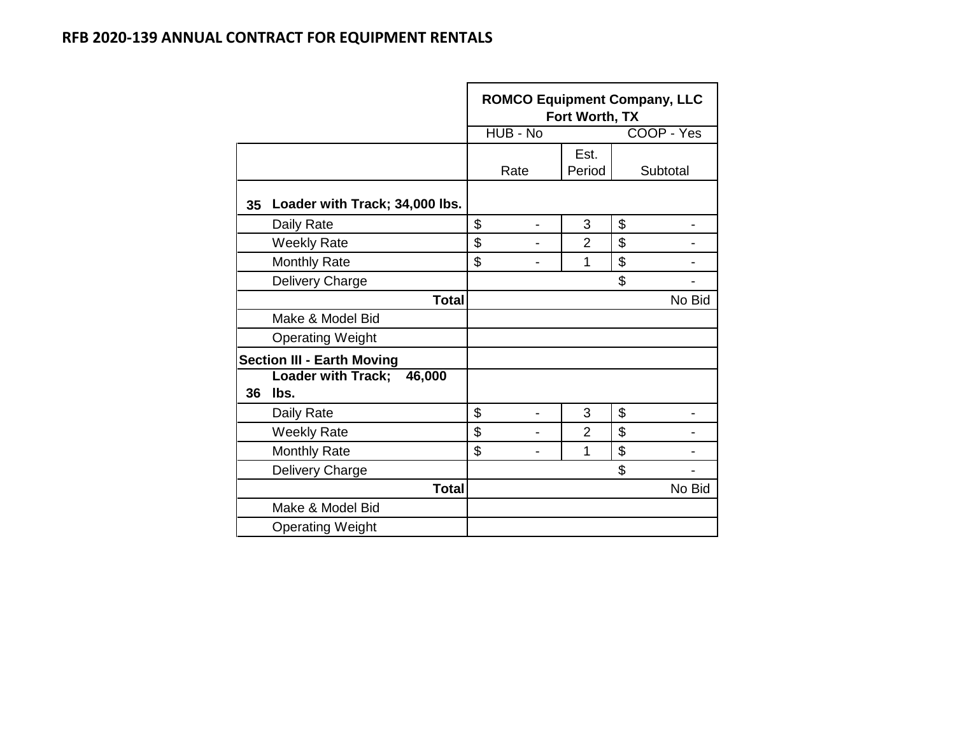|    |                                   | <b>ROMCO Equipment Company, LLC</b><br>Fort Worth, TX |          |                |    |            |  |  |  |  |  |
|----|-----------------------------------|-------------------------------------------------------|----------|----------------|----|------------|--|--|--|--|--|
|    |                                   |                                                       | HUB - No |                |    | COOP - Yes |  |  |  |  |  |
|    |                                   |                                                       |          | Est.           |    |            |  |  |  |  |  |
|    |                                   |                                                       | Rate     | Period         |    | Subtotal   |  |  |  |  |  |
| 35 | Loader with Track; 34,000 lbs.    |                                                       |          |                |    |            |  |  |  |  |  |
|    | Daily Rate                        | \$                                                    |          | 3              | \$ |            |  |  |  |  |  |
|    | <b>Weekly Rate</b>                | \$                                                    |          | $\overline{2}$ | \$ |            |  |  |  |  |  |
|    | <b>Monthly Rate</b>               | \$                                                    |          | 1              | \$ |            |  |  |  |  |  |
|    | Delivery Charge                   |                                                       |          |                | \$ |            |  |  |  |  |  |
|    | <b>Total</b>                      |                                                       |          |                |    | No Bid     |  |  |  |  |  |
|    | Make & Model Bid                  |                                                       |          |                |    |            |  |  |  |  |  |
|    | <b>Operating Weight</b>           |                                                       |          |                |    |            |  |  |  |  |  |
|    | <b>Section III - Earth Moving</b> |                                                       |          |                |    |            |  |  |  |  |  |
|    | Loader with Track; 46,000         |                                                       |          |                |    |            |  |  |  |  |  |
| 36 | lbs.                              |                                                       |          |                |    |            |  |  |  |  |  |
|    | Daily Rate                        | \$                                                    |          | 3              | \$ |            |  |  |  |  |  |
|    | <b>Weekly Rate</b>                | \$                                                    |          | $\overline{2}$ | \$ |            |  |  |  |  |  |
|    | <b>Monthly Rate</b>               | \$                                                    |          | 1              | \$ |            |  |  |  |  |  |
|    | Delivery Charge                   |                                                       |          |                | \$ |            |  |  |  |  |  |
|    | <b>Total</b>                      |                                                       |          |                |    | No Bid     |  |  |  |  |  |
|    | Make & Model Bid                  |                                                       |          |                |    |            |  |  |  |  |  |
|    | <b>Operating Weight</b>           |                                                       |          |                |    |            |  |  |  |  |  |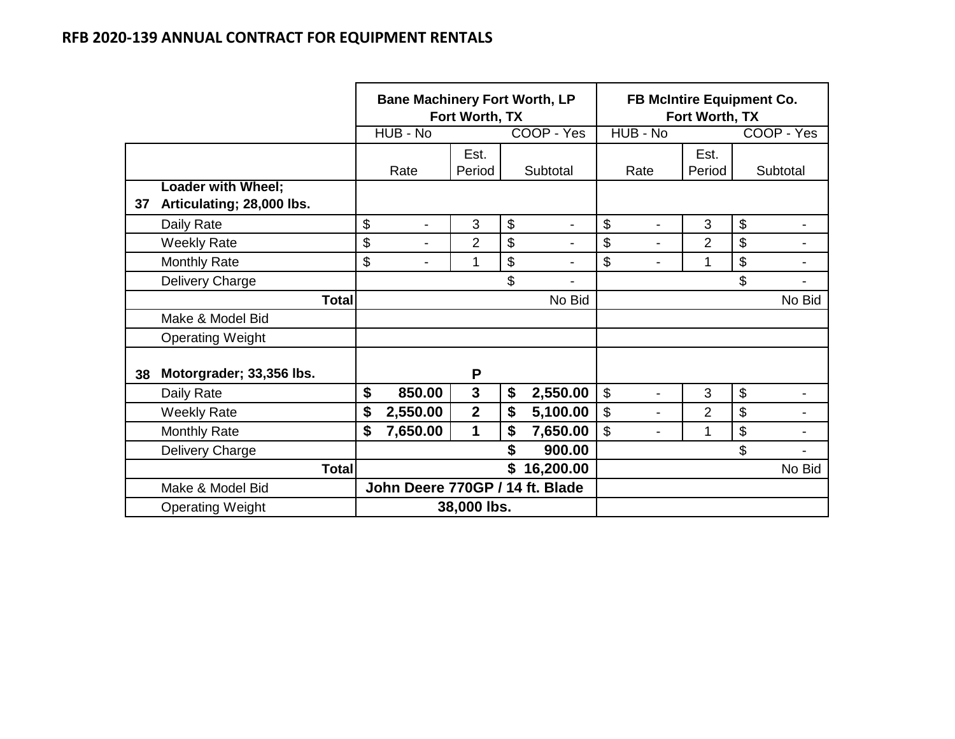|    |                                                 |                 | <b>Bane Machinery Fort Worth, LP</b> | Fort Worth, TX |                           |                          | <b>FB McIntire Equipment Co.</b> | Fort Worth, TX |                           |                          |
|----|-------------------------------------------------|-----------------|--------------------------------------|----------------|---------------------------|--------------------------|----------------------------------|----------------|---------------------------|--------------------------|
|    |                                                 |                 | HUB - No                             |                |                           | COOP - Yes               | HUB - No                         |                |                           | COOP - Yes               |
|    |                                                 |                 | Rate                                 | Est.<br>Period |                           | Subtotal                 | Rate                             | Est.<br>Period |                           | Subtotal                 |
| 37 | Loader with Wheel;<br>Articulating; 28,000 lbs. |                 |                                      |                |                           |                          |                                  |                |                           |                          |
|    | Daily Rate                                      | \$              | $\overline{\phantom{a}}$             | 3              | $\boldsymbol{\mathsf{S}}$ | $\overline{\phantom{a}}$ | \$<br>$\blacksquare$             | 3              | $\boldsymbol{\mathsf{S}}$ | $\overline{\phantom{a}}$ |
|    | <b>Weekly Rate</b>                              | \$              | $\blacksquare$                       | 2              | \$                        |                          | \$                               | $\overline{2}$ | \$                        |                          |
|    | <b>Monthly Rate</b>                             | \$              | $\blacksquare$                       | 1              | \$                        |                          | \$                               | 1              | \$                        |                          |
|    | Delivery Charge                                 |                 |                                      |                | \$                        | $\blacksquare$           |                                  |                | \$                        |                          |
|    | <b>Total</b>                                    |                 |                                      |                |                           | No Bid                   |                                  |                |                           | No Bid                   |
|    | Make & Model Bid                                |                 |                                      |                |                           |                          |                                  |                |                           |                          |
|    | <b>Operating Weight</b>                         |                 |                                      |                |                           |                          |                                  |                |                           |                          |
| 38 | Motorgrader; 33,356 lbs.                        |                 |                                      | P              |                           |                          |                                  |                |                           |                          |
|    | Daily Rate                                      | \$              | 850.00                               | $\mathbf{3}$   | \$                        | 2,550.00                 | \$                               | 3              | $\boldsymbol{\mathsf{S}}$ |                          |
|    | <b>Weekly Rate</b>                              | \$              | 2,550.00                             | $\overline{2}$ | \$                        | 5,100.00                 | \$                               | 2              | \$                        |                          |
|    | <b>Monthly Rate</b>                             | \$              | 7,650.00                             | 1              | \$                        | 7,650.00                 | \$                               | 1              | $\boldsymbol{\mathsf{S}}$ |                          |
|    | Delivery Charge                                 |                 |                                      |                |                           | 900.00                   |                                  |                | \$                        |                          |
|    | <b>Total</b>                                    | \$<br>16,200.00 |                                      |                |                           |                          |                                  | No Bid         |                           |                          |
|    | Make & Model Bid                                |                 | John Deere 770GP / 14 ft. Blade      |                |                           |                          |                                  |                |                           |                          |
|    | <b>Operating Weight</b>                         |                 | 38,000 lbs.                          |                |                           |                          |                                  |                |                           |                          |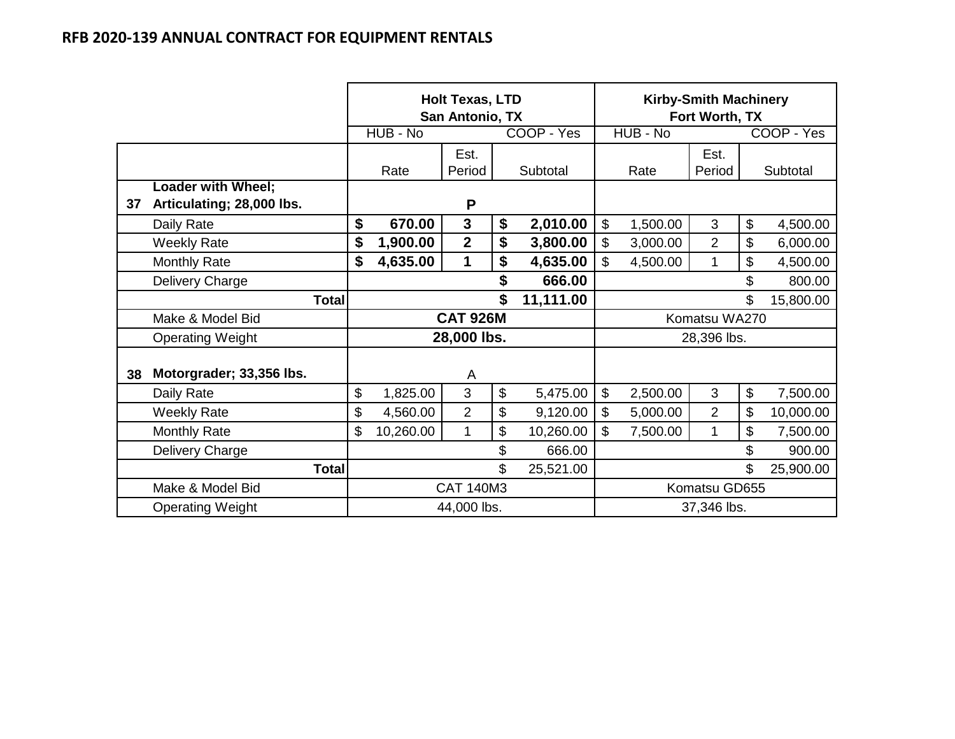|    |                                                        |                  | <b>Holt Texas, LTD</b><br>San Antonio, TX |                 |    | <b>Kirby-Smith Machinery</b><br>Fort Worth, TX |              |          |                |                |            |
|----|--------------------------------------------------------|------------------|-------------------------------------------|-----------------|----|------------------------------------------------|--------------|----------|----------------|----------------|------------|
|    |                                                        |                  | HUB - No                                  |                 |    | COOP - Yes                                     |              | HUB - No |                |                | COOP - Yes |
|    |                                                        |                  | Rate                                      | Est.<br>Period  |    | Subtotal                                       |              | Rate     | Est.<br>Period |                | Subtotal   |
| 37 | <b>Loader with Wheel;</b><br>Articulating; 28,000 lbs. |                  |                                           | P               |    |                                                |              |          |                |                |            |
|    | Daily Rate                                             | \$               | 670.00                                    | $\mathbf{3}$    | \$ | 2,010.00                                       | \$           | 1,500.00 | 3              | $\mathbb{S}$   | 4,500.00   |
|    | <b>Weekly Rate</b>                                     | \$               | 1,900.00                                  | $\mathbf{2}$    | \$ | 3,800.00                                       | \$           | 3,000.00 | $\overline{2}$ | \$             | 6,000.00   |
|    | <b>Monthly Rate</b>                                    | \$               | 4,635.00                                  | 1               | \$ | 4,635.00                                       | \$           | 4,500.00 | 1              | \$             | 4,500.00   |
|    | Delivery Charge                                        |                  |                                           |                 | \$ | 666.00                                         |              |          |                | $\mathfrak{S}$ | 800.00     |
|    | <b>Total</b>                                           |                  |                                           |                 | \$ | 11,111.00                                      |              |          |                | \$             | 15,800.00  |
|    | Make & Model Bid                                       |                  |                                           | <b>CAT 926M</b> |    |                                                |              |          | Komatsu WA270  |                |            |
|    | <b>Operating Weight</b>                                |                  |                                           | 28,000 lbs.     |    |                                                |              |          | 28,396 lbs.    |                |            |
| 38 | Motorgrader; 33,356 lbs.                               |                  |                                           | A               |    |                                                |              |          |                |                |            |
|    | Daily Rate                                             | \$               | 1,825.00                                  | 3               | \$ | 5,475.00                                       | $\mathbb{S}$ | 2,500.00 | 3              | $\mathbb{S}$   | 7,500.00   |
|    | <b>Weekly Rate</b>                                     | \$               | 4,560.00                                  | $\overline{2}$  | \$ | 9,120.00                                       | \$           | 5,000.00 | $\overline{2}$ | \$             | 10,000.00  |
|    | <b>Monthly Rate</b>                                    | \$               | 10,260.00                                 | 1               | \$ | 10,260.00                                      | \$           | 7,500.00 | 1              | \$             | 7,500.00   |
|    | Delivery Charge                                        |                  |                                           |                 | \$ | 666.00                                         |              |          |                | \$             | 900.00     |
|    | <b>Total</b>                                           |                  |                                           |                 | \$ | 25,521.00                                      |              |          |                | \$             | 25,900.00  |
|    | Make & Model Bid                                       | <b>CAT 140M3</b> |                                           | Komatsu GD655   |    |                                                |              |          |                |                |            |
|    | <b>Operating Weight</b>                                |                  | 44,000 lbs.                               |                 |    |                                                | 37,346 lbs.  |          |                |                |            |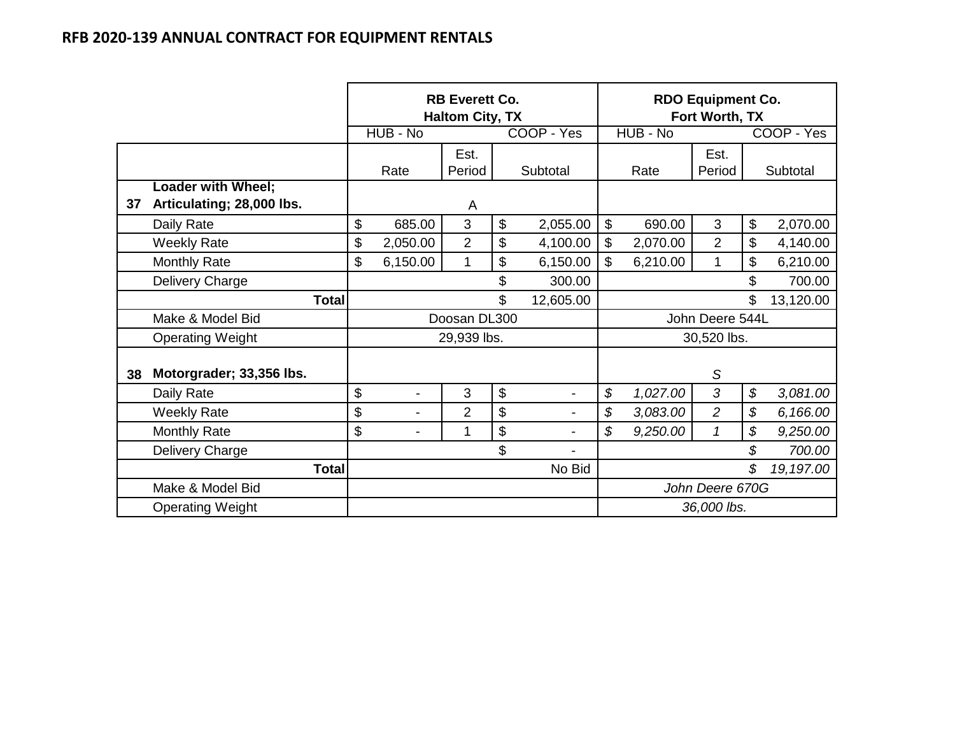|    |                           |        | <b>RB Everett Co.</b><br><b>Haltom City, TX</b> |                |                 |                | <b>RDO Equipment Co.</b><br>Fort Worth, TX |             |                 |    |            |
|----|---------------------------|--------|-------------------------------------------------|----------------|-----------------|----------------|--------------------------------------------|-------------|-----------------|----|------------|
|    |                           |        | HUB - No                                        |                |                 | COOP - Yes     |                                            | HUB - No    |                 |    | COOP - Yes |
|    |                           |        |                                                 | Est.           |                 |                |                                            |             | Est.            |    |            |
|    | Loader with Wheel;        |        | Rate                                            | Period         |                 | Subtotal       |                                            | Rate        | Period          |    | Subtotal   |
| 37 | Articulating; 28,000 lbs. |        |                                                 | A              |                 |                |                                            |             |                 |    |            |
|    | Daily Rate                | \$     | 685.00                                          | 3              | \$              | 2,055.00       | $\boldsymbol{\mathsf{S}}$                  | 690.00      | 3               | \$ | 2,070.00   |
|    | <b>Weekly Rate</b>        | \$     | 2,050.00                                        | $\overline{2}$ | \$              | 4,100.00       | \$                                         | 2,070.00    | $\overline{2}$  | \$ | 4,140.00   |
|    | <b>Monthly Rate</b>       | \$     | 6,150.00                                        | 1              | \$              | 6,150.00       | \$                                         | 6,210.00    | 1               | \$ | 6,210.00   |
|    | Delivery Charge           |        |                                                 |                | \$              | 300.00         |                                            |             |                 | \$ | 700.00     |
|    | <b>Total</b>              |        |                                                 |                | \$              | 12,605.00      |                                            |             |                 | \$ | 13,120.00  |
|    | Make & Model Bid          |        |                                                 | Doosan DL300   |                 |                |                                            |             | John Deere 544L |    |            |
|    | <b>Operating Weight</b>   |        |                                                 | 29,939 lbs.    |                 |                |                                            |             | 30,520 lbs.     |    |            |
| 38 | Motorgrader; 33,356 lbs.  |        |                                                 |                |                 |                |                                            |             | S               |    |            |
|    | Daily Rate                | \$     | -                                               | 3              | \$              | -              | \$                                         | 1,027.00    | 3               | \$ | 3,081.00   |
|    | <b>Weekly Rate</b>        | \$     | $\overline{a}$                                  | $\overline{2}$ | \$              | $\blacksquare$ | \$                                         | 3,083.00    | $\overline{2}$  | \$ | 6,166.00   |
|    | <b>Monthly Rate</b>       | \$     | $\overline{a}$                                  | $\mathbf 1$    | \$              | -              | \$                                         | 9,250.00    | $\mathcal I$    | \$ | 9,250.00   |
|    | Delivery Charge           |        |                                                 |                | \$              |                |                                            |             |                 | \$ | 700.00     |
|    | <b>Total</b>              | No Bid |                                                 |                | \$              |                |                                            | 19,197.00   |                 |    |            |
|    | Make & Model Bid          |        |                                                 |                | John Deere 670G |                |                                            |             |                 |    |            |
|    | <b>Operating Weight</b>   |        |                                                 |                |                 |                |                                            | 36,000 lbs. |                 |    |            |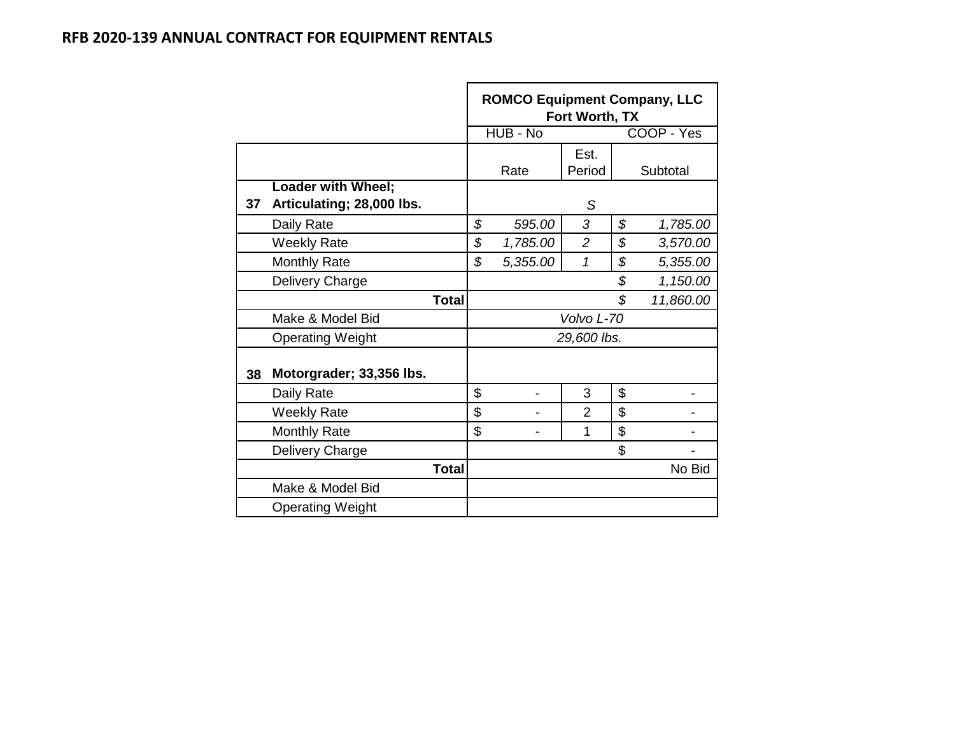|    |                           |    | <b>ROMCO Equipment Company, LLC</b> | Fort Worth, TX |    |            |  |  |  |
|----|---------------------------|----|-------------------------------------|----------------|----|------------|--|--|--|
|    |                           |    | HUB - No                            |                |    | COOP - Yes |  |  |  |
|    |                           |    |                                     | Est.           |    |            |  |  |  |
|    |                           |    | Rate                                | Period         |    | Subtotal   |  |  |  |
|    | <b>Loader with Wheel;</b> |    |                                     |                |    |            |  |  |  |
| 37 | Articulating; 28,000 lbs. |    |                                     | S              |    |            |  |  |  |
|    | Daily Rate                | \$ | 595.00                              | 3              | \$ | 1,785.00   |  |  |  |
|    | <b>Weekly Rate</b>        | \$ | 1,785.00                            | $\overline{2}$ | \$ | 3,570.00   |  |  |  |
|    | <b>Monthly Rate</b>       | \$ | 5,355.00                            | 1              | \$ | 5,355.00   |  |  |  |
|    | Delivery Charge           |    |                                     |                | \$ | 1,150.00   |  |  |  |
|    | <b>Total</b>              |    |                                     |                | \$ | 11,860.00  |  |  |  |
|    | Make & Model Bid          |    |                                     | Volvo L-70     |    |            |  |  |  |
|    | <b>Operating Weight</b>   |    |                                     | 29,600 lbs.    |    |            |  |  |  |
| 38 | Motorgrader; 33,356 lbs.  |    |                                     |                |    |            |  |  |  |
|    | Daily Rate                | \$ |                                     | 3              | \$ |            |  |  |  |
|    | <b>Weekly Rate</b>        | \$ |                                     | $\overline{2}$ | \$ |            |  |  |  |
|    | <b>Monthly Rate</b>       | \$ |                                     | 1              | \$ |            |  |  |  |
|    | Delivery Charge           |    |                                     |                | \$ |            |  |  |  |
|    | <b>Total</b>              |    |                                     |                |    | No Bid     |  |  |  |
|    | Make & Model Bid          |    |                                     |                |    |            |  |  |  |
|    | <b>Operating Weight</b>   |    |                                     |                |    |            |  |  |  |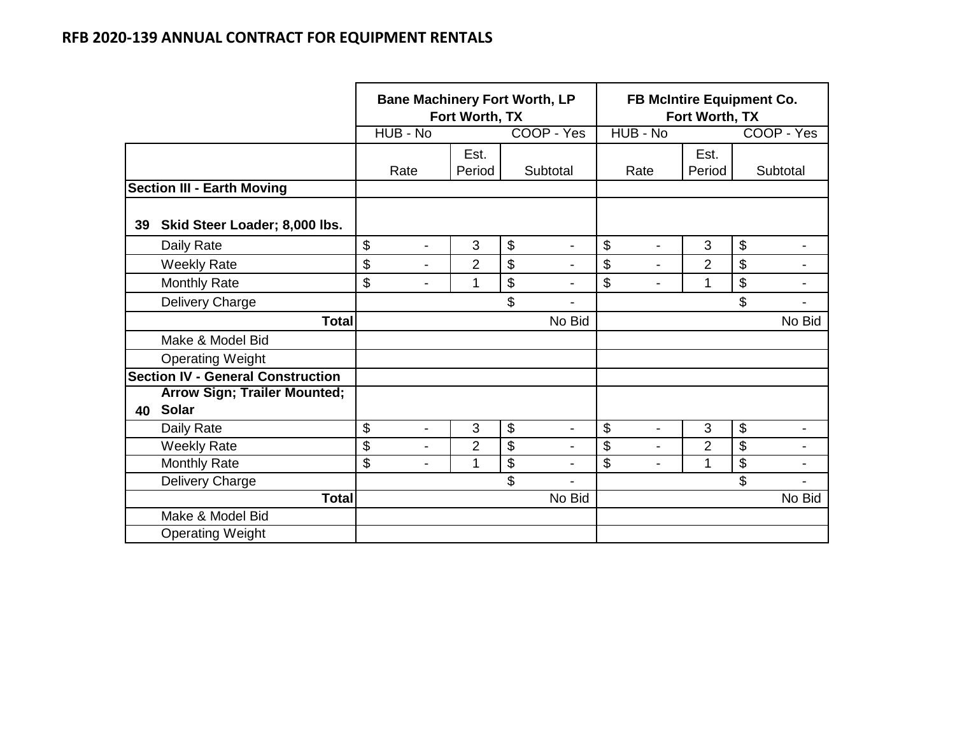|    |                                          | <b>Bane Machinery Fort Worth, LP</b> | Fort Worth, TX |                      | FB McIntire Equipment Co.<br>Fort Worth, TX |                |    |                          |
|----|------------------------------------------|--------------------------------------|----------------|----------------------|---------------------------------------------|----------------|----|--------------------------|
|    |                                          | HUB - No                             |                | COOP - Yes           | HUB - No                                    |                |    | COOP - Yes               |
|    |                                          |                                      | Est.           |                      |                                             | Est.           |    |                          |
|    |                                          | Rate                                 | Period         | Subtotal             | Rate                                        | Period         |    | Subtotal                 |
|    | <b>Section III - Earth Moving</b>        |                                      |                |                      |                                             |                |    |                          |
| 39 | Skid Steer Loader; 8,000 lbs.            |                                      |                |                      |                                             |                |    |                          |
|    | Daily Rate                               | \$<br>$\overline{\phantom{a}}$       | 3              | \$<br>$\blacksquare$ | \$<br>$\blacksquare$                        | 3              | \$ | -                        |
|    | <b>Weekly Rate</b>                       | \$<br>$\blacksquare$                 | $\overline{2}$ | \$<br>$\overline{a}$ | \$<br>$\blacksquare$                        | $\overline{2}$ | \$ | ۰                        |
|    | <b>Monthly Rate</b>                      | \$<br>-                              | 1              | \$                   | \$<br>$\blacksquare$                        | 1              | \$ | -                        |
|    | Delivery Charge                          |                                      |                | \$<br>$\blacksquare$ |                                             |                | \$ | $\overline{\phantom{0}}$ |
|    | <b>Total</b>                             |                                      |                | No Bid               |                                             |                |    | No Bid                   |
|    | Make & Model Bid                         |                                      |                |                      |                                             |                |    |                          |
|    | <b>Operating Weight</b>                  |                                      |                |                      |                                             |                |    |                          |
|    | <b>Section IV - General Construction</b> |                                      |                |                      |                                             |                |    |                          |
|    | <b>Arrow Sign; Trailer Mounted;</b>      |                                      |                |                      |                                             |                |    |                          |
| 40 | Solar                                    |                                      |                |                      |                                             |                |    |                          |
|    | Daily Rate                               | \$<br>$\overline{\phantom{0}}$       | 3              | \$<br>$\blacksquare$ | \$                                          | 3              | \$ | ۰                        |
|    | <b>Weekly Rate</b>                       | \$<br>$\overline{\phantom{0}}$       | $\overline{2}$ | \$                   | \$<br>$\blacksquare$                        | $\overline{2}$ | \$ |                          |
|    | <b>Monthly Rate</b>                      | \$<br>-                              | 1              | \$<br>$\blacksquare$ | \$<br>$\blacksquare$                        | 1              | \$ | -                        |
|    | Delivery Charge                          |                                      |                | \$<br>$\blacksquare$ |                                             |                | \$ |                          |
|    | <b>Total</b>                             |                                      |                | No Bid               |                                             |                |    | No Bid                   |
|    | Make & Model Bid                         |                                      |                |                      |                                             |                |    |                          |
|    | <b>Operating Weight</b>                  |                                      |                |                      |                                             |                |    |                          |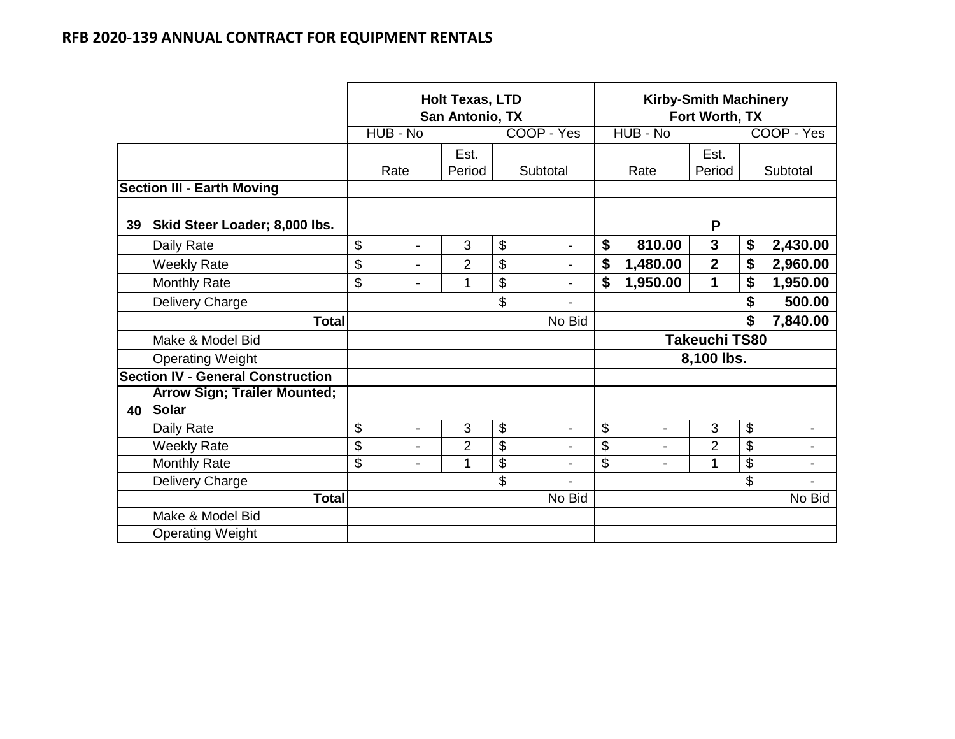|    |                                          |                                | <b>Holt Texas, LTD</b><br>San Antonio, TX |                      | <b>Kirby-Smith Machinery</b><br>Fort Worth, TX |                      |                 |            |
|----|------------------------------------------|--------------------------------|-------------------------------------------|----------------------|------------------------------------------------|----------------------|-----------------|------------|
|    |                                          | HUB - No                       |                                           | COOP - Yes           | HUB - No                                       |                      |                 | COOP - Yes |
|    |                                          |                                | Est.                                      |                      |                                                | Est.                 |                 |            |
|    |                                          | Rate                           | Period                                    | Subtotal             | Rate                                           | Period               |                 | Subtotal   |
|    | <b>Section III - Earth Moving</b>        |                                |                                           |                      |                                                |                      |                 |            |
| 39 | Skid Steer Loader; 8,000 lbs.            |                                |                                           |                      |                                                | P                    |                 |            |
|    | Daily Rate                               | \$<br>$\blacksquare$           | 3                                         | \$<br>$\blacksquare$ | \$<br>810.00                                   | $\mathbf{3}$         | \$              | 2,430.00   |
|    | <b>Weekly Rate</b>                       | \$<br>$\blacksquare$           | $\overline{2}$                            | \$<br>$\blacksquare$ | \$<br>1,480.00                                 | $\overline{2}$       | \$              | 2,960.00   |
|    | Monthly Rate                             | \$<br>$\blacksquare$           | 1                                         | \$<br>$\blacksquare$ | \$<br>1,950.00                                 | 1                    | \$              | 1,950.00   |
|    | Delivery Charge                          |                                |                                           | \$                   |                                                |                      | \$              | 500.00     |
|    | <b>Total</b>                             |                                |                                           | No Bid               |                                                |                      | \$              | 7,840.00   |
|    | Make & Model Bid                         |                                |                                           |                      |                                                | <b>Takeuchi TS80</b> |                 |            |
|    | <b>Operating Weight</b>                  |                                |                                           |                      |                                                | 8,100 lbs.           |                 |            |
|    | <b>Section IV - General Construction</b> |                                |                                           |                      |                                                |                      |                 |            |
|    | <b>Arrow Sign; Trailer Mounted;</b>      |                                |                                           |                      |                                                |                      |                 |            |
| 40 | Solar                                    |                                |                                           |                      |                                                |                      |                 |            |
|    | Daily Rate                               | \$<br>$\blacksquare$           | 3                                         | \$<br>$\overline{a}$ | \$<br>$\overline{\phantom{a}}$                 | 3                    | \$              |            |
|    | <b>Weekly Rate</b>                       | \$<br>$\blacksquare$           | $\overline{2}$                            | \$                   | \$<br>$\overline{a}$                           | $\overline{2}$       | $\overline{\$}$ |            |
|    | <b>Monthly Rate</b>                      | \$<br>$\overline{\phantom{0}}$ | 1                                         | \$<br>$\blacksquare$ | \$<br>$\blacksquare$                           | 1                    | \$              | -          |
|    | Delivery Charge                          |                                |                                           | \$                   |                                                |                      | \$              |            |
|    | <b>Total</b>                             |                                |                                           | No Bid               |                                                |                      |                 | No Bid     |
|    | Make & Model Bid                         |                                |                                           |                      |                                                |                      |                 |            |
|    | <b>Operating Weight</b>                  |                                |                                           |                      |                                                |                      |                 |            |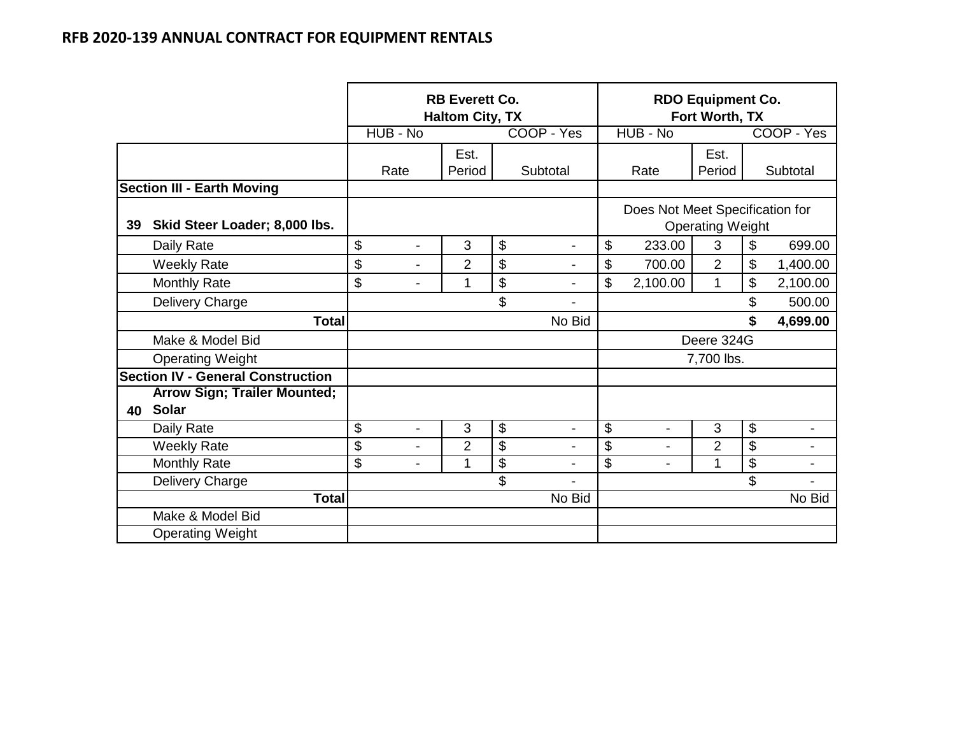|    |                                          |                                | <b>RB Everett Co.</b><br><b>Haltom City, TX</b> |                                    |                                                            |                | <b>RDO Equipment Co.</b><br>Fort Worth, TX |    |                          |
|----|------------------------------------------|--------------------------------|-------------------------------------------------|------------------------------------|------------------------------------------------------------|----------------|--------------------------------------------|----|--------------------------|
|    |                                          | HUB - No                       |                                                 | COOP - Yes                         |                                                            | HUB - No       |                                            |    | COOP - Yes               |
|    |                                          |                                | Est.                                            |                                    |                                                            |                | Est.                                       |    |                          |
|    |                                          | Rate                           | Period                                          | Subtotal                           |                                                            | Rate           | Period                                     |    | Subtotal                 |
|    | <b>Section III - Earth Moving</b>        |                                |                                                 |                                    |                                                            |                |                                            |    |                          |
| 39 | Skid Steer Loader; 8,000 lbs.            |                                |                                                 |                                    | Does Not Meet Specification for<br><b>Operating Weight</b> |                |                                            |    |                          |
|    | Daily Rate                               | \$<br>$\overline{\phantom{a}}$ | 3                                               | \$<br>$\qquad \qquad \blacksquare$ | \$                                                         | 233.00         | 3                                          | \$ | 699.00                   |
|    | <b>Weekly Rate</b>                       | \$<br>$\overline{a}$           | $\overline{2}$                                  | \$<br>$\blacksquare$               | \$                                                         | 700.00         | $\overline{2}$                             | \$ | 1,400.00                 |
|    | Monthly Rate                             | \$<br>$\overline{\phantom{0}}$ | 1                                               | \$<br>$\overline{\phantom{a}}$     | \$                                                         | 2,100.00       | 1                                          | \$ | 2,100.00                 |
|    | Delivery Charge                          |                                |                                                 | \$                                 |                                                            |                |                                            | \$ | 500.00                   |
|    | <b>Total</b>                             |                                |                                                 | No Bid                             |                                                            |                |                                            | \$ | 4,699.00                 |
|    | Make & Model Bid                         |                                |                                                 |                                    |                                                            |                | Deere 324G                                 |    |                          |
|    | <b>Operating Weight</b>                  |                                |                                                 |                                    |                                                            |                | 7,700 lbs.                                 |    |                          |
|    | <b>Section IV - General Construction</b> |                                |                                                 |                                    |                                                            |                |                                            |    |                          |
|    | <b>Arrow Sign; Trailer Mounted;</b>      |                                |                                                 |                                    |                                                            |                |                                            |    |                          |
| 40 | Solar                                    |                                |                                                 |                                    |                                                            |                |                                            |    |                          |
|    | Daily Rate                               | \$<br>$\overline{\phantom{0}}$ | 3                                               | \$<br>$\overline{\phantom{a}}$     | \$                                                         | $\blacksquare$ | 3                                          | \$ |                          |
|    | <b>Weekly Rate</b>                       | \$                             | $\overline{2}$                                  | \$                                 | \$                                                         |                | $\overline{2}$                             | \$ |                          |
|    | <b>Monthly Rate</b>                      | \$<br>$\blacksquare$           | 1                                               | \$<br>$\blacksquare$               | \$                                                         |                | 1                                          | \$ | $\overline{\phantom{0}}$ |
|    | Delivery Charge                          |                                |                                                 | \$<br>$\overline{\phantom{a}}$     |                                                            |                |                                            | \$ | $\overline{\phantom{0}}$ |
|    | <b>Total</b>                             |                                |                                                 | No Bid                             |                                                            |                |                                            |    | No Bid                   |
|    | Make & Model Bid                         |                                |                                                 |                                    |                                                            |                |                                            |    |                          |
|    | <b>Operating Weight</b>                  |                                |                                                 |                                    |                                                            |                |                                            |    |                          |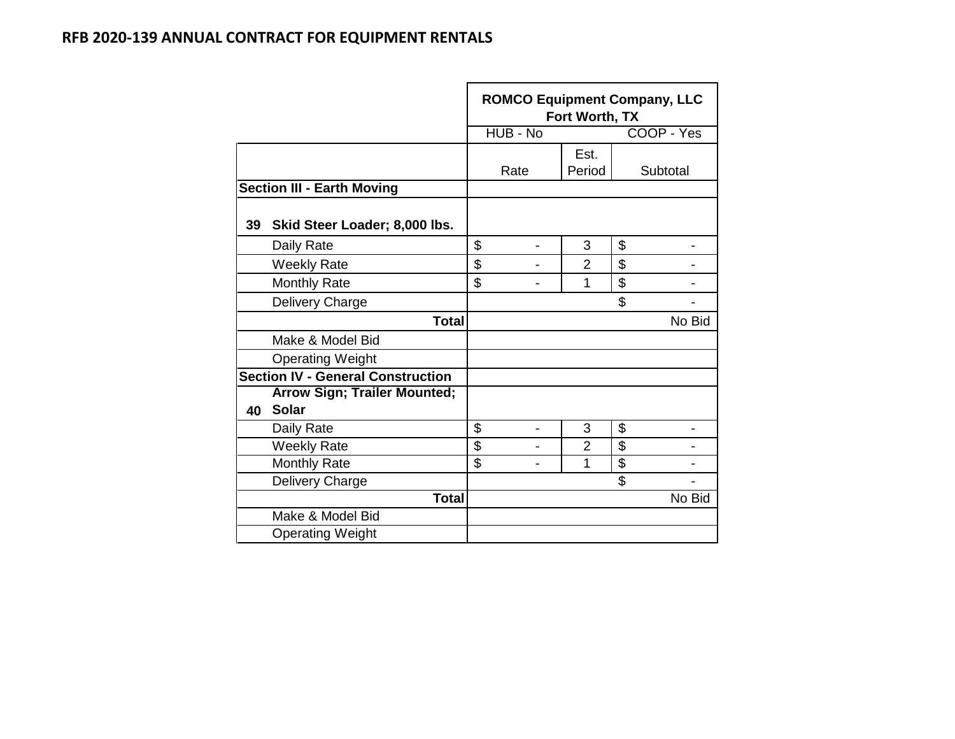|    |                                          |                 | <b>ROMCO Equipment Company, LLC</b> | Fort Worth, TX |                           |            |
|----|------------------------------------------|-----------------|-------------------------------------|----------------|---------------------------|------------|
|    |                                          |                 | HUB - No                            |                |                           | COOP - Yes |
|    |                                          |                 |                                     | Est.           |                           |            |
|    |                                          |                 | Rate                                | Period         |                           | Subtotal   |
|    | <b>Section III - Earth Moving</b>        |                 |                                     |                |                           |            |
| 39 | Skid Steer Loader; 8,000 lbs.            |                 |                                     |                |                           |            |
|    | Daily Rate                               | \$              |                                     | 3              | \$                        |            |
|    | <b>Weekly Rate</b>                       | \$              |                                     | $\overline{2}$ | \$                        |            |
|    | <b>Monthly Rate</b>                      | \$              |                                     | 1              | \$                        |            |
|    | Delivery Charge                          |                 |                                     |                | \$                        |            |
|    | <b>Total</b>                             |                 |                                     |                |                           | No Bid     |
|    | Make & Model Bid                         |                 |                                     |                |                           |            |
|    | <b>Operating Weight</b>                  |                 |                                     |                |                           |            |
|    | <b>Section IV - General Construction</b> |                 |                                     |                |                           |            |
|    | <b>Arrow Sign; Trailer Mounted;</b>      |                 |                                     |                |                           |            |
| 40 | <b>Solar</b>                             |                 |                                     |                |                           |            |
|    | Daily Rate                               | \$              | $\overline{\phantom{0}}$            | 3              | \$                        |            |
|    | <b>Weekly Rate</b>                       | $\overline{\$}$ |                                     | $\overline{2}$ | $\overline{\$}$           |            |
|    | <b>Monthly Rate</b>                      | \$              |                                     | 1              | $\overline{\mathfrak{s}}$ |            |
|    | Delivery Charge                          |                 |                                     |                | \$                        |            |
|    | <b>Total</b>                             |                 |                                     |                |                           | No Bid     |
|    | Make & Model Bid                         |                 |                                     |                |                           |            |
|    | <b>Operating Weight</b>                  |                 |                                     |                |                           |            |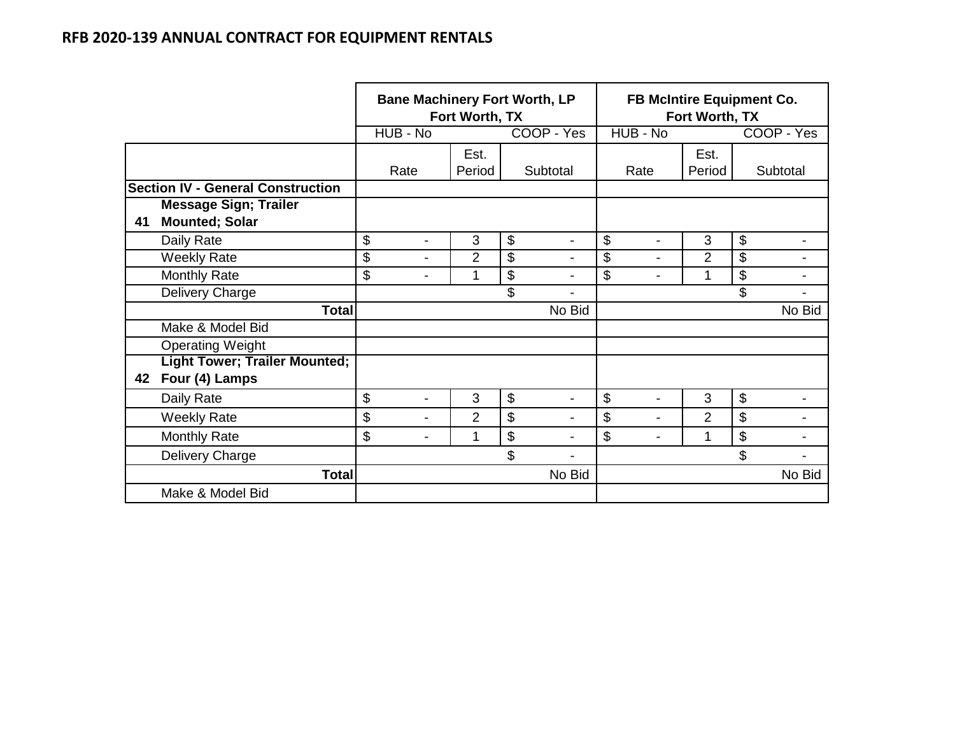|    |                                          | <b>Bane Machinery Fort Worth, LP</b><br>Fort Worth, TX |                |            |                          | FB McIntire Equipment Co.<br>Fort Worth, TX |                |                      |
|----|------------------------------------------|--------------------------------------------------------|----------------|------------|--------------------------|---------------------------------------------|----------------|----------------------|
|    |                                          | HUB - No                                               |                | COOP - Yes |                          | HUB - No                                    |                | COOP - Yes           |
|    |                                          | Rate                                                   | Est.<br>Period | Subtotal   |                          | Rate                                        | Est.<br>Period | Subtotal             |
|    | <b>Section IV - General Construction</b> |                                                        |                |            |                          |                                             |                |                      |
|    | <b>Message Sign; Trailer</b>             |                                                        |                |            |                          |                                             |                |                      |
| 41 | <b>Mounted; Solar</b>                    |                                                        |                |            |                          |                                             |                |                      |
|    | Daily Rate                               | \$<br>۰                                                | 3              | \$         | $\overline{\phantom{0}}$ | \$                                          | 3              | \$                   |
|    | <b>Weekly Rate</b>                       | \$<br>۰                                                | $\overline{2}$ | \$         |                          | \$                                          | 2              | \$                   |
|    | <b>Monthly Rate</b>                      | \$<br>-                                                |                | \$         | $\overline{\phantom{0}}$ | \$<br>٠                                     | 1              | \$<br>-              |
|    | Delivery Charge                          |                                                        |                | \$         | $\blacksquare$           |                                             |                | \$<br>$\blacksquare$ |
|    | <b>Total</b>                             |                                                        |                |            | No Bid                   |                                             |                | No Bid               |
|    | Make & Model Bid                         |                                                        |                |            |                          |                                             |                |                      |
|    | <b>Operating Weight</b>                  |                                                        |                |            |                          |                                             |                |                      |
|    | <b>Light Tower; Trailer Mounted;</b>     |                                                        |                |            |                          |                                             |                |                      |
| 42 | Four (4) Lamps                           |                                                        |                |            |                          |                                             |                |                      |
|    | Daily Rate                               | \$<br>$\blacksquare$                                   | 3              | \$         | $\blacksquare$           | \$                                          | 3              | \$                   |
|    | <b>Weekly Rate</b>                       | \$<br>-                                                | $\overline{2}$ | \$         | $\blacksquare$           | \$                                          | $\overline{2}$ | \$                   |
|    | <b>Monthly Rate</b>                      | \$<br>$\blacksquare$                                   | 1              | \$         |                          | \$                                          | 1              | \$                   |
|    | Delivery Charge                          |                                                        |                | \$         |                          |                                             |                | \$                   |
|    | <b>Total</b>                             |                                                        |                |            | No Bid                   |                                             |                | No Bid               |
|    | Make & Model Bid                         |                                                        |                |            |                          |                                             |                |                      |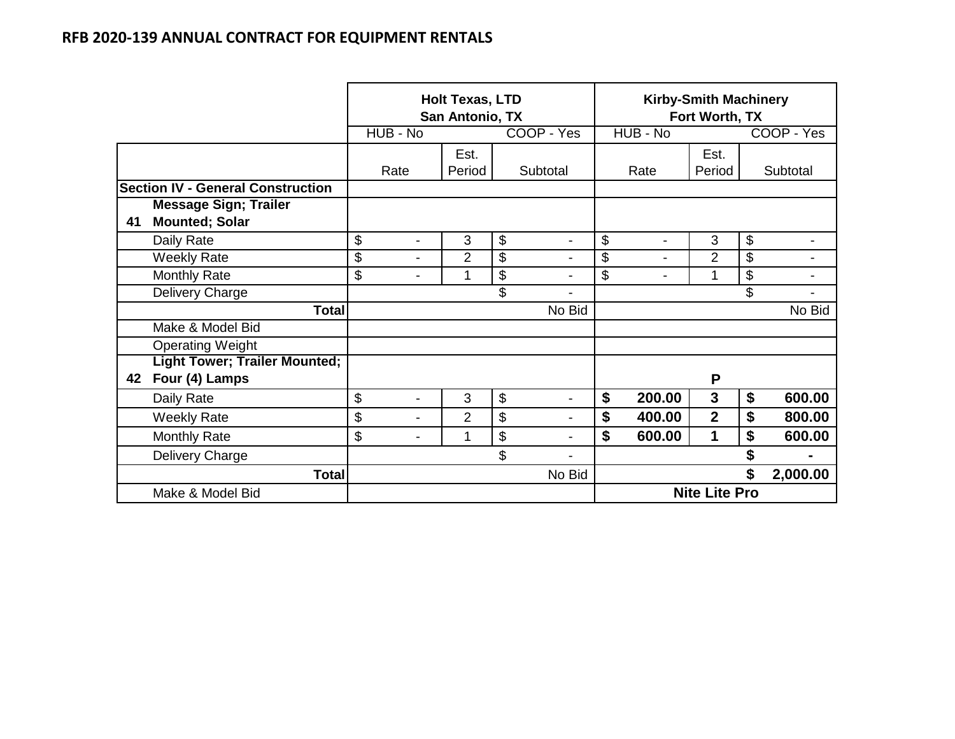|    |                                          | <b>Holt Texas, LTD</b><br>San Antonio, TX<br>HUB - No<br>COOP - Yes |                |                      | Fort Worth, TX       | <b>Kirby-Smith Machinery</b> |    |                |
|----|------------------------------------------|---------------------------------------------------------------------|----------------|----------------------|----------------------|------------------------------|----|----------------|
|    |                                          |                                                                     |                |                      | HUB - No             |                              |    | COOP - Yes     |
|    |                                          | Rate                                                                | Est.<br>Period | Subtotal             | Rate                 | Est.<br>Period               |    | Subtotal       |
|    | <b>Section IV - General Construction</b> |                                                                     |                |                      |                      |                              |    |                |
|    | <b>Message Sign; Trailer</b>             |                                                                     |                |                      |                      |                              |    |                |
| 41 | <b>Mounted; Solar</b>                    |                                                                     |                |                      |                      |                              |    |                |
|    | Daily Rate                               | \$<br>$\blacksquare$                                                | 3              | \$<br>$\blacksquare$ | \$<br>$\blacksquare$ | 3                            | \$ |                |
|    | <b>Weekly Rate</b>                       | \$<br>$\blacksquare$                                                | $\overline{2}$ | \$                   | \$<br>$\blacksquare$ | $\overline{2}$               | \$ |                |
|    | <b>Monthly Rate</b>                      | \$<br>$\blacksquare$                                                | 1              | \$<br>$\blacksquare$ | \$<br>$\blacksquare$ | 1                            | \$ | ۰              |
|    | Delivery Charge                          |                                                                     |                | \$<br>$\blacksquare$ |                      |                              | \$ |                |
|    | <b>Total</b>                             |                                                                     |                | No Bid               |                      |                              |    | No Bid         |
|    | Make & Model Bid                         |                                                                     |                |                      |                      |                              |    |                |
|    | <b>Operating Weight</b>                  |                                                                     |                |                      |                      |                              |    |                |
|    | <b>Light Tower; Trailer Mounted;</b>     |                                                                     |                |                      |                      |                              |    |                |
| 42 | Four (4) Lamps                           |                                                                     |                |                      |                      | P                            |    |                |
|    | Daily Rate                               | \$<br>$\overline{\phantom{a}}$                                      | 3              | \$<br>-              | \$<br>200.00         | 3                            | \$ | 600.00         |
|    | <b>Weekly Rate</b>                       | \$<br>$\overline{\phantom{a}}$                                      | 2              | \$<br>$\blacksquare$ | \$<br>400.00         | $\overline{2}$               | \$ | 800.00         |
|    | <b>Monthly Rate</b>                      | \$<br>$\blacksquare$                                                | 1              | \$                   | \$<br>600.00         | 1                            | \$ | 600.00         |
|    | Delivery Charge                          |                                                                     |                | \$<br>۰              |                      |                              | \$ | $\blacksquare$ |
|    | <b>Total</b>                             |                                                                     |                | No Bid               |                      |                              | \$ | 2,000.00       |
|    | Make & Model Bid                         |                                                                     |                |                      |                      | <b>Nite Lite Pro</b>         |    |                |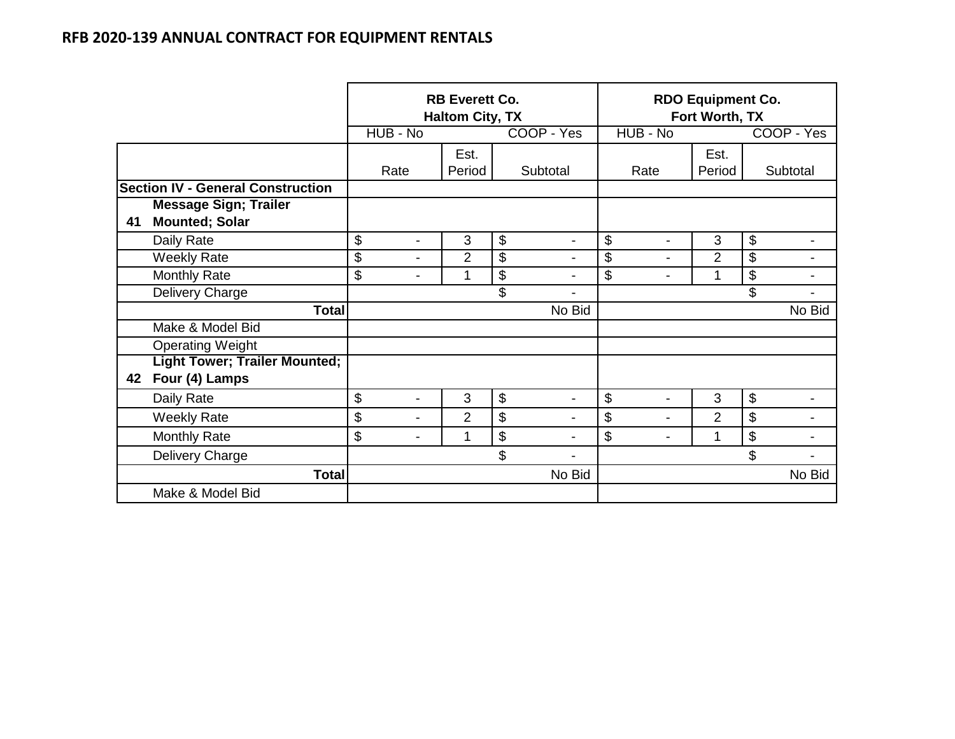|    |                                                        | <b>RB Everett Co.</b><br><b>Haltom City, TX</b> |                |    |                          | <b>RDO Equipment Co.</b><br>Fort Worth, TX |                |                                 |
|----|--------------------------------------------------------|-------------------------------------------------|----------------|----|--------------------------|--------------------------------------------|----------------|---------------------------------|
|    |                                                        | HUB - No                                        |                |    | COOP - Yes               | HUB - No                                   |                | COOP - Yes                      |
|    |                                                        | Rate                                            | Est.<br>Period |    | Subtotal                 | Rate                                       | Est.<br>Period | Subtotal                        |
|    | <b>Section IV - General Construction</b>               |                                                 |                |    |                          |                                            |                |                                 |
| 41 | <b>Message Sign; Trailer</b><br><b>Mounted; Solar</b>  |                                                 |                |    |                          |                                            |                |                                 |
|    | Daily Rate                                             | \$<br>$\blacksquare$                            | 3              | \$ | $\blacksquare$           | \$<br>$\blacksquare$                       | 3              | $\boldsymbol{\theta}$           |
|    | <b>Weekly Rate</b>                                     | \$<br>$\blacksquare$                            | $\overline{2}$ | \$ | $\overline{\phantom{a}}$ | \$<br>$\blacksquare$                       | $\overline{2}$ | $\overline{\mathbf{G}}$         |
|    | <b>Monthly Rate</b>                                    | \$<br>$\blacksquare$                            | 1              | \$ | $\overline{\phantom{a}}$ | \$<br>$\blacksquare$                       | 1              | $\boldsymbol{\mathsf{\$}}$<br>- |
|    | Delivery Charge                                        |                                                 |                | \$ | $\blacksquare$           |                                            |                | \$<br>$\blacksquare$            |
|    | <b>Total</b>                                           |                                                 |                |    | No Bid                   |                                            |                | No Bid                          |
|    | Make & Model Bid                                       |                                                 |                |    |                          |                                            |                |                                 |
|    | <b>Operating Weight</b>                                |                                                 |                |    |                          |                                            |                |                                 |
| 42 | <b>Light Tower; Trailer Mounted;</b><br>Four (4) Lamps |                                                 |                |    |                          |                                            |                |                                 |
|    | Daily Rate                                             | \$<br>$\blacksquare$                            | 3              | \$ | $\blacksquare$           | \$<br>$\blacksquare$                       | 3              | $\boldsymbol{\$}$               |
|    | <b>Weekly Rate</b>                                     | \$<br>$\blacksquare$                            | $\overline{2}$ | \$ |                          | \$<br>$\blacksquare$                       | $\overline{2}$ | \$<br>$\blacksquare$            |
|    | <b>Monthly Rate</b>                                    | \$<br>$\blacksquare$                            | 1              | \$ | $\blacksquare$           | \$<br>$\overline{a}$                       | 1              | \$                              |
|    | Delivery Charge                                        |                                                 |                | \$ |                          |                                            |                | \$                              |
|    | <b>Total</b>                                           |                                                 |                |    | No Bid                   |                                            |                | No Bid                          |
|    | Make & Model Bid                                       |                                                 |                |    |                          |                                            |                |                                 |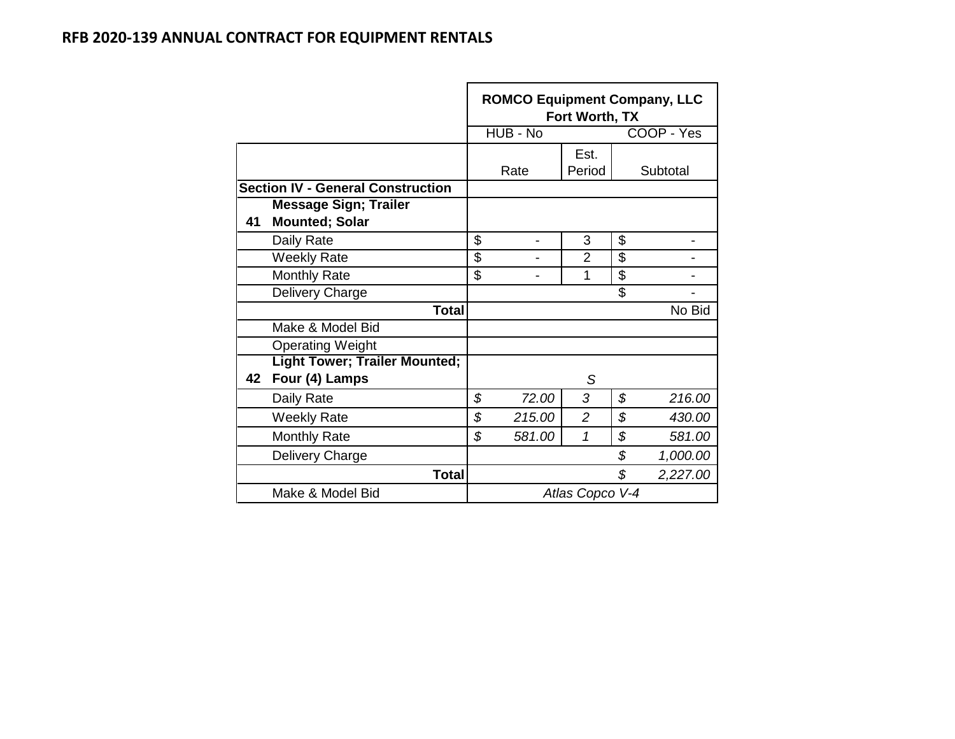|    |                                          | <b>ROMCO Equipment Company, LLC</b> | Fort Worth, TX  |                |
|----|------------------------------------------|-------------------------------------|-----------------|----------------|
|    |                                          | HUB - No                            |                 | COOP - Yes     |
|    |                                          |                                     | Est.            |                |
|    |                                          | Rate                                | Period          | Subtotal       |
|    | <b>Section IV - General Construction</b> |                                     |                 |                |
|    | <b>Message Sign; Trailer</b>             |                                     |                 |                |
| 41 | <b>Mounted; Solar</b>                    |                                     |                 |                |
|    | Daily Rate                               | \$                                  | 3               | \$             |
|    | <b>Weekly Rate</b>                       | \$                                  | $\overline{2}$  | \$             |
|    | <b>Monthly Rate</b>                      | \$                                  | 1               | \$             |
|    | Delivery Charge                          |                                     |                 | \$             |
|    | <b>Total</b>                             |                                     |                 | No Bid         |
|    | Make & Model Bid                         |                                     |                 |                |
|    | <b>Operating Weight</b>                  |                                     |                 |                |
|    | <b>Light Tower; Trailer Mounted;</b>     |                                     |                 |                |
| 42 | Four (4) Lamps                           |                                     | S               |                |
|    | Daily Rate                               | \$<br>72.00                         | 3               | \$<br>216.00   |
|    | <b>Weekly Rate</b>                       | \$<br>215.00                        | $\overline{c}$  | \$<br>430.00   |
|    | <b>Monthly Rate</b>                      | \$<br>581.00                        | 1               | \$<br>581.00   |
|    | Delivery Charge                          |                                     |                 | \$<br>1,000.00 |
|    | <b>Total</b>                             |                                     |                 | \$<br>2,227.00 |
|    | Make & Model Bid                         |                                     | Atlas Copco V-4 |                |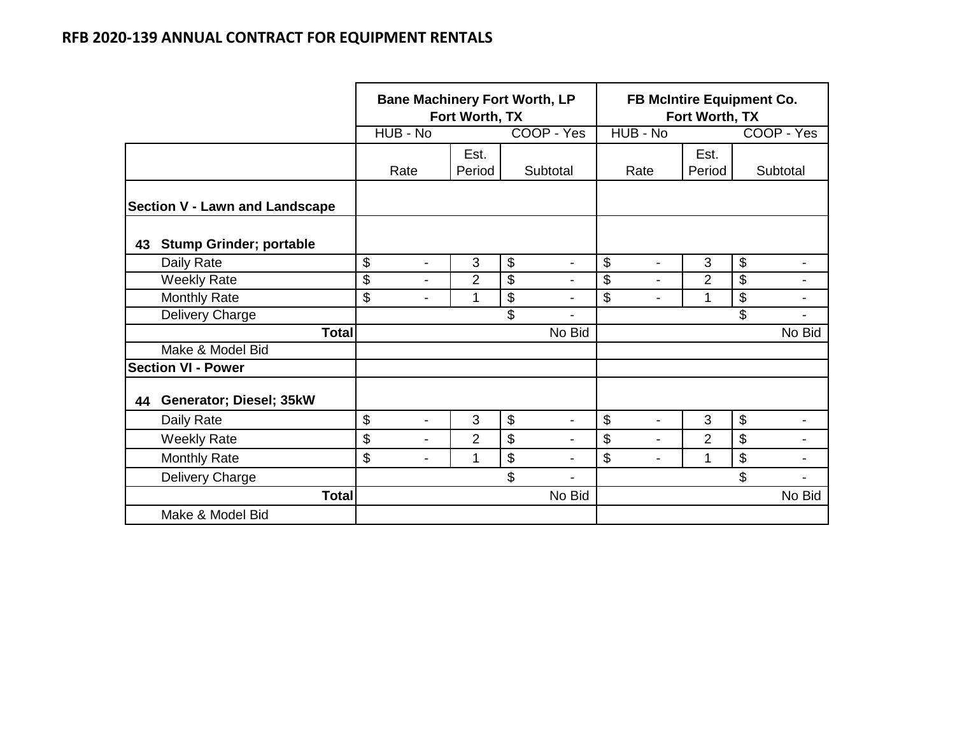|    |                                       |                                | Fort Worth, TX | <b>Bane Machinery Fort Worth, LP</b> | FB McIntire Equipment Co.<br>Fort Worth, TX |                |                                |  |
|----|---------------------------------------|--------------------------------|----------------|--------------------------------------|---------------------------------------------|----------------|--------------------------------|--|
|    |                                       | HUB - No                       |                | COOP - Yes                           | HUB - No                                    |                | COOP - Yes                     |  |
|    |                                       | Rate                           | Est.<br>Period | Subtotal                             | Rate                                        | Est.<br>Period | Subtotal                       |  |
|    | <b>Section V - Lawn and Landscape</b> |                                |                |                                      |                                             |                |                                |  |
| 43 | <b>Stump Grinder; portable</b>        |                                |                |                                      |                                             |                |                                |  |
|    | Daily Rate                            | \$<br>$\overline{\phantom{a}}$ | 3              | \$<br>$\blacksquare$                 | $\mathfrak{S}$<br>$\blacksquare$            | 3              | \$<br>$\overline{\phantom{a}}$ |  |
|    | <b>Weekly Rate</b>                    | \$<br>$\overline{\phantom{a}}$ | $\overline{2}$ | \$<br>$\overline{\phantom{a}}$       | $\mathfrak{L}$<br>$\overline{\phantom{0}}$  | $\overline{2}$ | \$<br>$\blacksquare$           |  |
|    | <b>Monthly Rate</b>                   | \$<br>$\overline{\phantom{a}}$ | 1              | \$<br>$\blacksquare$                 | $\mathfrak{L}$<br>$\overline{\phantom{0}}$  | 1              | \$<br>-                        |  |
|    | Delivery Charge                       |                                |                | \$<br>$\blacksquare$                 |                                             |                | \$<br>-                        |  |
|    | <b>Total</b>                          |                                |                | No Bid                               |                                             |                | No Bid                         |  |
|    | Make & Model Bid                      |                                |                |                                      |                                             |                |                                |  |
|    | <b>Section VI - Power</b>             |                                |                |                                      |                                             |                |                                |  |
| 44 | Generator; Diesel; 35kW               |                                |                |                                      |                                             |                |                                |  |
|    | Daily Rate                            | \$<br>$\blacksquare$           | 3              | \$<br>۰                              | \$                                          | 3              | \$                             |  |
|    | <b>Weekly Rate</b>                    | \$<br>$\overline{\phantom{0}}$ | $\overline{2}$ | \$                                   | \$                                          | $\overline{2}$ | \$                             |  |
|    | <b>Monthly Rate</b>                   | \$<br>$\blacksquare$           | 1              | \$<br>$\blacksquare$                 | \$<br>$\overline{\phantom{a}}$              | 1              | \$<br>$\overline{\phantom{0}}$ |  |
|    | Delivery Charge                       |                                |                | \$                                   |                                             |                | $\mathfrak{S}$<br>-            |  |
|    | <b>Total</b>                          | No Bid                         |                |                                      |                                             |                | No Bid                         |  |
|    | Make & Model Bid                      |                                |                |                                      |                                             |                |                                |  |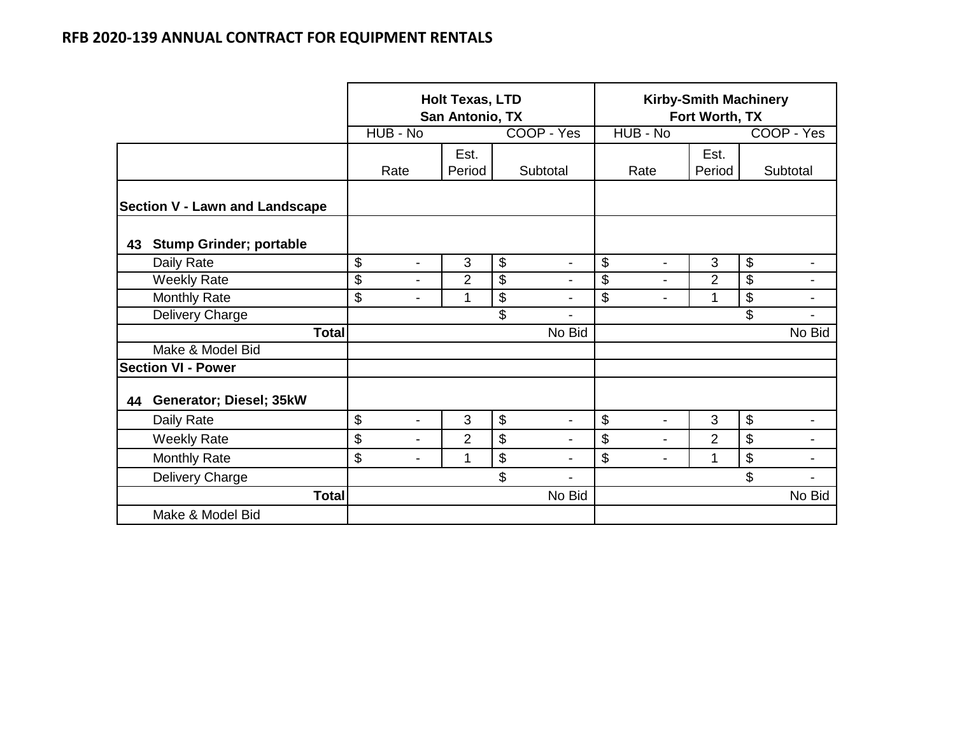|                                       |              | <b>Holt Texas, LTD</b><br>San Antonio, TX |                          |                |                           |                          | <b>Kirby-Smith Machinery</b><br>Fort Worth, TX |                          |                |                |                          |
|---------------------------------------|--------------|-------------------------------------------|--------------------------|----------------|---------------------------|--------------------------|------------------------------------------------|--------------------------|----------------|----------------|--------------------------|
|                                       |              | HUB - No<br>COOP - Yes                    |                          |                |                           |                          | HUB - No                                       |                          |                | COOP - Yes     |                          |
|                                       |              | Rate                                      |                          | Est.<br>Period |                           | Subtotal                 |                                                | Rate                     | Est.<br>Period |                | Subtotal                 |
| <b>Section V - Lawn and Landscape</b> |              |                                           |                          |                |                           |                          |                                                |                          |                |                |                          |
| <b>Stump Grinder; portable</b><br>43  |              |                                           |                          |                |                           |                          |                                                |                          |                |                |                          |
| Daily Rate                            |              | \$                                        | $\blacksquare$           | 3              | $\mathcal{L}$             | $\overline{\phantom{a}}$ | \$                                             | $\overline{\phantom{a}}$ | 3              | $\mathcal{L}$  | $\overline{\phantom{a}}$ |
| <b>Weekly Rate</b>                    |              | \$                                        | $\overline{\phantom{a}}$ | $\overline{2}$ | \$                        | $\blacksquare$           | \$                                             | $\blacksquare$           | $\overline{2}$ | \$             |                          |
| Monthly Rate                          |              | \$                                        | $\blacksquare$           | 1              | \$                        | $\blacksquare$           | \$                                             | $\blacksquare$           | 1              | \$             | $\blacksquare$           |
| Delivery Charge                       |              |                                           |                          |                | \$                        |                          |                                                |                          |                | \$             |                          |
|                                       | <b>Total</b> |                                           |                          |                |                           | No Bid                   |                                                |                          |                |                | No Bid                   |
| Make & Model Bid                      |              |                                           |                          |                |                           |                          |                                                |                          |                |                |                          |
| <b>Section VI - Power</b>             |              |                                           |                          |                |                           |                          |                                                |                          |                |                |                          |
| Generator; Diesel; 35kW<br>44         |              |                                           |                          |                |                           |                          |                                                |                          |                |                |                          |
| Daily Rate                            |              | \$                                        | $\blacksquare$           | 3              | $\boldsymbol{\mathsf{S}}$ | $\blacksquare$           | \$                                             | $\blacksquare$           | 3              | $\mathfrak{S}$ |                          |
| <b>Weekly Rate</b>                    |              | \$                                        | $\blacksquare$           | $\overline{2}$ | \$                        | $\blacksquare$           | \$                                             | $\blacksquare$           | $\overline{2}$ | \$             | $\blacksquare$           |
| <b>Monthly Rate</b>                   |              | \$                                        | $\blacksquare$           | 1              | $\boldsymbol{\mathsf{S}}$ | $\overline{a}$           | \$                                             | $\blacksquare$           | 1              | \$             |                          |
| Delivery Charge                       |              | \$                                        |                          |                |                           |                          |                                                |                          |                | \$             |                          |
|                                       | <b>Total</b> | No Bid                                    |                          |                |                           |                          |                                                |                          |                | No Bid         |                          |
| Make & Model Bid                      |              |                                           |                          |                |                           |                          |                                                |                          |                |                |                          |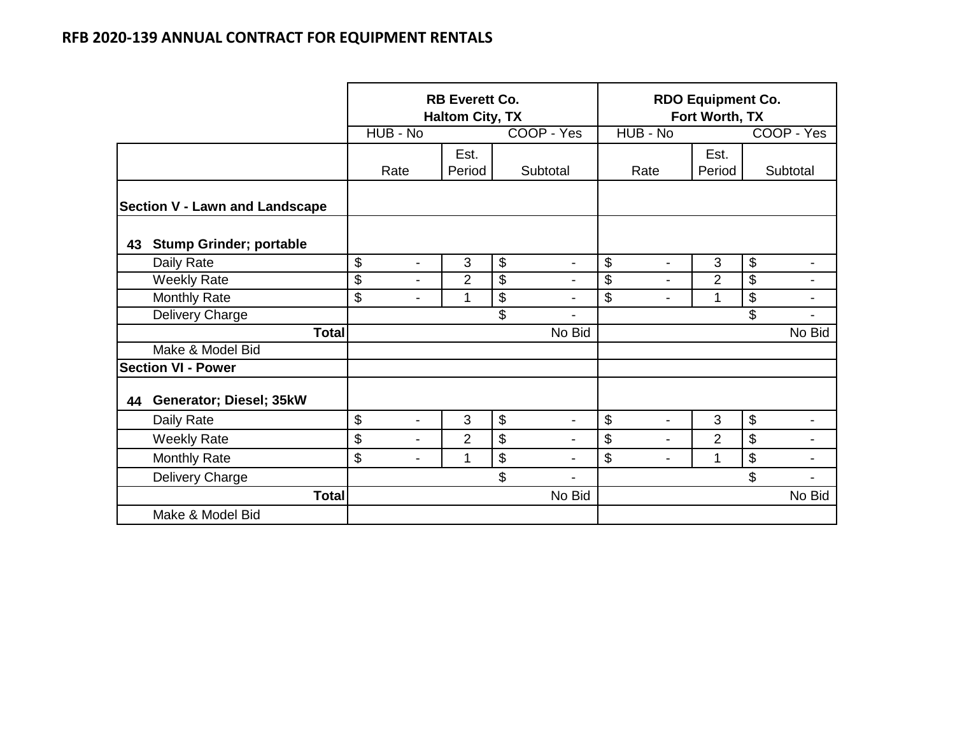|                                       |                                | <b>RB Everett Co.</b><br><b>Haltom City, TX</b> |    |                          | <b>RDO Equipment Co.</b><br>Fort Worth, TX |                |                                                       |  |
|---------------------------------------|--------------------------------|-------------------------------------------------|----|--------------------------|--------------------------------------------|----------------|-------------------------------------------------------|--|
|                                       | HUB - No                       |                                                 |    | COOP - Yes               | HUB - No                                   |                | COOP - Yes                                            |  |
|                                       | Rate                           | Est.<br>Subtotal<br>Period                      |    |                          | Rate                                       | Est.<br>Period | Subtotal                                              |  |
| <b>Section V - Lawn and Landscape</b> |                                |                                                 |    |                          |                                            |                |                                                       |  |
| <b>Stump Grinder; portable</b><br>43  |                                |                                                 |    |                          |                                            |                |                                                       |  |
| Daily Rate                            | \$<br>$\overline{\phantom{0}}$ | 3                                               | \$ | $\overline{\phantom{a}}$ | \$<br>$\overline{\phantom{a}}$             | 3              | $\$\$<br>$\overline{\phantom{a}}$                     |  |
| <b>Weekly Rate</b>                    | \$<br>$\overline{\phantom{0}}$ | $\overline{2}$                                  | \$ | $\overline{\phantom{a}}$ | \$<br>$\overline{\phantom{0}}$             | $\overline{2}$ | \$<br>-                                               |  |
| <b>Monthly Rate</b>                   | \$<br>$\overline{\phantom{0}}$ | 1                                               | \$ | $\overline{\phantom{a}}$ | \$<br>$\overline{\phantom{0}}$             | 1              | $\boldsymbol{\mathsf{S}}$<br>$\overline{\phantom{a}}$ |  |
| Delivery Charge                       |                                |                                                 | \$ | $\overline{\phantom{a}}$ |                                            |                | \$<br>٠                                               |  |
| <b>Total</b>                          |                                |                                                 |    | No Bid                   |                                            |                | No Bid                                                |  |
| Make & Model Bid                      |                                |                                                 |    |                          |                                            |                |                                                       |  |
| <b>Section VI - Power</b>             |                                |                                                 |    |                          |                                            |                |                                                       |  |
| Generator; Diesel; 35kW<br>44         |                                |                                                 |    |                          |                                            |                |                                                       |  |
| Daily Rate                            | \$<br>$\blacksquare$           | 3                                               | \$ | $\blacksquare$           | \$<br>$\overline{a}$                       | 3              | $\boldsymbol{\mathsf{S}}$                             |  |
| <b>Weekly Rate</b>                    | \$<br>-                        | $\overline{2}$                                  | \$ | $\blacksquare$           | \$<br>$\blacksquare$                       | $\overline{2}$ | $\boldsymbol{\mathsf{S}}$<br>$\blacksquare$           |  |
| <b>Monthly Rate</b>                   | \$<br>۰                        | 1                                               | \$ | $\blacksquare$           | \$<br>۰                                    | 1              | \$<br>$\overline{\phantom{0}}$                        |  |
| Delivery Charge                       |                                |                                                 | \$ | ۰                        |                                            |                | \$                                                    |  |
| <b>Total</b>                          | No Bid                         |                                                 |    |                          |                                            | No Bid         |                                                       |  |
| Make & Model Bid                      |                                |                                                 |    |                          |                                            |                |                                                       |  |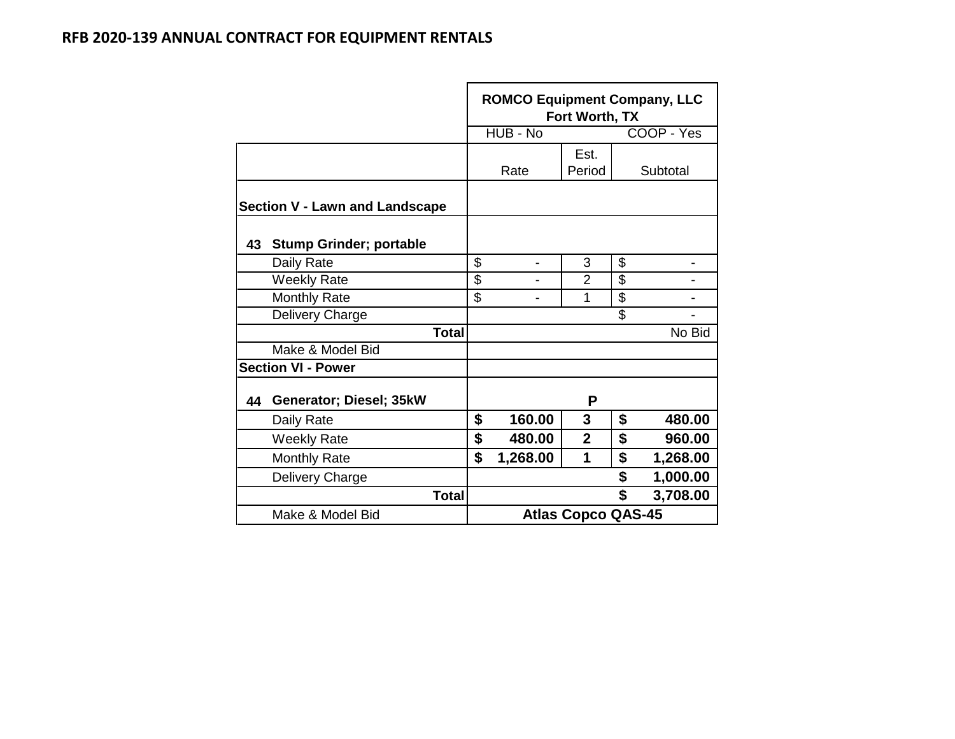|    |                                       | <b>ROMCO Equipment Company, LLC</b><br>Fort Worth, TX |                |                           |    |            |  |  |  |  |
|----|---------------------------------------|-------------------------------------------------------|----------------|---------------------------|----|------------|--|--|--|--|
|    |                                       |                                                       | HUB - No       |                           |    | COOP - Yes |  |  |  |  |
|    |                                       |                                                       | Rate           | Est.<br>Period            |    | Subtotal   |  |  |  |  |
|    | <b>Section V - Lawn and Landscape</b> |                                                       |                |                           |    |            |  |  |  |  |
| 43 | <b>Stump Grinder; portable</b>        |                                                       |                |                           |    |            |  |  |  |  |
|    | Daily Rate                            | \$                                                    | $\overline{a}$ | 3                         | \$ |            |  |  |  |  |
|    | <b>Weekly Rate</b>                    | \$                                                    |                | $\overline{2}$            | \$ |            |  |  |  |  |
|    | <b>Monthly Rate</b>                   | \$                                                    |                | 1                         | \$ |            |  |  |  |  |
|    | Delivery Charge                       |                                                       |                |                           | \$ |            |  |  |  |  |
|    | <b>Total</b>                          |                                                       |                |                           |    | No Bid     |  |  |  |  |
|    | Make & Model Bid                      |                                                       |                |                           |    |            |  |  |  |  |
|    | <b>Section VI - Power</b>             |                                                       |                |                           |    |            |  |  |  |  |
| 44 | Generator; Diesel; 35kW               |                                                       |                | P                         |    |            |  |  |  |  |
|    | Daily Rate                            | \$                                                    | 160.00         | 3                         | \$ | 480.00     |  |  |  |  |
|    | <b>Weekly Rate</b>                    | \$                                                    | 480.00         | $\overline{2}$            | \$ | 960.00     |  |  |  |  |
|    | <b>Monthly Rate</b>                   | \$                                                    | 1,268.00       | 1                         | \$ | 1,268.00   |  |  |  |  |
|    | Delivery Charge                       |                                                       |                |                           | \$ | 1,000.00   |  |  |  |  |
|    | <b>Total</b>                          |                                                       |                |                           | \$ | 3,708.00   |  |  |  |  |
|    | Make & Model Bid                      |                                                       |                | <b>Atlas Copco QAS-45</b> |    |            |  |  |  |  |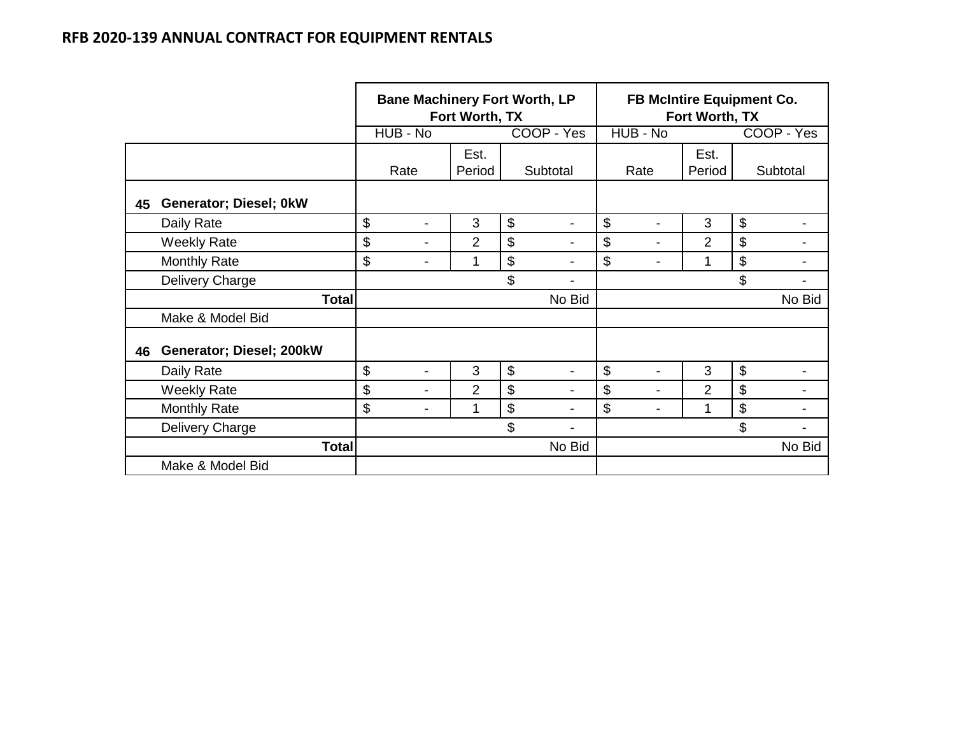|    |                          |                                | Fort Worth, TX | <b>Bane Machinery Fort Worth, LP</b>        | <b>FB McIntire Equipment Co.</b><br>Fort Worth, TX |        |                           |  |  |
|----|--------------------------|--------------------------------|----------------|---------------------------------------------|----------------------------------------------------|--------|---------------------------|--|--|
|    |                          | HUB - No                       |                | COOP - Yes                                  | HUB - No                                           |        | COOP - Yes                |  |  |
|    |                          |                                | Est.           |                                             |                                                    | Est.   |                           |  |  |
|    |                          | Rate                           | Period         | Subtotal                                    | Rate                                               | Period | Subtotal                  |  |  |
| 45 | Generator; Diesel; 0kW   |                                |                |                                             |                                                    |        |                           |  |  |
|    | Daily Rate               | \$<br>$\blacksquare$           | 3              | $\boldsymbol{\mathsf{S}}$<br>$\blacksquare$ | \$                                                 | 3      | $\boldsymbol{\mathsf{S}}$ |  |  |
|    | <b>Weekly Rate</b>       | \$<br>$\blacksquare$           | $\overline{2}$ | \$<br>$\blacksquare$                        | \$<br>$\blacksquare$                               | 2      | \$                        |  |  |
|    | <b>Monthly Rate</b>      | \$<br>$\overline{\phantom{a}}$ | 1              | $\boldsymbol{\mathsf{S}}$                   | \$                                                 |        | $\boldsymbol{\mathsf{S}}$ |  |  |
|    | Delivery Charge          |                                |                | \$                                          |                                                    |        | \$                        |  |  |
|    | <b>Total</b>             |                                |                | No Bid                                      |                                                    |        | No Bid                    |  |  |
|    | Make & Model Bid         |                                |                |                                             |                                                    |        |                           |  |  |
| 46 | Generator; Diesel; 200kW |                                |                |                                             |                                                    |        |                           |  |  |
|    | Daily Rate               | \$<br>$\blacksquare$           | 3              | \$<br>$\blacksquare$                        | \$                                                 | 3      | $\boldsymbol{\mathsf{S}}$ |  |  |
|    | <b>Weekly Rate</b>       | \$<br>$\blacksquare$           | $\overline{2}$ | \$<br>$\blacksquare$                        | \$<br>$\blacksquare$                               | 2      | \$                        |  |  |
|    | <b>Monthly Rate</b>      | \$<br>$\blacksquare$           | 1              | \$<br>$\overline{\phantom{0}}$              | \$                                                 | 1      | $\boldsymbol{\mathsf{S}}$ |  |  |
|    | Delivery Charge          |                                |                | \$                                          |                                                    |        | \$                        |  |  |
|    | <b>Total</b>             |                                |                | No Bid                                      |                                                    |        | No Bid                    |  |  |
|    | Make & Model Bid         |                                |                |                                             |                                                    |        |                           |  |  |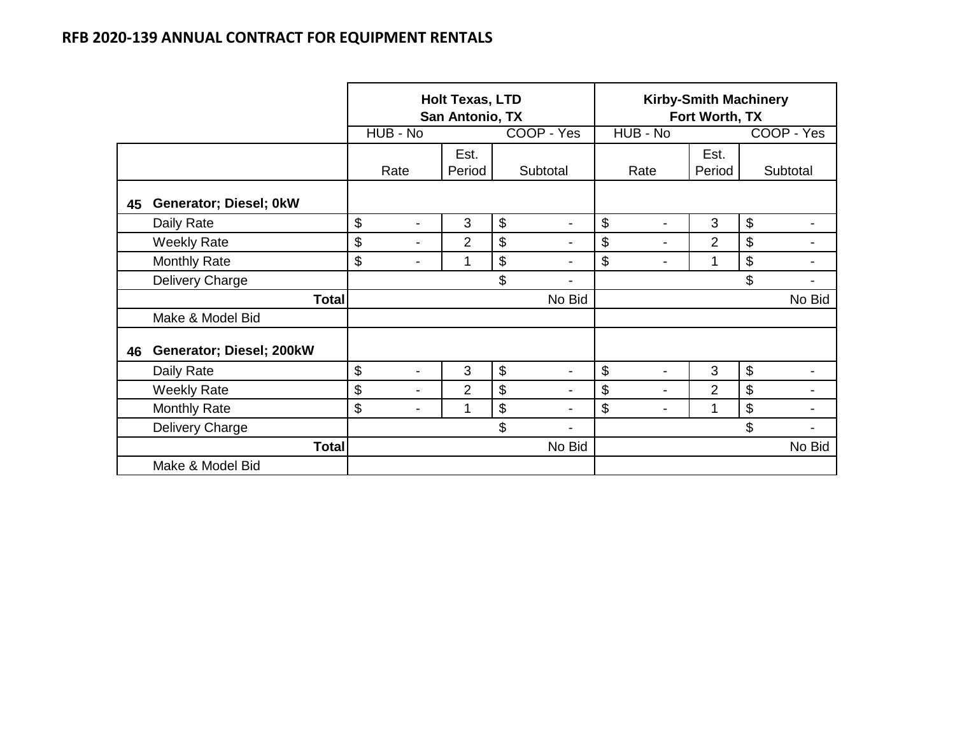|    |                          |          | <b>Holt Texas, LTD</b><br>San Antonio, TX |        | <b>Kirby-Smith Machinery</b><br>Fort Worth, TX |                      |                |                      |  |
|----|--------------------------|----------|-------------------------------------------|--------|------------------------------------------------|----------------------|----------------|----------------------|--|
|    |                          | HUB - No |                                           |        | COOP - Yes                                     | HUB - No             |                | COOP - Yes           |  |
|    |                          |          | Est.                                      |        |                                                |                      | Est.           |                      |  |
|    |                          | Rate     | Period                                    |        | Subtotal                                       | Rate                 | Period         | Subtotal             |  |
| 45 | Generator; Diesel; 0kW   |          |                                           |        |                                                |                      |                |                      |  |
|    | Daily Rate               | \$<br>-  | 3                                         | \$     | $\blacksquare$                                 | \$<br>-              | 3              | \$                   |  |
|    | <b>Weekly Rate</b>       | \$<br>-  | $\overline{2}$                            | \$     | $\overline{\phantom{a}}$                       | \$<br>-              | $\overline{2}$ | \$<br>$\blacksquare$ |  |
|    | Monthly Rate             | \$<br>-  | 1                                         | \$     | -                                              | \$<br>$\blacksquare$ | 1              | \$                   |  |
|    | Delivery Charge          |          |                                           | \$     | -                                              |                      |                | \$                   |  |
|    | <b>Total</b>             |          |                                           |        | No Bid                                         |                      |                | No Bid               |  |
|    | Make & Model Bid         |          |                                           |        |                                                |                      |                |                      |  |
| 46 | Generator; Diesel; 200kW |          |                                           |        |                                                |                      |                |                      |  |
|    | Daily Rate               | \$<br>-  | 3                                         | \$     | Ξ.                                             | \$<br>-              | 3              | \$                   |  |
|    | <b>Weekly Rate</b>       | \$<br>-  | $\overline{2}$                            | \$     | $\overline{\phantom{a}}$                       | \$<br>$\blacksquare$ | $\overline{2}$ | \$<br>$\blacksquare$ |  |
|    | Monthly Rate             | \$<br>-  | 1                                         | \$     |                                                | \$<br>$\blacksquare$ | 1              | \$                   |  |
|    | Delivery Charge          |          |                                           | \$     | -                                              |                      |                | \$                   |  |
|    | <b>Total</b>             |          |                                           | No Bid |                                                |                      | No Bid         |                      |  |
|    | Make & Model Bid         |          |                                           |        |                                                |                      |                |                      |  |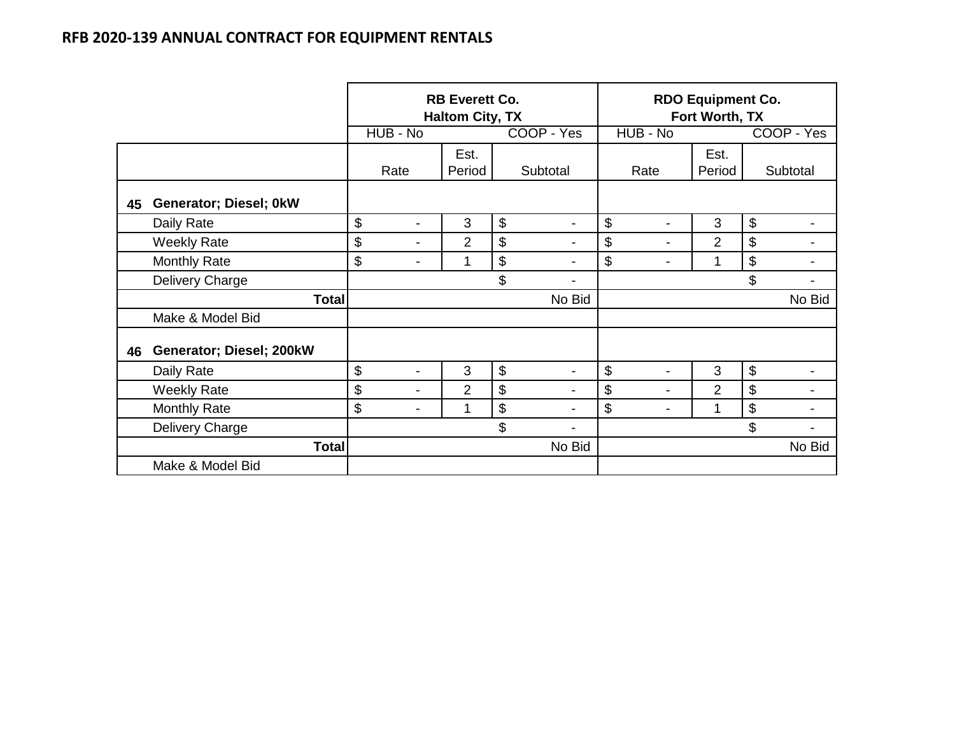|    |                          |                      | <b>RB Everett Co.</b><br><b>Haltom City, TX</b> |    |                          | <b>RDO Equipment Co.</b><br>Fort Worth, TX  |        |                      |  |  |
|----|--------------------------|----------------------|-------------------------------------------------|----|--------------------------|---------------------------------------------|--------|----------------------|--|--|
|    |                          | HUB - No             |                                                 |    | COOP - Yes               | HUB - No                                    |        | COOP - Yes           |  |  |
|    |                          |                      | Est.                                            |    |                          |                                             | Est.   |                      |  |  |
|    |                          | Rate                 | Period                                          |    | Subtotal                 | Rate                                        | Period | Subtotal             |  |  |
| 45 | Generator; Diesel; 0kW   |                      |                                                 |    |                          |                                             |        |                      |  |  |
|    | Daily Rate               | \$<br>$\blacksquare$ | 3                                               | \$ | -                        | \$<br>$\overline{\phantom{0}}$              | 3      | \$                   |  |  |
|    | <b>Weekly Rate</b>       | \$<br>$\blacksquare$ | $\overline{2}$                                  | \$ | $\overline{\phantom{0}}$ | \$<br>$\blacksquare$                        | 2      | \$<br>$\blacksquare$ |  |  |
|    | <b>Monthly Rate</b>      | \$<br>-              | 1                                               | \$ | -                        | $\$\$<br>$\overline{\phantom{a}}$           | 1      | \$                   |  |  |
|    | Delivery Charge          |                      |                                                 | \$ | $\blacksquare$           |                                             |        | \$                   |  |  |
|    | <b>Total</b>             |                      |                                                 |    | No Bid                   |                                             |        | No Bid               |  |  |
|    | Make & Model Bid         |                      |                                                 |    |                          |                                             |        |                      |  |  |
| 46 | Generator; Diesel; 200kW |                      |                                                 |    |                          |                                             |        |                      |  |  |
|    | Daily Rate               | \$<br>$\blacksquare$ | 3                                               | \$ | $\overline{\phantom{0}}$ | $\boldsymbol{\mathsf{S}}$<br>-              | 3      | \$                   |  |  |
|    | <b>Weekly Rate</b>       | \$<br>$\blacksquare$ | 2                                               | \$ | $\overline{\phantom{a}}$ | $\boldsymbol{\mathsf{S}}$<br>$\blacksquare$ | 2      | \$<br>$\blacksquare$ |  |  |
|    | <b>Monthly Rate</b>      | \$<br>$\blacksquare$ | 1                                               | \$ | -                        | $\boldsymbol{\theta}$<br>-                  | 1      | \$                   |  |  |
|    | Delivery Charge          |                      |                                                 | \$ | -                        |                                             |        | \$                   |  |  |
|    | <b>Total</b>             |                      |                                                 |    | No Bid                   |                                             |        | No Bid               |  |  |
|    | Make & Model Bid         |                      |                                                 |    |                          |                                             |        |                      |  |  |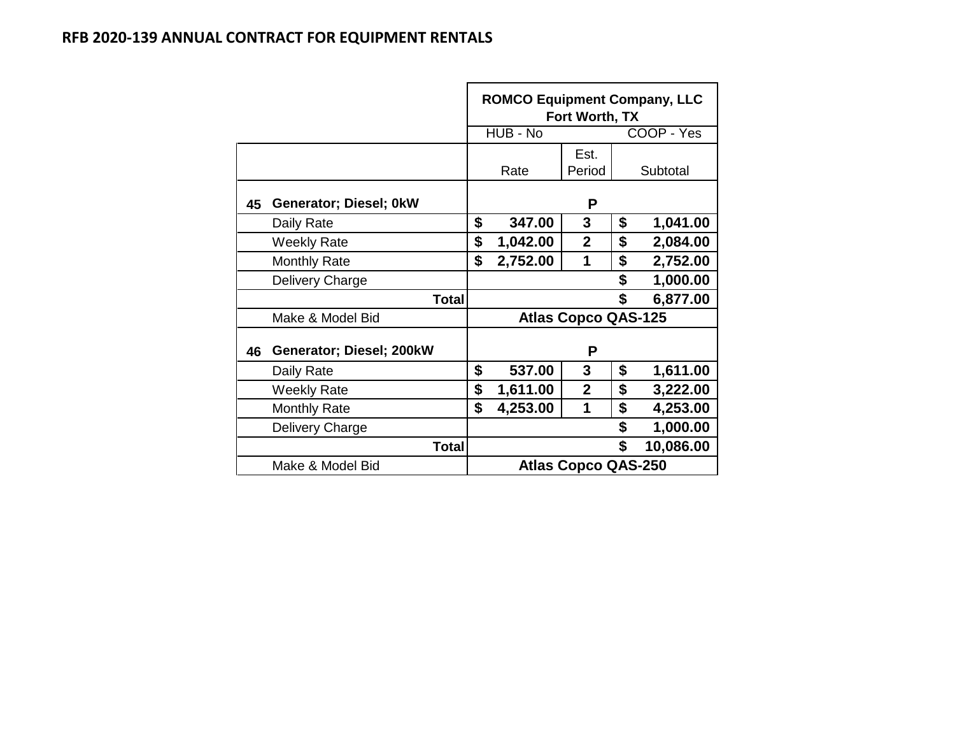|    |                          | <b>ROMCO Equipment Company, LLC</b><br>Fort Worth, TX |          |                            |    |           |  |  |  |
|----|--------------------------|-------------------------------------------------------|----------|----------------------------|----|-----------|--|--|--|
|    |                          | HUB - No<br>COOP - Yes                                |          |                            |    |           |  |  |  |
|    |                          |                                                       | Rate     | Subtotal                   |    |           |  |  |  |
| 45 | Generator; Diesel; 0kW   |                                                       |          | P                          |    |           |  |  |  |
|    | Daily Rate               | \$                                                    | 347.00   | 3                          | \$ | 1,041.00  |  |  |  |
|    | <b>Weekly Rate</b>       | \$                                                    | 1,042.00 | $\mathbf{2}$               | \$ | 2,084.00  |  |  |  |
|    | <b>Monthly Rate</b>      | \$                                                    | 2,752.00 | 2,752.00                   |    |           |  |  |  |
|    | Delivery Charge          |                                                       |          | 1,000.00                   |    |           |  |  |  |
|    | <b>Total</b>             |                                                       |          |                            | \$ | 6,877.00  |  |  |  |
|    | Make & Model Bid         |                                                       |          | <b>Atlas Copco QAS-125</b> |    |           |  |  |  |
| 46 | Generator; Diesel; 200kW |                                                       |          | P                          |    |           |  |  |  |
|    | Daily Rate               | \$                                                    | 537.00   | 3                          | \$ | 1,611.00  |  |  |  |
|    | <b>Weekly Rate</b>       | \$                                                    | 1,611.00 | $\mathbf{2}$               | \$ | 3,222.00  |  |  |  |
|    | <b>Monthly Rate</b>      | \$                                                    | 4,253.00 |                            |    |           |  |  |  |
|    | Delivery Charge          |                                                       |          |                            | \$ | 1,000.00  |  |  |  |
|    | Total                    |                                                       |          |                            | \$ | 10,086.00 |  |  |  |
|    | Make & Model Bid         |                                                       |          | <b>Atlas Copco QAS-250</b> |    |           |  |  |  |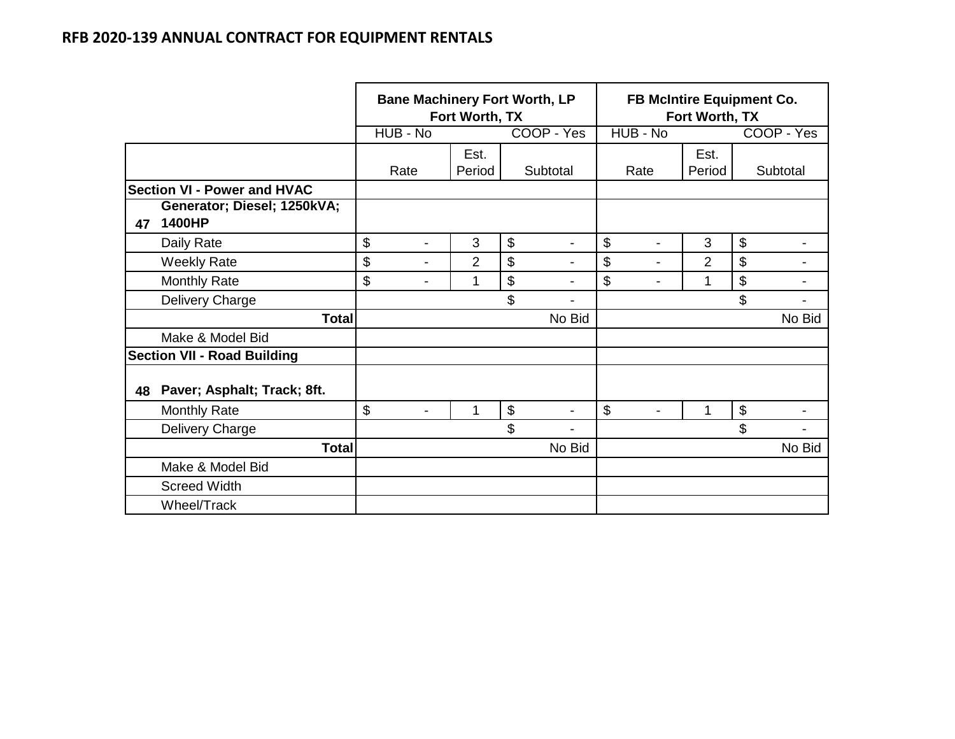|    |                                                                             | <b>Bane Machinery Fort Worth, LP</b><br>Fort Worth, TX |                |    | <b>FB McIntire Equipment Co.</b><br>Fort Worth, TX |    |                |                |    |                          |
|----|-----------------------------------------------------------------------------|--------------------------------------------------------|----------------|----|----------------------------------------------------|----|----------------|----------------|----|--------------------------|
|    |                                                                             | HUB - No                                               |                |    | COOP - Yes                                         |    | HUB - No       |                |    | COOP - Yes               |
|    |                                                                             | Rate                                                   | Est.<br>Period |    | Subtotal                                           |    | Rate           | Est.<br>Period |    | Subtotal                 |
|    | <b>Section VI - Power and HVAC</b><br>Generator; Diesel; 1250kVA;<br>1400HP |                                                        |                |    |                                                    |    |                |                |    |                          |
| 47 | Daily Rate                                                                  | \$<br>$\blacksquare$                                   | 3              | \$ | $\blacksquare$                                     | \$ | $\blacksquare$ | 3              | \$ |                          |
|    | <b>Weekly Rate</b>                                                          | \$<br>$\blacksquare$                                   | $\overline{2}$ | \$ | $\blacksquare$                                     | \$ | ۰              | $\overline{2}$ | \$ |                          |
|    | <b>Monthly Rate</b>                                                         | \$<br>$\overline{\phantom{a}}$                         | 1              | \$ | $\blacksquare$                                     | \$ | -              | 1              | \$ | $\overline{\phantom{a}}$ |
|    | Delivery Charge                                                             |                                                        |                | \$ |                                                    |    |                |                | \$ |                          |
|    | <b>Total</b>                                                                |                                                        |                |    | No Bid                                             |    |                |                |    | No Bid                   |
|    | Make & Model Bid                                                            |                                                        |                |    |                                                    |    |                |                |    |                          |
|    | <b>Section VII - Road Building</b>                                          |                                                        |                |    |                                                    |    |                |                |    |                          |
| 48 | Paver; Asphalt; Track; 8ft.                                                 |                                                        |                |    |                                                    |    |                |                |    |                          |
|    | <b>Monthly Rate</b>                                                         | \$<br>-                                                | 1              | \$ | -                                                  | \$ | -              | 1              | \$ | $\blacksquare$           |
|    | Delivery Charge                                                             |                                                        |                | \$ |                                                    |    |                |                | \$ |                          |
|    | <b>Total</b>                                                                |                                                        |                |    | No Bid                                             |    |                |                |    | No Bid                   |
|    | Make & Model Bid                                                            |                                                        |                |    |                                                    |    |                |                |    |                          |
|    | <b>Screed Width</b>                                                         |                                                        |                |    |                                                    |    |                |                |    |                          |
|    | Wheel/Track                                                                 |                                                        |                |    |                                                    |    |                |                |    |                          |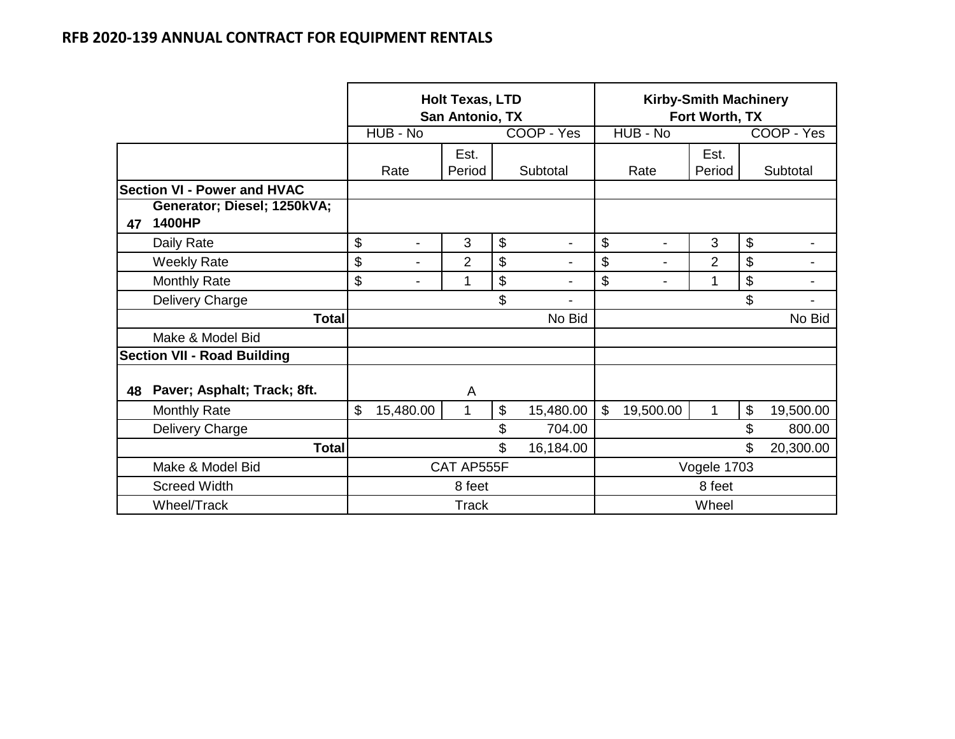|                                    |                                       |            | <b>Holt Texas, LTD</b><br>San Antonio, TX |                |                           |                | <b>Kirby-Smith Machinery</b><br>Fort Worth, TX |                |                |           |                |
|------------------------------------|---------------------------------------|------------|-------------------------------------------|----------------|---------------------------|----------------|------------------------------------------------|----------------|----------------|-----------|----------------|
|                                    |                                       |            | HUB - No                                  |                |                           | COOP - Yes     |                                                | HUB - No       |                |           | COOP - Yes     |
|                                    |                                       |            |                                           | Est.           |                           |                |                                                |                | Est.           |           |                |
|                                    |                                       |            | Rate                                      | Period         |                           | Subtotal       |                                                | Rate           | Period         |           | Subtotal       |
| <b>Section VI - Power and HVAC</b> |                                       |            |                                           |                |                           |                |                                                |                |                |           |                |
| 47                                 | Generator; Diesel; 1250kVA;<br>1400HP |            |                                           |                |                           |                |                                                |                |                |           |                |
|                                    | Daily Rate                            | \$         | $\overline{\phantom{a}}$                  | 3              | $\boldsymbol{\mathsf{S}}$ |                | \$                                             | $\blacksquare$ | 3              | \$        |                |
|                                    | <b>Weekly Rate</b>                    | \$         |                                           | $\overline{2}$ | \$                        |                | \$                                             |                | $\overline{2}$ | \$        |                |
|                                    | <b>Monthly Rate</b>                   | \$         | $\overline{\phantom{a}}$                  | 1              | \$                        | $\blacksquare$ | \$                                             | $\blacksquare$ | 1              | \$        | $\blacksquare$ |
|                                    | Delivery Charge                       |            |                                           |                | \$                        |                |                                                |                |                | \$        |                |
|                                    | <b>Total</b>                          |            |                                           |                |                           | No Bid         |                                                |                |                |           | No Bid         |
|                                    | Make & Model Bid                      |            |                                           |                |                           |                |                                                |                |                |           |                |
|                                    | <b>Section VII - Road Building</b>    |            |                                           |                |                           |                |                                                |                |                |           |                |
| 48                                 | Paver; Asphalt; Track; 8ft.           |            |                                           | A              |                           |                |                                                |                |                |           |                |
|                                    | <b>Monthly Rate</b>                   | \$         | 15,480.00                                 | 1              | \$                        | 15,480.00      | $\mathbb{S}$                                   | 19,500.00      | 1              | \$        | 19,500.00      |
|                                    | Delivery Charge                       |            |                                           |                | \$                        | 704.00         |                                                |                |                | \$        | 800.00         |
|                                    | <b>Total</b>                          |            |                                           |                | \$                        | 16,184.00      | \$                                             |                |                | 20,300.00 |                |
|                                    | Make & Model Bid                      | CAT AP555F |                                           |                |                           |                |                                                |                | Vogele 1703    |           |                |
|                                    | <b>Screed Width</b>                   |            |                                           | 8 feet         |                           |                | 8 feet                                         |                |                |           |                |
|                                    | Wheel/Track                           |            |                                           | <b>Track</b>   |                           |                |                                                |                | Wheel          |           |                |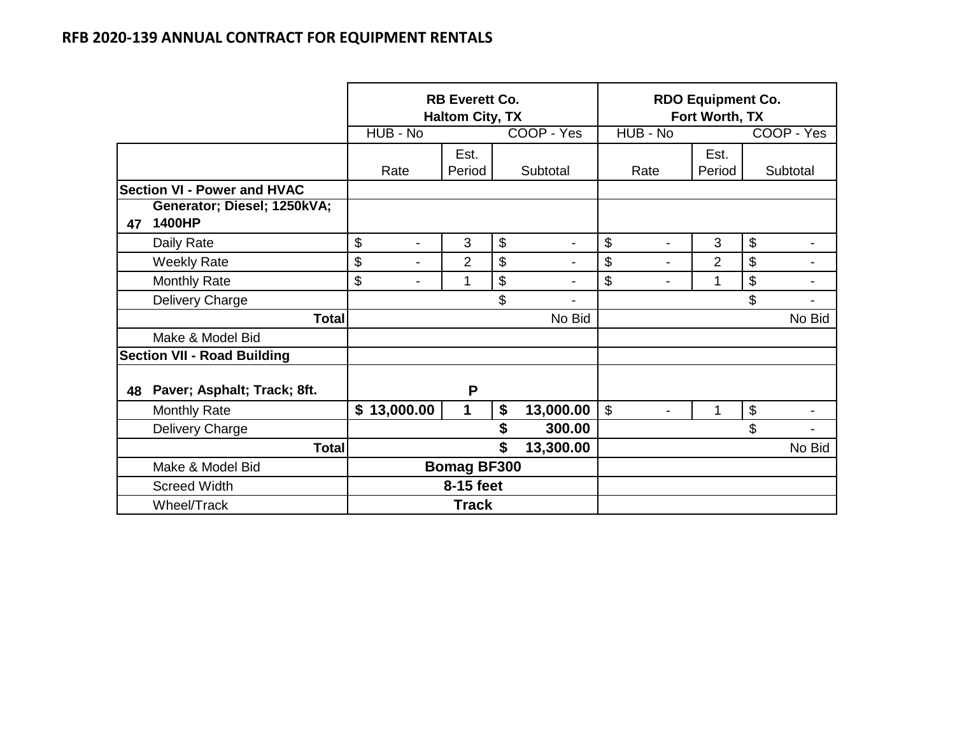|    |                                       |                    |                          | <b>RB Everett Co.</b><br><b>Haltom City, TX</b> |    |                          | <b>RDO Equipment Co.</b><br>Fort Worth, TX |                |        |    |                |
|----|---------------------------------------|--------------------|--------------------------|-------------------------------------------------|----|--------------------------|--------------------------------------------|----------------|--------|----|----------------|
|    |                                       |                    | HUB - No                 |                                                 |    | COOP - Yes               |                                            | HUB - No       |        |    | COOP - Yes     |
|    |                                       |                    |                          | Est.                                            |    |                          |                                            |                | Est.   |    |                |
|    |                                       |                    | Rate                     | Period                                          |    | Subtotal                 |                                            | Rate           | Period |    | Subtotal       |
|    | <b>Section VI - Power and HVAC</b>    |                    |                          |                                                 |    |                          |                                            |                |        |    |                |
| 47 | Generator; Diesel; 1250kVA;<br>1400HP |                    |                          |                                                 |    |                          |                                            |                |        |    |                |
|    | Daily Rate                            | \$                 | $\overline{\phantom{a}}$ | 3                                               | \$ |                          | \$                                         | ۳              | 3      | \$ |                |
|    | <b>Weekly Rate</b>                    | \$                 | $\blacksquare$           | $\overline{2}$                                  | \$ |                          | \$                                         | $\blacksquare$ | 2      | \$ |                |
|    | <b>Monthly Rate</b>                   | \$                 | $\overline{\phantom{a}}$ | 1                                               | \$ | $\overline{\phantom{a}}$ | \$                                         | $\blacksquare$ | 1      | \$ | $\blacksquare$ |
|    | Delivery Charge                       |                    |                          |                                                 | \$ |                          |                                            |                |        | \$ |                |
|    | <b>Total</b>                          |                    |                          |                                                 |    | No Bid                   |                                            |                |        |    | No Bid         |
|    | Make & Model Bid                      |                    |                          |                                                 |    |                          |                                            |                |        |    |                |
|    | <b>Section VII - Road Building</b>    |                    |                          |                                                 |    |                          |                                            |                |        |    |                |
| 48 | Paver; Asphalt; Track; 8ft.           |                    |                          | P                                               |    |                          |                                            |                |        |    |                |
|    | <b>Monthly Rate</b>                   |                    | \$13,000.00              | 1                                               | \$ | 13,000.00                | \$                                         | $\blacksquare$ | 1      | \$ |                |
|    | Delivery Charge                       |                    |                          |                                                 | \$ | 300.00                   |                                            |                |        | \$ |                |
|    | <b>Total</b>                          | \$<br>13,300.00    |                          |                                                 |    |                          |                                            |                | No Bid |    |                |
|    | Make & Model Bid                      | <b>Bomag BF300</b> |                          |                                                 |    |                          |                                            |                |        |    |                |
|    | <b>Screed Width</b>                   | 8-15 feet          |                          |                                                 |    |                          |                                            |                |        |    |                |
|    | Wheel/Track                           |                    | <b>Track</b>             |                                                 |    |                          |                                            |                |        |    |                |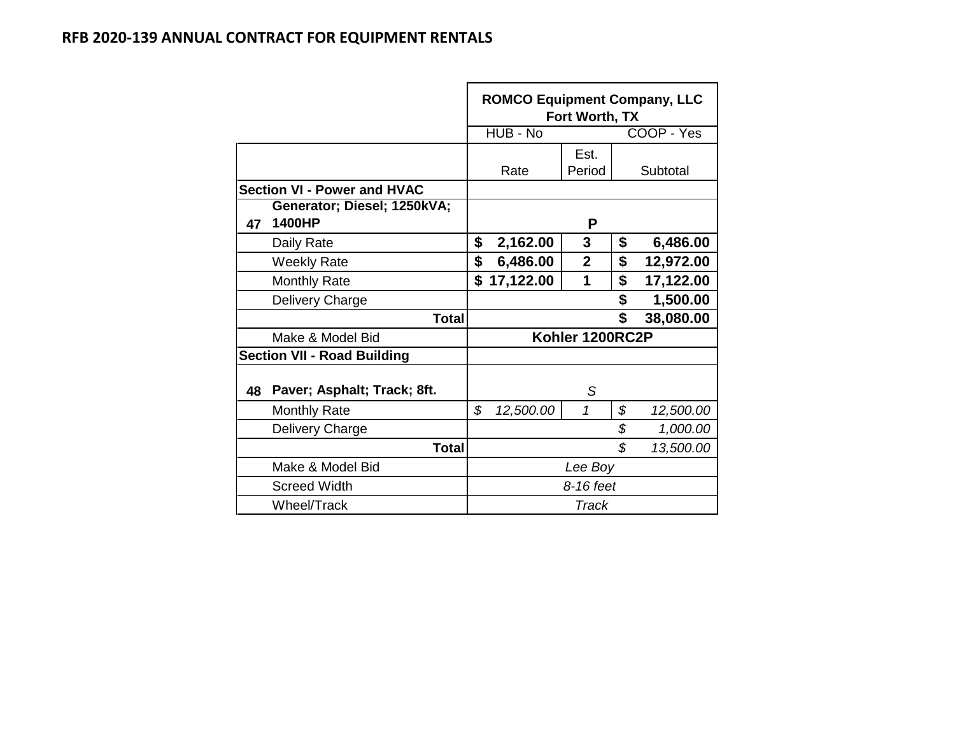|    |                                    |                | <b>ROMCO Equipment Company, LLC</b> | Fort Worth, TX  |    |            |  |
|----|------------------------------------|----------------|-------------------------------------|-----------------|----|------------|--|
|    |                                    |                | HUB - No                            |                 |    | COOP - Yes |  |
|    |                                    |                |                                     | Est.            |    |            |  |
|    |                                    | Rate<br>Period |                                     |                 |    | Subtotal   |  |
|    | <b>Section VI - Power and HVAC</b> |                |                                     |                 |    |            |  |
|    | Generator; Diesel; 1250kVA;        |                |                                     |                 |    |            |  |
| 47 | 1400HP                             |                |                                     | P               |    |            |  |
|    | Daily Rate                         | \$             | 2,162.00                            | 3               | \$ | 6,486.00   |  |
|    | <b>Weekly Rate</b>                 | \$             | 6,486.00                            | $\overline{2}$  | \$ | 12,972.00  |  |
|    | <b>Monthly Rate</b>                | \$             | 17,122.00                           | 1               | \$ | 17,122.00  |  |
|    | Delivery Charge                    |                |                                     |                 | \$ | 1,500.00   |  |
|    | Total                              |                |                                     |                 | \$ | 38,080.00  |  |
|    | Make & Model Bid                   |                |                                     | Kohler 1200RC2P |    |            |  |
|    | <b>Section VII - Road Building</b> |                |                                     |                 |    |            |  |
| 48 | Paver; Asphalt; Track; 8ft.        |                |                                     | S               |    |            |  |
|    | <b>Monthly Rate</b>                | \$             | 12,500.00                           | 1               | \$ | 12,500.00  |  |
|    | Delivery Charge                    |                |                                     |                 | \$ | 1,000.00   |  |
|    | <b>Total</b>                       |                |                                     |                 | \$ | 13,500.00  |  |
|    | Make & Model Bid                   |                |                                     | Lee Boy         |    |            |  |
|    | <b>Screed Width</b>                |                |                                     | 8-16 feet       |    |            |  |
|    | Wheel/Track                        | Track          |                                     |                 |    |            |  |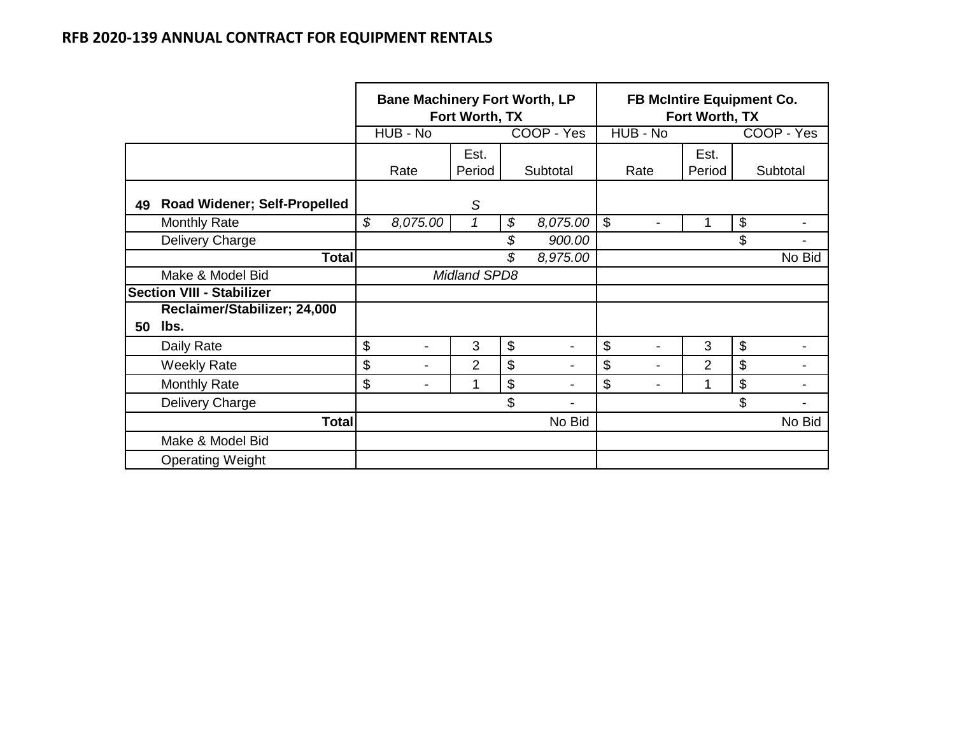|    |                                     | <b>Bane Machinery Fort Worth, LP</b><br>Fort Worth, TX |                |                     |                           |                          | <b>FB McIntire Equipment Co.</b><br>Fort Worth, TX |                |                           |            |  |  |
|----|-------------------------------------|--------------------------------------------------------|----------------|---------------------|---------------------------|--------------------------|----------------------------------------------------|----------------|---------------------------|------------|--|--|
|    |                                     |                                                        | HUB - No       |                     |                           | COOP - Yes               | HUB - No                                           |                |                           | COOP - Yes |  |  |
|    |                                     |                                                        |                | Est.                |                           |                          |                                                    | Est.           |                           |            |  |  |
|    |                                     |                                                        | Rate           | Period              |                           | Subtotal                 | Rate                                               | Period         |                           | Subtotal   |  |  |
| 49 | <b>Road Widener; Self-Propelled</b> |                                                        |                | S                   |                           |                          |                                                    |                |                           |            |  |  |
|    | <b>Monthly Rate</b>                 | \$                                                     | 8,075.00       | 1                   | \$                        | 8,075.00                 | $\boldsymbol{\mathsf{S}}$                          |                | \$                        |            |  |  |
|    | Delivery Charge                     |                                                        |                |                     | \$                        | 900.00                   |                                                    |                | \$                        |            |  |  |
|    | <b>Total</b>                        |                                                        |                |                     | \$                        | 8,975.00                 |                                                    |                |                           | No Bid     |  |  |
|    | Make & Model Bid                    |                                                        |                | <b>Midland SPD8</b> |                           |                          |                                                    |                |                           |            |  |  |
|    | <b>Section VIII - Stabilizer</b>    |                                                        |                |                     |                           |                          |                                                    |                |                           |            |  |  |
|    | Reclaimer/Stabilizer; 24,000        |                                                        |                |                     |                           |                          |                                                    |                |                           |            |  |  |
| 50 | lbs.                                |                                                        |                |                     |                           |                          |                                                    |                |                           |            |  |  |
|    | Daily Rate                          | \$                                                     | $\blacksquare$ | 3                   | $\boldsymbol{\mathsf{S}}$ | $\overline{\phantom{a}}$ | \$<br>۰                                            | 3              | $\boldsymbol{\mathsf{S}}$ |            |  |  |
|    | <b>Weekly Rate</b>                  | \$                                                     | $\blacksquare$ | 2                   | $\boldsymbol{\mathsf{S}}$ |                          | \$                                                 | $\overline{2}$ | $\boldsymbol{\mathsf{S}}$ |            |  |  |
|    | <b>Monthly Rate</b>                 | \$                                                     | $\blacksquare$ | 1                   | \$                        | $\blacksquare$           | \$                                                 | 1              | \$                        |            |  |  |
|    | Delivery Charge                     |                                                        |                |                     | \$                        |                          |                                                    |                | \$                        |            |  |  |
|    | <b>Total</b>                        |                                                        |                |                     |                           | No Bid                   |                                                    |                |                           | No Bid     |  |  |
|    | Make & Model Bid                    |                                                        |                |                     |                           |                          |                                                    |                |                           |            |  |  |
|    | <b>Operating Weight</b>             |                                                        |                |                     |                           |                          |                                                    |                |                           |            |  |  |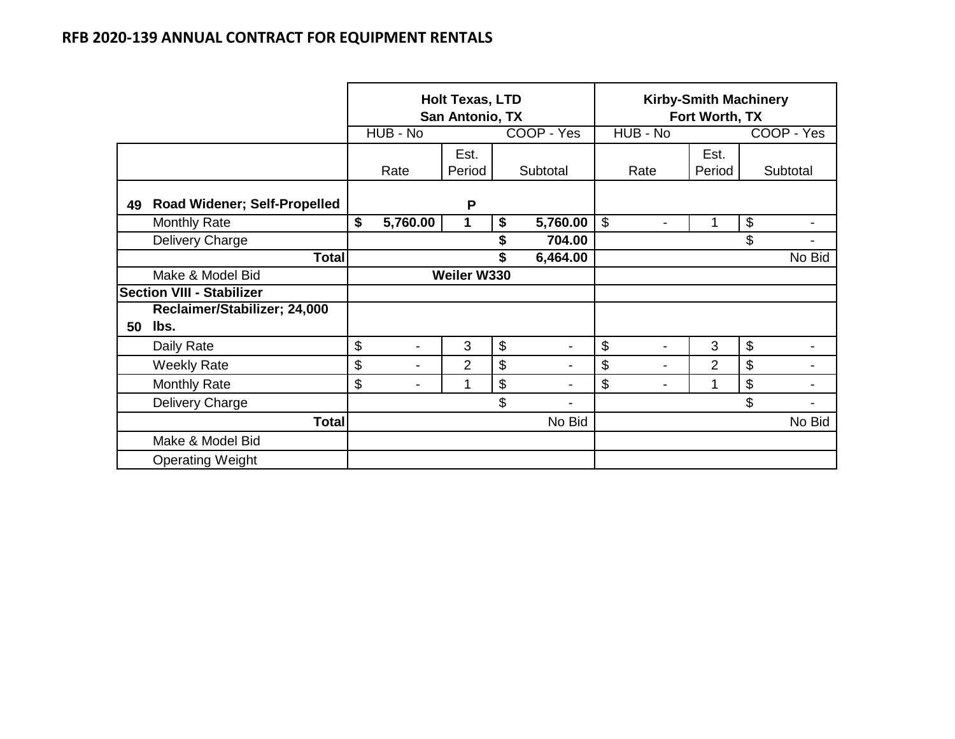|    |                                     | <b>Holt Texas, LTD</b><br>San Antonio, TX |                |                |    | <b>Kirby-Smith Machinery</b><br>Fort Worth, TX |                                 |                |    |                |
|----|-------------------------------------|-------------------------------------------|----------------|----------------|----|------------------------------------------------|---------------------------------|----------------|----|----------------|
|    |                                     |                                           | HUB - No       |                |    | COOP - Yes                                     | HUB - No                        |                |    | COOP - Yes     |
|    |                                     |                                           | Rate           | Est.<br>Period |    | Subtotal                                       | Rate                            | Est.<br>Period |    | Subtotal       |
| 49 | <b>Road Widener; Self-Propelled</b> |                                           |                | P              |    |                                                |                                 |                |    |                |
|    | <b>Monthly Rate</b>                 | \$                                        | 5,760.00       | 1              | \$ | 5,760.00                                       | $\mathbb{S}$<br>$\blacksquare$  | 1              | \$ | $\blacksquare$ |
|    | Delivery Charge                     |                                           |                |                | \$ | 704.00                                         |                                 |                | \$ |                |
|    | <b>Total</b>                        |                                           | \$             |                |    | 6,464.00                                       |                                 |                |    | No Bid         |
|    | Make & Model Bid                    |                                           |                | Weiler W330    |    |                                                |                                 |                |    |                |
|    | <b>Section VIII - Stabilizer</b>    |                                           |                |                |    |                                                |                                 |                |    |                |
|    | Reclaimer/Stabilizer; 24,000        |                                           |                |                |    |                                                |                                 |                |    |                |
| 50 | lbs.                                |                                           |                |                |    |                                                |                                 |                |    |                |
|    | Daily Rate                          | \$                                        | $\blacksquare$ | 3              | \$ | $\blacksquare$                                 | $\mathcal{L}$<br>$\blacksquare$ | 3              | \$ | -              |
|    | <b>Weekly Rate</b>                  | \$                                        | $\blacksquare$ | 2              | \$ | -                                              | \$<br>$\blacksquare$            | $\overline{2}$ | \$ |                |
|    | <b>Monthly Rate</b>                 | \$                                        | -              | 1              | \$ |                                                | \$<br>-                         | 1              | \$ |                |
|    | Delivery Charge                     |                                           |                |                | \$ |                                                |                                 |                | \$ |                |
|    | <b>Total</b>                        |                                           |                |                |    | No Bid                                         |                                 |                |    | No Bid         |
|    | Make & Model Bid                    |                                           |                |                |    |                                                |                                 |                |    |                |
|    | <b>Operating Weight</b>             |                                           |                |                |    |                                                |                                 |                |    |                |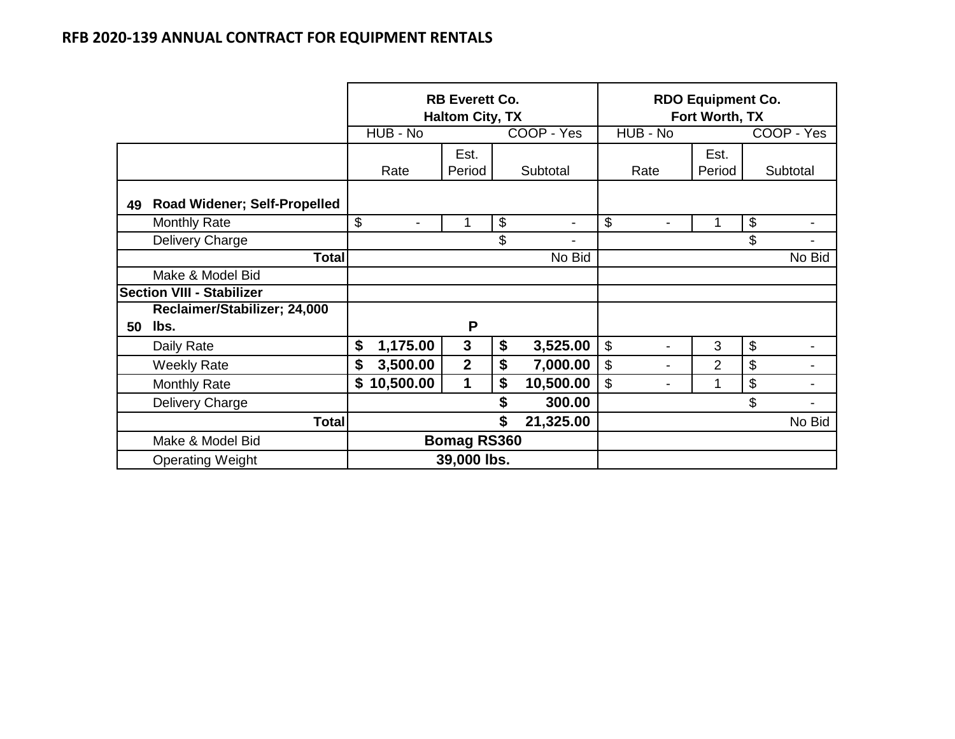|    |                                     |                    |             | <b>RB Everett Co.</b><br><b>Haltom City, TX</b> |    | <b>RDO Equipment Co.</b><br>Fort Worth, TX |                |                |                |                            |            |
|----|-------------------------------------|--------------------|-------------|-------------------------------------------------|----|--------------------------------------------|----------------|----------------|----------------|----------------------------|------------|
|    |                                     |                    | HUB - No    |                                                 |    | COOP - Yes                                 | HUB - No       |                |                |                            | COOP - Yes |
|    |                                     |                    | Rate        | Est.<br>Period                                  |    | Subtotal                                   | Rate           |                | Est.<br>Period |                            | Subtotal   |
| 49 | <b>Road Widener; Self-Propelled</b> |                    |             |                                                 |    |                                            |                |                |                |                            |            |
|    | <b>Monthly Rate</b>                 | \$                 |             | 1                                               | \$ | $\blacksquare$                             | \$             |                | 1              | $\boldsymbol{\theta}$      |            |
|    | Delivery Charge                     |                    |             |                                                 | \$ | $\blacksquare$                             |                |                |                | \$                         |            |
|    | <b>Total</b>                        |                    | No Bid      |                                                 |    |                                            |                |                |                |                            | No Bid     |
|    | Make & Model Bid                    |                    |             |                                                 |    |                                            |                |                |                |                            |            |
|    | <b>Section VIII - Stabilizer</b>    |                    |             |                                                 |    |                                            |                |                |                |                            |            |
|    | Reclaimer/Stabilizer; 24,000        |                    |             |                                                 |    |                                            |                |                |                |                            |            |
| 50 | lbs.                                |                    |             | P                                               |    |                                            |                |                |                |                            |            |
|    | Daily Rate                          | \$                 | 1,175.00    | $\mathbf{3}$                                    | \$ | 3,525.00                                   | \$             | $\blacksquare$ | 3              | $\boldsymbol{\mathsf{\$}}$ |            |
|    | <b>Weekly Rate</b>                  | \$                 | 3,500.00    | $\overline{2}$                                  | \$ | 7,000.00                                   | \$             | $\blacksquare$ | $\overline{2}$ | \$                         |            |
|    | <b>Monthly Rate</b>                 | \$                 | 10,500.00   | 1                                               | \$ | 10,500.00                                  | $\mathfrak{S}$ | -              | $\mathbf{1}$   | $\boldsymbol{\theta}$      |            |
|    | Delivery Charge                     |                    |             |                                                 | \$ | 300.00                                     |                |                |                | \$                         |            |
|    | <b>Total</b>                        | \$<br>21,325.00    |             |                                                 |    |                                            |                |                | No Bid         |                            |            |
|    | Make & Model Bid                    | <b>Bomag RS360</b> |             |                                                 |    |                                            |                |                |                |                            |            |
|    | <b>Operating Weight</b>             |                    | 39,000 lbs. |                                                 |    |                                            |                |                |                |                            |            |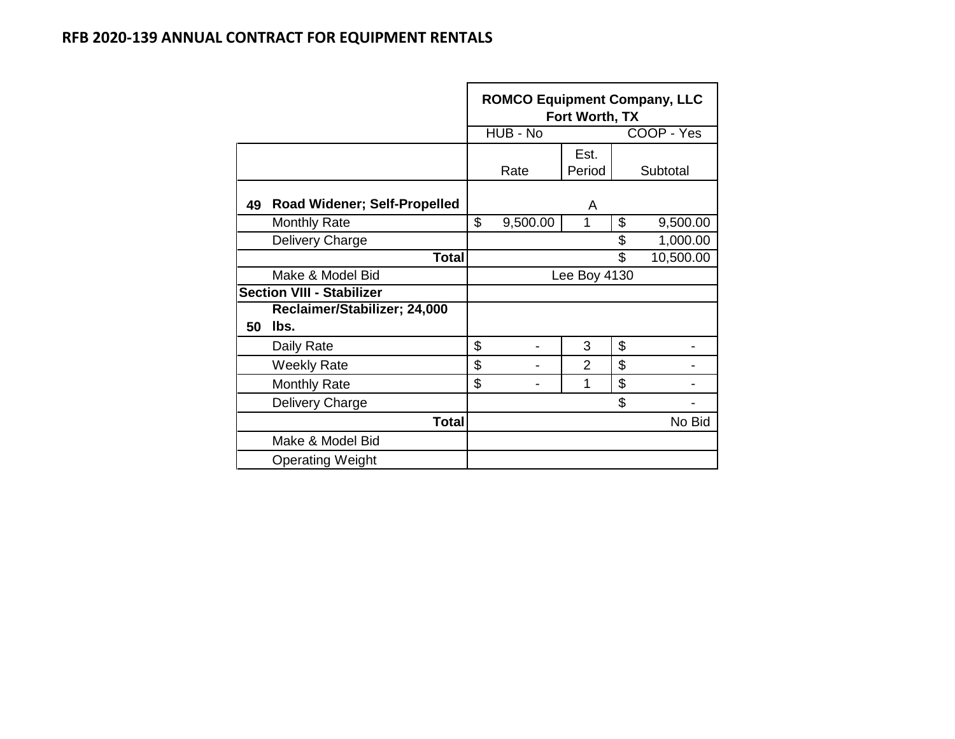|    |                                     | <b>ROMCO Equipment Company, LLC</b><br>Fort Worth, TX<br>COOP - Yes<br>HUB - No |          |                |    |          |  |  |  |  |
|----|-------------------------------------|---------------------------------------------------------------------------------|----------|----------------|----|----------|--|--|--|--|
|    |                                     |                                                                                 |          |                |    |          |  |  |  |  |
|    |                                     |                                                                                 | Rate     | Est.<br>Period |    | Subtotal |  |  |  |  |
| 49 | <b>Road Widener; Self-Propelled</b> |                                                                                 |          | A              |    |          |  |  |  |  |
|    | <b>Monthly Rate</b>                 | \$                                                                              | 9,500.00 | 1              | \$ | 9,500.00 |  |  |  |  |
|    | Delivery Charge                     | \$<br>1,000.00                                                                  |          |                |    |          |  |  |  |  |
|    | <b>Total</b>                        | \$<br>10,500.00                                                                 |          |                |    |          |  |  |  |  |
|    | Make & Model Bid                    |                                                                                 |          | Lee Boy 4130   |    |          |  |  |  |  |
|    | <b>Section VIII - Stabilizer</b>    |                                                                                 |          |                |    |          |  |  |  |  |
|    | Reclaimer/Stabilizer; 24,000        |                                                                                 |          |                |    |          |  |  |  |  |
| 50 | lbs.                                |                                                                                 |          |                |    |          |  |  |  |  |
|    | Daily Rate                          | \$                                                                              |          | 3              | \$ |          |  |  |  |  |
|    | <b>Weekly Rate</b>                  | \$                                                                              |          | 2              | \$ |          |  |  |  |  |
|    | <b>Monthly Rate</b>                 | \$                                                                              |          | 1              | \$ |          |  |  |  |  |
|    | Delivery Charge                     | \$                                                                              |          |                |    |          |  |  |  |  |
|    | <b>Total</b>                        |                                                                                 |          |                |    | No Bid   |  |  |  |  |
|    | Make & Model Bid                    |                                                                                 |          |                |    |          |  |  |  |  |
|    | <b>Operating Weight</b>             |                                                                                 |          |                |    |          |  |  |  |  |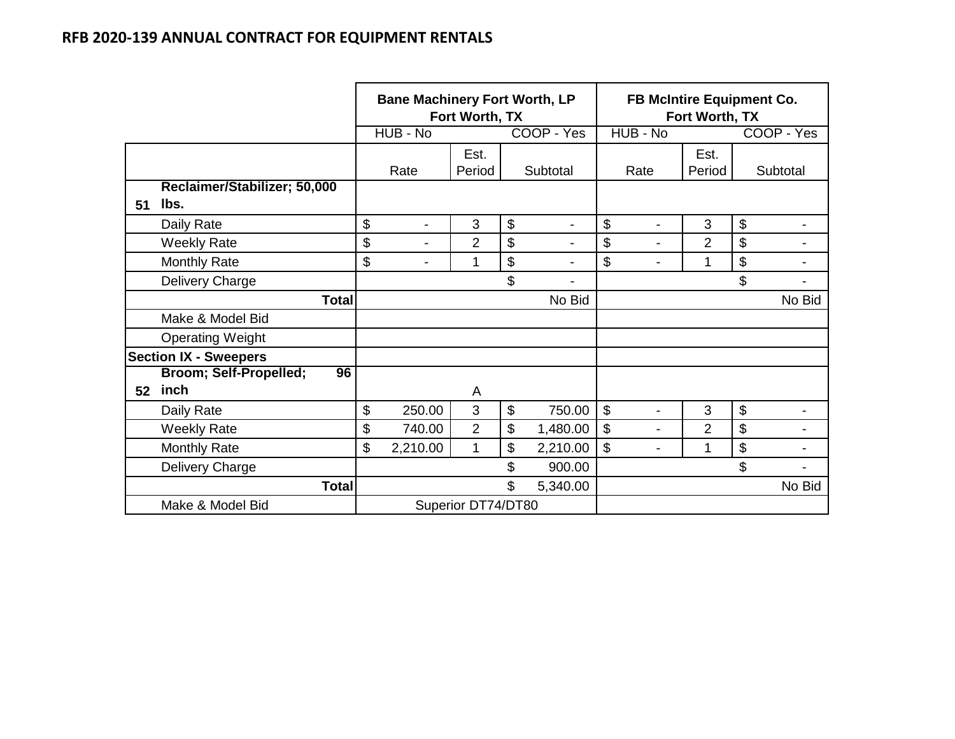|    |                              | <b>Bane Machinery Fort Worth, LP</b><br>Fort Worth, TX |                                |                |                           |                          | <b>FB McIntire Equipment Co.</b><br>Fort Worth, TX |                |                |                           |                          |
|----|------------------------------|--------------------------------------------------------|--------------------------------|----------------|---------------------------|--------------------------|----------------------------------------------------|----------------|----------------|---------------------------|--------------------------|
|    |                              |                                                        | HUB - No                       |                |                           | COOP - Yes               |                                                    | HUB - No       |                |                           | COOP - Yes               |
|    |                              |                                                        |                                | Est.           |                           |                          |                                                    |                | Est.           |                           |                          |
|    |                              |                                                        | Rate                           | Period         |                           | Subtotal                 |                                                    | Rate           | Period         |                           | Subtotal                 |
|    | Reclaimer/Stabilizer; 50,000 |                                                        |                                |                |                           |                          |                                                    |                |                |                           |                          |
| 51 | lbs.                         |                                                        |                                |                |                           |                          |                                                    |                |                |                           |                          |
|    | Daily Rate                   | \$                                                     | $\blacksquare$                 | 3              | $\boldsymbol{\mathsf{S}}$ | $\overline{\phantom{a}}$ | \$                                                 | $\blacksquare$ | 3              | $\boldsymbol{\mathsf{S}}$ | $\overline{\phantom{a}}$ |
|    | <b>Weekly Rate</b>           | \$                                                     | -                              | $\overline{2}$ | $\boldsymbol{\mathsf{S}}$ |                          | \$                                                 |                | $\overline{2}$ | \$                        |                          |
|    | <b>Monthly Rate</b>          | \$                                                     |                                | 1              | $\boldsymbol{\mathsf{S}}$ |                          | \$                                                 |                | 1              | \$                        |                          |
|    | Delivery Charge              |                                                        | \$<br>$\overline{\phantom{a}}$ |                |                           |                          |                                                    |                |                | \$                        |                          |
|    | <b>Total</b>                 |                                                        | No Bid                         |                |                           |                          |                                                    |                |                | No Bid                    |                          |
|    | Make & Model Bid             |                                                        |                                |                |                           |                          |                                                    |                |                |                           |                          |
|    | <b>Operating Weight</b>      |                                                        |                                |                |                           |                          |                                                    |                |                |                           |                          |
|    | <b>Section IX - Sweepers</b> |                                                        |                                |                |                           |                          |                                                    |                |                |                           |                          |
|    | Broom; Self-Propelled;<br>96 |                                                        |                                |                |                           |                          |                                                    |                |                |                           |                          |
| 52 | inch                         |                                                        |                                | A              |                           |                          |                                                    |                |                |                           |                          |
|    | Daily Rate                   | \$                                                     | 250.00                         | 3              | $\mathfrak{S}$            | 750.00                   | \$                                                 | $\blacksquare$ | 3              | $\boldsymbol{\mathsf{S}}$ | $\blacksquare$           |
|    | <b>Weekly Rate</b>           | \$                                                     | 740.00                         | $\overline{2}$ | $\boldsymbol{\mathsf{S}}$ | 1,480.00                 | \$                                                 |                | $\overline{2}$ | \$                        |                          |
|    | <b>Monthly Rate</b>          | \$                                                     | 2,210.00                       | 1              | \$                        | 2,210.00                 | \$                                                 |                | 1              | $\boldsymbol{\mathsf{S}}$ |                          |
|    | Delivery Charge              |                                                        |                                |                | \$                        | 900.00                   |                                                    |                |                | \$                        |                          |
|    | <b>Total</b>                 | \$<br>5,340.00                                         |                                |                |                           |                          |                                                    |                | No Bid         |                           |                          |
|    | Make & Model Bid             |                                                        | Superior DT74/DT80             |                |                           |                          |                                                    |                |                |                           |                          |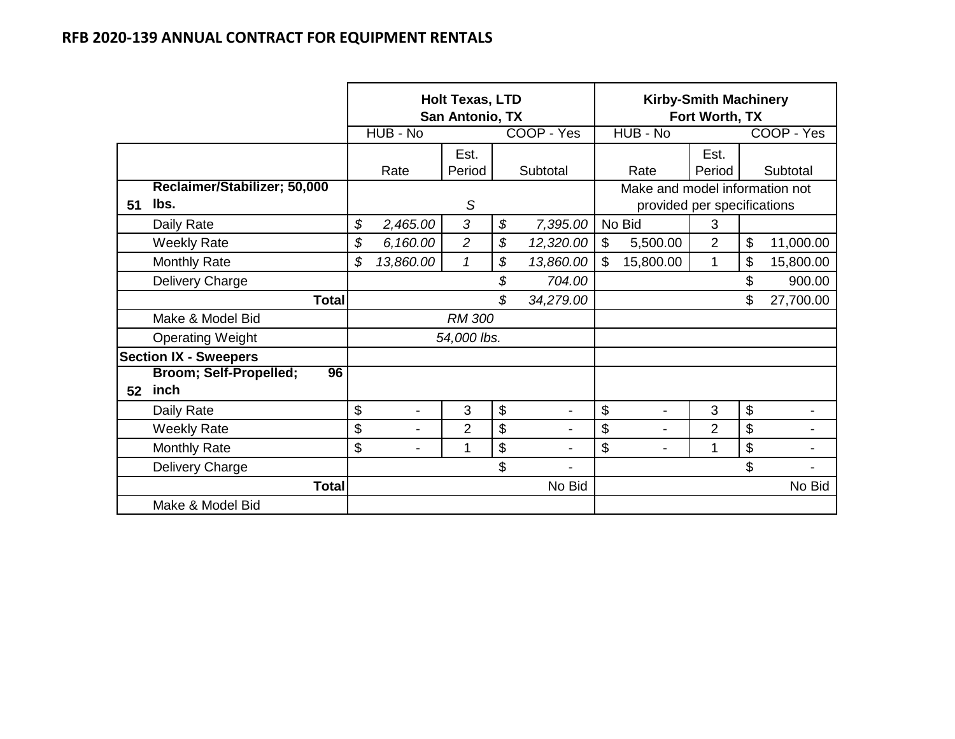|    |                              |        | <b>Holt Texas, LTD</b><br>San Antonio, TX |                |           |                           | <b>Kirby-Smith Machinery</b><br>Fort Worth, TX |                |           |            |  |
|----|------------------------------|--------|-------------------------------------------|----------------|-----------|---------------------------|------------------------------------------------|----------------|-----------|------------|--|
|    |                              |        | HUB - No                                  |                |           | COOP - Yes                | HUB - No                                       |                |           | COOP - Yes |  |
|    |                              |        |                                           | Est.           |           |                           |                                                | Est.           |           |            |  |
|    |                              |        | Rate                                      | Period         |           | Subtotal                  | Rate                                           | Period         |           | Subtotal   |  |
|    | Reclaimer/Stabilizer; 50,000 |        |                                           |                |           |                           | Make and model information not                 |                |           |            |  |
| 51 | lbs.                         | S      |                                           |                |           |                           | provided per specifications                    |                |           |            |  |
|    | Daily Rate                   | \$     | 2,465.00                                  | 3              | \$        | 7,395.00                  | No Bid                                         | 3              |           |            |  |
|    | <b>Weekly Rate</b>           | \$     | 6,160.00                                  | $\overline{2}$ | \$        | 12,320.00                 | $\mathbb{S}$<br>5,500.00                       | $\overline{2}$ | \$        | 11,000.00  |  |
|    | <b>Monthly Rate</b>          | \$     | 13,860.00                                 | $\mathcal I$   | 13,860.00 | $\mathbb{S}$<br>15,800.00 | 1                                              | \$             | 15,800.00 |            |  |
|    | Delivery Charge              |        |                                           |                | \$        | 704.00                    |                                                |                | \$        | 900.00     |  |
|    | <b>Total</b>                 |        |                                           |                | \$        | 34,279.00                 |                                                |                | \$        | 27,700.00  |  |
|    | Make & Model Bid             |        |                                           | <b>RM 300</b>  |           |                           |                                                |                |           |            |  |
|    | <b>Operating Weight</b>      |        |                                           | 54,000 lbs.    |           |                           |                                                |                |           |            |  |
|    | <b>Section IX - Sweepers</b> |        |                                           |                |           |                           |                                                |                |           |            |  |
|    | Broom; Self-Propelled;<br>96 |        |                                           |                |           |                           |                                                |                |           |            |  |
| 52 | inch                         |        |                                           |                |           |                           |                                                |                |           |            |  |
|    | Daily Rate                   | \$     | $\blacksquare$                            | 3              | \$        |                           | \$<br>$\blacksquare$                           | 3              | \$        |            |  |
|    | <b>Weekly Rate</b>           | \$     | $\blacksquare$                            | $\overline{2}$ | \$        |                           | \$<br>$\blacksquare$                           | $\overline{2}$ | \$        |            |  |
|    | <b>Monthly Rate</b>          | \$     | 1                                         |                |           |                           | \$                                             | 1              | \$        |            |  |
|    | Delivery Charge              | \$     |                                           |                |           |                           |                                                |                | \$        |            |  |
|    | <b>Total</b>                 | No Bid |                                           |                |           |                           |                                                |                | No Bid    |            |  |
|    | Make & Model Bid             |        |                                           |                |           |                           |                                                |                |           |            |  |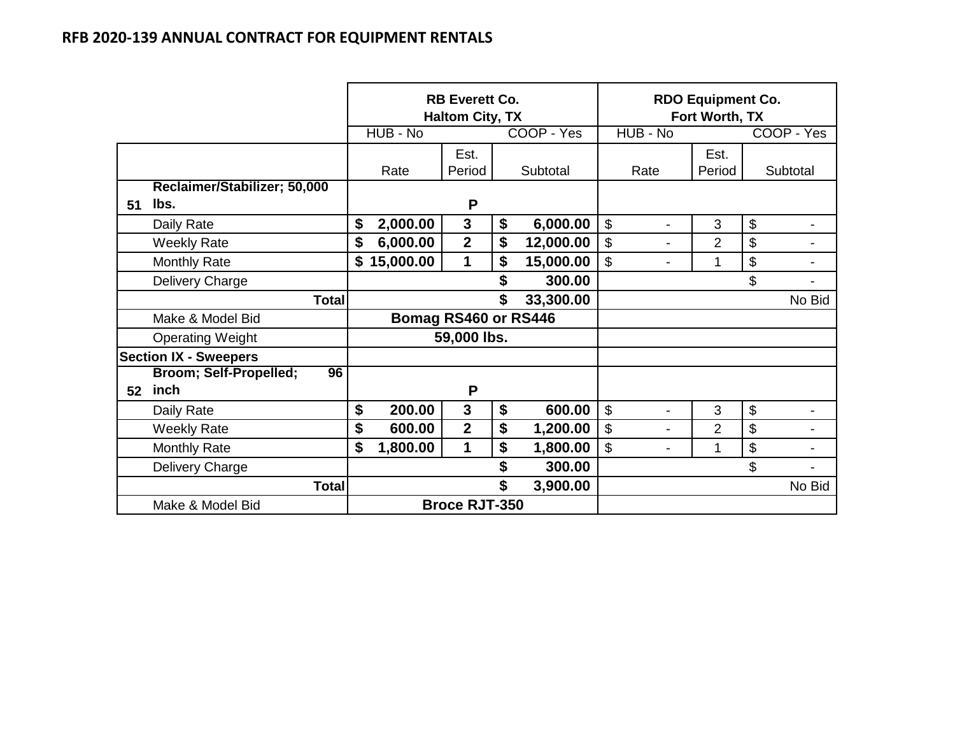|    |                              |              |                                           | <b>RB Everett Co.</b><br><b>Haltom City, TX</b> |           | <b>RDO Equipment Co.</b><br>Fort Worth, TX |                                                       |                |        |            |
|----|------------------------------|--------------|-------------------------------------------|-------------------------------------------------|-----------|--------------------------------------------|-------------------------------------------------------|----------------|--------|------------|
|    |                              |              | HUB - No                                  |                                                 |           | COOP - Yes                                 | HUB - No                                              |                |        | COOP - Yes |
|    |                              |              |                                           | Est.                                            |           |                                            |                                                       | Est.           |        |            |
|    |                              |              | Rate                                      | Period                                          |           | Subtotal                                   | Rate                                                  | Period         |        | Subtotal   |
|    | Reclaimer/Stabilizer; 50,000 |              |                                           |                                                 |           |                                            |                                                       |                |        |            |
| 51 | lbs.                         |              |                                           | P                                               |           |                                            |                                                       |                |        |            |
|    | Daily Rate                   | \$           | 2,000.00                                  | $\mathbf{3}$                                    | \$        | 6,000.00                                   | $\boldsymbol{\mathsf{S}}$<br>$\overline{\phantom{0}}$ | 3              | \$     |            |
|    | <b>Weekly Rate</b>           | \$           | 6,000.00                                  | $\overline{2}$                                  | \$        | 12,000.00                                  | $\mathfrak{S}$<br>-                                   | $\overline{2}$ | \$     |            |
|    | <b>Monthly Rate</b>          | \$           | 15,000.00                                 | $\mathbf 1$                                     | 15,000.00 | $\mathfrak{S}$                             | 1                                                     | \$             |        |            |
|    | Delivery Charge              |              | \$<br>300.00                              |                                                 |           |                                            |                                                       |                | \$     |            |
|    | <b>Total</b>                 |              |                                           |                                                 | \$        | 33,300.00                                  |                                                       |                |        | No Bid     |
|    | Make & Model Bid             |              | Bomag RS460 or RS446                      |                                                 |           |                                            |                                                       |                |        |            |
|    | <b>Operating Weight</b>      |              |                                           | 59,000 lbs.                                     |           |                                            |                                                       |                |        |            |
|    | <b>Section IX - Sweepers</b> |              |                                           |                                                 |           |                                            |                                                       |                |        |            |
|    | Broom; Self-Propelled;<br>96 |              |                                           |                                                 |           |                                            |                                                       |                |        |            |
| 52 | inch                         |              |                                           | P                                               |           |                                            |                                                       |                |        |            |
|    | Daily Rate                   | \$           | 200.00                                    | $\mathbf{3}$                                    | \$        | 600.00                                     | $\mathcal{L}$<br>$\blacksquare$                       | 3              | \$     |            |
|    | <b>Weekly Rate</b>           | \$           | 600.00                                    | $\overline{2}$                                  | \$        | 1,200.00                                   | $\boldsymbol{\mathsf{S}}$<br>$\blacksquare$           | $\overline{2}$ | \$     |            |
|    | <b>Monthly Rate</b>          | \$           | $\mathbf 1$<br>\$<br>1,800.00<br>1,800.00 |                                                 |           |                                            | $\mathfrak{S}$<br>$\blacksquare$                      | 1              | \$     |            |
|    | Delivery Charge              | \$<br>300.00 |                                           |                                                 |           |                                            |                                                       | \$             |        |            |
|    | <b>Total</b>                 |              |                                           |                                                 | 3,900.00  |                                            |                                                       |                | No Bid |            |
|    | Make & Model Bid             |              |                                           | <b>Broce RJT-350</b>                            |           |                                            |                                                       |                |        |            |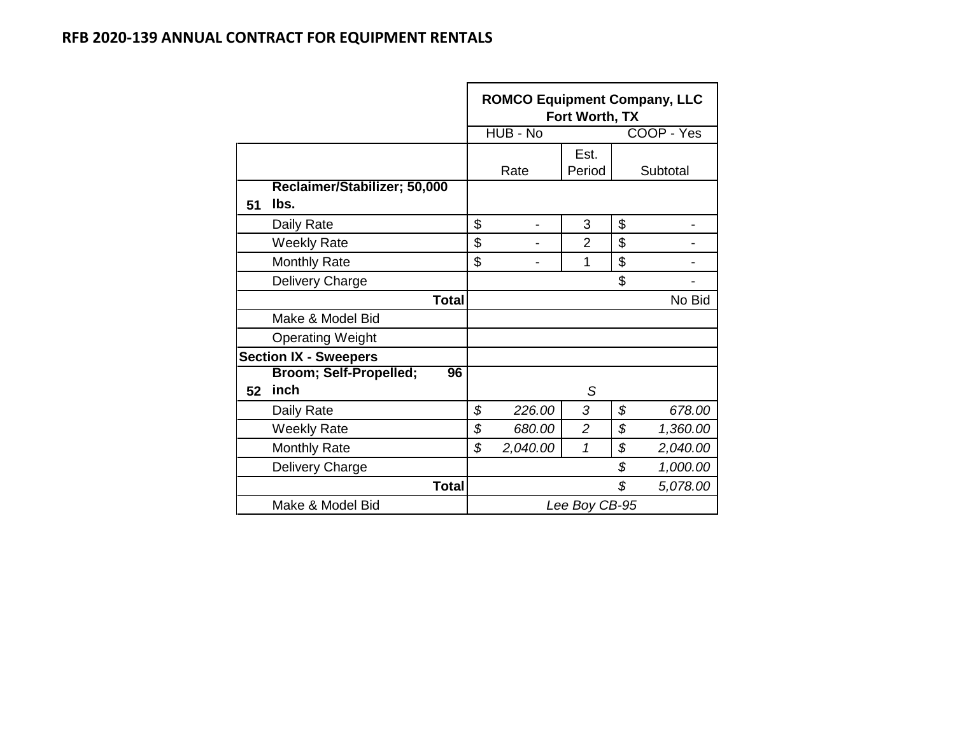|    |                                      |                                                  | <b>ROMCO Equipment Company, LLC</b> | Fort Worth, TX |    |            |  |  |  |
|----|--------------------------------------|--------------------------------------------------|-------------------------------------|----------------|----|------------|--|--|--|
|    |                                      |                                                  | HUB - No                            |                |    | COOP - Yes |  |  |  |
|    |                                      |                                                  |                                     | Est.           |    |            |  |  |  |
|    |                                      |                                                  | Rate                                | Period         |    | Subtotal   |  |  |  |
| 51 | Reclaimer/Stabilizer; 50,000<br>lbs. |                                                  |                                     |                |    |            |  |  |  |
|    | Daily Rate                           | \$                                               |                                     | 3              | \$ |            |  |  |  |
|    | <b>Weekly Rate</b>                   | \$                                               |                                     | $\overline{2}$ | \$ |            |  |  |  |
|    | <b>Monthly Rate</b>                  | \$<br>\$<br>1                                    |                                     |                |    |            |  |  |  |
|    | Delivery Charge                      |                                                  |                                     |                | \$ |            |  |  |  |
|    | <b>Total</b>                         | No Bid                                           |                                     |                |    |            |  |  |  |
|    | Make & Model Bid                     |                                                  |                                     |                |    |            |  |  |  |
|    | <b>Operating Weight</b>              |                                                  |                                     |                |    |            |  |  |  |
|    | <b>Section IX - Sweepers</b>         |                                                  |                                     |                |    |            |  |  |  |
|    | Broom; Self-Propelled;<br>96         |                                                  |                                     |                |    |            |  |  |  |
| 52 | inch                                 |                                                  |                                     | S              |    |            |  |  |  |
|    | Daily Rate                           | \$                                               | 226.00                              | 3              | \$ | 678.00     |  |  |  |
|    | <b>Weekly Rate</b>                   | \$<br>\$<br>$\overline{2}$<br>680.00<br>1,360.00 |                                     |                |    |            |  |  |  |
|    | <b>Monthly Rate</b>                  | \$                                               | 2,040.00                            | 1              | \$ | 2,040.00   |  |  |  |
|    | Delivery Charge                      |                                                  |                                     |                | \$ | 1,000.00   |  |  |  |
|    | <b>Total</b>                         |                                                  |                                     |                | \$ | 5,078.00   |  |  |  |
|    | Make & Model Bid                     | Lee Boy CB-95                                    |                                     |                |    |            |  |  |  |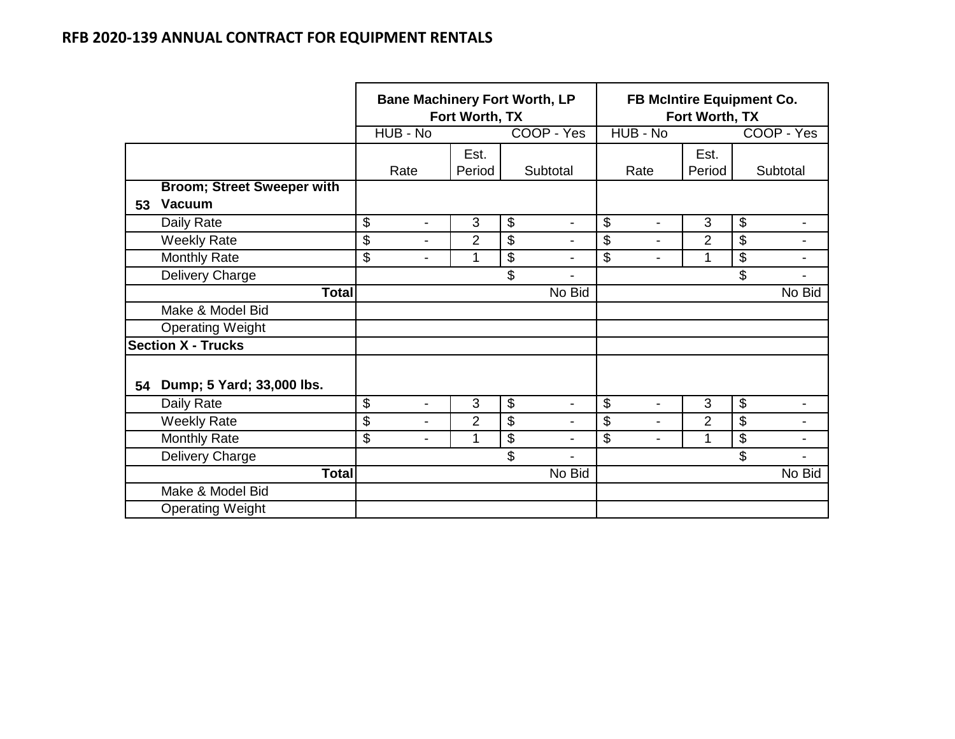|    |                                                    | <b>Bane Machinery Fort Worth, LP</b><br>Fort Worth, TX |                          |                |                           |                          |    | FB McIntire Equipment Co.<br>Fort Worth, TX |                |                           |                          |  |  |
|----|----------------------------------------------------|--------------------------------------------------------|--------------------------|----------------|---------------------------|--------------------------|----|---------------------------------------------|----------------|---------------------------|--------------------------|--|--|
|    |                                                    |                                                        | HUB - No                 |                |                           | COOP - Yes               |    | HUB - No                                    |                |                           | COOP - Yes               |  |  |
|    |                                                    |                                                        | Rate                     | Est.<br>Period |                           | Subtotal                 |    | Rate                                        | Est.<br>Period |                           | Subtotal                 |  |  |
| 53 | <b>Broom; Street Sweeper with</b><br><b>Vacuum</b> |                                                        |                          |                |                           |                          |    |                                             |                |                           |                          |  |  |
|    | Daily Rate                                         | \$                                                     | $\blacksquare$           | 3              | $\boldsymbol{\mathsf{S}}$ | $\blacksquare$           | \$ | $\blacksquare$                              | 3              | $\boldsymbol{\theta}$     |                          |  |  |
|    | <b>Weekly Rate</b>                                 | \$                                                     | $\overline{\phantom{a}}$ | $\overline{2}$ | \$                        | $\blacksquare$           | \$ | $\blacksquare$                              | $\overline{2}$ | \$                        |                          |  |  |
|    | Monthly Rate                                       | \$                                                     | $\blacksquare$           | 1              | $\boldsymbol{\mathsf{S}}$ | $\overline{\phantom{a}}$ | \$ | $\blacksquare$                              | 1              | $\boldsymbol{\mathsf{S}}$ | $\overline{\phantom{a}}$ |  |  |
|    | Delivery Charge                                    |                                                        |                          |                | \$                        |                          |    |                                             |                | \$                        |                          |  |  |
|    | <b>Total</b>                                       |                                                        |                          |                |                           | No Bid                   |    |                                             |                |                           | No Bid                   |  |  |
|    | Make & Model Bid                                   |                                                        |                          |                |                           |                          |    |                                             |                |                           |                          |  |  |
|    | <b>Operating Weight</b>                            |                                                        |                          |                |                           |                          |    |                                             |                |                           |                          |  |  |
|    | <b>Section X - Trucks</b>                          |                                                        |                          |                |                           |                          |    |                                             |                |                           |                          |  |  |
| 54 | Dump; 5 Yard; 33,000 lbs.                          |                                                        |                          |                |                           |                          |    |                                             |                |                           |                          |  |  |
|    | Daily Rate                                         | \$                                                     | $\blacksquare$           | 3              | $\boldsymbol{\mathsf{S}}$ | $\blacksquare$           | \$ | ۰                                           | 3              | $\boldsymbol{\mathsf{S}}$ |                          |  |  |
|    | <b>Weekly Rate</b>                                 | \$                                                     | $\blacksquare$           | $\overline{2}$ | $\boldsymbol{\mathsf{S}}$ | $\blacksquare$           | \$ | $\blacksquare$                              | $\overline{2}$ | \$                        | $\blacksquare$           |  |  |
|    | <b>Monthly Rate</b>                                | \$                                                     | $\blacksquare$           | 1              | $\boldsymbol{\mathsf{S}}$ | $\blacksquare$           | \$ |                                             | 1              | $\overline{\mathbf{s}}$   | ۰                        |  |  |
|    | Delivery Charge                                    |                                                        |                          |                | \$                        | $\blacksquare$           |    |                                             |                | \$                        |                          |  |  |
|    | <b>Total</b>                                       |                                                        |                          |                |                           | No Bid                   |    |                                             |                |                           | No Bid                   |  |  |
|    | Make & Model Bid                                   |                                                        |                          |                |                           |                          |    |                                             |                |                           |                          |  |  |
|    | <b>Operating Weight</b>                            |                                                        |                          |                |                           |                          |    |                                             |                |                           |                          |  |  |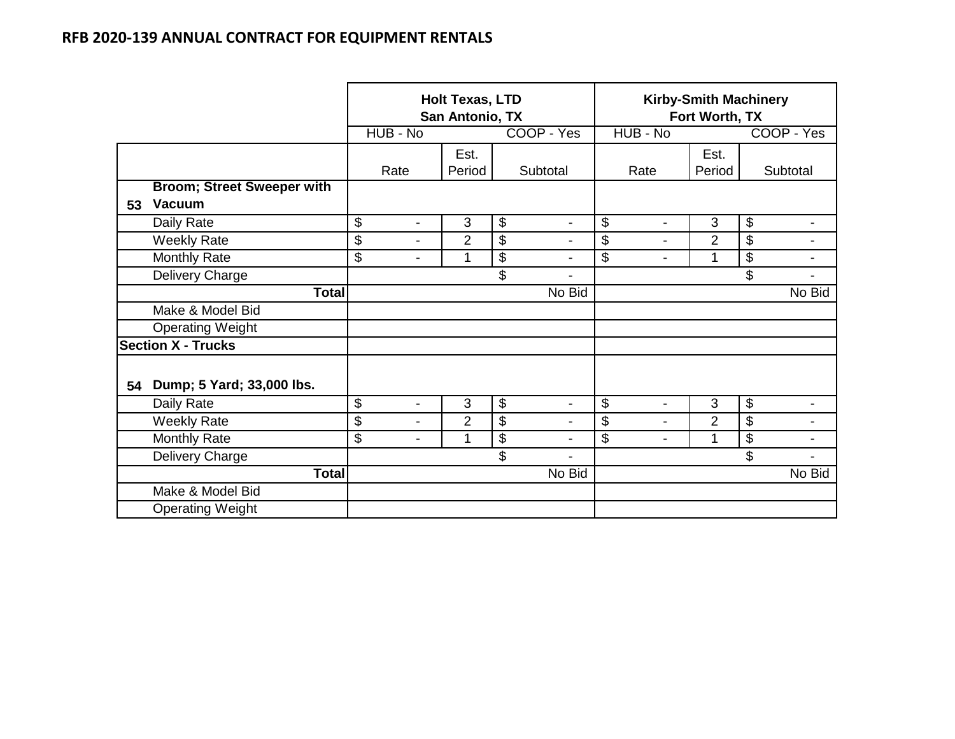|    |                                                    | <b>Holt Texas, LTD</b><br>San Antonio, TX |                          |                |    |                |    | <b>Kirby-Smith Machinery</b><br>Fort Worth, TX |                |    |                |  |  |
|----|----------------------------------------------------|-------------------------------------------|--------------------------|----------------|----|----------------|----|------------------------------------------------|----------------|----|----------------|--|--|
|    |                                                    |                                           | HUB - No                 |                |    | COOP - Yes     |    | HUB - No                                       |                |    | COOP - Yes     |  |  |
|    |                                                    |                                           | Rate                     | Est.<br>Period |    | Subtotal       |    | Rate                                           | Est.<br>Period |    | Subtotal       |  |  |
| 53 | <b>Broom; Street Sweeper with</b><br><b>Vacuum</b> |                                           |                          |                |    |                |    |                                                |                |    |                |  |  |
|    | Daily Rate                                         | \$                                        | $\blacksquare$           | $\mathfrak{B}$ | \$ | $\blacksquare$ | \$ | $\blacksquare$                                 | 3              | \$ |                |  |  |
|    | <b>Weekly Rate</b>                                 | \$                                        | $\blacksquare$           | $\overline{2}$ | \$ |                | \$ | ۰                                              | $\overline{2}$ | \$ |                |  |  |
|    | <b>Monthly Rate</b>                                | \$                                        | $\overline{\phantom{a}}$ | 1              | \$ | ۰              | \$ | -                                              | 1              | \$ | -              |  |  |
|    | Delivery Charge                                    |                                           |                          |                | \$ |                |    |                                                |                | \$ |                |  |  |
|    | <b>Total</b>                                       |                                           |                          |                |    | No Bid         |    |                                                |                |    | No Bid         |  |  |
|    | Make & Model Bid                                   |                                           |                          |                |    |                |    |                                                |                |    |                |  |  |
|    | <b>Operating Weight</b>                            |                                           |                          |                |    |                |    |                                                |                |    |                |  |  |
|    | <b>Section X - Trucks</b>                          |                                           |                          |                |    |                |    |                                                |                |    |                |  |  |
| 54 | Dump; 5 Yard; 33,000 lbs.                          |                                           |                          |                |    |                |    |                                                |                |    |                |  |  |
|    | Daily Rate                                         | \$                                        | -                        | 3              | \$ | $\blacksquare$ | \$ | $\blacksquare$                                 | 3              | \$ |                |  |  |
|    | <b>Weekly Rate</b>                                 | \$                                        | $\overline{\phantom{a}}$ | $\overline{2}$ | \$ | Ξ.             | \$ | $\overline{\phantom{0}}$                       | $\overline{2}$ | \$ | ۰              |  |  |
|    | <b>Monthly Rate</b>                                | \$                                        | -                        | 1              | \$ | $\blacksquare$ | \$ | $\blacksquare$                                 | 1              | \$ | Ξ.             |  |  |
|    | Delivery Charge                                    |                                           |                          |                | \$ | $\blacksquare$ |    |                                                |                | \$ | $\blacksquare$ |  |  |
|    | <b>Total</b>                                       |                                           |                          |                |    | No Bid         |    |                                                |                |    | No Bid         |  |  |
|    | Make & Model Bid                                   |                                           |                          |                |    |                |    |                                                |                |    |                |  |  |
|    | <b>Operating Weight</b>                            |                                           |                          |                |    |                |    |                                                |                |    |                |  |  |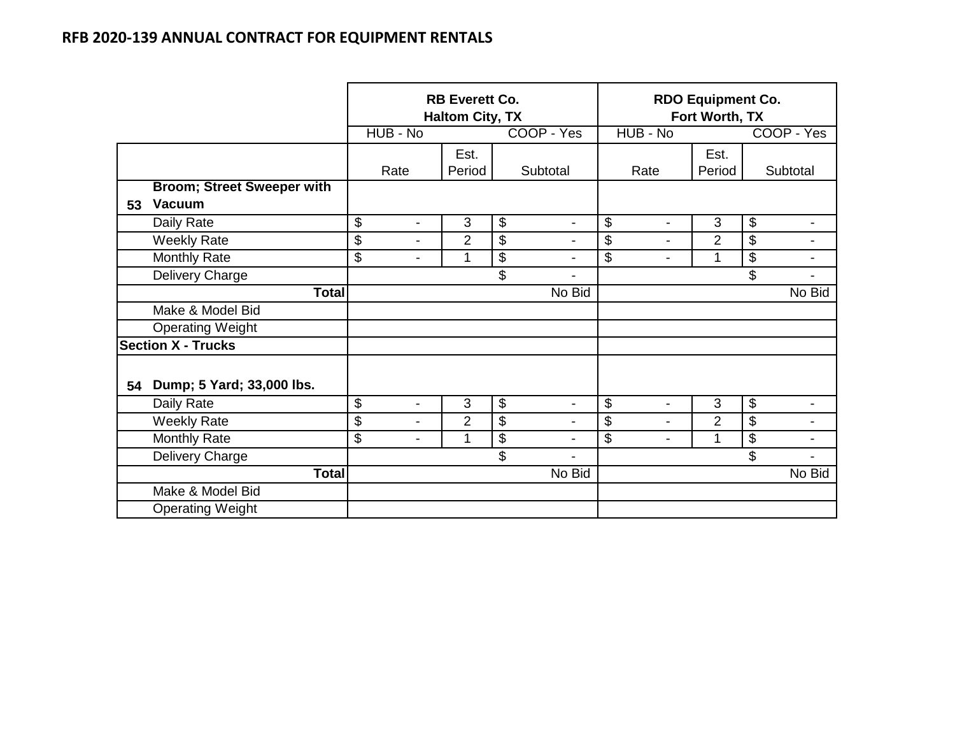|    |                                                    |                                | <b>RB Everett Co.</b><br><b>Haltom City, TX</b> |                            |                          | <b>RDO Equipment Co.</b><br>Fort Worth, TX  |                |                   |                |  |  |
|----|----------------------------------------------------|--------------------------------|-------------------------------------------------|----------------------------|--------------------------|---------------------------------------------|----------------|-------------------|----------------|--|--|
|    |                                                    | HUB - No                       |                                                 |                            | COOP - Yes               | HUB - No                                    |                |                   | COOP - Yes     |  |  |
|    |                                                    |                                | Est.                                            |                            |                          |                                             | Est.           |                   |                |  |  |
|    |                                                    | Rate                           | Period                                          |                            | Subtotal                 | Rate                                        | Period         |                   | Subtotal       |  |  |
| 53 | <b>Broom; Street Sweeper with</b><br><b>Vacuum</b> |                                |                                                 |                            |                          |                                             |                |                   |                |  |  |
|    | Daily Rate                                         | \$<br>$\overline{a}$           | 3                                               | \$                         | $\overline{\phantom{a}}$ | $\boldsymbol{\mathsf{S}}$<br>$\blacksquare$ | 3              | \$                | $\blacksquare$ |  |  |
|    | <b>Weekly Rate</b>                                 | \$<br>$\overline{\phantom{0}}$ | $\overline{2}$                                  | \$                         | -                        | $\mathfrak{S}$                              | $\overline{2}$ | \$                | ۰              |  |  |
|    | Monthly Rate                                       | \$<br>-                        | 1                                               | \$                         | -                        | $\overline{\mathcal{E}}$<br>$\blacksquare$  | 1              | \$                | $\blacksquare$ |  |  |
|    | Delivery Charge                                    |                                |                                                 | \$                         | $\blacksquare$           |                                             |                | \$                |                |  |  |
|    | <b>Total</b>                                       | No Bid                         |                                                 |                            |                          |                                             |                |                   | No Bid         |  |  |
|    | Make & Model Bid                                   |                                |                                                 |                            |                          |                                             |                |                   |                |  |  |
|    | <b>Operating Weight</b>                            |                                |                                                 |                            |                          |                                             |                |                   |                |  |  |
|    | <b>Section X - Trucks</b>                          |                                |                                                 |                            |                          |                                             |                |                   |                |  |  |
| 54 | Dump; 5 Yard; 33,000 lbs.                          |                                |                                                 |                            |                          |                                             |                |                   |                |  |  |
|    | Daily Rate                                         | \$<br>$\blacksquare$           | 3                                               | $\boldsymbol{\mathsf{\$}}$ | -                        | $\boldsymbol{\mathsf{S}}$<br>$\blacksquare$ | 3              | $\boldsymbol{\$}$ |                |  |  |
|    | <b>Weekly Rate</b>                                 | \$<br>$\blacksquare$           | $\overline{2}$                                  | \$                         | $\overline{\phantom{a}}$ | $\boldsymbol{\mathsf{S}}$<br>$\blacksquare$ | 2              | \$                | $\blacksquare$ |  |  |
|    | <b>Monthly Rate</b>                                | \$<br>$\blacksquare$           | 1                                               | \$                         | $\overline{\phantom{a}}$ | $\boldsymbol{\mathsf{S}}$<br>۰              | 1              | \$                | $\blacksquare$ |  |  |
|    | Delivery Charge                                    |                                |                                                 | \$                         | -                        |                                             |                | \$                | $\blacksquare$ |  |  |
|    | <b>Total</b>                                       |                                |                                                 |                            | No Bid                   |                                             |                |                   | No Bid         |  |  |
|    | Make & Model Bid                                   |                                |                                                 |                            |                          |                                             |                |                   |                |  |  |
|    | <b>Operating Weight</b>                            |                                |                                                 |                            |                          |                                             |                |                   |                |  |  |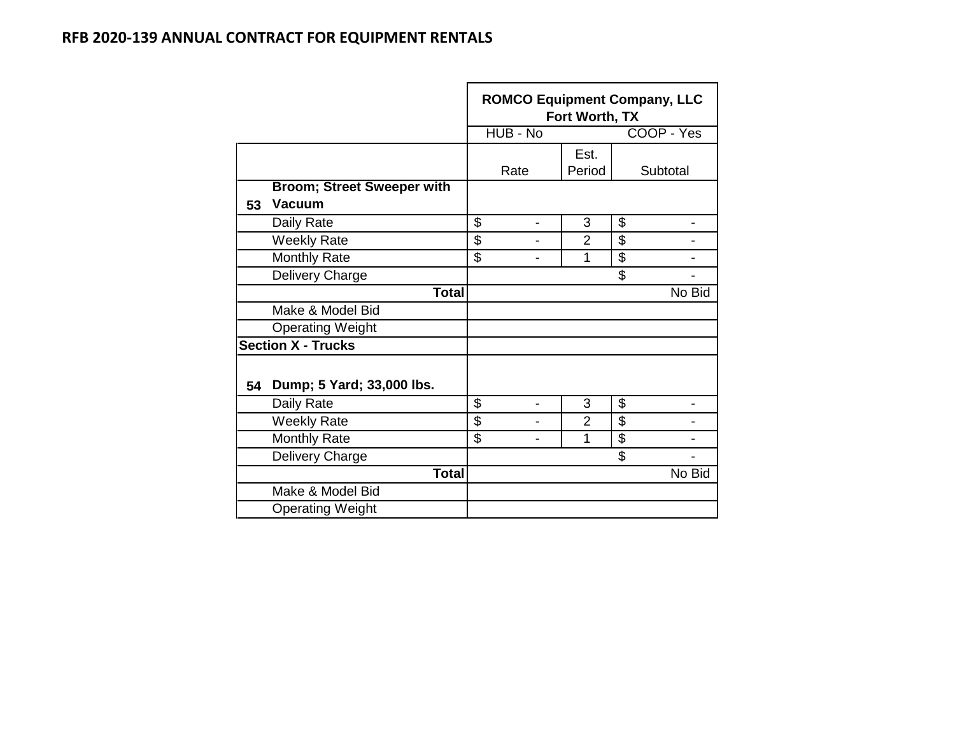|    |                                   | <b>ROMCO Equipment Company, LLC</b><br>Fort Worth, TX |                |                |                          |            |  |  |  |
|----|-----------------------------------|-------------------------------------------------------|----------------|----------------|--------------------------|------------|--|--|--|
|    |                                   |                                                       | HUB - No       |                |                          | COOP - Yes |  |  |  |
|    |                                   |                                                       |                | Est.           |                          |            |  |  |  |
|    |                                   |                                                       | Rate           | Period         |                          | Subtotal   |  |  |  |
|    | <b>Broom; Street Sweeper with</b> |                                                       |                |                |                          |            |  |  |  |
| 53 | <b>Vacuum</b>                     |                                                       |                |                |                          |            |  |  |  |
|    | Daily Rate                        | \$                                                    |                | 3              | \$                       |            |  |  |  |
|    | <b>Weekly Rate</b>                | \$                                                    |                | $\overline{2}$ | \$                       |            |  |  |  |
|    | <b>Monthly Rate</b>               | \$                                                    |                | 1              | $\overline{\mathcal{S}}$ |            |  |  |  |
|    | Delivery Charge                   |                                                       |                |                | \$                       |            |  |  |  |
|    | <b>Total</b>                      |                                                       |                |                |                          | No Bid     |  |  |  |
|    | Make & Model Bid                  |                                                       |                |                |                          |            |  |  |  |
|    | <b>Operating Weight</b>           |                                                       |                |                |                          |            |  |  |  |
|    | <b>Section X - Trucks</b>         |                                                       |                |                |                          |            |  |  |  |
| 54 | Dump; 5 Yard; 33,000 lbs.         |                                                       |                |                |                          |            |  |  |  |
|    | Daily Rate                        | \$                                                    | $\blacksquare$ | 3              | \$                       |            |  |  |  |
|    | <b>Weekly Rate</b>                | \$                                                    |                | $\overline{2}$ | $\overline{\mathcal{S}}$ |            |  |  |  |
|    | <b>Monthly Rate</b>               | \$                                                    |                | 1              | $\overline{\mathcal{S}}$ |            |  |  |  |
|    | Delivery Charge                   |                                                       |                |                | \$                       |            |  |  |  |
|    | <b>Total</b>                      |                                                       |                |                |                          | No Bid     |  |  |  |
|    | Make & Model Bid                  |                                                       |                |                |                          |            |  |  |  |
|    | <b>Operating Weight</b>           |                                                       |                |                |                          |            |  |  |  |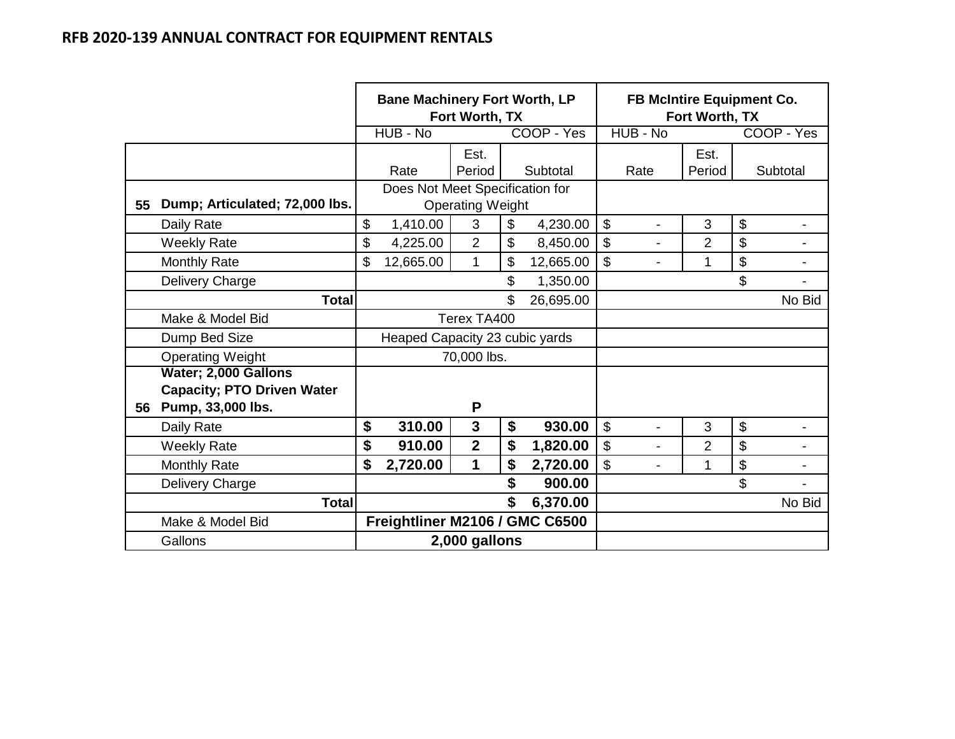|    |                                   | <b>Bane Machinery Fort Worth, LP</b><br>Fort Worth, TX |                         |    |            | <b>FB McIntire Equipment Co.</b><br>Fort Worth, TX |                |                           |                |  |
|----|-----------------------------------|--------------------------------------------------------|-------------------------|----|------------|----------------------------------------------------|----------------|---------------------------|----------------|--|
|    |                                   | HUB - No                                               |                         |    | COOP - Yes | HUB - No                                           |                |                           | COOP - Yes     |  |
|    |                                   |                                                        | Est.                    |    |            |                                                    | Est.           |                           |                |  |
|    |                                   | Rate                                                   | Period                  |    | Subtotal   | Rate                                               | Period         |                           | Subtotal       |  |
|    |                                   | Does Not Meet Specification for                        |                         |    |            |                                                    |                |                           |                |  |
| 55 | Dump; Articulated; 72,000 lbs.    | <b>Operating Weight</b>                                |                         |    |            |                                                    |                |                           |                |  |
|    | Daily Rate                        | \$<br>1,410.00                                         | 3                       | \$ | 4,230.00   | \$<br>$\overline{\phantom{a}}$                     | 3              | $\$\$                     | $\blacksquare$ |  |
|    | <b>Weekly Rate</b>                | \$<br>4,225.00                                         | $\overline{2}$          | \$ | 8,450.00   | \$                                                 | $\overline{2}$ | $\boldsymbol{\mathsf{S}}$ |                |  |
|    | <b>Monthly Rate</b>               | \$<br>12,665.00                                        | $\mathbf 1$             | \$ | 12,665.00  | \$<br>$\blacksquare$                               | 1              | $\boldsymbol{\mathsf{S}}$ | $\blacksquare$ |  |
|    | Delivery Charge                   |                                                        |                         | \$ | 1,350.00   |                                                    |                | \$                        |                |  |
|    | <b>Total</b>                      |                                                        |                         | \$ | 26,695.00  |                                                    |                |                           | No Bid         |  |
|    | Make & Model Bid                  |                                                        | Terex TA400             |    |            |                                                    |                |                           |                |  |
|    | Dump Bed Size                     | Heaped Capacity 23 cubic yards                         |                         |    |            |                                                    |                |                           |                |  |
|    | <b>Operating Weight</b>           |                                                        | 70,000 lbs.             |    |            |                                                    |                |                           |                |  |
|    | Water; 2,000 Gallons              |                                                        |                         |    |            |                                                    |                |                           |                |  |
|    | <b>Capacity; PTO Driven Water</b> |                                                        |                         |    |            |                                                    |                |                           |                |  |
| 56 | Pump, 33,000 lbs.                 |                                                        | P                       |    |            |                                                    |                |                           |                |  |
|    | Daily Rate                        | \$<br>310.00                                           | 3                       | \$ | 930.00     | \$                                                 | 3              | $\mathsf{\$}$             |                |  |
|    | <b>Weekly Rate</b>                | \$<br>910.00                                           | $\overline{\mathbf{2}}$ | \$ | 1,820.00   | \$                                                 | 2              | $\boldsymbol{\mathsf{S}}$ |                |  |
|    | <b>Monthly Rate</b>               | \$<br>2,720.00                                         | 1                       | \$ | 2,720.00   | \$                                                 | 1              | $\boldsymbol{\mathsf{S}}$ |                |  |
|    | Delivery Charge                   |                                                        |                         | \$ | 900.00     |                                                    |                | \$                        |                |  |
|    | <b>Total</b>                      |                                                        |                         |    | 6,370.00   |                                                    |                |                           | No Bid         |  |
|    | Make & Model Bid                  | Freightliner M2106 / GMC C6500                         |                         |    |            |                                                    |                |                           |                |  |
|    | Gallons                           |                                                        | 2,000 gallons           |    |            |                                                    |                |                           |                |  |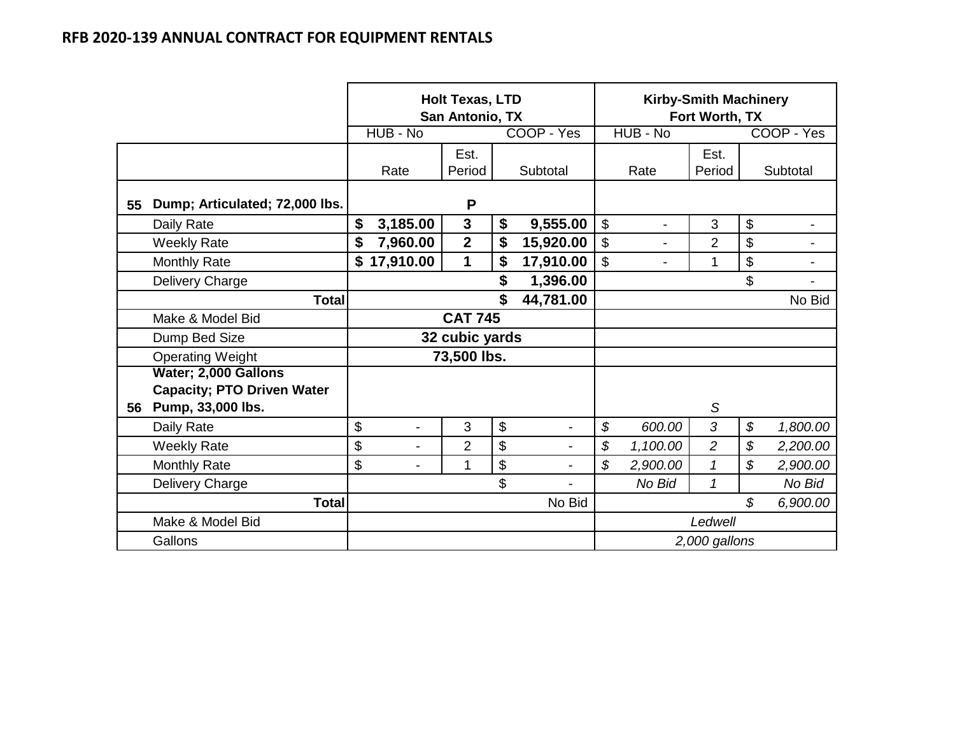|    |                                                           |                      | <b>Holt Texas, LTD</b><br>San Antonio, TX |                 |               |                          | Fort Worth, TX | <b>Kirby-Smith Machinery</b> |                |
|----|-----------------------------------------------------------|----------------------|-------------------------------------------|-----------------|---------------|--------------------------|----------------|------------------------------|----------------|
|    |                                                           | HUB - No             |                                           | COOP - Yes      |               | HUB - No                 |                |                              | COOP - Yes     |
|    |                                                           | Rate                 | Est.<br>Period                            | Subtotal        |               | Rate                     | Est.<br>Period |                              | Subtotal       |
| 55 | Dump; Articulated; 72,000 lbs.                            |                      | P                                         |                 |               |                          |                |                              |                |
|    | Daily Rate                                                | \$<br>3,185.00       | $\mathbf{3}$                              | \$<br>9,555.00  | \$            | $\overline{\phantom{0}}$ | 3              | \$                           | -              |
|    | <b>Weekly Rate</b>                                        | \$<br>7,960.00       | $\overline{2}$                            | \$<br>15,920.00 | \$            | $\overline{a}$           | $\overline{2}$ | \$                           |                |
|    | <b>Monthly Rate</b>                                       | \$<br>17,910.00      | 1                                         | \$<br>17,910.00 | \$            | $\blacksquare$           | 1              | \$                           | $\blacksquare$ |
|    | Delivery Charge                                           |                      |                                           | \$<br>1,396.00  |               |                          |                | \$                           |                |
|    | <b>Total</b>                                              |                      |                                           | \$<br>44,781.00 |               |                          |                |                              | No Bid         |
|    | Make & Model Bid                                          |                      | <b>CAT 745</b>                            |                 |               |                          |                |                              |                |
|    | Dump Bed Size                                             |                      | 32 cubic yards                            |                 |               |                          |                |                              |                |
|    | <b>Operating Weight</b>                                   |                      | 73,500 lbs.                               |                 |               |                          |                |                              |                |
|    | Water; 2,000 Gallons<br><b>Capacity; PTO Driven Water</b> |                      |                                           |                 |               |                          |                |                              |                |
| 56 | Pump, 33,000 lbs.                                         |                      |                                           |                 |               |                          | S              |                              |                |
|    | Daily Rate                                                | \$<br>$\overline{a}$ | 3                                         | \$              | \$            | 600.00                   | 3              | \$                           | 1,800.00       |
|    | <b>Weekly Rate</b>                                        | \$<br>-              | $\overline{2}$                            | \$              | $\mathcal{S}$ | 1,100.00                 | $\overline{c}$ | \$                           | 2,200.00       |
|    | <b>Monthly Rate</b>                                       | \$<br>-              | 1                                         | \$              | $\mathcal{S}$ | 2,900.00                 | 1              | \$                           | 2,900.00       |
|    | Delivery Charge                                           |                      |                                           | \$              |               | No Bid                   | $\mathbf{1}$   |                              | No Bid         |
|    | <b>Total</b>                                              |                      |                                           | No Bid          |               |                          |                | $\mathcal{S}$                | 6,900.00       |
|    | Make & Model Bid                                          |                      |                                           |                 |               |                          | Ledwell        |                              |                |
|    | Gallons                                                   |                      |                                           |                 | 2,000 gallons |                          |                |                              |                |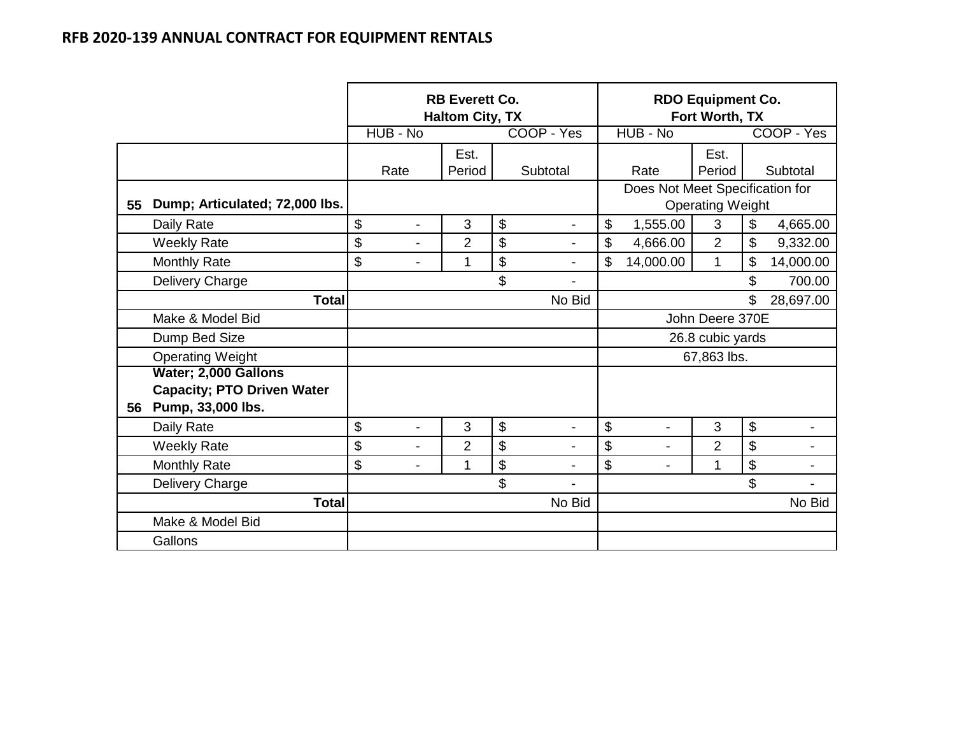|    |                                                        |                                | <b>RB Everett Co.</b><br><b>Haltom City, TX</b> |                                |                  | <b>RDO Equipment Co.</b><br>Fort Worth, TX |                         |                                 |            |  |
|----|--------------------------------------------------------|--------------------------------|-------------------------------------------------|--------------------------------|------------------|--------------------------------------------|-------------------------|---------------------------------|------------|--|
|    |                                                        | HUB - No                       |                                                 | COOP - Yes                     |                  | HUB - No                                   |                         |                                 | COOP - Yes |  |
|    |                                                        |                                | Est.                                            |                                |                  |                                            | Est.                    |                                 |            |  |
|    |                                                        | Rate                           | Period                                          | Subtotal                       |                  | Rate                                       | Period                  |                                 | Subtotal   |  |
| 55 | Dump; Articulated; 72,000 lbs.                         |                                |                                                 |                                |                  |                                            | <b>Operating Weight</b> | Does Not Meet Specification for |            |  |
|    | Daily Rate                                             | \$<br>$\overline{\phantom{a}}$ | 3                                               | \$<br>$\blacksquare$           | $\mathfrak{S}$   | 1,555.00                                   | 3                       | \$                              | 4,665.00   |  |
|    | <b>Weekly Rate</b>                                     | \$<br>$\overline{\phantom{0}}$ | $\overline{2}$                                  | \$<br>$\overline{\phantom{a}}$ | \$               | 4,666.00                                   | $\overline{2}$          | \$                              | 9,332.00   |  |
|    | <b>Monthly Rate</b>                                    | \$<br>$\blacksquare$           | 1                                               | \$<br>$\blacksquare$           | \$               | 14,000.00                                  | $\mathbf{1}$            | \$                              | 14,000.00  |  |
|    | Delivery Charge                                        |                                |                                                 | \$                             |                  |                                            |                         | \$                              | 700.00     |  |
|    | <b>Total</b>                                           |                                |                                                 | No Bid                         | \$               |                                            |                         |                                 | 28,697.00  |  |
|    | Make & Model Bid                                       |                                |                                                 |                                | John Deere 370E  |                                            |                         |                                 |            |  |
|    | Dump Bed Size                                          |                                |                                                 |                                | 26.8 cubic yards |                                            |                         |                                 |            |  |
|    | <b>Operating Weight</b>                                |                                |                                                 |                                |                  |                                            | 67,863 lbs.             |                                 |            |  |
|    | Water; 2,000 Gallons                                   |                                |                                                 |                                |                  |                                            |                         |                                 |            |  |
| 56 | <b>Capacity; PTO Driven Water</b><br>Pump, 33,000 lbs. |                                |                                                 |                                |                  |                                            |                         |                                 |            |  |
|    | Daily Rate                                             | \$<br>$\overline{a}$           | 3                                               | \$<br>$\blacksquare$           | \$               |                                            | 3                       | \$                              |            |  |
|    | <b>Weekly Rate</b>                                     | \$<br>$\overline{a}$           | $\overline{2}$                                  | \$                             | \$               |                                            | $\overline{2}$          | \$                              |            |  |
|    | <b>Monthly Rate</b>                                    | \$<br>$\blacksquare$           | 1                                               | \$<br>$\blacksquare$           | \$               |                                            | 1                       | \$                              |            |  |
|    | Delivery Charge                                        |                                |                                                 | \$                             |                  |                                            |                         | \$                              |            |  |
|    | <b>Total</b>                                           |                                |                                                 | No Bid                         |                  |                                            |                         |                                 | No Bid     |  |
|    | Make & Model Bid                                       |                                |                                                 |                                |                  |                                            |                         |                                 |            |  |
|    | Gallons                                                |                                |                                                 |                                |                  |                                            |                         |                                 |            |  |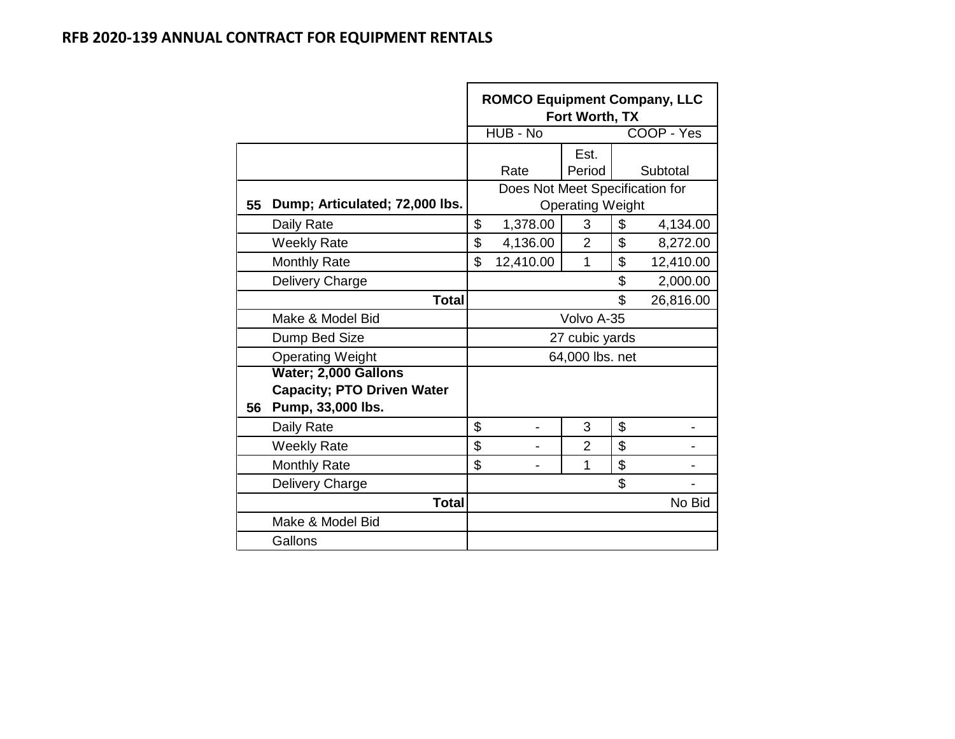|    |                                   | <b>ROMCO Equipment Company, LLC</b><br>Fort Worth, TX |                                 |                         |    |            |  |  |  |
|----|-----------------------------------|-------------------------------------------------------|---------------------------------|-------------------------|----|------------|--|--|--|
|    |                                   |                                                       | HUB - No                        |                         |    | COOP - Yes |  |  |  |
|    |                                   |                                                       |                                 | Est.                    |    |            |  |  |  |
|    |                                   |                                                       | Rate                            | Period                  |    | Subtotal   |  |  |  |
|    |                                   |                                                       | Does Not Meet Specification for |                         |    |            |  |  |  |
| 55 | Dump; Articulated; 72,000 lbs.    |                                                       |                                 | <b>Operating Weight</b> |    |            |  |  |  |
|    | Daily Rate                        | \$                                                    | 1,378.00                        | 3                       | \$ | 4,134.00   |  |  |  |
|    | <b>Weekly Rate</b>                | \$                                                    | 4,136.00                        | $\overline{2}$          | \$ | 8,272.00   |  |  |  |
|    | <b>Monthly Rate</b>               | \$                                                    | 12,410.00                       | 1                       | \$ | 12,410.00  |  |  |  |
|    | Delivery Charge                   |                                                       |                                 |                         | \$ | 2,000.00   |  |  |  |
|    | <b>Total</b>                      |                                                       |                                 |                         | \$ | 26,816.00  |  |  |  |
|    | Make & Model Bid                  |                                                       |                                 | Volvo A-35              |    |            |  |  |  |
|    | Dump Bed Size                     |                                                       |                                 | 27 cubic yards          |    |            |  |  |  |
|    | <b>Operating Weight</b>           |                                                       |                                 | 64,000 lbs. net         |    |            |  |  |  |
|    | Water; 2,000 Gallons              |                                                       |                                 |                         |    |            |  |  |  |
|    | <b>Capacity; PTO Driven Water</b> |                                                       |                                 |                         |    |            |  |  |  |
| 56 | Pump, 33,000 lbs.                 |                                                       |                                 |                         |    |            |  |  |  |
|    | Daily Rate                        | \$                                                    |                                 | 3                       | \$ |            |  |  |  |
|    | <b>Weekly Rate</b>                | \$                                                    |                                 | $\overline{2}$          | \$ |            |  |  |  |
|    | <b>Monthly Rate</b>               | \$                                                    |                                 | 1                       | \$ |            |  |  |  |
|    | Delivery Charge                   |                                                       |                                 |                         | \$ |            |  |  |  |
|    | <b>Total</b>                      |                                                       |                                 |                         |    | No Bid     |  |  |  |
|    | Make & Model Bid                  |                                                       |                                 |                         |    |            |  |  |  |
|    | Gallons                           |                                                       |                                 |                         |    |            |  |  |  |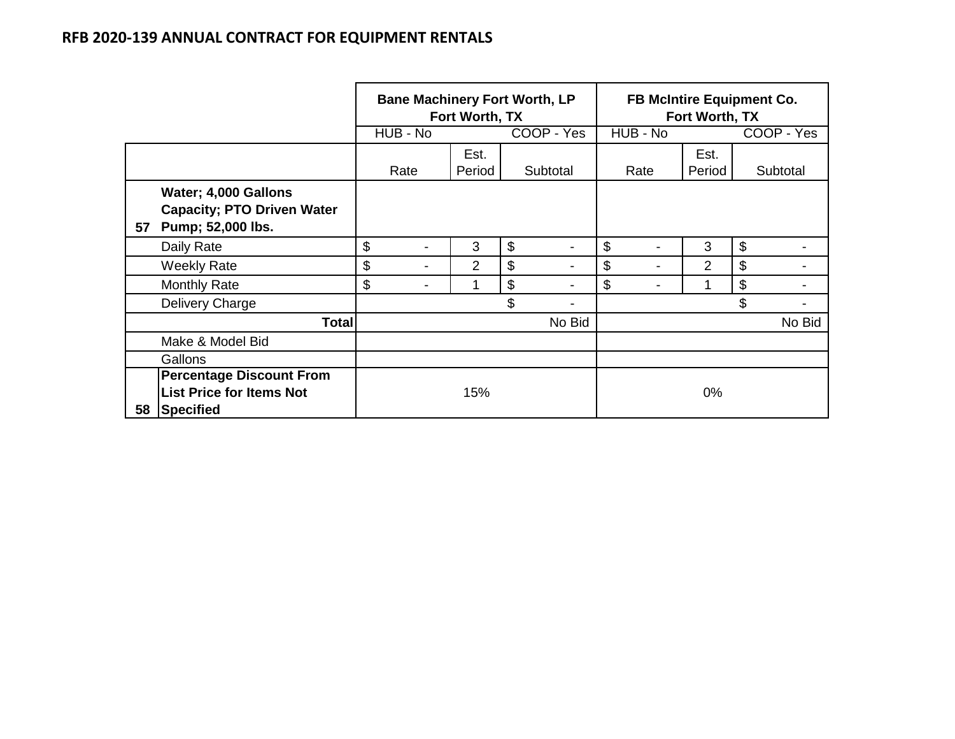## **RFB 2020-139 ANNUAL CONTRACT FOR EQUIPMENT RENTALS**

|    |                                                                                 | <b>Bane Machinery Fort Worth, LP</b><br>Fort Worth, TX |          |        |    |                          |    | <b>FB McIntire Equipment Co.</b><br>Fort Worth, TX |                |    |            |  |
|----|---------------------------------------------------------------------------------|--------------------------------------------------------|----------|--------|----|--------------------------|----|----------------------------------------------------|----------------|----|------------|--|
|    |                                                                                 |                                                        | HUB - No |        |    | COOP - Yes               |    | HUB - No                                           |                |    | COOP - Yes |  |
|    |                                                                                 |                                                        |          | Est.   |    |                          |    |                                                    | Est.           |    |            |  |
|    |                                                                                 |                                                        | Rate     | Period |    | Subtotal                 |    | Rate                                               | Period         |    | Subtotal   |  |
| 57 | Water; 4,000 Gallons<br><b>Capacity; PTO Driven Water</b><br>Pump; 52,000 lbs.  |                                                        |          |        |    |                          |    |                                                    |                |    |            |  |
|    | Daily Rate                                                                      | \$                                                     |          | 3      | \$ | $\overline{\phantom{0}}$ | \$ |                                                    | 3              | \$ |            |  |
|    | <b>Weekly Rate</b>                                                              | \$                                                     | -        | 2      | \$ |                          | \$ |                                                    | $\overline{2}$ | \$ |            |  |
|    | <b>Monthly Rate</b>                                                             | \$                                                     |          |        | \$ |                          | \$ |                                                    | 1              | \$ |            |  |
|    | Delivery Charge                                                                 |                                                        |          |        | \$ |                          |    |                                                    |                | \$ |            |  |
|    | <b>Total</b>                                                                    |                                                        |          |        |    | No Bid                   |    |                                                    |                |    | No Bid     |  |
|    | Make & Model Bid                                                                |                                                        |          |        |    |                          |    |                                                    |                |    |            |  |
|    | Gallons                                                                         |                                                        |          |        |    |                          |    |                                                    |                |    |            |  |
| 58 | <b>Percentage Discount From</b><br><b>List Price for Items Not</b><br>Specified |                                                        |          | 15%    |    |                          |    |                                                    | 0%             |    |            |  |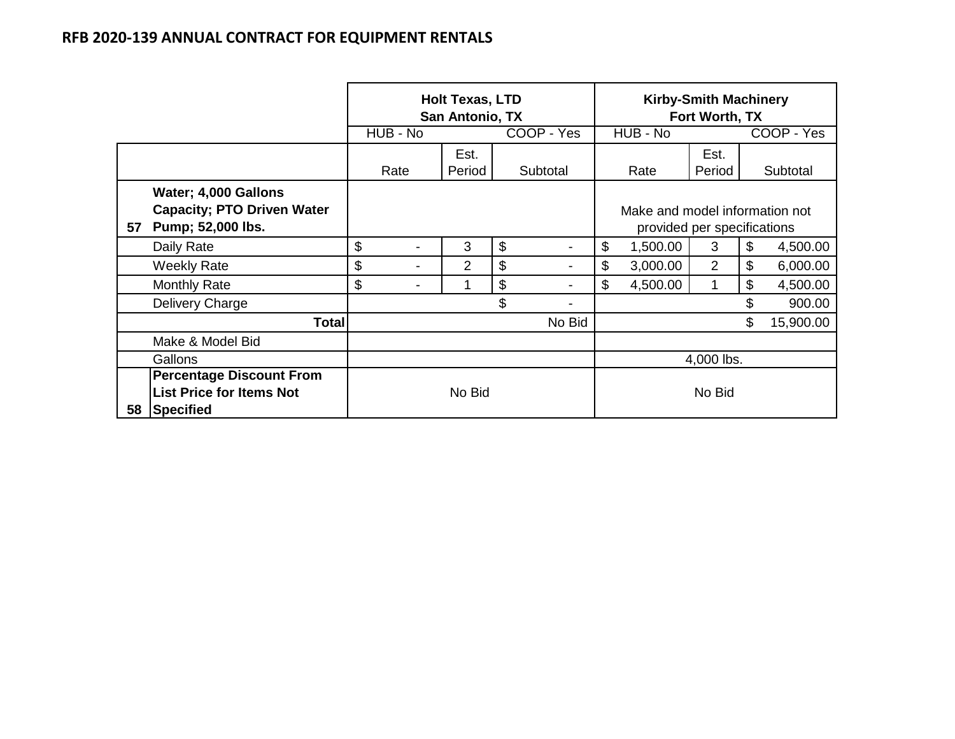## **RFB 2020-139 ANNUAL CONTRACT FOR EQUIPMENT RENTALS**

|    |                                                                                 | <b>Holt Texas, LTD</b><br>San Antonio, TX |                          |                |    |          |        | <b>Kirby-Smith Machinery</b><br>Fort Worth, TX                |                |                |            |
|----|---------------------------------------------------------------------------------|-------------------------------------------|--------------------------|----------------|----|----------|--------|---------------------------------------------------------------|----------------|----------------|------------|
|    |                                                                                 |                                           | HUB - No<br>COOP - Yes   |                |    |          |        | $HUB - No$                                                    |                |                | COOP - Yes |
|    |                                                                                 |                                           |                          | Est.           |    |          |        |                                                               | Est.           |                |            |
|    |                                                                                 |                                           | Rate                     | Period         |    | Subtotal |        | Rate                                                          | Period         |                | Subtotal   |
| 57 | Water; 4,000 Gallons<br><b>Capacity; PTO Driven Water</b><br>Pump; 52,000 lbs.  |                                           |                          |                |    |          |        | Make and model information not<br>provided per specifications |                |                |            |
|    | Daily Rate                                                                      | \$                                        | $\overline{\phantom{0}}$ | 3              | \$ |          | \$     | 1,500.00                                                      | 3              | \$             | 4,500.00   |
|    | <b>Weekly Rate</b>                                                              | \$                                        | -                        | $\overline{2}$ | \$ |          | \$     | 3,000.00                                                      | $\overline{2}$ | \$             | 6,000.00   |
|    | <b>Monthly Rate</b>                                                             | \$                                        | -                        | 1              | \$ |          | \$     | 4,500.00                                                      | 1              | \$             | 4,500.00   |
|    | Delivery Charge                                                                 |                                           |                          |                | \$ |          |        |                                                               |                | \$             | 900.00     |
|    | Total                                                                           |                                           |                          |                |    | No Bid   |        |                                                               |                | $\mathfrak{S}$ | 15,900.00  |
|    | Make & Model Bid                                                                |                                           |                          |                |    |          |        |                                                               |                |                |            |
|    | Gallons                                                                         |                                           |                          |                |    |          |        |                                                               | 4,000 lbs.     |                |            |
| 58 | <b>Percentage Discount From</b><br><b>List Price for Items Not</b><br>Specified |                                           |                          | No Bid         |    |          | No Bid |                                                               |                |                |            |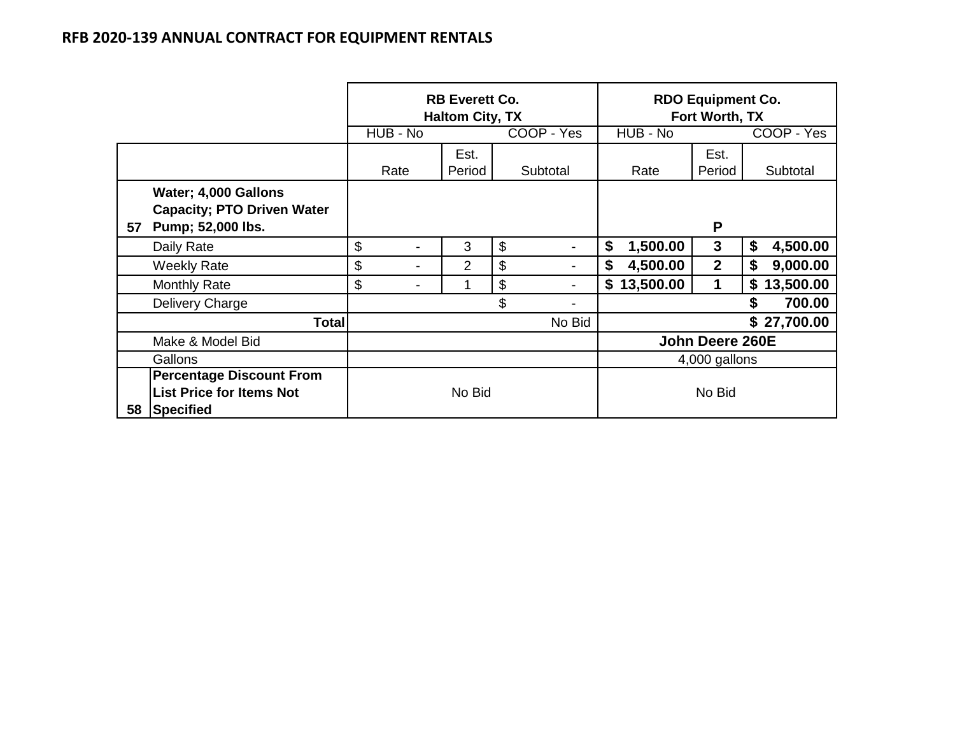## **RFB 2020-139 ANNUAL CONTRACT FOR EQUIPMENT RENTALS**

|    |                                                                                 |                      | <b>RB Everett Co.</b><br><b>Haltom City, TX</b> |    |                          | <b>RDO Equipment Co.</b><br>Fort Worth, TX |                  |                 |  |
|----|---------------------------------------------------------------------------------|----------------------|-------------------------------------------------|----|--------------------------|--------------------------------------------|------------------|-----------------|--|
|    |                                                                                 | HUB - No             |                                                 |    | COOP - Yes               | $H\overline{UB}$ - No                      | COOP - Yes       |                 |  |
|    |                                                                                 |                      | Est.                                            |    |                          |                                            | Est.             |                 |  |
|    |                                                                                 | Rate                 | Period                                          |    | Subtotal                 | Rate                                       | Period           | Subtotal        |  |
| 57 | Water; 4,000 Gallons<br><b>Capacity; PTO Driven Water</b><br>Pump; 52,000 lbs.  |                      |                                                 |    |                          | P                                          |                  |                 |  |
|    | Daily Rate                                                                      | \$<br>$\blacksquare$ | 3                                               | \$ | $\blacksquare$           | 1,500.00<br>\$                             | 3                | \$<br>4,500.00  |  |
|    | Weekly Rate                                                                     | \$<br>$\blacksquare$ | 2                                               | \$ | $\overline{\phantom{a}}$ | \$<br>4,500.00                             | $\boldsymbol{2}$ | \$<br>9,000.00  |  |
|    | <b>Monthly Rate</b>                                                             | \$<br>-              | 1                                               | \$ |                          | 13,500.00<br>\$                            | 1                | 13,500.00<br>\$ |  |
|    | Delivery Charge                                                                 |                      |                                                 | \$ |                          |                                            |                  | \$<br>700.00    |  |
|    | <b>Total</b>                                                                    |                      |                                                 |    | No Bid                   |                                            |                  | \$27,700.00     |  |
|    | Make & Model Bid                                                                |                      |                                                 |    |                          |                                            | John Deere 260E  |                 |  |
|    | Gallons                                                                         |                      |                                                 |    |                          |                                            | 4,000 gallons    |                 |  |
| 58 | <b>Percentage Discount From</b><br><b>List Price for Items Not</b><br>Specified |                      | No Bid                                          |    |                          | No Bid                                     |                  |                 |  |